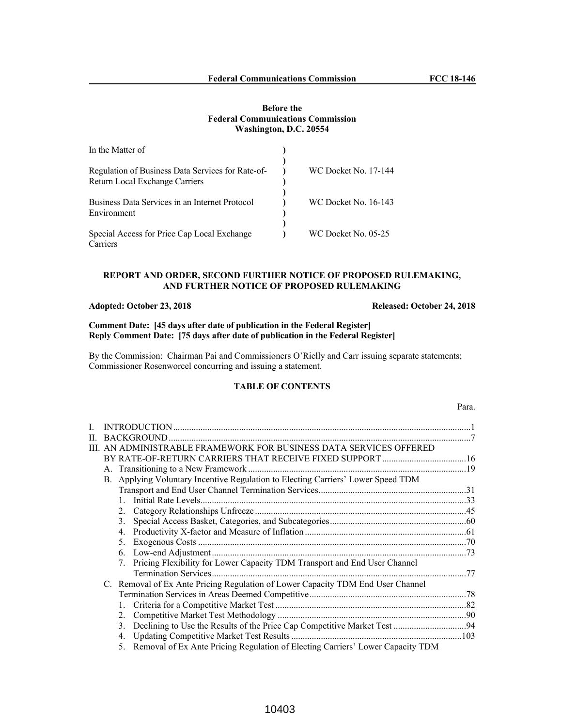#### **Before the Federal Communications Commission Washington, D.C. 20554**

| In the Matter of                                              |                             |
|---------------------------------------------------------------|-----------------------------|
| Regulation of Business Data Services for Rate-of-             | <b>WC Docket No. 17-144</b> |
| Return Local Exchange Carriers                                |                             |
| Business Data Services in an Internet Protocol<br>Environment | <b>WC Docket No. 16-143</b> |
| Special Access for Price Cap Local Exchange                   | WC Docket No. 05-25         |
| Carriers                                                      |                             |

### **REPORT AND ORDER, SECOND FURTHER NOTICE OF PROPOSED RULEMAKING, AND FURTHER NOTICE OF PROPOSED RULEMAKING**

### **Adopted: October 23, 2018 Released: October 24, 2018**

### **Comment Date: [45 days after date of publication in the Federal Register] Reply Comment Date: [75 days after date of publication in the Federal Register]**

By the Commission: Chairman Pai and Commissioners O'Rielly and Carr issuing separate statements; Commissioner Rosenworcel concurring and issuing a statement.

# **TABLE OF CONTENTS**

# Para.

| H. |           |                  |                                                                                |  |
|----|-----------|------------------|--------------------------------------------------------------------------------|--|
|    |           |                  | III. AN ADMINISTRABLE FRAMEWORK FOR BUSINESS DATA SERVICES OFFERED             |  |
|    |           |                  |                                                                                |  |
|    |           |                  |                                                                                |  |
|    | <b>B.</b> |                  | Applying Voluntary Incentive Regulation to Electing Carriers' Lower Speed TDM  |  |
|    |           |                  |                                                                                |  |
|    |           |                  |                                                                                |  |
|    |           | 2.               |                                                                                |  |
|    |           | 3.               |                                                                                |  |
|    |           | $\overline{4}$ . |                                                                                |  |
|    |           | 5.               |                                                                                |  |
|    |           | 6.               |                                                                                |  |
|    |           | 7.               | Pricing Flexibility for Lower Capacity TDM Transport and End User Channel      |  |
|    |           |                  |                                                                                |  |
|    | C.        |                  | Removal of Ex Ante Pricing Regulation of Lower Capacity TDM End User Channel   |  |
|    |           |                  |                                                                                |  |
|    |           |                  |                                                                                |  |
|    |           | 2.               |                                                                                |  |
|    |           | 3.               |                                                                                |  |
|    |           | 4.               |                                                                                |  |
|    |           | 5.               | Removal of Ex Ante Pricing Regulation of Electing Carriers' Lower Capacity TDM |  |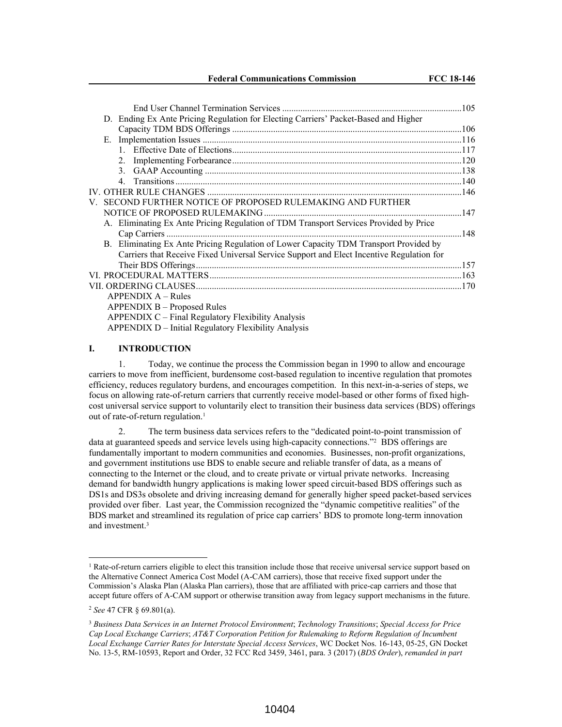| D. Ending Ex Ante Pricing Regulation for Electing Carriers' Packet-Based and Higher                                                                                               |  |
|-----------------------------------------------------------------------------------------------------------------------------------------------------------------------------------|--|
|                                                                                                                                                                                   |  |
|                                                                                                                                                                                   |  |
|                                                                                                                                                                                   |  |
| $2_{1}$                                                                                                                                                                           |  |
|                                                                                                                                                                                   |  |
| 4                                                                                                                                                                                 |  |
|                                                                                                                                                                                   |  |
| V. SECOND FURTHER NOTICE OF PROPOSED RULEMAKING AND FURTHER                                                                                                                       |  |
|                                                                                                                                                                                   |  |
| A. Eliminating Ex Ante Pricing Regulation of TDM Transport Services Provided by Price                                                                                             |  |
|                                                                                                                                                                                   |  |
| B. Eliminating Ex Ante Pricing Regulation of Lower Capacity TDM Transport Provided by<br>Carriers that Receive Fixed Universal Service Support and Elect Incentive Regulation for |  |
|                                                                                                                                                                                   |  |
|                                                                                                                                                                                   |  |
|                                                                                                                                                                                   |  |
| $APPENDIX A - Rules$                                                                                                                                                              |  |
| APPENDIX B – Proposed Rules                                                                                                                                                       |  |
| APPENDIX C – Final Regulatory Flexibility Analysis                                                                                                                                |  |
| APPENDIX D – Initial Regulatory Flexibility Analysis                                                                                                                              |  |
|                                                                                                                                                                                   |  |

#### **I. INTRODUCTION**

1. Today, we continue the process the Commission began in 1990 to allow and encourage carriers to move from inefficient, burdensome cost-based regulation to incentive regulation that promotes efficiency, reduces regulatory burdens, and encourages competition. In this next-in-a-series of steps, we focus on allowing rate-of-return carriers that currently receive model-based or other forms of fixed highcost universal service support to voluntarily elect to transition their business data services (BDS) offerings out of rate-of-return regulation.<sup>1</sup>

2. The term business data services refers to the "dedicated point-to-point transmission of data at guaranteed speeds and service levels using high-capacity connections."<sup>2</sup> BDS offerings are fundamentally important to modern communities and economies. Businesses, non-profit organizations, and government institutions use BDS to enable secure and reliable transfer of data, as a means of connecting to the Internet or the cloud, and to create private or virtual private networks. Increasing demand for bandwidth hungry applications is making lower speed circuit-based BDS offerings such as DS1s and DS3s obsolete and driving increasing demand for generally higher speed packet-based services provided over fiber. Last year, the Commission recognized the "dynamic competitive realities" of the BDS market and streamlined its regulation of price cap carriers' BDS to promote long-term innovation and investment.<sup>3</sup>

<sup>&</sup>lt;sup>1</sup> Rate-of-return carriers eligible to elect this transition include those that receive universal service support based on the Alternative Connect America Cost Model (A-CAM carriers), those that receive fixed support under the Commission's Alaska Plan (Alaska Plan carriers), those that are affiliated with price-cap carriers and those that accept future offers of A-CAM support or otherwise transition away from legacy support mechanisms in the future.

<sup>2</sup> *See* 47 CFR § 69.801(a).

<sup>3</sup> *Business Data Services in an Internet Protocol Environment*; *Technology Transitions*; *Special Access for Price Cap Local Exchange Carriers*; *AT&T Corporation Petition for Rulemaking to Reform Regulation of Incumbent Local Exchange Carrier Rates for Interstate Special Access Services*, WC Docket Nos. 16-143, 05-25, GN Docket No. 13-5, RM-10593, Report and Order, 32 FCC Rcd 3459, 3461, para. 3 (2017) (*BDS Order*), *remanded in part*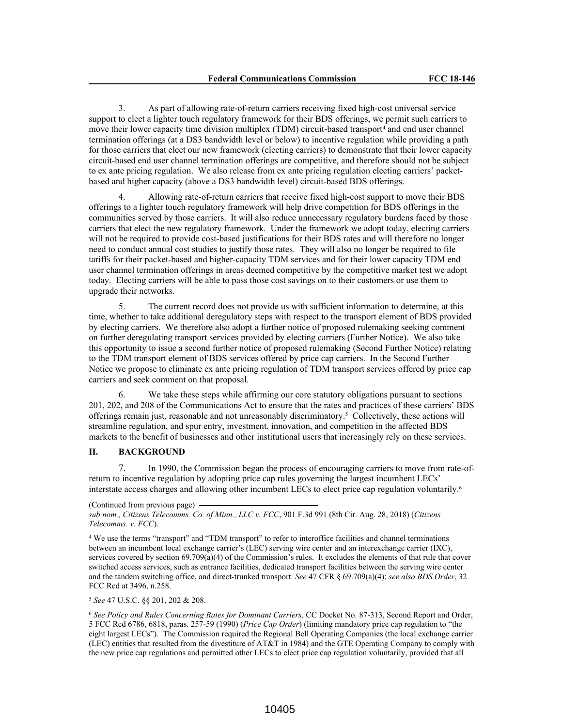3. As part of allowing rate-of-return carriers receiving fixed high-cost universal service support to elect a lighter touch regulatory framework for their BDS offerings, we permit such carriers to move their lower capacity time division multiplex (TDM) circuit-based transport<sup>4</sup> and end user channel termination offerings (at a DS3 bandwidth level or below) to incentive regulation while providing a path for those carriers that elect our new framework (electing carriers) to demonstrate that their lower capacity circuit-based end user channel termination offerings are competitive, and therefore should not be subject to ex ante pricing regulation. We also release from ex ante pricing regulation electing carriers' packetbased and higher capacity (above a DS3 bandwidth level) circuit-based BDS offerings.

4. Allowing rate-of-return carriers that receive fixed high-cost support to move their BDS offerings to a lighter touch regulatory framework will help drive competition for BDS offerings in the communities served by those carriers. It will also reduce unnecessary regulatory burdens faced by those carriers that elect the new regulatory framework. Under the framework we adopt today, electing carriers will not be required to provide cost-based justifications for their BDS rates and will therefore no longer need to conduct annual cost studies to justify those rates. They will also no longer be required to file tariffs for their packet-based and higher-capacity TDM services and for their lower capacity TDM end user channel termination offerings in areas deemed competitive by the competitive market test we adopt today. Electing carriers will be able to pass those cost savings on to their customers or use them to upgrade their networks.

5. The current record does not provide us with sufficient information to determine, at this time, whether to take additional deregulatory steps with respect to the transport element of BDS provided by electing carriers. We therefore also adopt a further notice of proposed rulemaking seeking comment on further deregulating transport services provided by electing carriers (Further Notice). We also take this opportunity to issue a second further notice of proposed rulemaking (Second Further Notice) relating to the TDM transport element of BDS services offered by price cap carriers. In the Second Further Notice we propose to eliminate ex ante pricing regulation of TDM transport services offered by price cap carriers and seek comment on that proposal.

6. We take these steps while affirming our core statutory obligations pursuant to sections 201, 202, and 208 of the Communications Act to ensure that the rates and practices of these carriers' BDS offerings remain just, reasonable and not unreasonably discriminatory.<sup>5</sup> Collectively, these actions will streamline regulation, and spur entry, investment, innovation, and competition in the affected BDS markets to the benefit of businesses and other institutional users that increasingly rely on these services.

### **II. BACKGROUND**

7. In 1990, the Commission began the process of encouraging carriers to move from rate-ofreturn to incentive regulation by adopting price cap rules governing the largest incumbent LECs' interstate access charges and allowing other incumbent LECs to elect price cap regulation voluntarily.<sup>6</sup>

<sup>5</sup> *See* 47 U.S.C. §§ 201, 202 & 208.

<sup>(</sup>Continued from previous page) *sub nom., Citizens Telecomms. Co. of Minn., LLC v. FCC*, 901 F.3d 991 (8th Cir. Aug. 28, 2018) (*Citizens Telecomms. v. FCC*).

<sup>4</sup> We use the terms "transport" and "TDM transport" to refer to interoffice facilities and channel terminations between an incumbent local exchange carrier's (LEC) serving wire center and an interexchange carrier (IXC), services covered by section 69.709(a)(4) of the Commission's rules. It excludes the elements of that rule that cover switched access services, such as entrance facilities, dedicated transport facilities between the serving wire center and the tandem switching office, and direct-trunked transport. *See* 47 CFR § 69.709(a)(4); *see also BDS Order*, 32 FCC Rcd at 3496, n.258.

<sup>6</sup> *See Policy and Rules Concerning Rates for Dominant Carriers*, CC Docket No. 87-313, Second Report and Order, 5 FCC Rcd 6786, 6818, paras. 257-59 (1990) (*Price Cap Order*) (limiting mandatory price cap regulation to "the eight largest LECs"). The Commission required the Regional Bell Operating Companies (the local exchange carrier (LEC) entities that resulted from the divestiture of AT&T in 1984) and the GTE Operating Company to comply with the new price cap regulations and permitted other LECs to elect price cap regulation voluntarily, provided that all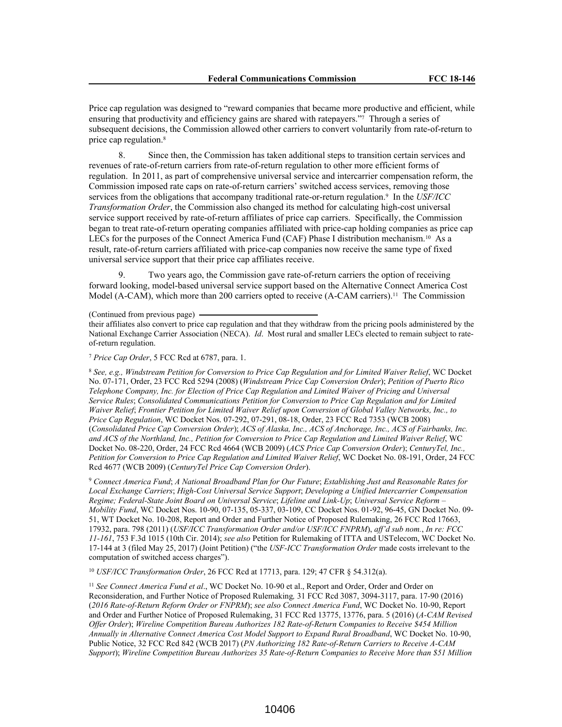Price cap regulation was designed to "reward companies that became more productive and efficient, while ensuring that productivity and efficiency gains are shared with ratepayers."7 Through a series of subsequent decisions, the Commission allowed other carriers to convert voluntarily from rate-of-return to price cap regulation.<sup>8</sup>

8. Since then, the Commission has taken additional steps to transition certain services and revenues of rate-of-return carriers from rate-of-return regulation to other more efficient forms of regulation. In 2011, as part of comprehensive universal service and intercarrier compensation reform, the Commission imposed rate caps on rate-of-return carriers' switched access services, removing those services from the obligations that accompany traditional rate-or-return regulation.<sup>9</sup> In the *USF/ICC Transformation Order*, the Commission also changed its method for calculating high-cost universal service support received by rate-of-return affiliates of price cap carriers. Specifically, the Commission began to treat rate-of-return operating companies affiliated with price-cap holding companies as price cap LECs for the purposes of the Connect America Fund (CAF) Phase I distribution mechanism.<sup>10</sup> As a result, rate-of-return carriers affiliated with price-cap companies now receive the same type of fixed universal service support that their price cap affiliates receive.

9. Two years ago, the Commission gave rate-of-return carriers the option of receiving forward looking, model-based universal service support based on the Alternative Connect America Cost Model (A-CAM), which more than 200 carriers opted to receive (A-CAM carriers).<sup>11</sup> The Commission

(Continued from previous page)

their affiliates also convert to price cap regulation and that they withdraw from the pricing pools administered by the National Exchange Carrier Association (NECA). *Id*. Most rural and smaller LECs elected to remain subject to rateof-return regulation.

<sup>7</sup> *Price Cap Order*, 5 FCC Rcd at 6787, para. 1.

<sup>8</sup> *See, e.g., Windstream Petition for Conversion to Price Cap Regulation and for Limited Waiver Relief*, WC Docket No. 07-171, Order, 23 FCC Rcd 5294 (2008) (*Windstream Price Cap Conversion Order*); *Petition of Puerto Rico Telephone Company, Inc. for Election of Price Cap Regulation and Limited Waiver of Pricing and Universal Service Rules*; *Consolidated Communications Petition for Conversion to Price Cap Regulation and for Limited Waiver Relief*; *Frontier Petition for Limited Waiver Relief upon Conversion of Global Valley Networks, Inc., to Price Cap Regulation*, WC Docket Nos. 07-292, 07-291, 08-18, Order, 23 FCC Rcd 7353 (WCB 2008) (Consolidated Price Cap Conversion Order); ACS of Alaska, Inc., ACS of Anchorage, Inc., ACS of Fairbanks, Inc. and ACS of the Northland, Inc., Petition for Conversion to Price Cap Regulation and Limited Waiver Relief, WC Docket No. 08-220, Order, 24 FCC Rcd 4664 (WCB 2009) (*ACS Price Cap Conversion Order*); *CenturyTel, Inc., Petition for Conversion to Price Cap Regulation and Limited Waiver Relief*, WC Docket No. 08-191, Order, 24 FCC Rcd 4677 (WCB 2009) (*CenturyTel Price Cap Conversion Order*).

<sup>9</sup> *Connect America Fund*; *A National Broadband Plan for Our Future*; *Establishing Just and Reasonable Rates for Local Exchange Carriers*; *High-Cost Universal Service Support*; *Developing a Unified Intercarrier Compensation Regime; Federal-State Joint Board on Universal Service*; *Lifeline and Link-Up*; *Universal Service Reform – Mobility Fund*, WC Docket Nos. 10-90, 07-135, 05-337, 03-109, CC Docket Nos. 01-92, 96-45, GN Docket No. 09- 51, WT Docket No. 10-208, Report and Order and Further Notice of Proposed Rulemaking, 26 FCC Rcd 17663, 17932, para. 798 (2011) (*USF/ICC Transformation Order and/or USF/ICC FNPRM*), *aff'd sub nom.*, *In re: FCC 11-161*, 753 F.3d 1015 (10th Cir. 2014); *see also* Petition for Rulemaking of ITTA and USTelecom, WC Docket No. 17-144 at 3 (filed May 25, 2017) (Joint Petition) ("the *USF-ICC Transformation Order* made costs irrelevant to the computation of switched access charges").

<sup>10</sup> *USF/ICC Transformation Order*, 26 FCC Rcd at 17713, para. 129; 47 CFR § 54.312(a).

<sup>11</sup> *See Connect America Fund et al*., WC Docket No. 10-90 et al., Report and Order, Order and Order on Reconsideration, and Further Notice of Proposed Rulemaking*,* 31 FCC Rcd 3087, 3094-3117, para. 17-90 (2016) (*2016 Rate-of-Return Reform Order or FNPRM*); *see also Connect America Fund*, WC Docket No. 10-90, Report and Order and Further Notice of Proposed Rulemaking, 31 FCC Rcd 13775, 13776, para. 5 (2016) (*A-CAM Revised Offer Order*); *Wireline Competition Bureau Authorizes 182 Rate-of-Return Companies to Receive \$454 Million Annually in Alternative Connect America Cost Model Support to Expand Rural Broadband*, WC Docket No. 10-90, Public Notice, 32 FCC Rcd 842 (WCB 2017) (*PN Authorizing 182 Rate-of-Return Carriers to Receive A-CAM Support*); *Wireline Competition Bureau Authorizes 35 Rate-of-Return Companies to Receive More than \$51 Million*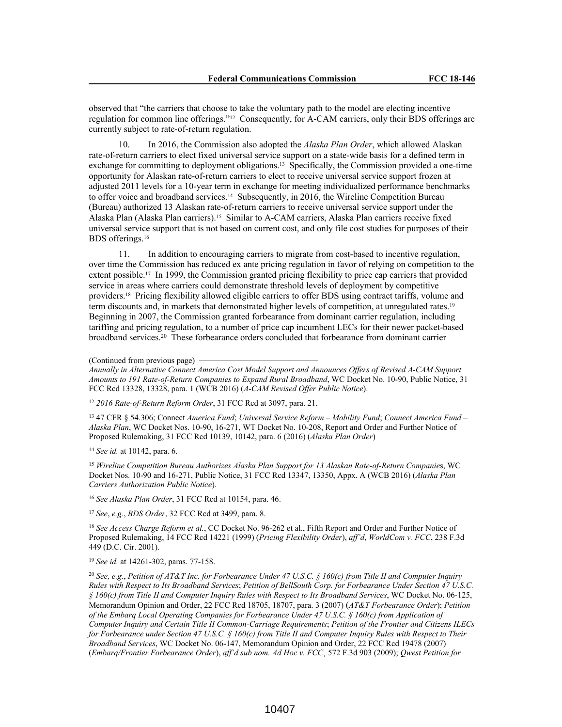observed that "the carriers that choose to take the voluntary path to the model are electing incentive regulation for common line offerings."<sup>12</sup> Consequently, for A-CAM carriers, only their BDS offerings are currently subject to rate-of-return regulation.

10. In 2016, the Commission also adopted the *Alaska Plan Order*, which allowed Alaskan rate-of-return carriers to elect fixed universal service support on a state-wide basis for a defined term in exchange for committing to deployment obligations.<sup>13</sup> Specifically, the Commission provided a one-time opportunity for Alaskan rate-of-return carriers to elect to receive universal service support frozen at adjusted 2011 levels for a 10-year term in exchange for meeting individualized performance benchmarks to offer voice and broadband services.<sup>14</sup> Subsequently, in 2016, the Wireline Competition Bureau (Bureau) authorized 13 Alaskan rate-of-return carriers to receive universal service support under the Alaska Plan (Alaska Plan carriers).<sup>15</sup> Similar to A-CAM carriers, Alaska Plan carriers receive fixed universal service support that is not based on current cost, and only file cost studies for purposes of their BDS offerings.<sup>16</sup>

11. In addition to encouraging carriers to migrate from cost-based to incentive regulation, over time the Commission has reduced ex ante pricing regulation in favor of relying on competition to the extent possible.<sup>17</sup> In 1999, the Commission granted pricing flexibility to price cap carriers that provided service in areas where carriers could demonstrate threshold levels of deployment by competitive providers.<sup>18</sup> Pricing flexibility allowed eligible carriers to offer BDS using contract tariffs, volume and term discounts and, in markets that demonstrated higher levels of competition, at unregulated rates.<sup>19</sup> Beginning in 2007, the Commission granted forbearance from dominant carrier regulation, including tariffing and pricing regulation, to a number of price cap incumbent LECs for their newer packet-based broadband services.<sup>20</sup> These forbearance orders concluded that forbearance from dominant carrier

*Annually in Alternative Connect America Cost Model Support and Announces Offers of Revised A-CAM Support Amounts to 191 Rate-of-Return Companies to Expand Rural Broadband*, WC Docket No. 10-90, Public Notice, 31 FCC Rcd 13328, 13328, para. 1 (WCB 2016) (*A-CAM Revised Offer Public Notice*).

<sup>12</sup> *2016 Rate-of-Return Reform Order*, 31 FCC Rcd at 3097, para. 21.

<sup>13</sup> 47 CFR § 54.306; Connect *America Fund*; *Universal Service Reform – Mobility Fund*; *Connect America Fund – Alaska Plan*, WC Docket Nos. 10-90, 16-271, WT Docket No. 10-208, Report and Order and Further Notice of Proposed Rulemaking, 31 FCC Rcd 10139, 10142, para. 6 (2016) (*Alaska Plan Order*)

<sup>14</sup> *See id.* at 10142, para. 6.

<sup>15</sup> *Wireline Competition Bureau Authorizes Alaska Plan Support for 13 Alaskan Rate-of-Return Companie*s, WC Docket Nos. 10-90 and 16-271, Public Notice, 31 FCC Rcd 13347, 13350, Appx. A (WCB 2016) (*Alaska Plan Carriers Authorization Public Notice*).

<sup>16</sup> *See Alaska Plan Order*, 31 FCC Rcd at 10154, para. 46.

<sup>17</sup> *See*, *e.g.*, *BDS Order*, 32 FCC Rcd at 3499, para. 8.

<sup>18</sup> *See Access Charge Reform et al.*, CC Docket No. 96-262 et al., Fifth Report and Order and Further Notice of Proposed Rulemaking, 14 FCC Rcd 14221 (1999) (*Pricing Flexibility Order*), *aff'd*, *WorldCom v. FCC*, 238 F.3d 449 (D.C. Cir. 2001).

<sup>19</sup> *See id.* at 14261-302, paras. 77-158.

<sup>20</sup> See, e.g., Petition of AT&T Inc. for Forbearance Under 47 U.S.C. § 160(c) from Title II and Computer Inquiry Rules with Respect to Its Broadband Services; Petition of BellSouth Corp. for Forbearance Under Section 47 U.S.C. *§ 160(c) from Title II and Computer Inquiry Rules with Respect to Its Broadband Services*, WC Docket No. 06-125, Memorandum Opinion and Order, 22 FCC Rcd 18705, 18707, para. 3 (2007) (*AT&T Forbearance Order*); *Petition of the Embarq Local Operating Companies for Forbearance Under 47 U.S.C. § 160(c) from Application of Computer Inquiry and Certain Title II Common-Carriage Requirements*; *Petition of the Frontier and Citizens ILECs* for Forbearance under Section 47 U.S.C. § 160(c) from Title II and Computer Inquiry Rules with Respect to Their *Broadband Services*, WC Docket No. 06-147, Memorandum Opinion and Order, 22 FCC Rcd 19478 (2007) (*Embarq/Frontier Forbearance Order*), *aff'd sub nom. Ad Hoc v. FCC*¸ 572 F.3d 903 (2009); *Qwest Petition for*

<sup>(</sup>Continued from previous page)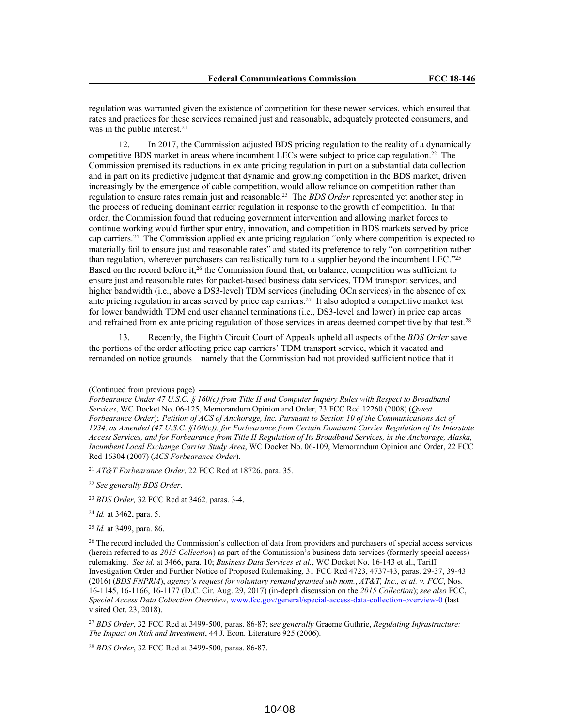regulation was warranted given the existence of competition for these newer services, which ensured that rates and practices for these services remained just and reasonable, adequately protected consumers, and was in the public interest.<sup>21</sup>

12. In 2017, the Commission adjusted BDS pricing regulation to the reality of a dynamically competitive BDS market in areas where incumbent LECs were subject to price cap regulation.<sup>22</sup> The Commission premised its reductions in ex ante pricing regulation in part on a substantial data collection and in part on its predictive judgment that dynamic and growing competition in the BDS market, driven increasingly by the emergence of cable competition, would allow reliance on competition rather than regulation to ensure rates remain just and reasonable.<sup>23</sup> The *BDS Order* represented yet another step in the process of reducing dominant carrier regulation in response to the growth of competition. In that order, the Commission found that reducing government intervention and allowing market forces to continue working would further spur entry, innovation, and competition in BDS markets served by price cap carriers.<sup>24</sup> The Commission applied ex ante pricing regulation "only where competition is expected to materially fail to ensure just and reasonable rates" and stated its preference to rely "on competition rather than regulation, wherever purchasers can realistically turn to a supplier beyond the incumbent LEC."<sup>25</sup> Based on the record before it,<sup>26</sup> the Commission found that, on balance, competition was sufficient to ensure just and reasonable rates for packet-based business data services, TDM transport services, and higher bandwidth (i.e., above a DS3-level) TDM services (including OCn services) in the absence of ex ante pricing regulation in areas served by price cap carriers.<sup>27</sup> It also adopted a competitive market test for lower bandwidth TDM end user channel terminations (i.e., DS3-level and lower) in price cap areas and refrained from ex ante pricing regulation of those services in areas deemed competitive by that test.<sup>28</sup>

13. Recently, the Eighth Circuit Court of Appeals upheld all aspects of the *BDS Order* save the portions of the order affecting price cap carriers' TDM transport service, which it vacated and remanded on notice grounds—namely that the Commission had not provided sufficient notice that it

<sup>21</sup> *AT&T Forbearance Order*, 22 FCC Rcd at 18726, para. 35.

<sup>23</sup> *BDS Order,* 32 FCC Rcd at 3462*,* paras. 3-4.

<sup>24</sup> *Id.* at 3462, para. 5.

<sup>27</sup> *BDS Order*, 32 FCC Rcd at 3499-500, paras. 86-87; s*ee generally* Graeme Guthrie, *Regulating Infrastructure: The Impact on Risk and Investment*, 44 J. Econ. Literature 925 (2006).

<sup>28</sup> *BDS Order*, 32 FCC Rcd at 3499-500, paras. 86-87.

<sup>(</sup>Continued from previous page)

*Forbearance Under 47 U.S.C. § 160(c) from Title II and Computer Inquiry Rules with Respect to Broadband Services*, WC Docket No. 06-125, Memorandum Opinion and Order, 23 FCC Rcd 12260 (2008) (*Qwest* Forbearance Order); Petition of ACS of Anchorage, Inc. Pursuant to Section 10 of the Communications Act of *1934, as Amended (47 U.S.C. §160(c)), for Forbearance from Certain Dominant Carrier Regulation of Its Interstate* Access Services, and for Forbearance from Title II Regulation of Its Broadband Services, in the Anchorage, Alaska, *Incumbent Local Exchange Carrier Study Area*, WC Docket No. 06-109, Memorandum Opinion and Order, 22 FCC Rcd 16304 (2007) (*ACS Forbearance Order*).

<sup>22</sup> *See generally BDS Order*.

<sup>25</sup> *Id.* at 3499, para. 86.

<sup>&</sup>lt;sup>26</sup> The record included the Commission's collection of data from providers and purchasers of special access services (herein referred to as *2015 Collection*) as part of the Commission's business data services (formerly special access) rulemaking. *See id.* at 3466, para. 10; *Business Data Services et al.*, WC Docket No. 16-143 et al., Tariff Investigation Order and Further Notice of Proposed Rulemaking, 31 FCC Rcd 4723, 4737-43, paras. 29-37, 39-43 (2016) (*BDS FNPRM*), *agency's request for voluntary remand granted sub nom.*, *AT&T, Inc., et al. v. FCC*, Nos. 16-1145, 16-1166, 16-1177 (D.C. Cir. Aug. 29, 2017) (in-depth discussion on the *2015 Collection*); *see also* FCC, *Special Access Data Collection Overview*, www.fcc.gov/general/special-access-data-collection-overview-0 (last visited Oct. 23, 2018).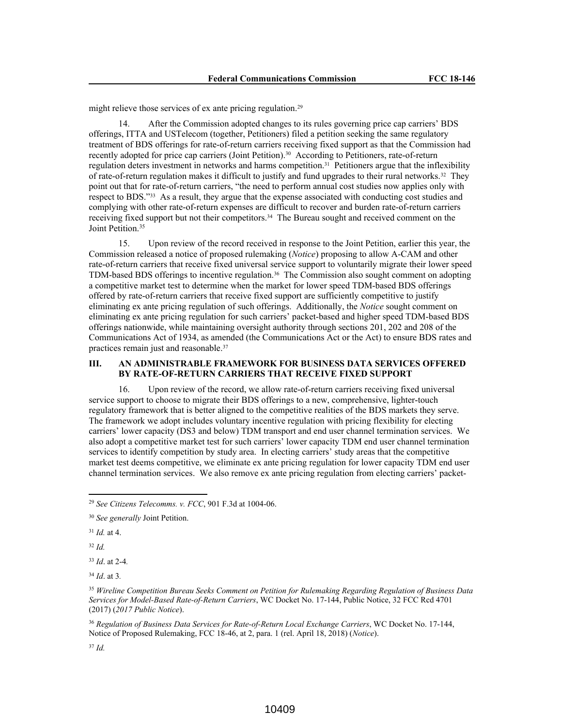might relieve those services of ex ante pricing regulation.<sup>29</sup>

14. After the Commission adopted changes to its rules governing price cap carriers' BDS offerings, ITTA and USTelecom (together, Petitioners) filed a petition seeking the same regulatory treatment of BDS offerings for rate-of-return carriers receiving fixed support as that the Commission had recently adopted for price cap carriers (Joint Petition).<sup>30</sup> According to Petitioners, rate-of-return regulation deters investment in networks and harms competition.<sup>31</sup> Petitioners argue that the inflexibility of rate-of-return regulation makes it difficult to justify and fund upgrades to their rural networks.<sup>32</sup> They point out that for rate-of-return carriers, "the need to perform annual cost studies now applies only with respect to BDS."<sup>33</sup> As a result, they argue that the expense associated with conducting cost studies and complying with other rate-of-return expenses are difficult to recover and burden rate-of-return carriers receiving fixed support but not their competitors.<sup>34</sup> The Bureau sought and received comment on the Joint Petition.<sup>35</sup>

15. Upon review of the record received in response to the Joint Petition, earlier this year, the Commission released a notice of proposed rulemaking (*Notice*) proposing to allow A-CAM and other rate-of-return carriers that receive fixed universal service support to voluntarily migrate their lower speed TDM-based BDS offerings to incentive regulation.<sup>36</sup> The Commission also sought comment on adopting a competitive market test to determine when the market for lower speed TDM-based BDS offerings offered by rate-of-return carriers that receive fixed support are sufficiently competitive to justify eliminating ex ante pricing regulation of such offerings. Additionally, the *Notice* sought comment on eliminating ex ante pricing regulation for such carriers' packet-based and higher speed TDM-based BDS offerings nationwide, while maintaining oversight authority through sections 201, 202 and 208 of the Communications Act of 1934, as amended (the Communications Act or the Act) to ensure BDS rates and practices remain just and reasonable.<sup>37</sup>

# **III. AN ADMINISTRABLE FRAMEWORK FOR BUSINESS DATA SERVICES OFFERED BY RATE-OF-RETURN CARRIERS THAT RECEIVE FIXED SUPPORT**

16. Upon review of the record, we allow rate-of-return carriers receiving fixed universal service support to choose to migrate their BDS offerings to a new, comprehensive, lighter-touch regulatory framework that is better aligned to the competitive realities of the BDS markets they serve. The framework we adopt includes voluntary incentive regulation with pricing flexibility for electing carriers' lower capacity (DS3 and below) TDM transport and end user channel termination services. We also adopt a competitive market test for such carriers' lower capacity TDM end user channel termination services to identify competition by study area. In electing carriers' study areas that the competitive market test deems competitive, we eliminate ex ante pricing regulation for lower capacity TDM end user channel termination services. We also remove ex ante pricing regulation from electing carriers' packet-

<sup>31</sup> *Id.* at 4.

<sup>32</sup> *Id.*

<sup>33</sup> *Id*. at 2-4*.*

<sup>34</sup> *Id*. at 3*.*

<sup>36</sup> *Regulation of Business Data Services for Rate-of-Return Local Exchange Carriers*, WC Docket No. 17-144, Notice of Proposed Rulemaking, FCC 18-46, at 2, para. 1 (rel. April 18, 2018) (*Notice*).

<sup>37</sup> *Id.* 

<sup>29</sup> *See Citizens Telecomms. v. FCC*, 901 F.3d at 1004-06.

<sup>30</sup> *See generally* Joint Petition.

<sup>35</sup> *Wireline Competition Bureau Seeks Comment on Petition for Rulemaking Regarding Regulation of Business Data Services for Model-Based Rate-of-Return Carriers*, WC Docket No. 17-144, Public Notice, 32 FCC Rcd 4701 (2017) (*2017 Public Notice*).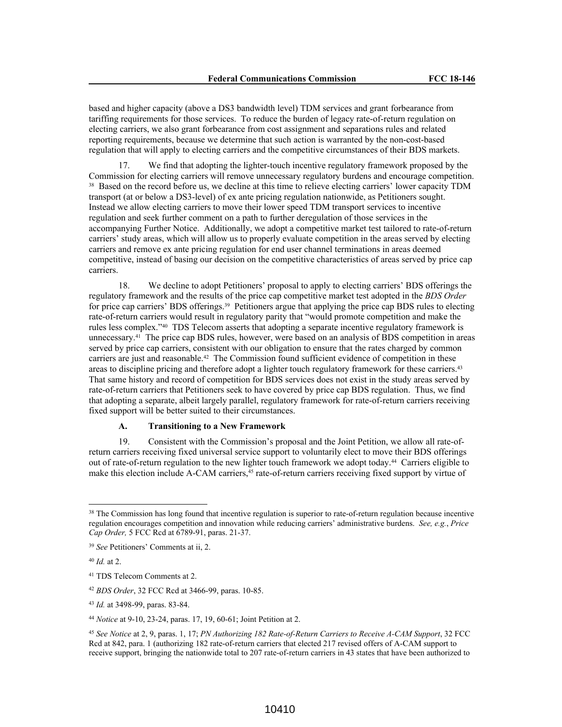based and higher capacity (above a DS3 bandwidth level) TDM services and grant forbearance from tariffing requirements for those services. To reduce the burden of legacy rate-of-return regulation on electing carriers, we also grant forbearance from cost assignment and separations rules and related reporting requirements, because we determine that such action is warranted by the non-cost-based regulation that will apply to electing carriers and the competitive circumstances of their BDS markets.

17. We find that adopting the lighter-touch incentive regulatory framework proposed by the Commission for electing carriers will remove unnecessary regulatory burdens and encourage competition. <sup>38</sup> Based on the record before us, we decline at this time to relieve electing carriers' lower capacity TDM transport (at or below a DS3-level) of ex ante pricing regulation nationwide, as Petitioners sought. Instead we allow electing carriers to move their lower speed TDM transport services to incentive regulation and seek further comment on a path to further deregulation of those services in the accompanying Further Notice. Additionally, we adopt a competitive market test tailored to rate-of-return carriers' study areas, which will allow us to properly evaluate competition in the areas served by electing carriers and remove ex ante pricing regulation for end user channel terminations in areas deemed competitive, instead of basing our decision on the competitive characteristics of areas served by price cap carriers.

18. We decline to adopt Petitioners' proposal to apply to electing carriers' BDS offerings the regulatory framework and the results of the price cap competitive market test adopted in the *BDS Order* for price cap carriers' BDS offerings.<sup>39</sup> Petitioners argue that applying the price cap BDS rules to electing rate-of-return carriers would result in regulatory parity that "would promote competition and make the rules less complex."<sup>40</sup> TDS Telecom asserts that adopting a separate incentive regulatory framework is unnecessary.<sup>41</sup> The price cap BDS rules, however, were based on an analysis of BDS competition in areas served by price cap carriers, consistent with our obligation to ensure that the rates charged by common carriers are just and reasonable.<sup>42</sup> The Commission found sufficient evidence of competition in these areas to discipline pricing and therefore adopt a lighter touch regulatory framework for these carriers.<sup>43</sup> That same history and record of competition for BDS services does not exist in the study areas served by rate-of-return carriers that Petitioners seek to have covered by price cap BDS regulation. Thus, we find that adopting a separate, albeit largely parallel, regulatory framework for rate-of-return carriers receiving fixed support will be better suited to their circumstances.

#### **A. Transitioning to a New Framework**

19. Consistent with the Commission's proposal and the Joint Petition, we allow all rate-ofreturn carriers receiving fixed universal service support to voluntarily elect to move their BDS offerings out of rate-of-return regulation to the new lighter touch framework we adopt today.<sup>44</sup> Carriers eligible to make this election include A-CAM carriers,<sup>45</sup> rate-of-return carriers receiving fixed support by virtue of

<sup>&</sup>lt;sup>38</sup> The Commission has long found that incentive regulation is superior to rate-of-return regulation because incentive regulation encourages competition and innovation while reducing carriers' administrative burdens. *See, e.g.*, *Price Cap Order,* 5 FCC Rcd at 6789-91, paras. 21-37.

<sup>39</sup> *See* Petitioners' Comments at ii, 2.

<sup>40</sup> *Id.* at 2.

<sup>41</sup> TDS Telecom Comments at 2.

<sup>42</sup> *BDS Order*, 32 FCC Rcd at 3466-99, paras. 10-85.

<sup>43</sup> *Id.* at 3498-99, paras. 83-84.

<sup>44</sup> *Notice* at 9-10, 23-24, paras. 17, 19, 60-61; Joint Petition at 2.

<sup>45</sup> *See Notice* at 2, 9, paras. 1, 17; *PN Authorizing 182 Rate-of-Return Carriers to Receive A-CAM Support*, 32 FCC Rcd at 842, para. 1 (authorizing 182 rate-of-return carriers that elected 217 revised offers of A-CAM support to receive support, bringing the nationwide total to 207 rate-of-return carriers in 43 states that have been authorized to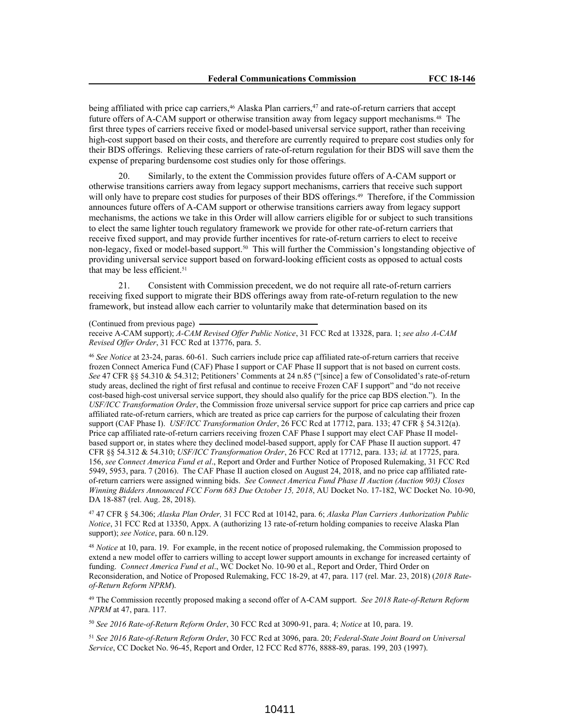being affiliated with price cap carriers,<sup>46</sup> Alaska Plan carriers,<sup>47</sup> and rate-of-return carriers that accept future offers of A-CAM support or otherwise transition away from legacy support mechanisms.<sup>48</sup> The first three types of carriers receive fixed or model-based universal service support, rather than receiving high-cost support based on their costs, and therefore are currently required to prepare cost studies only for their BDS offerings. Relieving these carriers of rate-of-return regulation for their BDS will save them the expense of preparing burdensome cost studies only for those offerings.

20. Similarly, to the extent the Commission provides future offers of A-CAM support or otherwise transitions carriers away from legacy support mechanisms, carriers that receive such support will only have to prepare cost studies for purposes of their BDS offerings.<sup>49</sup> Therefore, if the Commission announces future offers of A-CAM support or otherwise transitions carriers away from legacy support mechanisms, the actions we take in this Order will allow carriers eligible for or subject to such transitions to elect the same lighter touch regulatory framework we provide for other rate-of-return carriers that receive fixed support, and may provide further incentives for rate-of-return carriers to elect to receive non-legacy, fixed or model-based support.<sup>50</sup> This will further the Commission's longstanding objective of providing universal service support based on forward-looking efficient costs as opposed to actual costs that may be less efficient.<sup>51</sup>

21. Consistent with Commission precedent, we do not require all rate-of-return carriers receiving fixed support to migrate their BDS offerings away from rate-of-return regulation to the new framework, but instead allow each carrier to voluntarily make that determination based on its

(Continued from previous page)

receive A-CAM support); *A-CAM Revised Offer Public Notice*, 31 FCC Rcd at 13328, para. 1; *see also A-CAM Revised Offer Order*, 31 FCC Rcd at 13776, para. 5.

<sup>46</sup> *See Notice* at 23-24, paras. 60-61. Such carriers include price cap affiliated rate-of-return carriers that receive frozen Connect America Fund (CAF) Phase I support or CAF Phase II support that is not based on current costs. *See* 47 CFR §§ 54.310 & 54.312; Petitioners' Comments at 24 n.85 ("[since] a few of Consolidated's rate-of-return study areas, declined the right of first refusal and continue to receive Frozen CAF I support" and "do not receive cost-based high-cost universal service support, they should also qualify for the price cap BDS election."). In the *USF/ICC Transformation Order*, the Commission froze universal service support for price cap carriers and price cap affiliated rate-of-return carriers, which are treated as price cap carriers for the purpose of calculating their frozen support (CAF Phase I). *USF/ICC Transformation Order*, 26 FCC Rcd at 17712, para. 133; 47 CFR § 54.312(a). Price cap affiliated rate-of-return carriers receiving frozen CAF Phase I support may elect CAF Phase II modelbased support or, in states where they declined model-based support, apply for CAF Phase II auction support. 47 CFR §§ 54.312 & 54.310; *USF/ICC Transformation Order*, 26 FCC Rcd at 17712, para. 133; *id.* at 17725, para. 156, *see Connect America Fund et al*., Report and Order and Further Notice of Proposed Rulemaking, 31 FCC Rcd 5949, 5953, para. 7 (2016). The CAF Phase II auction closed on August 24, 2018, and no price cap affiliated rateof-return carriers were assigned winning bids. *See Connect America Fund Phase II Auction (Auction 903) Closes Winning Bidders Announced FCC Form 683 Due October 15, 2018*, AU Docket No. 17-182, WC Docket No. 10-90, DA 18-887 (rel. Aug. 28, 2018).

<sup>47</sup> 47 CFR § 54.306; *Alaska Plan Order,* 31 FCC Rcd at 10142, para. 6; *Alaska Plan Carriers Authorization Public Notice*, 31 FCC Rcd at 13350, Appx. A (authorizing 13 rate-of-return holding companies to receive Alaska Plan support); *see Notice*, para. 60 n.129.

<sup>48</sup> *Notice* at 10, para. 19. For example, in the recent notice of proposed rulemaking, the Commission proposed to extend a new model offer to carriers willing to accept lower support amounts in exchange for increased certainty of funding. *Connect America Fund et al*., WC Docket No. 10-90 et al., Report and Order, Third Order on Reconsideration, and Notice of Proposed Rulemaking, FCC 18-29, at 47, para. 117 (rel. Mar. 23, 2018) (*2018 Rateof-Return Reform NPRM*).

<sup>49</sup> The Commission recently proposed making a second offer of A-CAM support. *See 2018 Rate-of-Return Reform NPRM* at 47, para. 117.

<sup>50</sup> *See 2016 Rate-of-Return Reform Order*, 30 FCC Rcd at 3090-91, para. 4; *Notice* at 10, para. 19.

<sup>51</sup> *See 2016 Rate-of-Return Reform Order*, 30 FCC Rcd at 3096, para. 20; *Federal-State Joint Board on Universal Service*, CC Docket No. 96-45, Report and Order, 12 FCC Rcd 8776, 8888-89, paras. 199, 203 (1997).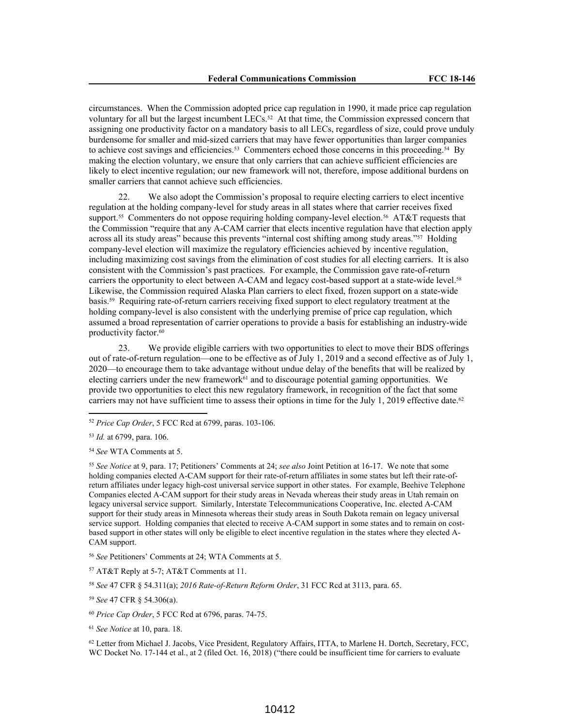circumstances. When the Commission adopted price cap regulation in 1990, it made price cap regulation voluntary for all but the largest incumbent  $LECs$ .<sup>52</sup> At that time, the Commission expressed concern that assigning one productivity factor on a mandatory basis to all LECs, regardless of size, could prove unduly burdensome for smaller and mid-sized carriers that may have fewer opportunities than larger companies to achieve cost savings and efficiencies.<sup>53</sup> Commenters echoed those concerns in this proceeding.<sup>54</sup> By making the election voluntary, we ensure that only carriers that can achieve sufficient efficiencies are likely to elect incentive regulation; our new framework will not, therefore, impose additional burdens on smaller carriers that cannot achieve such efficiencies.

22. We also adopt the Commission's proposal to require electing carriers to elect incentive regulation at the holding company-level for study areas in all states where that carrier receives fixed support.<sup>55</sup> Commenters do not oppose requiring holding company-level election.<sup>56</sup> AT&T requests that the Commission "require that any A-CAM carrier that elects incentive regulation have that election apply across all its study areas" because this prevents "internal cost shifting among study areas."<sup>57</sup> Holding company-level election will maximize the regulatory efficiencies achieved by incentive regulation, including maximizing cost savings from the elimination of cost studies for all electing carriers. It is also consistent with the Commission's past practices. For example, the Commission gave rate-of-return carriers the opportunity to elect between A-CAM and legacy cost-based support at a state-wide level.<sup>58</sup> Likewise, the Commission required Alaska Plan carriers to elect fixed, frozen support on a state-wide basis.<sup>59</sup> Requiring rate-of-return carriers receiving fixed support to elect regulatory treatment at the holding company-level is also consistent with the underlying premise of price cap regulation, which assumed a broad representation of carrier operations to provide a basis for establishing an industry-wide productivity factor.<sup>60</sup>

23. We provide eligible carriers with two opportunities to elect to move their BDS offerings out of rate-of-return regulation—one to be effective as of July 1, 2019 and a second effective as of July 1, 2020—to encourage them to take advantage without undue delay of the benefits that will be realized by electing carriers under the new framework<sup>61</sup> and to discourage potential gaming opportunities. We provide two opportunities to elect this new regulatory framework, in recognition of the fact that some carriers may not have sufficient time to assess their options in time for the July 1, 2019 effective date.<sup>62</sup>

<sup>55</sup> *See Notice* at 9, para. 17; Petitioners' Comments at 24; *see also* Joint Petition at 16-17. We note that some holding companies elected A-CAM support for their rate-of-return affiliates in some states but left their rate-ofreturn affiliates under legacy high-cost universal service support in other states. For example, Beehive Telephone Companies elected A-CAM support for their study areas in Nevada whereas their study areas in Utah remain on legacy universal service support. Similarly, Interstate Telecommunications Cooperative, Inc. elected A-CAM support for their study areas in Minnesota whereas their study areas in South Dakota remain on legacy universal service support. Holding companies that elected to receive A-CAM support in some states and to remain on costbased support in other states will only be eligible to elect incentive regulation in the states where they elected A-CAM support.

<sup>58</sup> *See* 47 CFR § 54.311(a); *2016 Rate-of-Return Reform Order*, 31 FCC Rcd at 3113, para. 65.

<sup>59</sup> *See* 47 CFR § 54.306(a).

<sup>62</sup> Letter from Michael J. Jacobs, Vice President, Regulatory Affairs, ITTA, to Marlene H. Dortch, Secretary, FCC, WC Docket No. 17-144 et al., at 2 (filed Oct. 16, 2018) ("there could be insufficient time for carriers to evaluate

<sup>52</sup> *Price Cap Order*, 5 FCC Rcd at 6799, paras. 103-106.

<sup>53</sup> *Id.* at 6799, para. 106.

<sup>54</sup> *See* WTA Comments at 5.

<sup>56</sup> *See* Petitioners' Comments at 24; WTA Comments at 5.

<sup>57</sup> AT&T Reply at 5-7; AT&T Comments at 11.

<sup>60</sup> *Price Cap Order*, 5 FCC Rcd at 6796, paras. 74-75.

<sup>61</sup> *See Notice* at 10, para. 18.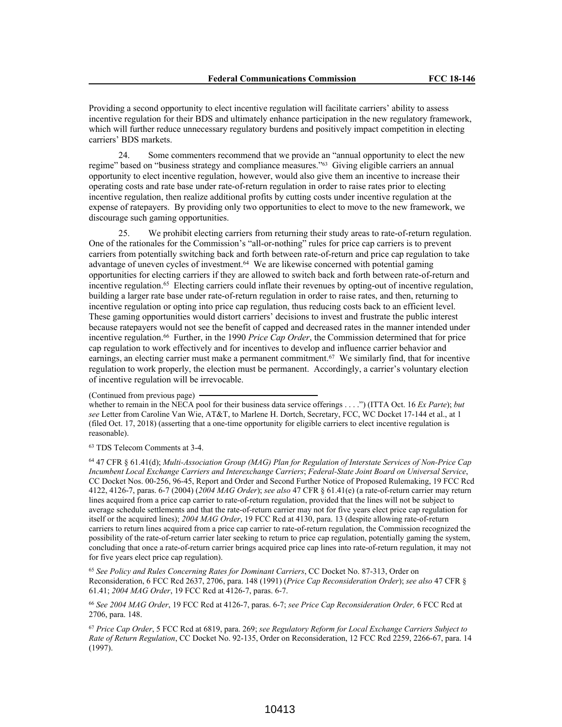Providing a second opportunity to elect incentive regulation will facilitate carriers' ability to assess incentive regulation for their BDS and ultimately enhance participation in the new regulatory framework, which will further reduce unnecessary regulatory burdens and positively impact competition in electing carriers' BDS markets.

24. Some commenters recommend that we provide an "annual opportunity to elect the new regime" based on "business strategy and compliance measures."<sup>63</sup> Giving eligible carriers an annual opportunity to elect incentive regulation, however, would also give them an incentive to increase their operating costs and rate base under rate-of-return regulation in order to raise rates prior to electing incentive regulation, then realize additional profits by cutting costs under incentive regulation at the expense of ratepayers. By providing only two opportunities to elect to move to the new framework, we discourage such gaming opportunities.

25. We prohibit electing carriers from returning their study areas to rate-of-return regulation. One of the rationales for the Commission's "all-or-nothing" rules for price cap carriers is to prevent carriers from potentially switching back and forth between rate-of-return and price cap regulation to take advantage of uneven cycles of investment.<sup>64</sup> We are likewise concerned with potential gaming opportunities for electing carriers if they are allowed to switch back and forth between rate-of-return and incentive regulation.<sup>65</sup> Electing carriers could inflate their revenues by opting-out of incentive regulation, building a larger rate base under rate-of-return regulation in order to raise rates, and then, returning to incentive regulation or opting into price cap regulation, thus reducing costs back to an efficient level. These gaming opportunities would distort carriers' decisions to invest and frustrate the public interest because ratepayers would not see the benefit of capped and decreased rates in the manner intended under incentive regulation.<sup>66</sup> Further, in the 1990 *Price Cap Order*, the Commission determined that for price cap regulation to work effectively and for incentives to develop and influence carrier behavior and earnings, an electing carrier must make a permanent commitment.<sup>67</sup> We similarly find, that for incentive regulation to work properly, the election must be permanent. Accordingly, a carrier's voluntary election of incentive regulation will be irrevocable.

(Continued from previous page)

whether to remain in the NECA pool for their business data service offerings . . . .") (ITTA Oct. 16 *Ex Parte*); *but see* Letter from Caroline Van Wie, AT&T, to Marlene H. Dortch, Secretary, FCC, WC Docket 17-144 et al., at 1 (filed Oct. 17, 2018) (asserting that a one-time opportunity for eligible carriers to elect incentive regulation is reasonable).

<sup>63</sup> TDS Telecom Comments at 3-4.

<sup>64</sup> 47 CFR § 61.41(d); *Multi-Association Group (MAG) Plan for Regulation of Interstate Services of Non-Price Cap Incumbent Local Exchange Carriers and Interexchange Carriers*; *Federal-State Joint Board on Universal Service*, CC Docket Nos. 00-256, 96-45, Report and Order and Second Further Notice of Proposed Rulemaking, 19 FCC Rcd 4122, 4126-7, paras. 6-7 (2004) (*2004 MAG Order*); *see also* 47 CFR § 61.41(e) (a rate-of-return carrier may return lines acquired from a price cap carrier to rate-of-return regulation, provided that the lines will not be subject to average schedule settlements and that the rate-of-return carrier may not for five years elect price cap regulation for itself or the acquired lines); *2004 MAG Order*, 19 FCC Rcd at 4130, para. 13 (despite allowing rate-of-return carriers to return lines acquired from a price cap carrier to rate-of-return regulation, the Commission recognized the possibility of the rate-of-return carrier later seeking to return to price cap regulation, potentially gaming the system, concluding that once a rate-of-return carrier brings acquired price cap lines into rate-of-return regulation, it may not for five years elect price cap regulation).

<sup>65</sup> *See Policy and Rules Concerning Rates for Dominant Carriers*, CC Docket No. 87-313, Order on Reconsideration, 6 FCC Rcd 2637, 2706, para. 148 (1991) (*Price Cap Reconsideration Order*); *see also* 47 CFR § 61.41; *2004 MAG Order*, 19 FCC Rcd at 4126-7, paras. 6-7.

<sup>66</sup> *See 2004 MAG Order*, 19 FCC Rcd at 4126-7, paras. 6-7; *see Price Cap Reconsideration Order,* 6 FCC Rcd at 2706, para. 148.

<sup>67</sup> *Price Cap Order*, 5 FCC Rcd at 6819, para. 269; *see Regulatory Reform for Local Exchange Carriers Subject to Rate of Return Regulation*, CC Docket No. 92-135, Order on Reconsideration, 12 FCC Rcd 2259, 2266-67, para. 14 (1997).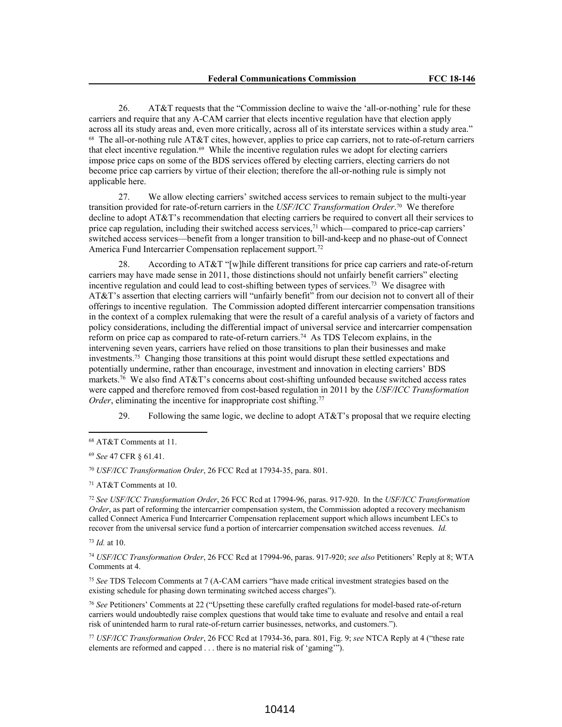26. AT&T requests that the "Commission decline to waive the 'all-or-nothing' rule for these carriers and require that any A-CAM carrier that elects incentive regulation have that election apply across all its study areas and, even more critically, across all of its interstate services within a study area." 68 The all-or-nothing rule AT&T cites, however, applies to price cap carriers, not to rate-of-return carriers that elect incentive regulation.<sup>69</sup> While the incentive regulation rules we adopt for electing carriers impose price caps on some of the BDS services offered by electing carriers, electing carriers do not become price cap carriers by virtue of their election; therefore the all-or-nothing rule is simply not applicable here.

27. We allow electing carriers' switched access services to remain subject to the multi-year transition provided for rate-of-return carriers in the *USF/ICC Transformation Order*. 70 We therefore decline to adopt AT&T's recommendation that electing carriers be required to convert all their services to price cap regulation, including their switched access services, $7<sup>1</sup>$  which—compared to price-cap carriers' switched access services—benefit from a longer transition to bill-and-keep and no phase-out of Connect America Fund Intercarrier Compensation replacement support.<sup>72</sup>

28. According to AT&T "[w]hile different transitions for price cap carriers and rate-of-return carriers may have made sense in 2011, those distinctions should not unfairly benefit carriers" electing incentive regulation and could lead to cost-shifting between types of services.<sup>73</sup> We disagree with AT&T's assertion that electing carriers will "unfairly benefit" from our decision not to convert all of their offerings to incentive regulation. The Commission adopted different intercarrier compensation transitions in the context of a complex rulemaking that were the result of a careful analysis of a variety of factors and policy considerations, including the differential impact of universal service and intercarrier compensation reform on price cap as compared to rate-of-return carriers.<sup>74</sup> As TDS Telecom explains, in the intervening seven years, carriers have relied on those transitions to plan their businesses and make investments.<sup>75</sup> Changing those transitions at this point would disrupt these settled expectations and potentially undermine, rather than encourage, investment and innovation in electing carriers' BDS markets.<sup>76</sup> We also find AT&T's concerns about cost-shifting unfounded because switched access rates were capped and therefore removed from cost-based regulation in 2011 by the *USF/ICC Transformation Order*, eliminating the incentive for inappropriate cost shifting.<sup>77</sup>

29. Following the same logic, we decline to adopt  $AT&T$ 's proposal that we require electing

<sup>71</sup> AT&T Comments at 10.

<sup>72</sup> *See USF/ICC Transformation Order*, 26 FCC Rcd at 17994-96, paras. 917-920. In the *USF/ICC Transformation Order*, as part of reforming the intercarrier compensation system, the Commission adopted a recovery mechanism called Connect America Fund Intercarrier Compensation replacement support which allows incumbent LECs to recover from the universal service fund a portion of intercarrier compensation switched access revenues. *Id.*

<sup>73</sup> *Id.* at 10.

<sup>74</sup> *USF/ICC Transformation Order*, 26 FCC Rcd at 17994-96, paras. 917-920; *see also* Petitioners' Reply at 8; WTA Comments at 4.

<sup>75</sup> *See* TDS Telecom Comments at 7 (A-CAM carriers "have made critical investment strategies based on the existing schedule for phasing down terminating switched access charges").

<sup>76</sup> *See* Petitioners' Comments at 22 ("Upsetting these carefully crafted regulations for model-based rate-of-return carriers would undoubtedly raise complex questions that would take time to evaluate and resolve and entail a real risk of unintended harm to rural rate-of-return carrier businesses, networks, and customers.").

<sup>77</sup> *USF/ICC Transformation Order*, 26 FCC Rcd at 17934-36, para. 801, Fig. 9; *see* NTCA Reply at 4 ("these rate elements are reformed and capped . . . there is no material risk of 'gaming'").

<sup>68</sup> AT&T Comments at 11.

<sup>69</sup> *See* 47 CFR § 61.41.

<sup>70</sup> *USF/ICC Transformation Order*, 26 FCC Rcd at 17934-35, para. 801.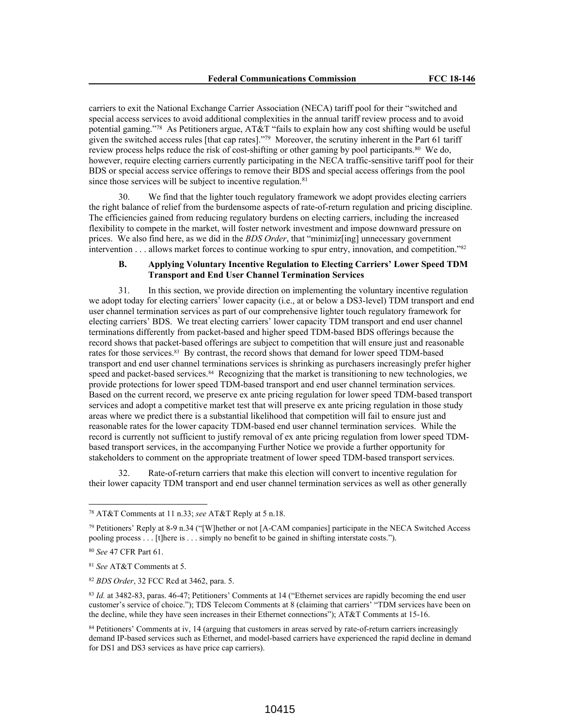carriers to exit the National Exchange Carrier Association (NECA) tariff pool for their "switched and special access services to avoid additional complexities in the annual tariff review process and to avoid potential gaming."<sup>78</sup> As Petitioners argue, AT&T "fails to explain how any cost shifting would be useful given the switched access rules [that cap rates]."<sup>79</sup> Moreover, the scrutiny inherent in the Part 61 tariff review process helps reduce the risk of cost-shifting or other gaming by pool participants.<sup>80</sup> We do, however, require electing carriers currently participating in the NECA traffic-sensitive tariff pool for their BDS or special access service offerings to remove their BDS and special access offerings from the pool since those services will be subject to incentive regulation.<sup>81</sup>

30. We find that the lighter touch regulatory framework we adopt provides electing carriers the right balance of relief from the burdensome aspects of rate-of-return regulation and pricing discipline. The efficiencies gained from reducing regulatory burdens on electing carriers, including the increased flexibility to compete in the market, will foster network investment and impose downward pressure on prices. We also find here, as we did in the *BDS Order*, that "minimiz[ing] unnecessary government intervention . . . allows market forces to continue working to spur entry, innovation, and competition."<sup>82</sup>

### **B. Applying Voluntary Incentive Regulation to Electing Carriers' Lower Speed TDM Transport and End User Channel Termination Services**

31. In this section, we provide direction on implementing the voluntary incentive regulation we adopt today for electing carriers' lower capacity (i.e., at or below a DS3-level) TDM transport and end user channel termination services as part of our comprehensive lighter touch regulatory framework for electing carriers' BDS. We treat electing carriers' lower capacity TDM transport and end user channel terminations differently from packet-based and higher speed TDM-based BDS offerings because the record shows that packet-based offerings are subject to competition that will ensure just and reasonable rates for those services.<sup>83</sup> By contrast, the record shows that demand for lower speed TDM-based transport and end user channel terminations services is shrinking as purchasers increasingly prefer higher speed and packet-based services.<sup>84</sup> Recognizing that the market is transitioning to new technologies, we provide protections for lower speed TDM-based transport and end user channel termination services. Based on the current record, we preserve ex ante pricing regulation for lower speed TDM-based transport services and adopt a competitive market test that will preserve ex ante pricing regulation in those study areas where we predict there is a substantial likelihood that competition will fail to ensure just and reasonable rates for the lower capacity TDM-based end user channel termination services. While the record is currently not sufficient to justify removal of ex ante pricing regulation from lower speed TDMbased transport services, in the accompanying Further Notice we provide a further opportunity for stakeholders to comment on the appropriate treatment of lower speed TDM-based transport services.

32. Rate-of-return carriers that make this election will convert to incentive regulation for their lower capacity TDM transport and end user channel termination services as well as other generally

<sup>78</sup> AT&T Comments at 11 n.33; *see* AT&T Reply at 5 n.18.

<sup>79</sup> Petitioners' Reply at 8-9 n.34 ("[W]hether or not [A-CAM companies] participate in the NECA Switched Access pooling process . . . [t]here is . . . simply no benefit to be gained in shifting interstate costs.").

<sup>80</sup> *See* 47 CFR Part 61.

<sup>81</sup> *See* AT&T Comments at 5.

<sup>82</sup> *BDS Order*, 32 FCC Rcd at 3462, para. 5.

<sup>83</sup> *Id.* at 3482-83, paras. 46-47; Petitioners' Comments at 14 ("Ethernet services are rapidly becoming the end user customer's service of choice."); TDS Telecom Comments at 8 (claiming that carriers' "TDM services have been on the decline, while they have seen increases in their Ethernet connections"); AT&T Comments at 15-16.

<sup>84</sup> Petitioners' Comments at iv, 14 (arguing that customers in areas served by rate-of-return carriers increasingly demand IP-based services such as Ethernet, and model-based carriers have experienced the rapid decline in demand for DS1 and DS3 services as have price cap carriers).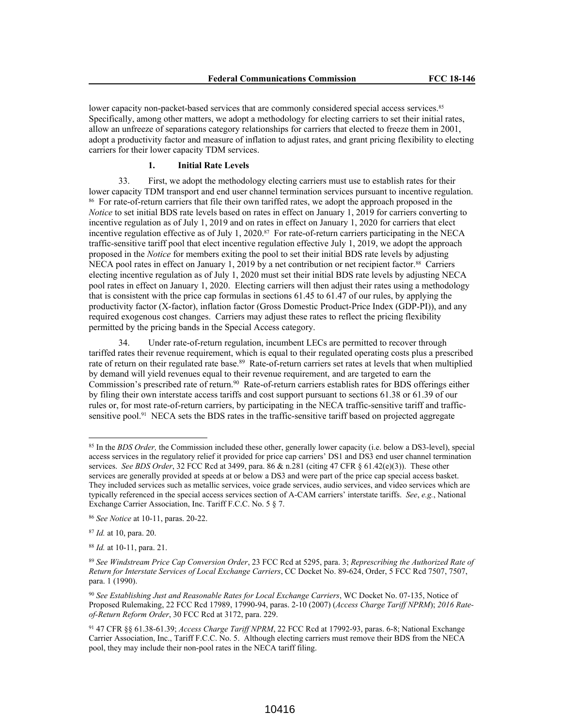lower capacity non-packet-based services that are commonly considered special access services.<sup>85</sup> Specifically, among other matters, we adopt a methodology for electing carriers to set their initial rates, allow an unfreeze of separations category relationships for carriers that elected to freeze them in 2001, adopt a productivity factor and measure of inflation to adjust rates, and grant pricing flexibility to electing carriers for their lower capacity TDM services.

# **1. Initial Rate Levels**

33. First, we adopt the methodology electing carriers must use to establish rates for their lower capacity TDM transport and end user channel termination services pursuant to incentive regulation. 86 For rate-of-return carriers that file their own tariffed rates, we adopt the approach proposed in the *Notice* to set initial BDS rate levels based on rates in effect on January 1, 2019 for carriers converting to incentive regulation as of July 1, 2019 and on rates in effect on January 1, 2020 for carriers that elect incentive regulation effective as of July 1, 2020.<sup>87</sup> For rate-of-return carriers participating in the NECA traffic-sensitive tariff pool that elect incentive regulation effective July 1, 2019, we adopt the approach proposed in the *Notice* for members exiting the pool to set their initial BDS rate levels by adjusting NECA pool rates in effect on January 1, 2019 by a net contribution or net recipient factor.<sup>88</sup> Carriers electing incentive regulation as of July 1, 2020 must set their initial BDS rate levels by adjusting NECA pool rates in effect on January 1, 2020. Electing carriers will then adjust their rates using a methodology that is consistent with the price cap formulas in sections 61.45 to 61.47 of our rules, by applying the productivity factor (X-factor), inflation factor (Gross Domestic Product-Price Index (GDP-PI)), and any required exogenous cost changes. Carriers may adjust these rates to reflect the pricing flexibility permitted by the pricing bands in the Special Access category.

34. Under rate-of-return regulation, incumbent LECs are permitted to recover through tariffed rates their revenue requirement, which is equal to their regulated operating costs plus a prescribed rate of return on their regulated rate base.<sup>89</sup> Rate-of-return carriers set rates at levels that when multiplied by demand will yield revenues equal to their revenue requirement, and are targeted to earn the Commission's prescribed rate of return.<sup>90</sup> Rate-of-return carriers establish rates for BDS offerings either by filing their own interstate access tariffs and cost support pursuant to sections 61.38 or 61.39 of our rules or, for most rate-of-return carriers, by participating in the NECA traffic-sensitive tariff and trafficsensitive pool.<sup>91</sup> NECA sets the BDS rates in the traffic-sensitive tariff based on projected aggregate

<sup>85</sup> In the *BDS Order,* the Commission included these other, generally lower capacity (i.e. below a DS3-level), special access services in the regulatory relief it provided for price cap carriers' DS1 and DS3 end user channel termination services. *See BDS Order*, 32 FCC Rcd at 3499, para. 86 & n.281 (citing 47 CFR § 61.42(e)(3)). These other services are generally provided at speeds at or below a DS3 and were part of the price cap special access basket. They included services such as metallic services, voice grade services, audio services, and video services which are typically referenced in the special access services section of A-CAM carriers' interstate tariffs. *See*, *e.g.*, National Exchange Carrier Association, Inc. Tariff F.C.C. No. 5 § 7.

<sup>86</sup> *See Notice* at 10-11, paras. 20-22.

<sup>87</sup> *Id.* at 10, para. 20.

<sup>88</sup> *Id.* at 10-11, para. 21.

<sup>89</sup> *See Windstream Price Cap Conversion Order*, 23 FCC Rcd at 5295, para. 3; *Represcribing the Authorized Rate of Return for Interstate Services of Local Exchange Carriers*, CC Docket No. 89-624, Order, 5 FCC Rcd 7507, 7507, para. 1 (1990).

<sup>90</sup> *See Establishing Just and Reasonable Rates for Local Exchange Carriers*, WC Docket No. 07-135, Notice of Proposed Rulemaking, 22 FCC Rcd 17989, 17990-94, paras. 2-10 (2007) (*Access Charge Tariff NPRM*); *2016 Rateof-Return Reform Order*, 30 FCC Rcd at 3172, para. 229.

<sup>91</sup> 47 CFR §§ 61.38-61.39; *Access Charge Tariff NPRM*, 22 FCC Rcd at 17992-93, paras. 6-8; National Exchange Carrier Association, Inc., Tariff F.C.C. No. 5. Although electing carriers must remove their BDS from the NECA pool, they may include their non-pool rates in the NECA tariff filing.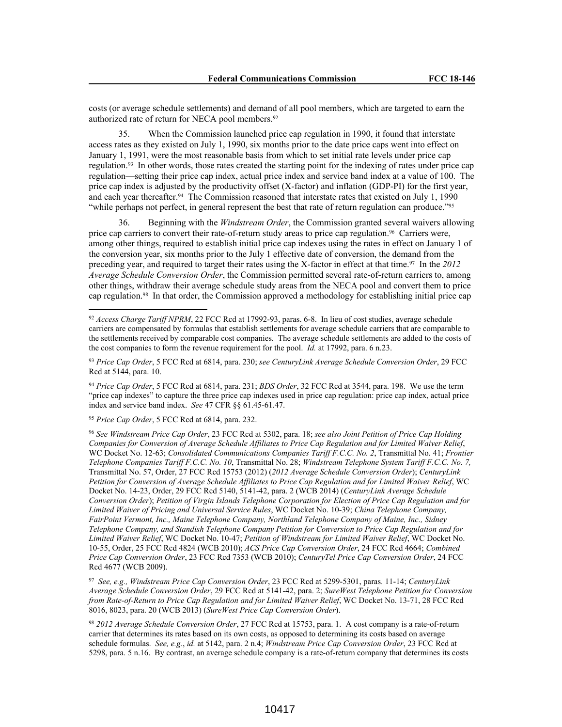costs (or average schedule settlements) and demand of all pool members, which are targeted to earn the authorized rate of return for NECA pool members.<sup>92</sup>

35. When the Commission launched price cap regulation in 1990, it found that interstate access rates as they existed on July 1, 1990, six months prior to the date price caps went into effect on January 1, 1991, were the most reasonable basis from which to set initial rate levels under price cap regulation.<sup>93</sup> In other words, those rates created the starting point for the indexing of rates under price cap regulation—setting their price cap index, actual price index and service band index at a value of 100. The price cap index is adjusted by the productivity offset (X-factor) and inflation (GDP-PI) for the first year, and each year thereafter.<sup>94</sup> The Commission reasoned that interstate rates that existed on July 1, 1990 "while perhaps not perfect, in general represent the best that rate of return regulation can produce."<sup>95</sup>

36. Beginning with the *Windstream Order*, the Commission granted several waivers allowing price cap carriers to convert their rate-of-return study areas to price cap regulation.<sup>96</sup> Carriers were, among other things, required to establish initial price cap indexes using the rates in effect on January 1 of the conversion year, six months prior to the July 1 effective date of conversion, the demand from the preceding year, and required to target their rates using the X-factor in effect at that time.<sup>97</sup> In the *2012 Average Schedule Conversion Order*, the Commission permitted several rate-of-return carriers to, among other things, withdraw their average schedule study areas from the NECA pool and convert them to price cap regulation.<sup>98</sup> In that order, the Commission approved a methodology for establishing initial price cap

<sup>94</sup> *Price Cap Order*, 5 FCC Rcd at 6814, para. 231; *BDS Order*, 32 FCC Rcd at 3544, para. 198. We use the term "price cap indexes" to capture the three price cap indexes used in price cap regulation: price cap index, actual price index and service band index. *See* 47 CFR §§ 61.45-61.47.

<sup>95</sup> *Price Cap Order*, 5 FCC Rcd at 6814, para. 232.

<sup>96</sup> *See Windstream Price Cap Order*, 23 FCC Rcd at 5302, para. 18; *see also Joint Petition of Price Cap Holding Companies for Conversion of Average Schedule Affiliates to Price Cap Regulation and for Limited Waiver Relief*, WC Docket No. 12-63; *Consolidated Communications Companies Tariff F.C.C. No. 2*, Transmittal No. 41; *Frontier Telephone Companies Tariff F.C.C. No. 10*, Transmittal No. 28; *Windstream Telephone System Tariff F.C.C. No. 7,* Transmittal No. 57, Order, 27 FCC Rcd 15753 (2012) (*2012 Average Schedule Conversion Order*); *CenturyLink Petition for Conversion of Average Schedule Affiliates to Price Cap Regulation and for Limited Waiver Relief*, WC Docket No. 14-23, Order, 29 FCC Rcd 5140, 5141-42, para. 2 (WCB 2014) (*CenturyLink Average Schedule Conversion Order*); *Petition of Virgin Islands Telephone Corporation for Election of Price Cap Regulation and for Limited Waiver of Pricing and Universal Service Rules*, WC Docket No. 10-39; *China Telephone Company, FairPoint Vermont, Inc., Maine Telephone Company, Northland Telephone Company of Maine, Inc., Sidney Telephone Company, and Standish Telephone Company Petition for Conversion to Price Cap Regulation and for Limited Waiver Relief*, WC Docket No. 10-47; *Petition of Windstream for Limited Waiver Relief*, WC Docket No. 10-55, Order, 25 FCC Rcd 4824 (WCB 2010); *ACS Price Cap Conversion Order*, 24 FCC Rcd 4664; *Combined Price Cap Conversion Order*, 23 FCC Rcd 7353 (WCB 2010); *CenturyTel Price Cap Conversion Order*, 24 FCC Rcd 4677 (WCB 2009).

97 *See, e.g., Windstream Price Cap Conversion Order*, 23 FCC Rcd at 5299-5301, paras. 11-14; *CenturyLink Average Schedule Conversion Order*, 29 FCC Rcd at 5141-42, para. 2; *SureWest Telephone Petition for Conversion from Rate-of-Return to Price Cap Regulation and for Limited Waiver Relief*, WC Docket No. 13-71, 28 FCC Rcd 8016, 8023, para. 20 (WCB 2013) (*SureWest Price Cap Conversion Order*).

<sup>98</sup> *2012 Average Schedule Conversion Order*, 27 FCC Rcd at 15753, para. 1. A cost company is a rate-of-return carrier that determines its rates based on its own costs, as opposed to determining its costs based on average schedule formulas. *See, e.g.*, *id.* at 5142, para. 2 n.4; *Windstream Price Cap Conversion Order*, 23 FCC Rcd at 5298, para. 5 n.16. By contrast, an average schedule company is a rate-of-return company that determines its costs

<sup>92</sup> *Access Charge Tariff NPRM*, 22 FCC Rcd at 17992-93, paras. 6-8. In lieu of cost studies, average schedule carriers are compensated by formulas that establish settlements for average schedule carriers that are comparable to the settlements received by comparable cost companies. The average schedule settlements are added to the costs of the cost companies to form the revenue requirement for the pool. *Id.* at 17992, para. 6 n.23.

<sup>93</sup> *Price Cap Order*, 5 FCC Rcd at 6814, para. 230; *see CenturyLink Average Schedule Conversion Order*, 29 FCC Rcd at 5144, para. 10.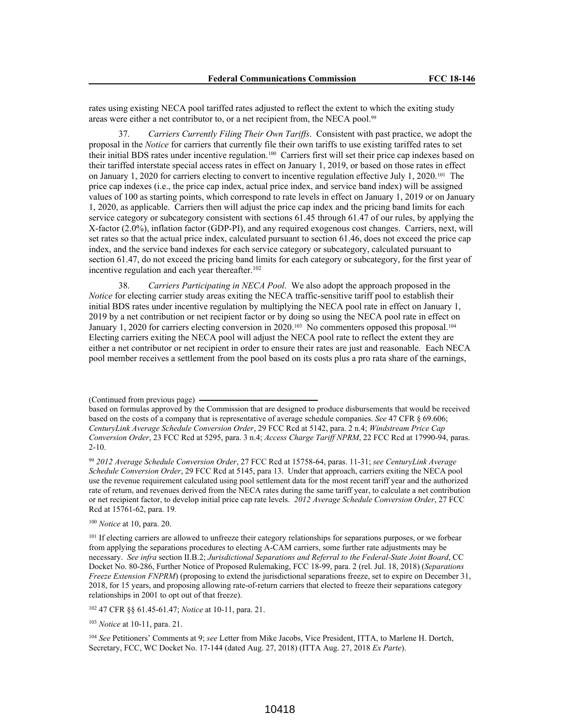rates using existing NECA pool tariffed rates adjusted to reflect the extent to which the exiting study areas were either a net contributor to, or a net recipient from, the NECA pool.<sup>99</sup>

37. *Carriers Currently Filing Their Own Tariffs*. Consistent with past practice, we adopt the proposal in the *Notice* for carriers that currently file their own tariffs to use existing tariffed rates to set their initial BDS rates under incentive regulation.<sup>100</sup> Carriers first will set their price cap indexes based on their tariffed interstate special access rates in effect on January 1, 2019, or based on those rates in effect on January 1, 2020 for carriers electing to convert to incentive regulation effective July 1, 2020.<sup>101</sup> The price cap indexes (i.e., the price cap index, actual price index, and service band index) will be assigned values of 100 as starting points, which correspond to rate levels in effect on January 1, 2019 or on January 1, 2020, as applicable. Carriers then will adjust the price cap index and the pricing band limits for each service category or subcategory consistent with sections 61.45 through 61.47 of our rules, by applying the X-factor (2.0%), inflation factor (GDP-PI), and any required exogenous cost changes. Carriers, next, will set rates so that the actual price index, calculated pursuant to section 61.46, does not exceed the price cap index, and the service band indexes for each service category or subcategory, calculated pursuant to section 61.47, do not exceed the pricing band limits for each category or subcategory, for the first year of incentive regulation and each year thereafter.<sup>102</sup>

38. *Carriers Participating in NECA Pool*. We also adopt the approach proposed in the *Notice* for electing carrier study areas exiting the NECA traffic-sensitive tariff pool to establish their initial BDS rates under incentive regulation by multiplying the NECA pool rate in effect on January 1, 2019 by a net contribution or net recipient factor or by doing so using the NECA pool rate in effect on January 1, 2020 for carriers electing conversion in 2020.<sup>103</sup> No commenters opposed this proposal.<sup>104</sup> Electing carriers exiting the NECA pool will adjust the NECA pool rate to reflect the extent they are either a net contributor or net recipient in order to ensure their rates are just and reasonable. Each NECA pool member receives a settlement from the pool based on its costs plus a pro rata share of the earnings,

<sup>100</sup> *Notice* at 10, para. 20.

<sup>102</sup> 47 CFR §§ 61.45-61.47; *Notice* at 10-11, para. 21.

<sup>103</sup> *Notice* at 10-11, para. 21.

<sup>104</sup> *See* Petitioners' Comments at 9; *see* Letter from Mike Jacobs, Vice President, ITTA, to Marlene H. Dortch, Secretary, FCC, WC Docket No. 17-144 (dated Aug. 27, 2018) (ITTA Aug. 27, 2018 *Ex Parte*).

<sup>(</sup>Continued from previous page)

based on formulas approved by the Commission that are designed to produce disbursements that would be received based on the costs of a company that is representative of average schedule companies. *See* 47 CFR § 69.606; *CenturyLink Average Schedule Conversion Order*, 29 FCC Rcd at 5142, para. 2 n.4; *Windstream Price Cap Conversion Order*, 23 FCC Rcd at 5295, para. 3 n.4; *Access Charge Tariff NPRM*, 22 FCC Rcd at 17990-94, paras. 2-10.

<sup>99</sup> *2012 Average Schedule Conversion Order*, 27 FCC Rcd at 15758-64, paras. 11-31; *see CenturyLink Average Schedule Conversion Order*, 29 FCC Rcd at 5145, para 13. Under that approach, carriers exiting the NECA pool use the revenue requirement calculated using pool settlement data for the most recent tariff year and the authorized rate of return, and revenues derived from the NECA rates during the same tariff year, to calculate a net contribution or net recipient factor, to develop initial price cap rate levels. *2012 Average Schedule Conversion Order*, 27 FCC Rcd at 15761-62, para. 19*.*

<sup>&</sup>lt;sup>101</sup> If electing carriers are allowed to unfreeze their category relationships for separations purposes, or we forbear from applying the separations procedures to electing A-CAM carriers, some further rate adjustments may be necessary. *See infra* section II.B.2; *Jurisdictional Separations and Referral to the Federal-State Joint Board*, CC Docket No. 80-286, Further Notice of Proposed Rulemaking, FCC 18-99, para. 2 (rel. Jul. 18, 2018) (*Separations Freeze Extension FNPRM*) (proposing to extend the jurisdictional separations freeze, set to expire on December 31, 2018, for 15 years, and proposing allowing rate-of-return carriers that elected to freeze their separations category relationships in 2001 to opt out of that freeze).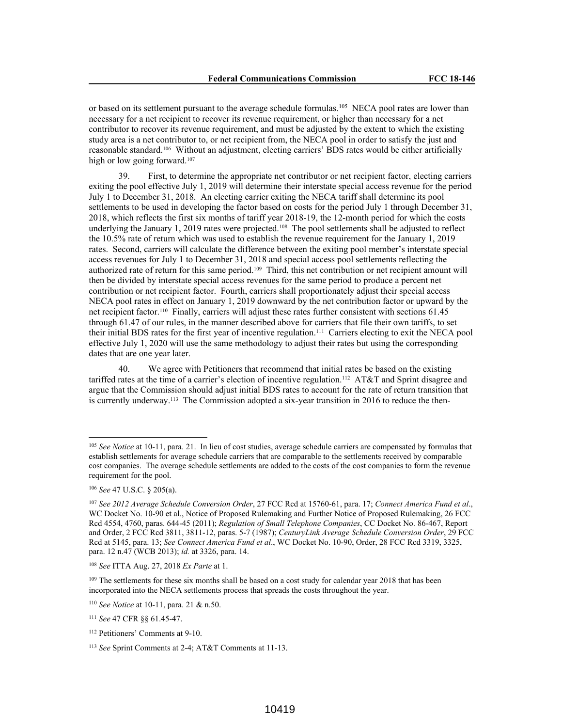or based on its settlement pursuant to the average schedule formulas.<sup>105</sup> NECA pool rates are lower than necessary for a net recipient to recover its revenue requirement, or higher than necessary for a net contributor to recover its revenue requirement, and must be adjusted by the extent to which the existing study area is a net contributor to, or net recipient from, the NECA pool in order to satisfy the just and reasonable standard.<sup>106</sup> Without an adjustment, electing carriers' BDS rates would be either artificially high or low going forward.<sup>107</sup>

39. First, to determine the appropriate net contributor or net recipient factor, electing carriers exiting the pool effective July 1, 2019 will determine their interstate special access revenue for the period July 1 to December 31, 2018. An electing carrier exiting the NECA tariff shall determine its pool settlements to be used in developing the factor based on costs for the period July 1 through December 31, 2018, which reflects the first six months of tariff year 2018-19, the 12-month period for which the costs underlying the January 1, 2019 rates were projected.<sup>108</sup> The pool settlements shall be adjusted to reflect the 10.5% rate of return which was used to establish the revenue requirement for the January 1, 2019 rates. Second, carriers will calculate the difference between the exiting pool member's interstate special access revenues for July 1 to December 31, 2018 and special access pool settlements reflecting the authorized rate of return for this same period.<sup>109</sup> Third, this net contribution or net recipient amount will then be divided by interstate special access revenues for the same period to produce a percent net contribution or net recipient factor. Fourth, carriers shall proportionately adjust their special access NECA pool rates in effect on January 1, 2019 downward by the net contribution factor or upward by the net recipient factor.<sup>110</sup> Finally, carriers will adjust these rates further consistent with sections 61.45 through 61.47 of our rules, in the manner described above for carriers that file their own tariffs, to set their initial BDS rates for the first year of incentive regulation.<sup>111</sup> Carriers electing to exit the NECA pool effective July 1, 2020 will use the same methodology to adjust their rates but using the corresponding dates that are one year later.

40. We agree with Petitioners that recommend that initial rates be based on the existing tariffed rates at the time of a carrier's election of incentive regulation.<sup>112</sup> AT&T and Sprint disagree and argue that the Commission should adjust initial BDS rates to account for the rate of return transition that is currently underway.<sup>113</sup> The Commission adopted a six-year transition in 2016 to reduce the then-

<sup>105</sup> *See Notice* at 10-11, para. 21. In lieu of cost studies, average schedule carriers are compensated by formulas that establish settlements for average schedule carriers that are comparable to the settlements received by comparable cost companies. The average schedule settlements are added to the costs of the cost companies to form the revenue requirement for the pool.

<sup>106</sup> *See* 47 U.S.C. § 205(a).

<sup>107</sup> *See 2012 Average Schedule Conversion Order*, 27 FCC Rcd at 15760-61, para. 17; *Connect America Fund et al*., WC Docket No. 10-90 et al., Notice of Proposed Rulemaking and Further Notice of Proposed Rulemaking, 26 FCC Rcd 4554, 4760, paras. 644-45 (2011); *Regulation of Small Telephone Companies*, CC Docket No. 86-467, Report and Order, 2 FCC Rcd 3811, 3811-12, paras. 5-7 (1987); *CenturyLink Average Schedule Conversion Order*, 29 FCC Rcd at 5145, para. 13; *See Connect America Fund et al*., WC Docket No. 10-90, Order, 28 FCC Rcd 3319, 3325, para. 12 n.47 (WCB 2013); *id.* at 3326, para. 14.

<sup>108</sup> *See* ITTA Aug. 27, 2018 *Ex Parte* at 1.

<sup>&</sup>lt;sup>109</sup> The settlements for these six months shall be based on a cost study for calendar year 2018 that has been incorporated into the NECA settlements process that spreads the costs throughout the year.

<sup>110</sup> *See Notice* at 10-11, para. 21 & n.50.

<sup>111</sup> *See* 47 CFR §§ 61.45-47.

<sup>112</sup> Petitioners' Comments at 9-10.

<sup>113</sup> *See* Sprint Comments at 2-4; AT&T Comments at 11-13.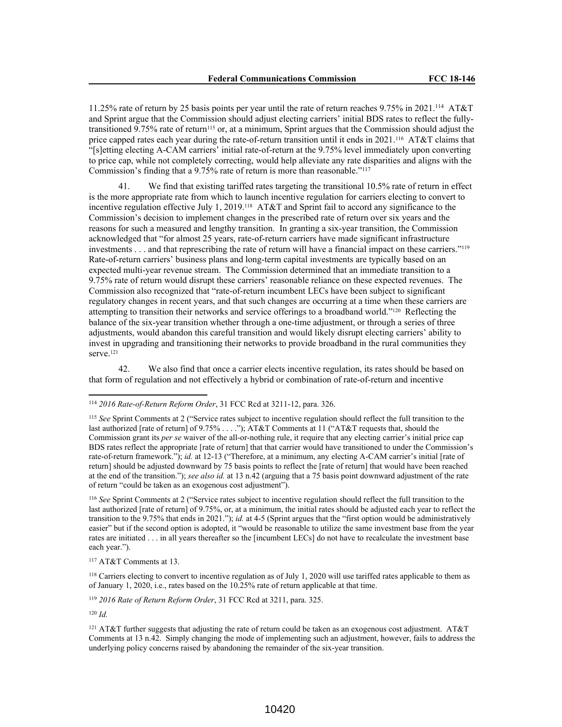11.25% rate of return by 25 basis points per year until the rate of return reaches 9.75% in 2021.<sup>114</sup> AT&T and Sprint argue that the Commission should adjust electing carriers' initial BDS rates to reflect the fullytransitioned 9.75% rate of return<sup>115</sup> or, at a minimum, Sprint argues that the Commission should adjust the price capped rates each year during the rate-of-return transition until it ends in 2021.<sup>116</sup> AT&T claims that "[s]etting electing A-CAM carriers' initial rate-of-return at the 9.75% level immediately upon converting to price cap, while not completely correcting, would help alleviate any rate disparities and aligns with the Commission's finding that a 9.75% rate of return is more than reasonable."<sup>117</sup>

41. We find that existing tariffed rates targeting the transitional 10.5% rate of return in effect is the more appropriate rate from which to launch incentive regulation for carriers electing to convert to incentive regulation effective July 1, 2019.<sup>118</sup> AT&T and Sprint fail to accord any significance to the Commission's decision to implement changes in the prescribed rate of return over six years and the reasons for such a measured and lengthy transition. In granting a six-year transition, the Commission acknowledged that "for almost 25 years, rate-of-return carriers have made significant infrastructure investments . . . and that represcribing the rate of return will have a financial impact on these carriers."<sup>119</sup> Rate-of-return carriers' business plans and long-term capital investments are typically based on an expected multi-year revenue stream. The Commission determined that an immediate transition to a 9.75% rate of return would disrupt these carriers' reasonable reliance on these expected revenues. The Commission also recognized that "rate-of-return incumbent LECs have been subject to significant regulatory changes in recent years, and that such changes are occurring at a time when these carriers are attempting to transition their networks and service offerings to a broadband world."<sup>120</sup> Reflecting the balance of the six-year transition whether through a one-time adjustment, or through a series of three adjustments, would abandon this careful transition and would likely disrupt electing carriers' ability to invest in upgrading and transitioning their networks to provide broadband in the rural communities they serve.<sup>121</sup>

42. We also find that once a carrier elects incentive regulation, its rates should be based on that form of regulation and not effectively a hybrid or combination of rate-of-return and incentive

<sup>116</sup> *See* Sprint Comments at 2 ("Service rates subject to incentive regulation should reflect the full transition to the last authorized [rate of return] of 9.75%, or, at a minimum, the initial rates should be adjusted each year to reflect the transition to the 9.75% that ends in 2021."); *id.* at 4-5 (Sprint argues that the "first option would be administratively easier" but if the second option is adopted, it "would be reasonable to utilize the same investment base from the year rates are initiated . . . in all years thereafter so the [incumbent LECs] do not have to recalculate the investment base each year.").

<sup>117</sup> AT&T Comments at 13.

<sup>119</sup> *2016 Rate of Return Reform Order*, 31 FCC Rcd at 3211, para. 325.

<sup>120</sup> *Id.*

<sup>114</sup> *2016 Rate-of-Return Reform Order*, 31 FCC Rcd at 3211-12, para. 326.

<sup>115</sup> *See* Sprint Comments at 2 ("Service rates subject to incentive regulation should reflect the full transition to the last authorized [rate of return] of 9.75% . . . ."); AT&T Comments at 11 ("AT&T requests that, should the Commission grant its *per se* waiver of the all-or-nothing rule, it require that any electing carrier's initial price cap BDS rates reflect the appropriate [rate of return] that that carrier would have transitioned to under the Commission's rate-of-return framework."); *id.* at 12-13 ("Therefore, at a minimum, any electing A-CAM carrier's initial [rate of return] should be adjusted downward by 75 basis points to reflect the [rate of return] that would have been reached at the end of the transition."); *see also id.* at 13 n.42 (arguing that a 75 basis point downward adjustment of the rate of return "could be taken as an exogenous cost adjustment").

<sup>&</sup>lt;sup>118</sup> Carriers electing to convert to incentive regulation as of July 1, 2020 will use tariffed rates applicable to them as of January 1, 2020, i.e., rates based on the 10.25% rate of return applicable at that time.

<sup>121</sup> AT&T further suggests that adjusting the rate of return could be taken as an exogenous cost adjustment. AT&T Comments at 13 n.42. Simply changing the mode of implementing such an adjustment, however, fails to address the underlying policy concerns raised by abandoning the remainder of the six-year transition.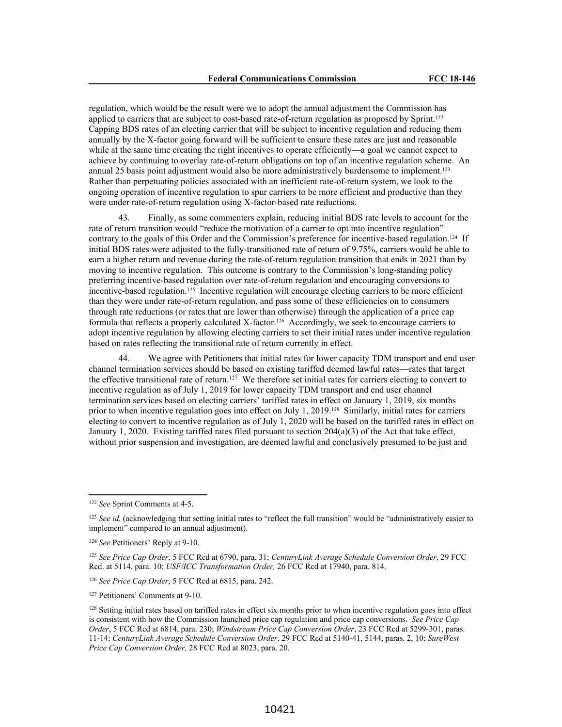regulation, which would be the result were we to adopt the annual adjustment the Commission has applied to carriers that are subject to cost-based rate-of-return regulation as proposed by Sprint.<sup>122</sup> Capping BDS rates of an electing carrier that will be subject to incentive regulation and reducing them annually by the X-factor going forward will be sufficient to ensure these rates are just and reasonable while at the same time creating the right incentives to operate efficiently—a goal we cannot expect to achieve by continuing to overlay rate-of-return obligations on top of an incentive regulation scheme. An annual 25 basis point adjustment would also be more administratively burdensome to implement.<sup>123</sup> Rather than perpetuating policies associated with an inefficient rate-of-return system, we look to the ongoing operation of incentive regulation to spur carriers to be more efficient and productive than they were under rate-of-return regulation using X-factor-based rate reductions.

43. Finally, as some commenters explain, reducing initial BDS rate levels to account for the rate of return transition would "reduce the motivation of a carrier to opt into incentive regulation" contrary to the goals of this Order and the Commission's preference for incentive-based regulation.<sup>124</sup> If initial BDS rates were adjusted to the fully-transitioned rate of return of 9.75%, carriers would be able to earn a higher return and revenue during the rate-of-return regulation transition that ends in 2021 than by moving to incentive regulation. This outcome is contrary to the Commission's long-standing policy preferring incentive-based regulation over rate-of-return regulation and encouraging conversions to incentive-based regulation.<sup>125</sup> Incentive regulation will encourage electing carriers to be more efficient than they were under rate-of-return regulation, and pass some of these efficiencies on to consumers through rate reductions (or rates that are lower than otherwise) through the application of a price cap formula that reflects a properly calculated X-factor.<sup>126</sup> Accordingly, we seek to encourage carriers to adopt incentive regulation by allowing electing carriers to set their initial rates under incentive regulation based on rates reflecting the transitional rate of return currently in effect.

44. We agree with Petitioners that initial rates for lower capacity TDM transport and end user channel termination services should be based on existing tariffed deemed lawful rates—rates that target the effective transitional rate of return.<sup>127</sup> We therefore set initial rates for carriers electing to convert to incentive regulation as of July 1, 2019 for lower capacity TDM transport and end user channel termination services based on electing carriers' tariffed rates in effect on January 1, 2019, six months prior to when incentive regulation goes into effect on July 1, 2019.<sup>128</sup> Similarly, initial rates for carriers electing to convert to incentive regulation as of July 1, 2020 will be based on the tariffed rates in effect on January 1, 2020. Existing tariffed rates filed pursuant to section 204(a)(3) of the Act that take effect, without prior suspension and investigation, are deemed lawful and conclusively presumed to be just and

<sup>122</sup> *See* Sprint Comments at 4-5.

<sup>&</sup>lt;sup>123</sup> *See id.* (acknowledging that setting initial rates to "reflect the full transition" would be "administratively easier to implement" compared to an annual adjustment).

<sup>124</sup> *See* Petitioners' Reply at 9-10.

<sup>125</sup> *See Price Cap Order*, 5 FCC Rcd at 6790, para. 31; *CenturyLink Average Schedule Conversion Order*, 29 FCC Rcd. at 5114, para. 10; *USF/ICC Transformation Order,* 26 FCC Rcd at 17940, para. 814.

<sup>126</sup> *See Price Cap Order*, 5 FCC Rcd at 6815, para. 242.

<sup>127</sup> Petitioners' Comments at 9-10.

<sup>128</sup> Setting initial rates based on tariffed rates in effect six months prior to when incentive regulation goes into effect is consistent with how the Commission launched price cap regulation and price cap conversions. *See Price Cap Order*, 5 FCC Rcd at 6814, para. 230; *Windstream Price Cap Conversion Order*, 23 FCC Rcd at 5299-301, paras. 11-14; *CenturyLink Average Schedule Conversion Order*, 29 FCC Rcd at 5140-41, 5144, paras. 2, 10; *SureWest Price Cap Conversion Order,* 28 FCC Rcd at 8023, para. 20.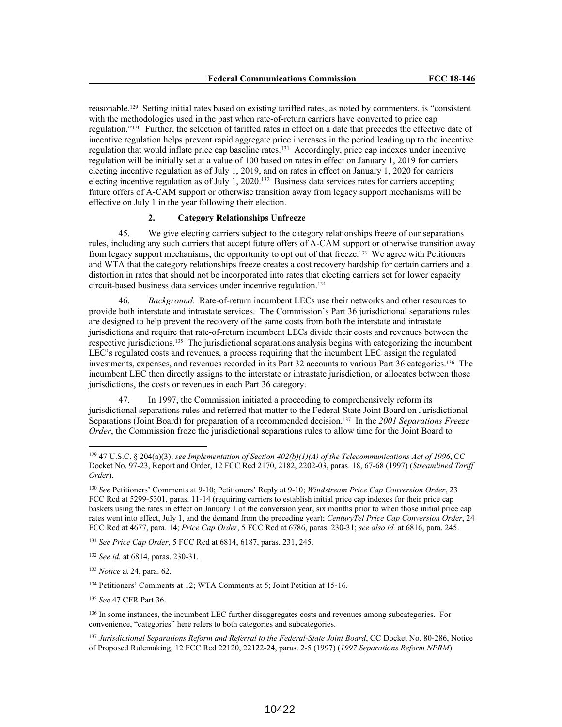reasonable.<sup>129</sup> Setting initial rates based on existing tariffed rates, as noted by commenters, is "consistent with the methodologies used in the past when rate-of-return carriers have converted to price cap regulation."<sup>130</sup> Further, the selection of tariffed rates in effect on a date that precedes the effective date of incentive regulation helps prevent rapid aggregate price increases in the period leading up to the incentive regulation that would inflate price cap baseline rates.<sup>131</sup> Accordingly, price cap indexes under incentive regulation will be initially set at a value of 100 based on rates in effect on January 1, 2019 for carriers electing incentive regulation as of July 1, 2019, and on rates in effect on January 1, 2020 for carriers electing incentive regulation as of July 1, 2020.<sup>132</sup> Business data services rates for carriers accepting future offers of A-CAM support or otherwise transition away from legacy support mechanisms will be effective on July 1 in the year following their election.

# **2. Category Relationships Unfreeze**

45. We give electing carriers subject to the category relationships freeze of our separations rules, including any such carriers that accept future offers of A-CAM support or otherwise transition away from legacy support mechanisms, the opportunity to opt out of that freeze.<sup>133</sup> We agree with Petitioners and WTA that the category relationships freeze creates a cost recovery hardship for certain carriers and a distortion in rates that should not be incorporated into rates that electing carriers set for lower capacity circuit-based business data services under incentive regulation.<sup>134</sup>

46. *Background.* Rate-of-return incumbent LECs use their networks and other resources to provide both interstate and intrastate services. The Commission's Part 36 jurisdictional separations rules are designed to help prevent the recovery of the same costs from both the interstate and intrastate jurisdictions and require that rate-of-return incumbent LECs divide their costs and revenues between the respective jurisdictions.<sup>135</sup> The jurisdictional separations analysis begins with categorizing the incumbent LEC's regulated costs and revenues, a process requiring that the incumbent LEC assign the regulated investments, expenses, and revenues recorded in its Part 32 accounts to various Part 36 categories.<sup>136</sup> The incumbent LEC then directly assigns to the interstate or intrastate jurisdiction, or allocates between those jurisdictions, the costs or revenues in each Part 36 category.

47. In 1997, the Commission initiated a proceeding to comprehensively reform its jurisdictional separations rules and referred that matter to the Federal-State Joint Board on Jurisdictional Separations (Joint Board) for preparation of a recommended decision.<sup>137</sup> In the *2001 Separations Freeze Order*, the Commission froze the jurisdictional separations rules to allow time for the Joint Board to

<sup>129</sup> 47 U.S.C. § 204(a)(3); *see Implementation of Section 402(b)(1)(A) of the Telecommunications Act of 1996*, CC Docket No. 97-23, Report and Order, 12 FCC Rcd 2170, 2182, 2202-03, paras. 18, 67-68 (1997) (*Streamlined Tariff Order*).

<sup>130</sup> *See* Petitioners' Comments at 9-10; Petitioners' Reply at 9-10; *Windstream Price Cap Conversion Order*, 23 FCC Rcd at 5299-5301, paras. 11-14 (requiring carriers to establish initial price cap indexes for their price cap baskets using the rates in effect on January 1 of the conversion year, six months prior to when those initial price cap rates went into effect, July 1, and the demand from the preceding year); *CenturyTel Price Cap Conversion Order*, 24 FCC Rcd at 4677, para. 14; *Price Cap Order*, 5 FCC Rcd at 6786, paras. 230-31; *see also id.* at 6816, para. 245.

<sup>131</sup> *See Price Cap Order*, 5 FCC Rcd at 6814, 6187, paras. 231, 245.

<sup>132</sup> *See id.* at 6814, paras. 230-31.

<sup>133</sup> *Notice* at 24, para. 62.

<sup>134</sup> Petitioners' Comments at 12; WTA Comments at 5; Joint Petition at 15-16.

<sup>135</sup> *See* 47 CFR Part 36.

<sup>&</sup>lt;sup>136</sup> In some instances, the incumbent LEC further disaggregates costs and revenues among subcategories. For convenience, "categories" here refers to both categories and subcategories.

<sup>137</sup> *Jurisdictional Separations Reform and Referral to the Federal-State Joint Board*, CC Docket No. 80-286, Notice of Proposed Rulemaking, 12 FCC Rcd 22120, 22122-24, paras. 2-5 (1997) (*1997 Separations Reform NPRM*).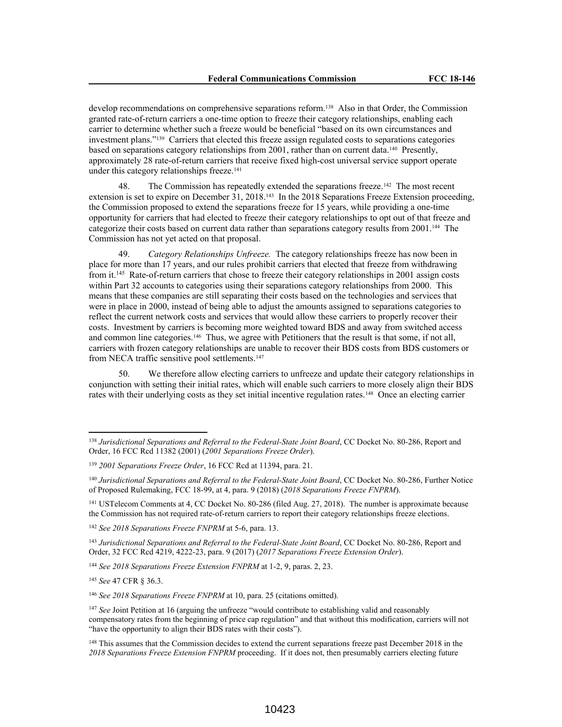develop recommendations on comprehensive separations reform.<sup>138</sup> Also in that Order, the Commission granted rate-of-return carriers a one-time option to freeze their category relationships, enabling each carrier to determine whether such a freeze would be beneficial "based on its own circumstances and investment plans."<sup>139</sup> Carriers that elected this freeze assign regulated costs to separations categories based on separations category relationships from 2001, rather than on current data.<sup>140</sup> Presently, approximately 28 rate-of-return carriers that receive fixed high-cost universal service support operate under this category relationships freeze.<sup>141</sup>

48. The Commission has repeatedly extended the separations freeze.<sup>142</sup> The most recent extension is set to expire on December 31, 2018.<sup>143</sup> In the 2018 Separations Freeze Extension proceeding, the Commission proposed to extend the separations freeze for 15 years, while providing a one-time opportunity for carriers that had elected to freeze their category relationships to opt out of that freeze and categorize their costs based on current data rather than separations category results from 2001.<sup>144</sup> The Commission has not yet acted on that proposal.

49. *Category Relationships Unfreeze.* The category relationships freeze has now been in place for more than 17 years, and our rules prohibit carriers that elected that freeze from withdrawing from it.<sup>145</sup> Rate-of-return carriers that chose to freeze their category relationships in 2001 assign costs within Part 32 accounts to categories using their separations category relationships from 2000. This means that these companies are still separating their costs based on the technologies and services that were in place in 2000, instead of being able to adjust the amounts assigned to separations categories to reflect the current network costs and services that would allow these carriers to properly recover their costs. Investment by carriers is becoming more weighted toward BDS and away from switched access and common line categories.<sup>146</sup> Thus, we agree with Petitioners that the result is that some, if not all, carriers with frozen category relationships are unable to recover their BDS costs from BDS customers or from NECA traffic sensitive pool settlements.<sup>147</sup>

50. We therefore allow electing carriers to unfreeze and update their category relationships in conjunction with setting their initial rates, which will enable such carriers to more closely align their BDS rates with their underlying costs as they set initial incentive regulation rates.<sup>148</sup> Once an electing carrier

<sup>145</sup> *See* 47 CFR § 36.3.

<sup>146</sup> *See 2018 Separations Freeze FNPRM* at 10, para. 25 (citations omitted).

<sup>138</sup> *Jurisdictional Separations and Referral to the Federal-State Joint Board*, CC Docket No. 80-286, Report and Order, 16 FCC Rcd 11382 (2001) (*2001 Separations Freeze Order*).

<sup>139</sup> *2001 Separations Freeze Order*, 16 FCC Rcd at 11394, para. 21.

<sup>140</sup> *Jurisdictional Separations and Referral to the Federal-State Joint Board*, CC Docket No. 80-286, Further Notice of Proposed Rulemaking, FCC 18-99, at 4, para. 9 (2018) (*2018 Separations Freeze FNPRM*).

<sup>141</sup> USTelecom Comments at 4, CC Docket No. 80-286 (filed Aug. 27, 2018). The number is approximate because the Commission has not required rate-of-return carriers to report their category relationships freeze elections.

<sup>142</sup> *See 2018 Separations Freeze FNPRM* at 5-6, para. 13.

<sup>143</sup> *Jurisdictional Separations and Referral to the Federal-State Joint Board*, CC Docket No. 80-286, Report and Order, 32 FCC Rcd 4219, 4222-23, para. 9 (2017) (*2017 Separations Freeze Extension Order*).

<sup>144</sup> *See 2018 Separations Freeze Extension FNPRM* at 1-2, 9, paras. 2, 23.

<sup>&</sup>lt;sup>147</sup> *See* Joint Petition at 16 (arguing the unfreeze "would contribute to establishing valid and reasonably compensatory rates from the beginning of price cap regulation" and that without this modification, carriers will not "have the opportunity to align their BDS rates with their costs").

<sup>&</sup>lt;sup>148</sup> This assumes that the Commission decides to extend the current separations freeze past December 2018 in the *2018 Separations Freeze Extension FNPRM* proceeding. If it does not, then presumably carriers electing future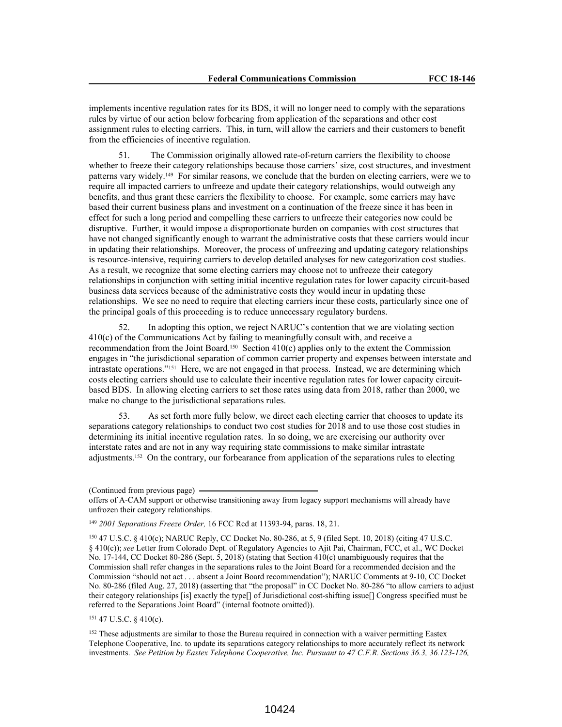implements incentive regulation rates for its BDS, it will no longer need to comply with the separations rules by virtue of our action below forbearing from application of the separations and other cost assignment rules to electing carriers. This, in turn, will allow the carriers and their customers to benefit from the efficiencies of incentive regulation.

51. The Commission originally allowed rate-of-return carriers the flexibility to choose whether to freeze their category relationships because those carriers' size, cost structures, and investment patterns vary widely.<sup>149</sup> For similar reasons, we conclude that the burden on electing carriers, were we to require all impacted carriers to unfreeze and update their category relationships, would outweigh any benefits, and thus grant these carriers the flexibility to choose. For example, some carriers may have based their current business plans and investment on a continuation of the freeze since it has been in effect for such a long period and compelling these carriers to unfreeze their categories now could be disruptive. Further, it would impose a disproportionate burden on companies with cost structures that have not changed significantly enough to warrant the administrative costs that these carriers would incur in updating their relationships. Moreover, the process of unfreezing and updating category relationships is resource-intensive, requiring carriers to develop detailed analyses for new categorization cost studies. As a result, we recognize that some electing carriers may choose not to unfreeze their category relationships in conjunction with setting initial incentive regulation rates for lower capacity circuit-based business data services because of the administrative costs they would incur in updating these relationships. We see no need to require that electing carriers incur these costs, particularly since one of the principal goals of this proceeding is to reduce unnecessary regulatory burdens.

52. In adopting this option, we reject NARUC's contention that we are violating section 410(c) of the Communications Act by failing to meaningfully consult with, and receive a recommendation from the Joint Board.<sup>150</sup> Section 410(c) applies only to the extent the Commission engages in "the jurisdictional separation of common carrier property and expenses between interstate and intrastate operations."<sup>151</sup> Here, we are not engaged in that process. Instead, we are determining which costs electing carriers should use to calculate their incentive regulation rates for lower capacity circuitbased BDS. In allowing electing carriers to set those rates using data from 2018, rather than 2000, we make no change to the jurisdictional separations rules.

53. As set forth more fully below, we direct each electing carrier that chooses to update its separations category relationships to conduct two cost studies for 2018 and to use those cost studies in determining its initial incentive regulation rates. In so doing, we are exercising our authority over interstate rates and are not in any way requiring state commissions to make similar intrastate adjustments.<sup>152</sup> On the contrary, our forbearance from application of the separations rules to electing

<sup>150</sup> 47 U.S.C. § 410(c); NARUC Reply, CC Docket No. 80-286, at 5, 9 (filed Sept. 10, 2018) (citing 47 U.S.C. § 410(c)); *see* Letter from Colorado Dept. of Regulatory Agencies to Ajit Pai, Chairman, FCC, et al., WC Docket No. 17-144, CC Docket 80-286 (Sept. 5, 2018) (stating that Section 410(c) unambiguously requires that the Commission shall refer changes in the separations rules to the Joint Board for a recommended decision and the Commission "should not act . . . absent a Joint Board recommendation"); NARUC Comments at 9-10, CC Docket No. 80-286 (filed Aug. 27, 2018) (asserting that "the proposal" in CC Docket No. 80-286 "to allow carriers to adjust their category relationships [is] exactly the type[] of Jurisdictional cost-shifting issue[] Congress specified must be referred to the Separations Joint Board" (internal footnote omitted)).

<sup>151</sup> 47 U.S.C. § 410(c).

<sup>152</sup> These adjustments are similar to those the Bureau required in connection with a waiver permitting Eastex Telephone Cooperative, Inc. to update its separations category relationships to more accurately reflect its network investments. *See Petition by Eastex Telephone Cooperative, Inc. Pursuant to 47 C.F.R. Sections 36.3, 36.123-126,*

<sup>(</sup>Continued from previous page)

offers of A-CAM support or otherwise transitioning away from legacy support mechanisms will already have unfrozen their category relationships.

<sup>149</sup> *2001 Separations Freeze Order,* 16 FCC Rcd at 11393-94, paras. 18, 21.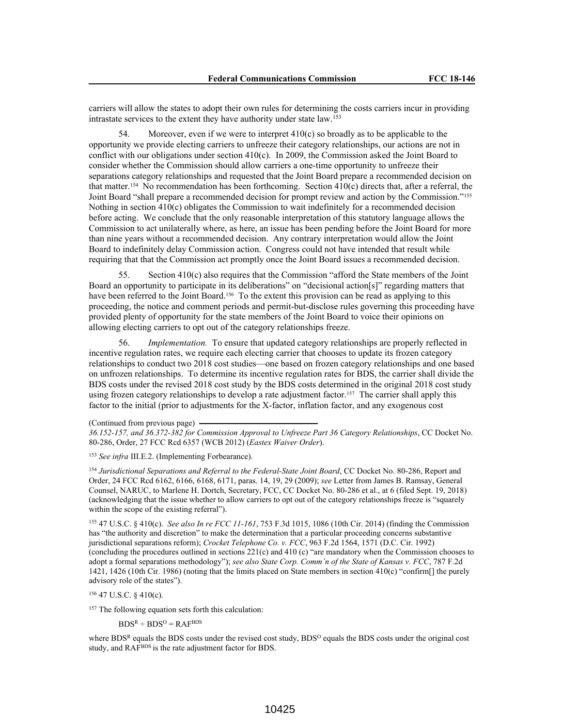carriers will allow the states to adopt their own rules for determining the costs carriers incur in providing intrastate services to the extent they have authority under state law.<sup>153</sup>

Moreover, even if we were to interpret  $410(c)$  so broadly as to be applicable to the opportunity we provide electing carriers to unfreeze their category relationships, our actions are not in conflict with our obligations under section 410(c). In 2009, the Commission asked the Joint Board to consider whether the Commission should allow carriers a one-time opportunity to unfreeze their separations category relationships and requested that the Joint Board prepare a recommended decision on that matter.<sup>154</sup> No recommendation has been forthcoming. Section 410(c) directs that, after a referral, the Joint Board "shall prepare a recommended decision for prompt review and action by the Commission."<sup>155</sup> Nothing in section 410(c) obligates the Commission to wait indefinitely for a recommended decision before acting. We conclude that the only reasonable interpretation of this statutory language allows the Commission to act unilaterally where, as here, an issue has been pending before the Joint Board for more than nine years without a recommended decision. Any contrary interpretation would allow the Joint Board to indefinitely delay Commission action. Congress could not have intended that result while requiring that that the Commission act promptly once the Joint Board issues a recommended decision.

55. Section 410(c) also requires that the Commission "afford the State members of the Joint Board an opportunity to participate in its deliberations" on "decisional action[s]" regarding matters that have been referred to the Joint Board.<sup>156</sup> To the extent this provision can be read as applying to this proceeding, the notice and comment periods and permit-but-disclose rules governing this proceeding have provided plenty of opportunity for the state members of the Joint Board to voice their opinions on allowing electing carriers to opt out of the category relationships freeze.

56. *Implementation.* To ensure that updated category relationships are properly reflected in incentive regulation rates, we require each electing carrier that chooses to update its frozen category relationships to conduct two 2018 cost studies—one based on frozen category relationships and one based on unfrozen relationships. To determine its incentive regulation rates for BDS, the carrier shall divide the BDS costs under the revised 2018 cost study by the BDS costs determined in the original 2018 cost study using frozen category relationships to develop a rate adjustment factor.<sup>157</sup> The carrier shall apply this factor to the initial (prior to adjustments for the X-factor, inflation factor, and any exogenous cost

(Continued from previous page)

*36.152-157, and 36.372-382 for Commission Approval to Unfreeze Part 36 Category Relationships*, CC Docket No. 80-286, Order, 27 FCC Rcd 6357 (WCB 2012) (*Eastex Waiver Order*).

<sup>153</sup> *See infra* III.E.2. (Implementing Forbearance).

<sup>154</sup> *Jurisdictional Separations and Referral to the Federal-State Joint Board*, CC Docket No. 80-286, Report and Order, 24 FCC Rcd 6162, 6166, 6168, 6171, paras. 14, 19, 29 (2009); *see* Letter from James B. Ramsay, General Counsel, NARUC, to Marlene H. Dortch, Secretary, FCC, CC Docket No. 80-286 et al., at 6 (filed Sept. 19, 2018) (acknowledging that the issue whether to allow carriers to opt out of the category relationships freeze is "squarely within the scope of the existing referral").

<sup>155</sup> 47 U.S.C. § 410(c). *See also In re FCC 11-161*, 753 F.3d 1015, 1086 (10th Cir. 2014) (finding the Commission has "the authority and discretion" to make the determination that a particular proceeding concerns substantive jurisdictional separations reform); *Crocket Telephone Co. v. FCC*, 963 F.2d 1564, 1571 (D.C. Cir. 1992) (concluding the procedures outlined in sections 221(c) and 410 (c) "are mandatory when the Commission chooses to adopt a formal separations methodology"); *see also State Corp. Comm'n of the State of Kansas v. FCC*, 787 F.2d 1421, 1426 (10th Cir. 1986) (noting that the limits placed on State members in section 410(c) "confirm[] the purely advisory role of the states").

<sup>156</sup> 47 U.S.C. § 410(c).

<sup>157</sup> The following equation sets forth this calculation:

 $BDS^R \div BDS^O = RAF^{BDS}$ 

where BDS<sup>R</sup> equals the BDS costs under the revised cost study, BDS<sup>O</sup> equals the BDS costs under the original cost study, and RAF<sup>BDS</sup> is the rate adjustment factor for BDS.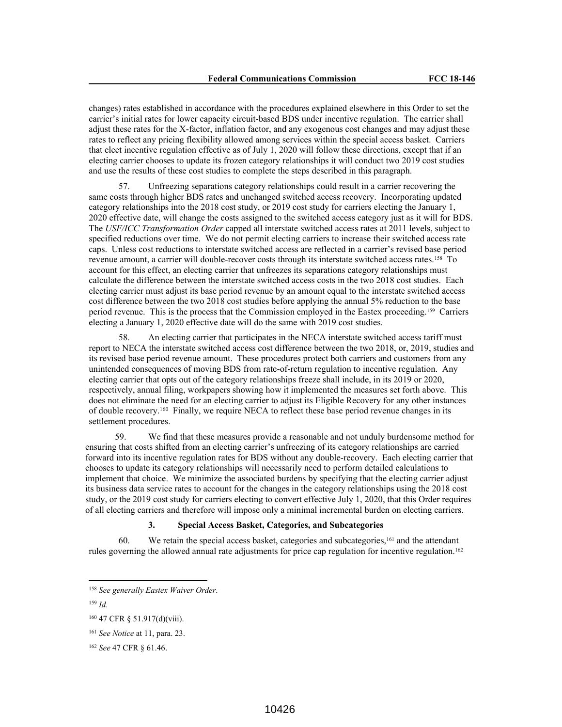changes) rates established in accordance with the procedures explained elsewhere in this Order to set the carrier's initial rates for lower capacity circuit-based BDS under incentive regulation. The carrier shall adjust these rates for the X-factor, inflation factor, and any exogenous cost changes and may adjust these rates to reflect any pricing flexibility allowed among services within the special access basket. Carriers that elect incentive regulation effective as of July 1, 2020 will follow these directions, except that if an electing carrier chooses to update its frozen category relationships it will conduct two 2019 cost studies and use the results of these cost studies to complete the steps described in this paragraph.

57. Unfreezing separations category relationships could result in a carrier recovering the same costs through higher BDS rates and unchanged switched access recovery. Incorporating updated category relationships into the 2018 cost study, or 2019 cost study for carriers electing the January 1, 2020 effective date, will change the costs assigned to the switched access category just as it will for BDS. The *USF/ICC Transformation Order* capped all interstate switched access rates at 2011 levels, subject to specified reductions over time. We do not permit electing carriers to increase their switched access rate caps. Unless cost reductions to interstate switched access are reflected in a carrier's revised base period revenue amount, a carrier will double-recover costs through its interstate switched access rates.<sup>158</sup> To account for this effect, an electing carrier that unfreezes its separations category relationships must calculate the difference between the interstate switched access costs in the two 2018 cost studies. Each electing carrier must adjust its base period revenue by an amount equal to the interstate switched access cost difference between the two 2018 cost studies before applying the annual 5% reduction to the base period revenue. This is the process that the Commission employed in the Eastex proceeding.<sup>159</sup> Carriers electing a January 1, 2020 effective date will do the same with 2019 cost studies.

58. An electing carrier that participates in the NECA interstate switched access tariff must report to NECA the interstate switched access cost difference between the two 2018, or, 2019, studies and its revised base period revenue amount. These procedures protect both carriers and customers from any unintended consequences of moving BDS from rate-of-return regulation to incentive regulation. Any electing carrier that opts out of the category relationships freeze shall include, in its 2019 or 2020, respectively, annual filing, workpapers showing how it implemented the measures set forth above. This does not eliminate the need for an electing carrier to adjust its Eligible Recovery for any other instances of double recovery.<sup>160</sup> Finally, we require NECA to reflect these base period revenue changes in its settlement procedures.

59. We find that these measures provide a reasonable and not unduly burdensome method for ensuring that costs shifted from an electing carrier's unfreezing of its category relationships are carried forward into its incentive regulation rates for BDS without any double-recovery. Each electing carrier that chooses to update its category relationships will necessarily need to perform detailed calculations to implement that choice. We minimize the associated burdens by specifying that the electing carrier adjust its business data service rates to account for the changes in the category relationships using the 2018 cost study, or the 2019 cost study for carriers electing to convert effective July 1, 2020, that this Order requires of all electing carriers and therefore will impose only a minimal incremental burden on electing carriers.

#### **3. Special Access Basket, Categories, and Subcategories**

We retain the special access basket, categories and subcategories,<sup>161</sup> and the attendant rules governing the allowed annual rate adjustments for price cap regulation for incentive regulation.<sup>162</sup>

<sup>158</sup> *See generally Eastex Waiver Order*.

<sup>159</sup> *Id.*

<sup>160</sup> 47 CFR § 51.917(d)(viii).

<sup>161</sup> *See Notice* at 11, para. 23.

<sup>162</sup> *See* 47 CFR § 61.46.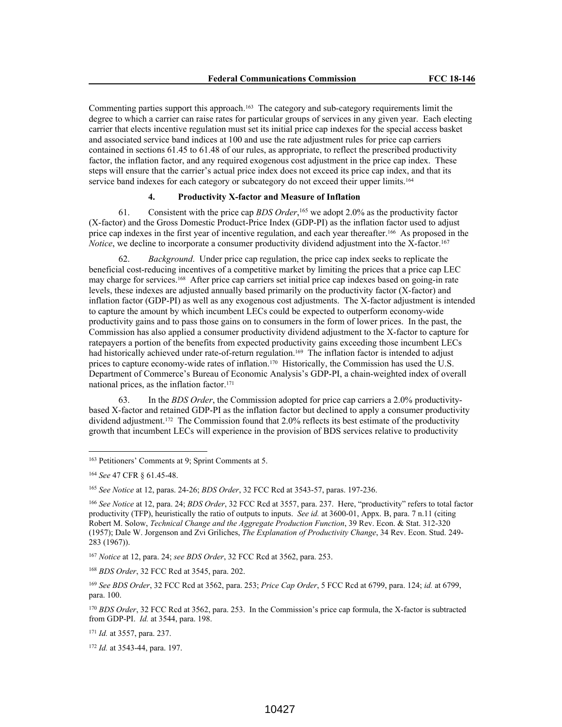Commenting parties support this approach.<sup>163</sup> The category and sub-category requirements limit the degree to which a carrier can raise rates for particular groups of services in any given year. Each electing carrier that elects incentive regulation must set its initial price cap indexes for the special access basket and associated service band indices at 100 and use the rate adjustment rules for price cap carriers contained in sections 61.45 to 61.48 of our rules, as appropriate, to reflect the prescribed productivity factor, the inflation factor, and any required exogenous cost adjustment in the price cap index. These steps will ensure that the carrier's actual price index does not exceed its price cap index, and that its service band indexes for each category or subcategory do not exceed their upper limits.<sup>164</sup>

# **4. Productivity X-factor and Measure of Inflation**

61. Consistent with the price cap *BDS Order*, <sup>165</sup> we adopt 2.0% as the productivity factor (X-factor) and the Gross Domestic Product-Price Index (GDP-PI) as the inflation factor used to adjust price cap indexes in the first year of incentive regulation, and each year thereafter.<sup>166</sup> As proposed in the *Notice*, we decline to incorporate a consumer productivity dividend adjustment into the X-factor.<sup>167</sup>

62. *Background*. Under price cap regulation, the price cap index seeks to replicate the beneficial cost-reducing incentives of a competitive market by limiting the prices that a price cap LEC may charge for services.<sup>168</sup> After price cap carriers set initial price cap indexes based on going-in rate levels, these indexes are adjusted annually based primarily on the productivity factor (X-factor) and inflation factor (GDP-PI) as well as any exogenous cost adjustments. The X-factor adjustment is intended to capture the amount by which incumbent LECs could be expected to outperform economy-wide productivity gains and to pass those gains on to consumers in the form of lower prices. In the past, the Commission has also applied a consumer productivity dividend adjustment to the X-factor to capture for ratepayers a portion of the benefits from expected productivity gains exceeding those incumbent LECs had historically achieved under rate-of-return regulation.<sup>169</sup> The inflation factor is intended to adjust prices to capture economy-wide rates of inflation.<sup>170</sup> Historically, the Commission has used the U.S. Department of Commerce's Bureau of Economic Analysis's GDP-PI, a chain-weighted index of overall national prices, as the inflation factor.<sup>171</sup>

63. In the *BDS Order*, the Commission adopted for price cap carriers a 2.0% productivitybased X-factor and retained GDP-PI as the inflation factor but declined to apply a consumer productivity dividend adjustment.<sup>172</sup> The Commission found that 2.0% reflects its best estimate of the productivity growth that incumbent LECs will experience in the provision of BDS services relative to productivity

<sup>163</sup> Petitioners' Comments at 9; Sprint Comments at 5.

<sup>164</sup> *See* 47 CFR § 61.45-48.

<sup>165</sup> *See Notice* at 12, paras. 24-26; *BDS Order*, 32 FCC Rcd at 3543-57, paras. 197-236.

<sup>166</sup> *See Notice* at 12, para. 24; *BDS Order*, 32 FCC Rcd at 3557, para. 237. Here, "productivity" refers to total factor productivity (TFP), heuristically the ratio of outputs to inputs. *See id.* at 3600-01, Appx. B, para. 7 n.11 (citing Robert M. Solow, *Technical Change and the Aggregate Production Function*, 39 Rev. Econ. & Stat. 312-320 (1957); Dale W. Jorgenson and Zvi Griliches, *The Explanation of Productivity Change*, 34 Rev. Econ. Stud. 249- 283 (1967)).

<sup>167</sup> *Notice* at 12, para. 24; *see BDS Order*, 32 FCC Rcd at 3562, para. 253.

<sup>168</sup> *BDS Order*, 32 FCC Rcd at 3545, para. 202.

<sup>169</sup> *See BDS Order*, 32 FCC Rcd at 3562, para. 253; *Price Cap Order*, 5 FCC Rcd at 6799, para. 124; *id.* at 6799, para. 100.

<sup>170</sup> *BDS Order*, 32 FCC Rcd at 3562, para. 253. In the Commission's price cap formula, the X-factor is subtracted from GDP-PI. *Id.* at 3544, para. 198.

<sup>171</sup> *Id.* at 3557, para. 237.

<sup>172</sup> *Id.* at 3543-44, para. 197.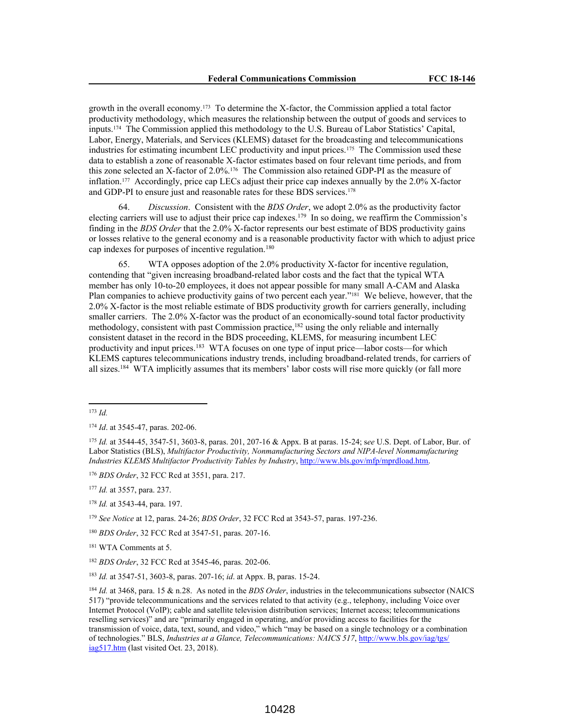growth in the overall economy.<sup>173</sup> To determine the X-factor, the Commission applied a total factor productivity methodology, which measures the relationship between the output of goods and services to inputs.<sup>174</sup> The Commission applied this methodology to the U.S. Bureau of Labor Statistics' Capital, Labor, Energy, Materials, and Services (KLEMS) dataset for the broadcasting and telecommunications industries for estimating incumbent LEC productivity and input prices.<sup>175</sup> The Commission used these data to establish a zone of reasonable X-factor estimates based on four relevant time periods, and from this zone selected an X-factor of 2.0%.<sup>176</sup> The Commission also retained GDP-PI as the measure of inflation.<sup>177</sup> Accordingly, price cap LECs adjust their price cap indexes annually by the 2.0% X-factor and GDP-PI to ensure just and reasonable rates for these BDS services.<sup>178</sup>

64. *Discussion*. Consistent with the *BDS Order*, we adopt 2.0% as the productivity factor electing carriers will use to adjust their price cap indexes.<sup>179</sup> In so doing, we reaffirm the Commission's finding in the *BDS Order* that the 2.0% X-factor represents our best estimate of BDS productivity gains or losses relative to the general economy and is a reasonable productivity factor with which to adjust price cap indexes for purposes of incentive regulation.<sup>180</sup>

65. WTA opposes adoption of the 2.0% productivity X-factor for incentive regulation, contending that "given increasing broadband-related labor costs and the fact that the typical WTA member has only 10-to-20 employees, it does not appear possible for many small A-CAM and Alaska Plan companies to achieve productivity gains of two percent each year."<sup>181</sup> We believe, however, that the 2.0% X-factor is the most reliable estimate of BDS productivity growth for carriers generally, including smaller carriers. The 2.0% X-factor was the product of an economically-sound total factor productivity methodology, consistent with past Commission practice,<sup>182</sup> using the only reliable and internally consistent dataset in the record in the BDS proceeding, KLEMS, for measuring incumbent LEC productivity and input prices.<sup>183</sup> WTA focuses on one type of input price—labor costs—for which KLEMS captures telecommunications industry trends, including broadband-related trends, for carriers of all sizes.<sup>184</sup> WTA implicitly assumes that its members' labor costs will rise more quickly (or fall more

<sup>176</sup> *BDS Order*, 32 FCC Rcd at 3551, para. 217.

<sup>177</sup> *Id.* at 3557, para. 237.

<sup>179</sup> *See Notice* at 12, paras. 24-26; *BDS Order*, 32 FCC Rcd at 3543-57, paras. 197-236.

<sup>181</sup> WTA Comments at 5.

<sup>183</sup> *Id.* at 3547-51, 3603-8, paras. 207-16; *id*. at Appx. B, paras. 15-24.

<sup>184</sup> *Id.* at 3468, para. 15 & n.28. As noted in the *BDS Order*, industries in the telecommunications subsector (NAICS 517) "provide telecommunications and the services related to that activity (e.g., telephony, including Voice over Internet Protocol (VoIP); cable and satellite television distribution services; Internet access; telecommunications reselling services)" and are "primarily engaged in operating, and/or providing access to facilities for the transmission of voice, data, text, sound, and video," which "may be based on a single technology or a combination of technologies." BLS, *Industries at a Glance, Telecommunications: NAICS 517*, http://www.bls.gov/iag/tgs/ iag517.htm (last visited Oct. 23, 2018).

<sup>173</sup> *Id.*

<sup>174</sup> *Id*. at 3545-47, paras. 202-06.

<sup>175</sup> *Id.* at 3544-45, 3547-51, 3603-8, paras. 201, 207-16 & Appx. B at paras. 15-24; s*ee* U.S. Dept. of Labor, Bur. of Labor Statistics (BLS), *Multifactor Productivity, Nonmanufacturing Sectors and NIPA-level Nonmanufacturing Industries KLEMS Multifactor Productivity Tables by Industry*, http://www.bls.gov/mfp/mprdload.htm.

<sup>178</sup> *Id.* at 3543-44, para. 197.

<sup>180</sup> *BDS Order*, 32 FCC Rcd at 3547-51, paras. 207-16.

<sup>182</sup> *BDS Order*, 32 FCC Rcd at 3545-46, paras. 202-06.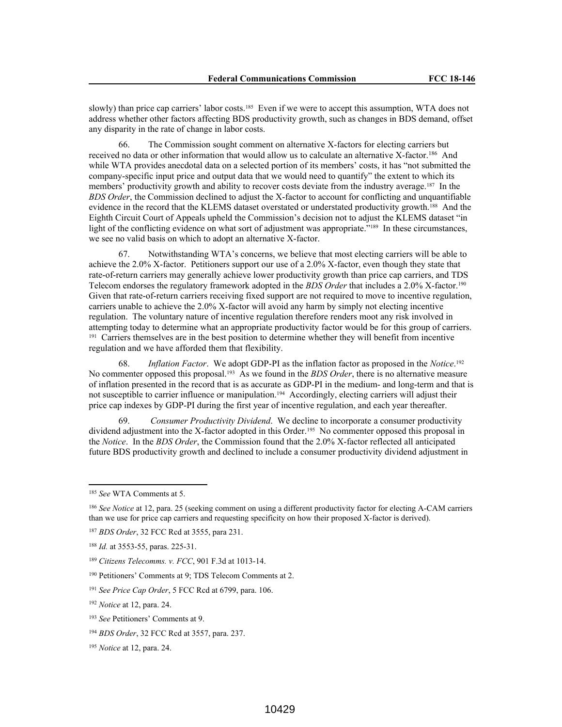slowly) than price cap carriers' labor costs.<sup>185</sup> Even if we were to accept this assumption, WTA does not address whether other factors affecting BDS productivity growth, such as changes in BDS demand, offset any disparity in the rate of change in labor costs.

66. The Commission sought comment on alternative X-factors for electing carriers but received no data or other information that would allow us to calculate an alternative X-factor.<sup>186</sup> And while WTA provides anecdotal data on a selected portion of its members' costs, it has "not submitted the company-specific input price and output data that we would need to quantify" the extent to which its members' productivity growth and ability to recover costs deviate from the industry average.<sup>187</sup> In the *BDS Order*, the Commission declined to adjust the X-factor to account for conflicting and unquantifiable evidence in the record that the KLEMS dataset overstated or understated productivity growth.<sup>188</sup> And the Eighth Circuit Court of Appeals upheld the Commission's decision not to adjust the KLEMS dataset "in light of the conflicting evidence on what sort of adjustment was appropriate."<sup>189</sup> In these circumstances, we see no valid basis on which to adopt an alternative X-factor.

67. Notwithstanding WTA's concerns, we believe that most electing carriers will be able to achieve the 2.0% X-factor. Petitioners support our use of a 2.0% X-factor, even though they state that rate-of-return carriers may generally achieve lower productivity growth than price cap carriers, and TDS Telecom endorses the regulatory framework adopted in the *BDS Order* that includes a 2.0% X-factor.<sup>190</sup> Given that rate-of-return carriers receiving fixed support are not required to move to incentive regulation, carriers unable to achieve the 2.0% X-factor will avoid any harm by simply not electing incentive regulation. The voluntary nature of incentive regulation therefore renders moot any risk involved in attempting today to determine what an appropriate productivity factor would be for this group of carriers. <sup>191</sup> Carriers themselves are in the best position to determine whether they will benefit from incentive regulation and we have afforded them that flexibility.

68. *Inflation Factor*. We adopt GDP-PI as the inflation factor as proposed in the *Notice*. 192 No commenter opposed this proposal.<sup>193</sup> As we found in the *BDS Order*, there is no alternative measure of inflation presented in the record that is as accurate as GDP-PI in the medium- and long-term and that is not susceptible to carrier influence or manipulation.<sup>194</sup> Accordingly, electing carriers will adjust their price cap indexes by GDP-PI during the first year of incentive regulation, and each year thereafter.

69. *Consumer Productivity Dividend*. We decline to incorporate a consumer productivity dividend adjustment into the X-factor adopted in this Order.<sup>195</sup> No commenter opposed this proposal in the *Notice*. In the *BDS Order*, the Commission found that the 2.0% X-factor reflected all anticipated future BDS productivity growth and declined to include a consumer productivity dividend adjustment in

<sup>185</sup> *See* WTA Comments at 5.

<sup>186</sup> *See Notice* at 12, para. 25 (seeking comment on using a different productivity factor for electing A-CAM carriers than we use for price cap carriers and requesting specificity on how their proposed X-factor is derived).

<sup>187</sup> *BDS Order*, 32 FCC Rcd at 3555, para 231.

<sup>188</sup> *Id.* at 3553-55, paras. 225-31.

<sup>189</sup> *Citizens Telecomms. v. FCC*, 901 F.3d at 1013-14.

<sup>190</sup> Petitioners' Comments at 9; TDS Telecom Comments at 2.

<sup>191</sup> *See Price Cap Order*, 5 FCC Rcd at 6799, para. 106.

<sup>192</sup> *Notice* at 12, para. 24.

<sup>193</sup> *See* Petitioners' Comments at 9.

<sup>194</sup> *BDS Order*, 32 FCC Rcd at 3557, para. 237.

<sup>195</sup> *Notice* at 12, para. 24.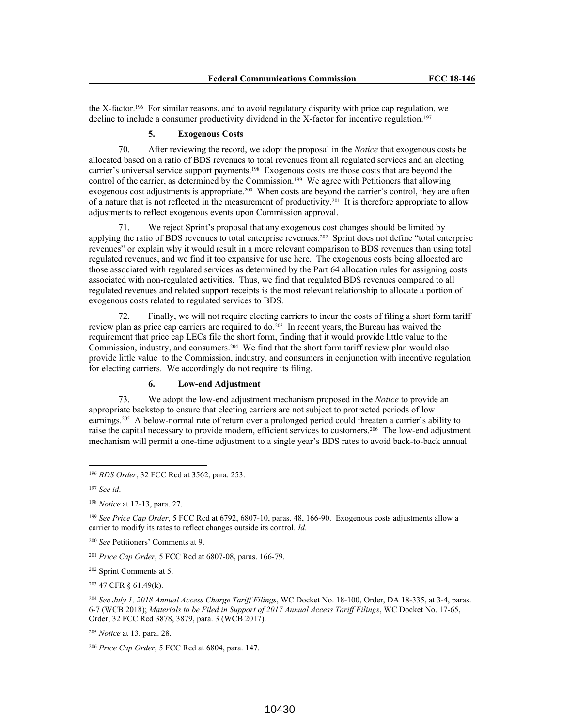the X-factor.<sup>196</sup> For similar reasons, and to avoid regulatory disparity with price cap regulation, we decline to include a consumer productivity dividend in the X-factor for incentive regulation.<sup>197</sup>

# **5. Exogenous Costs**

70. After reviewing the record, we adopt the proposal in the *Notice* that exogenous costs be allocated based on a ratio of BDS revenues to total revenues from all regulated services and an electing carrier's universal service support payments.<sup>198</sup> Exogenous costs are those costs that are beyond the control of the carrier, as determined by the Commission.<sup>199</sup> We agree with Petitioners that allowing exogenous cost adjustments is appropriate.<sup>200</sup> When costs are beyond the carrier's control, they are often of a nature that is not reflected in the measurement of productivity.<sup>201</sup> It is therefore appropriate to allow adjustments to reflect exogenous events upon Commission approval.

71. We reject Sprint's proposal that any exogenous cost changes should be limited by applying the ratio of BDS revenues to total enterprise revenues.<sup>202</sup> Sprint does not define "total enterprise revenues" or explain why it would result in a more relevant comparison to BDS revenues than using total regulated revenues, and we find it too expansive for use here. The exogenous costs being allocated are those associated with regulated services as determined by the Part 64 allocation rules for assigning costs associated with non-regulated activities. Thus, we find that regulated BDS revenues compared to all regulated revenues and related support receipts is the most relevant relationship to allocate a portion of exogenous costs related to regulated services to BDS.

72. Finally, we will not require electing carriers to incur the costs of filing a short form tariff review plan as price cap carriers are required to  $d\rho$ ,  $203$  In recent years, the Bureau has waived the requirement that price cap LECs file the short form, finding that it would provide little value to the Commission, industry, and consumers.<sup>204</sup> We find that the short form tariff review plan would also provide little value to the Commission, industry, and consumers in conjunction with incentive regulation for electing carriers. We accordingly do not require its filing.

# **6. Low-end Adjustment**

73. We adopt the low-end adjustment mechanism proposed in the *Notice* to provide an appropriate backstop to ensure that electing carriers are not subject to protracted periods of low earnings.<sup>205</sup> A below-normal rate of return over a prolonged period could threaten a carrier's ability to raise the capital necessary to provide modern, efficient services to customers.<sup>206</sup> The low-end adjustment mechanism will permit a one-time adjustment to a single year's BDS rates to avoid back-to-back annual

<sup>196</sup> *BDS Order*, 32 FCC Rcd at 3562, para. 253.

<sup>197</sup> *See id*.

<sup>198</sup> *Notice* at 12-13, para. 27.

<sup>199</sup> *See Price Cap Order*, 5 FCC Rcd at 6792, 6807-10, paras. 48, 166-90. Exogenous costs adjustments allow a carrier to modify its rates to reflect changes outside its control. *Id*.

<sup>200</sup> *See* Petitioners' Comments at 9.

<sup>201</sup> *Price Cap Order*, 5 FCC Rcd at 6807-08, paras. 166-79.

<sup>202</sup> Sprint Comments at 5.

<sup>203</sup> 47 CFR § 61.49(k).

<sup>204</sup> *See July 1, 2018 Annual Access Charge Tariff Filings*, WC Docket No. 18-100, Order, DA 18-335, at 3-4, paras. 6-7 (WCB 2018); *Materials to be Filed in Support of 2017 Annual Access Tariff Filings*, WC Docket No. 17-65, Order, 32 FCC Rcd 3878, 3879, para. 3 (WCB 2017).

<sup>205</sup> *Notice* at 13, para. 28.

<sup>206</sup> *Price Cap Order*, 5 FCC Rcd at 6804, para. 147.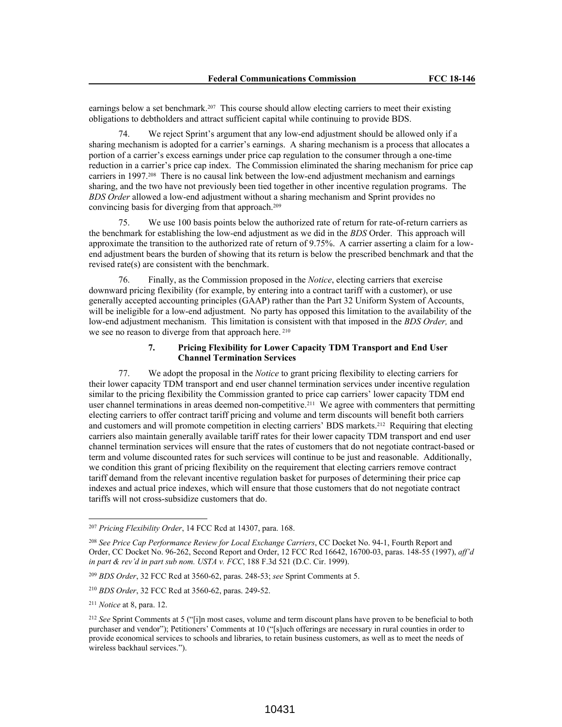earnings below a set benchmark.<sup>207</sup> This course should allow electing carriers to meet their existing obligations to debtholders and attract sufficient capital while continuing to provide BDS.

We reject Sprint's argument that any low-end adjustment should be allowed only if a sharing mechanism is adopted for a carrier's earnings. A sharing mechanism is a process that allocates a portion of a carrier's excess earnings under price cap regulation to the consumer through a one-time reduction in a carrier's price cap index. The Commission eliminated the sharing mechanism for price cap carriers in 1997.<sup>208</sup> There is no causal link between the low-end adjustment mechanism and earnings sharing, and the two have not previously been tied together in other incentive regulation programs. The *BDS Order* allowed a low-end adjustment without a sharing mechanism and Sprint provides no convincing basis for diverging from that approach.<sup>209</sup>

75. We use 100 basis points below the authorized rate of return for rate-of-return carriers as the benchmark for establishing the low-end adjustment as we did in the *BDS* Order. This approach will approximate the transition to the authorized rate of return of 9.75%. A carrier asserting a claim for a lowend adjustment bears the burden of showing that its return is below the prescribed benchmark and that the revised rate(s) are consistent with the benchmark.

76. Finally, as the Commission proposed in the *Notice*, electing carriers that exercise downward pricing flexibility (for example, by entering into a contract tariff with a customer), or use generally accepted accounting principles (GAAP) rather than the Part 32 Uniform System of Accounts, will be ineligible for a low-end adjustment. No party has opposed this limitation to the availability of the low-end adjustment mechanism. This limitation is consistent with that imposed in the *BDS Order,* and we see no reason to diverge from that approach here.<sup>210</sup>

### **7. Pricing Flexibility for Lower Capacity TDM Transport and End User Channel Termination Services**

77. We adopt the proposal in the *Notice* to grant pricing flexibility to electing carriers for their lower capacity TDM transport and end user channel termination services under incentive regulation similar to the pricing flexibility the Commission granted to price cap carriers' lower capacity TDM end user channel terminations in areas deemed non-competitive.<sup>211</sup> We agree with commenters that permitting electing carriers to offer contract tariff pricing and volume and term discounts will benefit both carriers and customers and will promote competition in electing carriers' BDS markets.<sup>212</sup> Requiring that electing carriers also maintain generally available tariff rates for their lower capacity TDM transport and end user channel termination services will ensure that the rates of customers that do not negotiate contract-based or term and volume discounted rates for such services will continue to be just and reasonable. Additionally, we condition this grant of pricing flexibility on the requirement that electing carriers remove contract tariff demand from the relevant incentive regulation basket for purposes of determining their price cap indexes and actual price indexes, which will ensure that those customers that do not negotiate contract tariffs will not cross-subsidize customers that do.

<sup>207</sup> *Pricing Flexibility Order*, 14 FCC Rcd at 14307, para. 168.

<sup>208</sup> *See Price Cap Performance Review for Local Exchange Carriers*, CC Docket No. 94-1, Fourth Report and Order, CC Docket No. 96-262, Second Report and Order, 12 FCC Rcd 16642, 16700-03, paras. 148-55 (1997), *aff'd in part & rev'd in part sub nom. USTA v. FCC*, 188 F.3d 521 (D.C. Cir. 1999).

<sup>209</sup> *BDS Order*, 32 FCC Rcd at 3560-62, paras. 248-53; *see* Sprint Comments at 5.

<sup>210</sup> *BDS Order*, 32 FCC Rcd at 3560-62, paras. 249-52.

<sup>211</sup> *Notice* at 8, para. 12.

<sup>212</sup> *See* Sprint Comments at 5 ("[i]n most cases, volume and term discount plans have proven to be beneficial to both purchaser and vendor"); Petitioners' Comments at 10 ("[s]uch offerings are necessary in rural counties in order to provide economical services to schools and libraries, to retain business customers, as well as to meet the needs of wireless backhaul services.").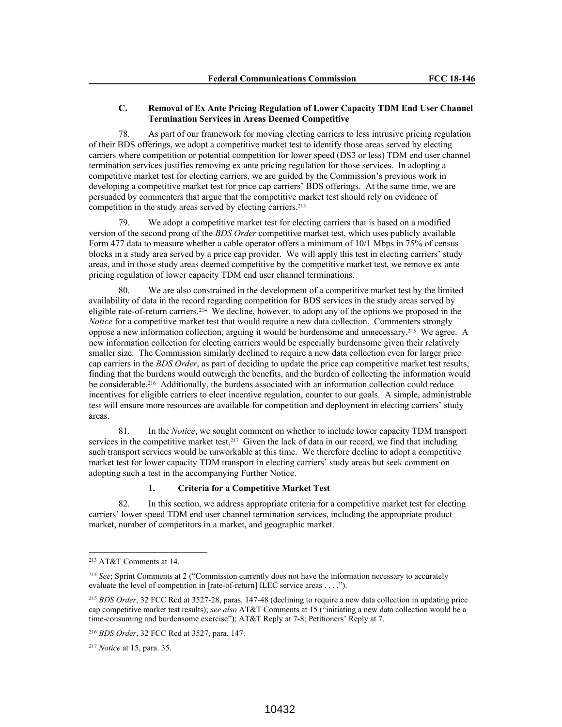#### **C. Removal of Ex Ante Pricing Regulation of Lower Capacity TDM End User Channel Termination Services in Areas Deemed Competitive**

78. As part of our framework for moving electing carriers to less intrusive pricing regulation of their BDS offerings, we adopt a competitive market test to identify those areas served by electing carriers where competition or potential competition for lower speed (DS3 or less) TDM end user channel termination services justifies removing ex ante pricing regulation for those services. In adopting a competitive market test for electing carriers, we are guided by the Commission's previous work in developing a competitive market test for price cap carriers' BDS offerings. At the same time, we are persuaded by commenters that argue that the competitive market test should rely on evidence of competition in the study areas served by electing carriers.<sup>213</sup>

We adopt a competitive market test for electing carriers that is based on a modified version of the second prong of the *BDS Order* competitive market test, which uses publicly available Form 477 data to measure whether a cable operator offers a minimum of 10/1 Mbps in 75% of census blocks in a study area served by a price cap provider. We will apply this test in electing carriers' study areas, and in those study areas deemed competitive by the competitive market test, we remove ex ante pricing regulation of lower capacity TDM end user channel terminations.

80. We are also constrained in the development of a competitive market test by the limited availability of data in the record regarding competition for BDS services in the study areas served by eligible rate-of-return carriers.<sup>214</sup> We decline, however, to adopt any of the options we proposed in the *Notice* for a competitive market test that would require a new data collection. Commenters strongly oppose a new information collection, arguing it would be burdensome and unnecessary.<sup>215</sup> We agree. A new information collection for electing carriers would be especially burdensome given their relatively smaller size. The Commission similarly declined to require a new data collection even for larger price cap carriers in the *BDS Order*, as part of deciding to update the price cap competitive market test results, finding that the burdens would outweigh the benefits, and the burden of collecting the information would be considerable.<sup>216</sup> Additionally, the burdens associated with an information collection could reduce incentives for eligible carriers to elect incentive regulation, counter to our goals. A simple, administrable test will ensure more resources are available for competition and deployment in electing carriers' study areas.

81. In the *Notice*, we sought comment on whether to include lower capacity TDM transport services in the competitive market test.<sup>217</sup> Given the lack of data in our record, we find that including such transport services would be unworkable at this time. We therefore decline to adopt a competitive market test for lower capacity TDM transport in electing carriers' study areas but seek comment on adopting such a test in the accompanying Further Notice.

#### **1. Criteria for a Competitive Market Test**

82. In this section, we address appropriate criteria for a competitive market test for electing carriers' lower speed TDM end user channel termination services, including the appropriate product market, number of competitors in a market, and geographic market.

<sup>213</sup> AT&T Comments at 14.

<sup>214</sup> *See*; Sprint Comments at 2 ("Commission currently does not have the information necessary to accurately evaluate the level of competition in [rate-of-return] ILEC service areas . . . .").

<sup>215</sup> *BDS Order*, 32 FCC Rcd at 3527-28, paras. 147-48 (declining to require a new data collection in updating price cap competitive market test results); *see also* AT&T Comments at 15 ("initiating a new data collection would be a time-consuming and burdensome exercise"); AT&T Reply at 7-8; Petitioners' Reply at 7.

<sup>216</sup> *BDS Order*, 32 FCC Rcd at 3527, para. 147.

<sup>217</sup> *Notice* at 15, para. 35.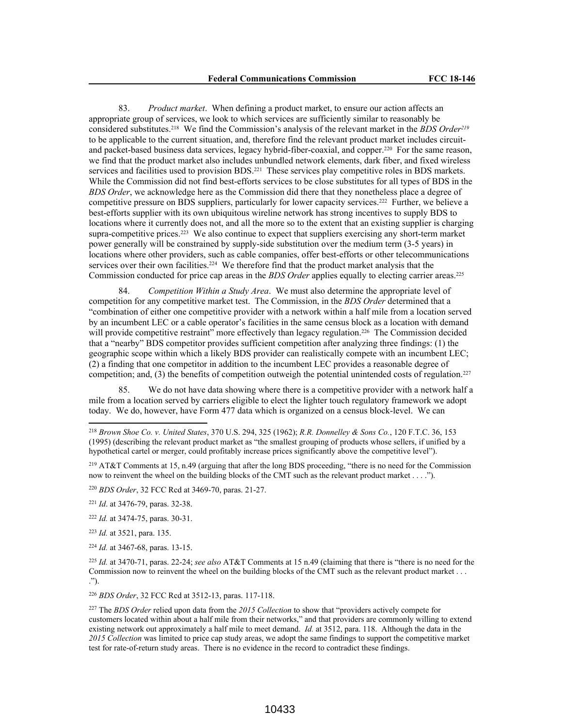83. *Product market*. When defining a product market, to ensure our action affects an appropriate group of services, we look to which services are sufficiently similar to reasonably be considered substitutes.<sup>218</sup> We find the Commission's analysis of the relevant market in the *BDS Order<sup>219</sup>* to be applicable to the current situation, and, therefore find the relevant product market includes circuitand packet-based business data services, legacy hybrid-fiber-coaxial, and copper.<sup>220</sup> For the same reason, we find that the product market also includes unbundled network elements, dark fiber, and fixed wireless services and facilities used to provision BDS.<sup>221</sup> These services play competitive roles in BDS markets. While the Commission did not find best-efforts services to be close substitutes for all types of BDS in the *BDS Order*, we acknowledge here as the Commission did there that they nonetheless place a degree of competitive pressure on BDS suppliers, particularly for lower capacity services.<sup>222</sup> Further, we believe a best-efforts supplier with its own ubiquitous wireline network has strong incentives to supply BDS to locations where it currently does not, and all the more so to the extent that an existing supplier is charging supra-competitive prices.<sup>223</sup> We also continue to expect that suppliers exercising any short-term market power generally will be constrained by supply-side substitution over the medium term (3-5 years) in locations where other providers, such as cable companies, offer best-efforts or other telecommunications services over their own facilities.<sup>224</sup> We therefore find that the product market analysis that the Commission conducted for price cap areas in the *BDS Order* applies equally to electing carrier areas.<sup>225</sup>

84. *Competition Within a Study Area*. We must also determine the appropriate level of competition for any competitive market test. The Commission, in the *BDS Order* determined that a "combination of either one competitive provider with a network within a half mile from a location served by an incumbent LEC or a cable operator's facilities in the same census block as a location with demand will provide competitive restraint" more effectively than legacy regulation.<sup>226</sup> The Commission decided that a "nearby" BDS competitor provides sufficient competition after analyzing three findings: (1) the geographic scope within which a likely BDS provider can realistically compete with an incumbent LEC; (2) a finding that one competitor in addition to the incumbent LEC provides a reasonable degree of competition; and,  $(3)$  the benefits of competition outweigh the potential unintended costs of regulation.<sup>227</sup>

85. We do not have data showing where there is a competitive provider with a network half a mile from a location served by carriers eligible to elect the lighter touch regulatory framework we adopt today. We do, however, have Form 477 data which is organized on a census block-level. We can

<sup>219</sup> AT&T Comments at 15, n.49 (arguing that after the long BDS proceeding, "there is no need for the Commission now to reinvent the wheel on the building blocks of the CMT such as the relevant product market . . . .").

<sup>223</sup> *Id.* at 3521, para. 135.

<sup>224</sup> *Id.* at 3467-68, paras. 13-15.

<sup>226</sup> *BDS Order*, 32 FCC Rcd at 3512-13, paras. 117-118.

<sup>218</sup> *Brown Shoe Co. v. United States*, 370 U.S. 294, 325 (1962); *R.R. Donnelley & Sons Co.*, 120 F.T.C. 36, 153 (1995) (describing the relevant product market as "the smallest grouping of products whose sellers, if unified by a hypothetical cartel or merger, could profitably increase prices significantly above the competitive level").

<sup>220</sup> *BDS Order*, 32 FCC Rcd at 3469-70, paras. 21-27.

<sup>221</sup> *Id*. at 3476-79, paras. 32-38.

<sup>222</sup> *Id.* at 3474-75, paras. 30-31.

<sup>225</sup> *Id.* at 3470-71, paras. 22-24; *see also* AT&T Comments at 15 n.49 (claiming that there is "there is no need for the Commission now to reinvent the wheel on the building blocks of the CMT such as the relevant product market . . . .").

<sup>227</sup> The *BDS Order* relied upon data from the *2015 Collection* to show that "providers actively compete for customers located within about a half mile from their networks," and that providers are commonly willing to extend existing network out approximately a half mile to meet demand. *Id.* at 3512, para. 118. Although the data in the *2015 Collection* was limited to price cap study areas, we adopt the same findings to support the competitive market test for rate-of-return study areas. There is no evidence in the record to contradict these findings.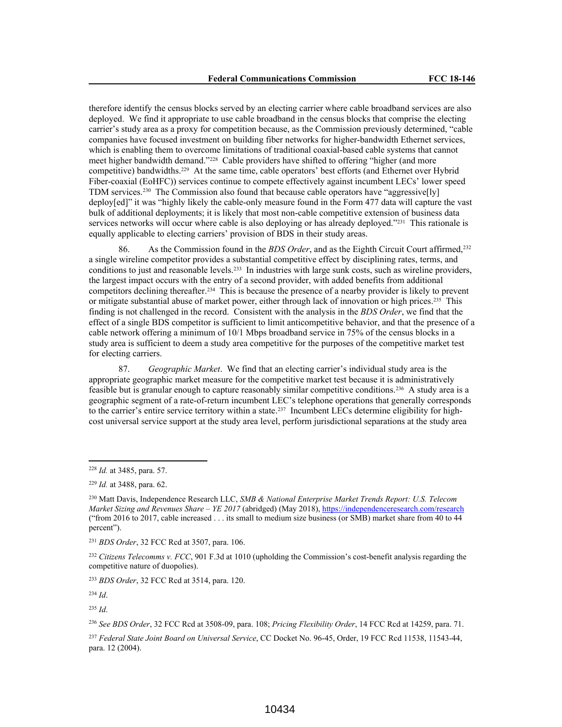therefore identify the census blocks served by an electing carrier where cable broadband services are also deployed. We find it appropriate to use cable broadband in the census blocks that comprise the electing carrier's study area as a proxy for competition because, as the Commission previously determined, "cable companies have focused investment on building fiber networks for higher-bandwidth Ethernet services, which is enabling them to overcome limitations of traditional coaxial-based cable systems that cannot meet higher bandwidth demand."<sup>228</sup> Cable providers have shifted to offering "higher (and more competitive) bandwidths.<sup>229</sup> At the same time, cable operators' best efforts (and Ethernet over Hybrid Fiber-coaxial (EoHFC)) services continue to compete effectively against incumbent LECs' lower speed TDM services.<sup>230</sup> The Commission also found that because cable operators have "aggressive[ly] deploy[ed]" it was "highly likely the cable-only measure found in the Form 477 data will capture the vast bulk of additional deployments; it is likely that most non-cable competitive extension of business data services networks will occur where cable is also deploying or has already deployed."<sup>231</sup> This rationale is equally applicable to electing carriers' provision of BDS in their study areas.

86. As the Commission found in the *BDS Order*, and as the Eighth Circuit Court affirmed,<sup>232</sup> a single wireline competitor provides a substantial competitive effect by disciplining rates, terms, and conditions to just and reasonable levels.<sup>233</sup> In industries with large sunk costs, such as wireline providers, the largest impact occurs with the entry of a second provider, with added benefits from additional competitors declining thereafter.<sup>234</sup> This is because the presence of a nearby provider is likely to prevent or mitigate substantial abuse of market power, either through lack of innovation or high prices.<sup>235</sup> This finding is not challenged in the record. Consistent with the analysis in the *BDS Order*, we find that the effect of a single BDS competitor is sufficient to limit anticompetitive behavior, and that the presence of a cable network offering a minimum of 10/1 Mbps broadband service in 75% of the census blocks in a study area is sufficient to deem a study area competitive for the purposes of the competitive market test for electing carriers.

87. *Geographic Market*. We find that an electing carrier's individual study area is the appropriate geographic market measure for the competitive market test because it is administratively feasible but is granular enough to capture reasonably similar competitive conditions.<sup>236</sup> A study area is a geographic segment of a rate-of-return incumbent LEC's telephone operations that generally corresponds to the carrier's entire service territory within a state.<sup>237</sup> Incumbent LECs determine eligibility for highcost universal service support at the study area level, perform jurisdictional separations at the study area

<sup>234</sup> *Id*.

<sup>235</sup> *Id*.

<sup>228</sup> *Id.* at 3485, para. 57.

<sup>229</sup> *Id.* at 3488, para. 62.

<sup>230</sup> Matt Davis, Independence Research LLC, *SMB & National Enterprise Market Trends Report: U.S. Telecom Market Sizing and Revenues Share – YE 2017* (abridged) (May 2018), https://independenceresearch.com/research ("from 2016 to 2017, cable increased . . . its small to medium size business (or SMB) market share from 40 to 44 percent").

<sup>231</sup> *BDS Order*, 32 FCC Rcd at 3507, para. 106.

<sup>232</sup> *Citizens Telecomms v. FCC*, 901 F.3d at 1010 (upholding the Commission's cost-benefit analysis regarding the competitive nature of duopolies).

<sup>233</sup> *BDS Order*, 32 FCC Rcd at 3514, para. 120.

<sup>236</sup> *See BDS Order*, 32 FCC Rcd at 3508-09, para. 108; *Pricing Flexibility Order*, 14 FCC Rcd at 14259, para. 71.

<sup>237</sup> *Federal State Joint Board on Universal Service*, CC Docket No. 96-45, Order, 19 FCC Rcd 11538, 11543-44, para. 12 (2004).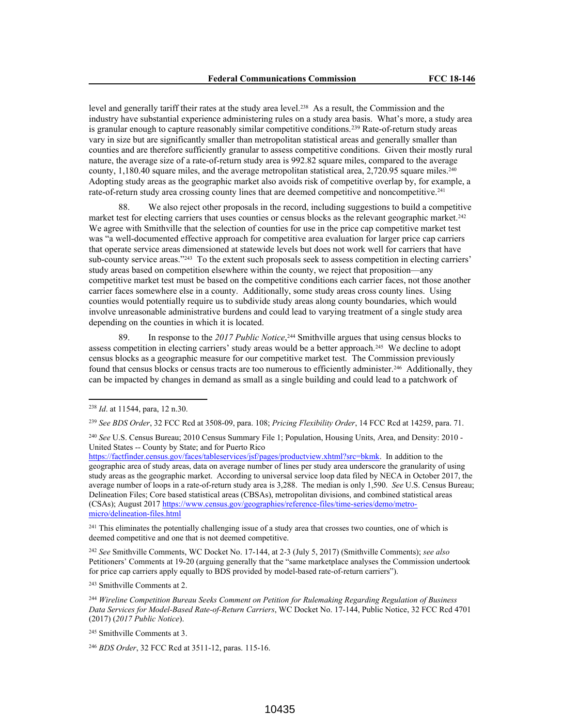level and generally tariff their rates at the study area level.<sup>238</sup> As a result, the Commission and the industry have substantial experience administering rules on a study area basis. What's more, a study area is granular enough to capture reasonably similar competitive conditions.<sup>239</sup> Rate-of-return study areas vary in size but are significantly smaller than metropolitan statistical areas and generally smaller than counties and are therefore sufficiently granular to assess competitive conditions. Given their mostly rural nature, the average size of a rate-of-return study area is 992.82 square miles, compared to the average county, 1,180.40 square miles, and the average metropolitan statistical area, 2,720.95 square miles.<sup>240</sup> Adopting study areas as the geographic market also avoids risk of competitive overlap by, for example, a rate-of-return study area crossing county lines that are deemed competitive and noncompetitive.<sup>241</sup>

We also reject other proposals in the record, including suggestions to build a competitive market test for electing carriers that uses counties or census blocks as the relevant geographic market.<sup>242</sup> We agree with Smithville that the selection of counties for use in the price cap competitive market test was "a well-documented effective approach for competitive area evaluation for larger price cap carriers that operate service areas dimensioned at statewide levels but does not work well for carriers that have sub-county service areas."<sup>243</sup> To the extent such proposals seek to assess competition in electing carriers' study areas based on competition elsewhere within the county, we reject that proposition—any competitive market test must be based on the competitive conditions each carrier faces, not those another carrier faces somewhere else in a county. Additionally, some study areas cross county lines. Using counties would potentially require us to subdivide study areas along county boundaries, which would involve unreasonable administrative burdens and could lead to varying treatment of a single study area depending on the counties in which it is located.

89. In response to the *2017 Public Notice*, <sup>244</sup> Smithville argues that using census blocks to assess competition in electing carriers' study areas would be a better approach.<sup>245</sup> We decline to adopt census blocks as a geographic measure for our competitive market test. The Commission previously found that census blocks or census tracts are too numerous to efficiently administer.<sup>246</sup> Additionally, they can be impacted by changes in demand as small as a single building and could lead to a patchwork of

<sup>240</sup> *See* U.S. Census Bureau; 2010 Census Summary File 1; Population, Housing Units, Area, and Density: 2010 - United States -- County by State; and for Puerto Rico

<sup>241</sup> This eliminates the potentially challenging issue of a study area that crosses two counties, one of which is deemed competitive and one that is not deemed competitive.

<sup>242</sup> *See* Smithville Comments, WC Docket No. 17-144, at 2-3 (July 5, 2017) (Smithville Comments); *see also* Petitioners' Comments at 19-20 (arguing generally that the "same marketplace analyses the Commission undertook for price cap carriers apply equally to BDS provided by model-based rate-of-return carriers").

<sup>243</sup> Smithville Comments at 2.

<sup>244</sup> *Wireline Competition Bureau Seeks Comment on Petition for Rulemaking Regarding Regulation of Business Data Services for Model-Based Rate-of-Return Carriers*, WC Docket No. 17-144, Public Notice, 32 FCC Rcd 4701 (2017) (*2017 Public Notice*).

<sup>245</sup> Smithville Comments at 3.

<sup>246</sup> *BDS Order*, 32 FCC Rcd at 3511-12, paras. 115-16.

<sup>238</sup> *Id*. at 11544, para, 12 n.30.

<sup>239</sup> *See BDS Order*, 32 FCC Rcd at 3508-09, para. 108; *Pricing Flexibility Order*, 14 FCC Rcd at 14259, para. 71.

https://factfinder.census.gov/faces/tableservices/jsf/pages/productview.xhtml?src=bkmk. In addition to the geographic area of study areas, data on average number of lines per study area underscore the granularity of using study areas as the geographic market. According to universal service loop data filed by NECA in October 2017, the average number of loops in a rate-of-return study area is 3,288. The median is only 1,590. *See* U.S. Census Bureau; Delineation Files; Core based statistical areas (CBSAs), metropolitan divisions, and combined statistical areas (CSAs); August 2017 https://www.census.gov/geographies/reference-files/time-series/demo/metromicro/delineation-files.html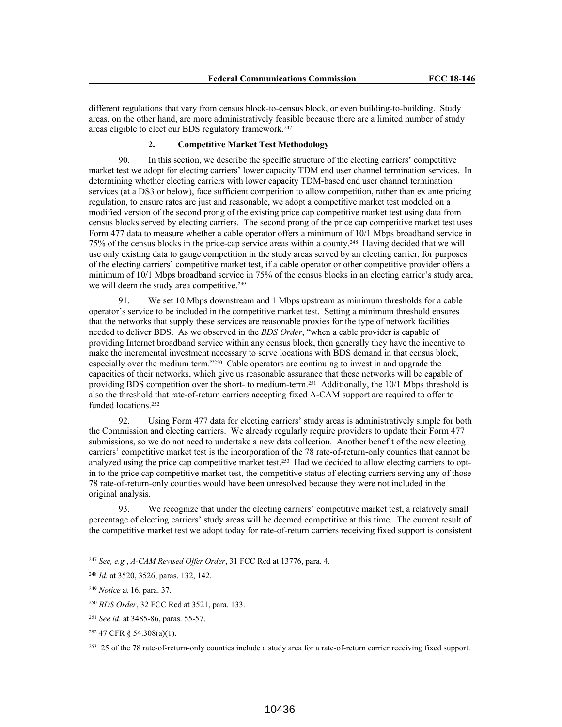different regulations that vary from census block-to-census block, or even building-to-building. Study areas, on the other hand, are more administratively feasible because there are a limited number of study areas eligible to elect our BDS regulatory framework.<sup>247</sup>

#### **2. Competitive Market Test Methodology**

90. In this section, we describe the specific structure of the electing carriers' competitive market test we adopt for electing carriers' lower capacity TDM end user channel termination services. In determining whether electing carriers with lower capacity TDM-based end user channel termination services (at a DS3 or below), face sufficient competition to allow competition, rather than ex ante pricing regulation, to ensure rates are just and reasonable, we adopt a competitive market test modeled on a modified version of the second prong of the existing price cap competitive market test using data from census blocks served by electing carriers. The second prong of the price cap competitive market test uses Form 477 data to measure whether a cable operator offers a minimum of 10/1 Mbps broadband service in 75% of the census blocks in the price-cap service areas within a county.<sup>248</sup> Having decided that we will use only existing data to gauge competition in the study areas served by an electing carrier, for purposes of the electing carriers' competitive market test, if a cable operator or other competitive provider offers a minimum of 10/1 Mbps broadband service in 75% of the census blocks in an electing carrier's study area, we will deem the study area competitive.<sup>249</sup>

91. We set 10 Mbps downstream and 1 Mbps upstream as minimum thresholds for a cable operator's service to be included in the competitive market test. Setting a minimum threshold ensures that the networks that supply these services are reasonable proxies for the type of network facilities needed to deliver BDS. As we observed in the *BDS Order*, "when a cable provider is capable of providing Internet broadband service within any census block, then generally they have the incentive to make the incremental investment necessary to serve locations with BDS demand in that census block, especially over the medium term."<sup>250</sup> Cable operators are continuing to invest in and upgrade the capacities of their networks, which give us reasonable assurance that these networks will be capable of providing BDS competition over the short- to medium-term.<sup>251</sup> Additionally, the 10/1 Mbps threshold is also the threshold that rate-of-return carriers accepting fixed A-CAM support are required to offer to funded locations.<sup>252</sup>

92. Using Form 477 data for electing carriers' study areas is administratively simple for both the Commission and electing carriers. We already regularly require providers to update their Form 477 submissions, so we do not need to undertake a new data collection. Another benefit of the new electing carriers' competitive market test is the incorporation of the 78 rate-of-return-only counties that cannot be analyzed using the price cap competitive market test.<sup>253</sup> Had we decided to allow electing carriers to optin to the price cap competitive market test, the competitive status of electing carriers serving any of those 78 rate-of-return-only counties would have been unresolved because they were not included in the original analysis.

93. We recognize that under the electing carriers' competitive market test, a relatively small percentage of electing carriers' study areas will be deemed competitive at this time. The current result of the competitive market test we adopt today for rate-of-return carriers receiving fixed support is consistent

<sup>247</sup> *See, e.g.*, *A-CAM Revised Offer Order*, 31 FCC Rcd at 13776, para. 4.

<sup>248</sup> *Id.* at 3520, 3526, paras. 132, 142.

<sup>249</sup> *Notice* at 16, para. 37.

<sup>250</sup> *BDS Order*, 32 FCC Rcd at 3521, para. 133.

<sup>251</sup> *See id*. at 3485-86, paras. 55-57.

<sup>252</sup> 47 CFR § 54.308(a)(1).

<sup>&</sup>lt;sup>253</sup> 25 of the 78 rate-of-return-only counties include a study area for a rate-of-return carrier receiving fixed support.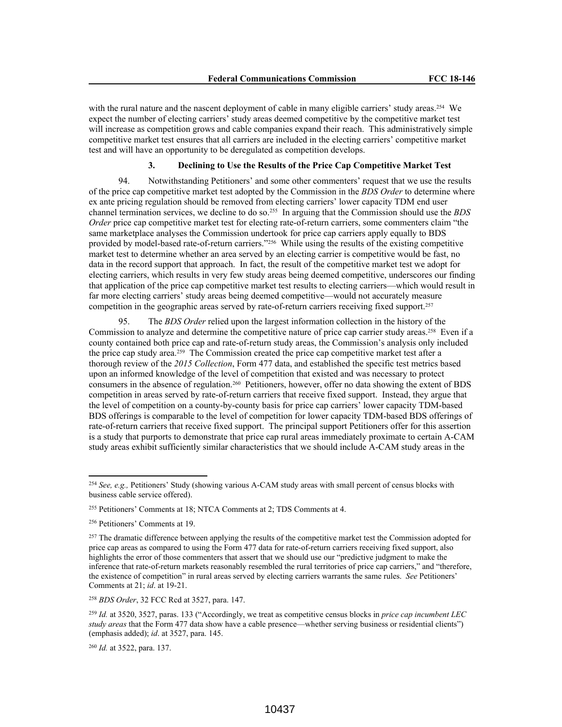with the rural nature and the nascent deployment of cable in many eligible carriers' study areas.<sup>254</sup> We expect the number of electing carriers' study areas deemed competitive by the competitive market test will increase as competition grows and cable companies expand their reach. This administratively simple competitive market test ensures that all carriers are included in the electing carriers' competitive market test and will have an opportunity to be deregulated as competition develops.

### **3. Declining to Use the Results of the Price Cap Competitive Market Test**

94. Notwithstanding Petitioners' and some other commenters' request that we use the results of the price cap competitive market test adopted by the Commission in the *BDS Order* to determine where ex ante pricing regulation should be removed from electing carriers' lower capacity TDM end user channel termination services, we decline to do so.<sup>255</sup> In arguing that the Commission should use the *BDS Order* price cap competitive market test for electing rate-of-return carriers, some commenters claim "the same marketplace analyses the Commission undertook for price cap carriers apply equally to BDS provided by model-based rate-of-return carriers."<sup>256</sup> While using the results of the existing competitive market test to determine whether an area served by an electing carrier is competitive would be fast, no data in the record support that approach. In fact, the result of the competitive market test we adopt for electing carriers, which results in very few study areas being deemed competitive, underscores our finding that application of the price cap competitive market test results to electing carriers—which would result in far more electing carriers' study areas being deemed competitive—would not accurately measure competition in the geographic areas served by rate-of-return carriers receiving fixed support.<sup>257</sup>

95. The *BDS Order* relied upon the largest information collection in the history of the Commission to analyze and determine the competitive nature of price cap carrier study areas.<sup>258</sup> Even if a county contained both price cap and rate-of-return study areas, the Commission's analysis only included the price cap study area.<sup>259</sup> The Commission created the price cap competitive market test after a thorough review of the *2015 Collection*, Form 477 data, and established the specific test metrics based upon an informed knowledge of the level of competition that existed and was necessary to protect consumers in the absence of regulation.<sup>260</sup> Petitioners, however, offer no data showing the extent of BDS competition in areas served by rate-of-return carriers that receive fixed support. Instead, they argue that the level of competition on a county-by-county basis for price cap carriers' lower capacity TDM-based BDS offerings is comparable to the level of competition for lower capacity TDM-based BDS offerings of rate-of-return carriers that receive fixed support. The principal support Petitioners offer for this assertion is a study that purports to demonstrate that price cap rural areas immediately proximate to certain A-CAM study areas exhibit sufficiently similar characteristics that we should include A-CAM study areas in the

<sup>258</sup> *BDS Order*, 32 FCC Rcd at 3527, para. 147.

<sup>254</sup> *See, e.g.,* Petitioners' Study (showing various A-CAM study areas with small percent of census blocks with business cable service offered).

<sup>255</sup> Petitioners' Comments at 18; NTCA Comments at 2; TDS Comments at 4.

<sup>256</sup> Petitioners' Comments at 19.

<sup>&</sup>lt;sup>257</sup> The dramatic difference between applying the results of the competitive market test the Commission adopted for price cap areas as compared to using the Form 477 data for rate-of-return carriers receiving fixed support, also highlights the error of those commenters that assert that we should use our "predictive judgment to make the inference that rate-of-return markets reasonably resembled the rural territories of price cap carriers," and "therefore, the existence of competition" in rural areas served by electing carriers warrants the same rules. *See* Petitioners' Comments at 21; *id*. at 19-21.

<sup>259</sup> *Id.* at 3520, 3527, paras. 133 ("Accordingly, we treat as competitive census blocks in *price cap incumbent LEC study areas* that the Form 477 data show have a cable presence—whether serving business or residential clients") (emphasis added); *id*. at 3527, para. 145.

<sup>260</sup> *Id.* at 3522, para. 137.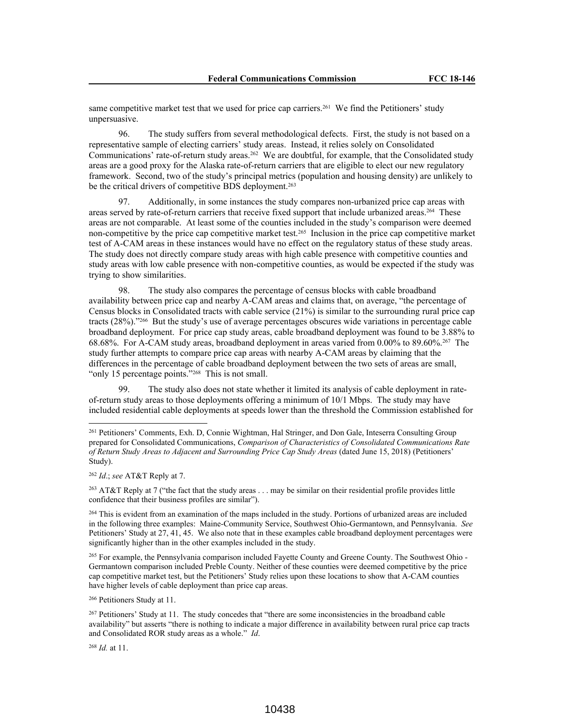same competitive market test that we used for price cap carriers.<sup>261</sup> We find the Petitioners' study unpersuasive.

96. The study suffers from several methodological defects. First, the study is not based on a representative sample of electing carriers' study areas. Instead, it relies solely on Consolidated Communications' rate-of-return study areas.<sup>262</sup> We are doubtful, for example, that the Consolidated study areas are a good proxy for the Alaska rate-of-return carriers that are eligible to elect our new regulatory framework. Second, two of the study's principal metrics (population and housing density) are unlikely to be the critical drivers of competitive BDS deployment.<sup>263</sup>

97. Additionally, in some instances the study compares non-urbanized price cap areas with areas served by rate-of-return carriers that receive fixed support that include urbanized areas.<sup>264</sup> These areas are not comparable. At least some of the counties included in the study's comparison were deemed non-competitive by the price cap competitive market test.<sup>265</sup> Inclusion in the price cap competitive market test of A-CAM areas in these instances would have no effect on the regulatory status of these study areas. The study does not directly compare study areas with high cable presence with competitive counties and study areas with low cable presence with non-competitive counties, as would be expected if the study was trying to show similarities.

98. The study also compares the percentage of census blocks with cable broadband availability between price cap and nearby A-CAM areas and claims that, on average, "the percentage of Census blocks in Consolidated tracts with cable service (21%) is similar to the surrounding rural price cap tracts (28%)."<sup>266</sup> But the study's use of average percentages obscures wide variations in percentage cable broadband deployment. For price cap study areas, cable broadband deployment was found to be 3.88% to 68.68%. For A-CAM study areas, broadband deployment in areas varied from 0.00% to 89.60%.<sup>267</sup> The study further attempts to compare price cap areas with nearby A-CAM areas by claiming that the differences in the percentage of cable broadband deployment between the two sets of areas are small, "only 15 percentage points."<sup>268</sup> This is not small.

99. The study also does not state whether it limited its analysis of cable deployment in rateof-return study areas to those deployments offering a minimum of 10/1 Mbps. The study may have included residential cable deployments at speeds lower than the threshold the Commission established for

<sup>263</sup> AT&T Reply at 7 ("the fact that the study areas . . . may be similar on their residential profile provides little confidence that their business profiles are similar").

<sup>264</sup> This is evident from an examination of the maps included in the study. Portions of urbanized areas are included in the following three examples: Maine-Community Service, Southwest Ohio-Germantown, and Pennsylvania. *See* Petitioners' Study at 27, 41, 45. We also note that in these examples cable broadband deployment percentages were significantly higher than in the other examples included in the study.

<sup>265</sup> For example, the Pennsylvania comparison included Fayette County and Greene County. The Southwest Ohio - Germantown comparison included Preble County. Neither of these counties were deemed competitive by the price cap competitive market test, but the Petitioners' Study relies upon these locations to show that A-CAM counties have higher levels of cable deployment than price cap areas.

<sup>266</sup> Petitioners Study at 11.

<sup>267</sup> Petitioners' Study at 11. The study concedes that "there are some inconsistencies in the broadband cable availability" but asserts "there is nothing to indicate a major difference in availability between rural price cap tracts and Consolidated ROR study areas as a whole." *Id*.

<sup>268</sup> *Id.* at 11.

<sup>261</sup> Petitioners' Comments, Exh. D, Connie Wightman, Hal Stringer, and Don Gale, Inteserra Consulting Group prepared for Consolidated Communications, *Comparison of Characteristics of Consolidated Communications Rate of Return Study Areas to Adjacent and Surrounding Price Cap Study Areas* (dated June 15, 2018) (Petitioners' Study).

<sup>262</sup> *Id*.; *see* AT&T Reply at 7.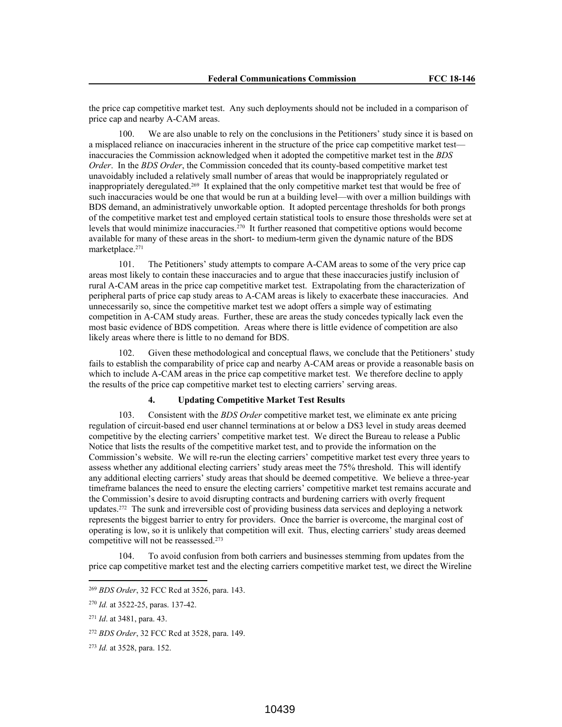the price cap competitive market test. Any such deployments should not be included in a comparison of price cap and nearby A-CAM areas.

100. We are also unable to rely on the conclusions in the Petitioners' study since it is based on a misplaced reliance on inaccuracies inherent in the structure of the price cap competitive market test inaccuracies the Commission acknowledged when it adopted the competitive market test in the *BDS Order*. In the *BDS Order*, the Commission conceded that its county-based competitive market test unavoidably included a relatively small number of areas that would be inappropriately regulated or inappropriately deregulated.<sup>269</sup> It explained that the only competitive market test that would be free of such inaccuracies would be one that would be run at a building level—with over a million buildings with BDS demand, an administratively unworkable option. It adopted percentage thresholds for both prongs of the competitive market test and employed certain statistical tools to ensure those thresholds were set at levels that would minimize inaccuracies.<sup>270</sup> It further reasoned that competitive options would become available for many of these areas in the short- to medium-term given the dynamic nature of the BDS marketplace.<sup>271</sup>

101. The Petitioners' study attempts to compare A-CAM areas to some of the very price cap areas most likely to contain these inaccuracies and to argue that these inaccuracies justify inclusion of rural A-CAM areas in the price cap competitive market test. Extrapolating from the characterization of peripheral parts of price cap study areas to A-CAM areas is likely to exacerbate these inaccuracies. And unnecessarily so, since the competitive market test we adopt offers a simple way of estimating competition in A-CAM study areas. Further, these are areas the study concedes typically lack even the most basic evidence of BDS competition. Areas where there is little evidence of competition are also likely areas where there is little to no demand for BDS.

102. Given these methodological and conceptual flaws, we conclude that the Petitioners' study fails to establish the comparability of price cap and nearby A-CAM areas or provide a reasonable basis on which to include A-CAM areas in the price cap competitive market test. We therefore decline to apply the results of the price cap competitive market test to electing carriers' serving areas.

#### **4. Updating Competitive Market Test Results**

103. Consistent with the *BDS Order* competitive market test, we eliminate ex ante pricing regulation of circuit-based end user channel terminations at or below a DS3 level in study areas deemed competitive by the electing carriers' competitive market test. We direct the Bureau to release a Public Notice that lists the results of the competitive market test, and to provide the information on the Commission's website. We will re-run the electing carriers' competitive market test every three years to assess whether any additional electing carriers' study areas meet the 75% threshold. This will identify any additional electing carriers' study areas that should be deemed competitive. We believe a three-year timeframe balances the need to ensure the electing carriers' competitive market test remains accurate and the Commission's desire to avoid disrupting contracts and burdening carriers with overly frequent updates.<sup>272</sup> The sunk and irreversible cost of providing business data services and deploying a network represents the biggest barrier to entry for providers. Once the barrier is overcome, the marginal cost of operating is low, so it is unlikely that competition will exit. Thus, electing carriers' study areas deemed competitive will not be reassessed.<sup>273</sup>

104. To avoid confusion from both carriers and businesses stemming from updates from the price cap competitive market test and the electing carriers competitive market test, we direct the Wireline

<sup>269</sup> *BDS Order*, 32 FCC Rcd at 3526, para. 143.

<sup>270</sup> *Id.* at 3522-25, paras. 137-42.

<sup>271</sup> *Id*. at 3481, para. 43.

<sup>272</sup> *BDS Order*, 32 FCC Rcd at 3528, para. 149.

<sup>273</sup> *Id.* at 3528, para. 152.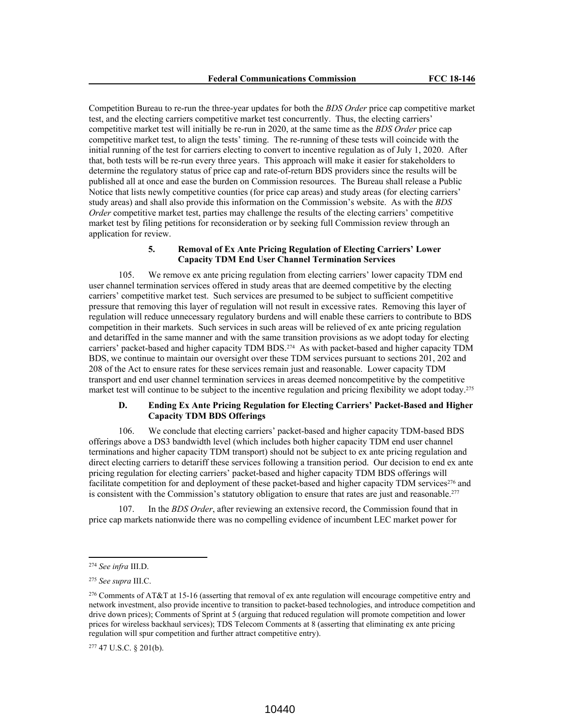Competition Bureau to re-run the three-year updates for both the *BDS Order* price cap competitive market test, and the electing carriers competitive market test concurrently. Thus, the electing carriers' competitive market test will initially be re-run in 2020, at the same time as the *BDS Order* price cap competitive market test, to align the tests' timing. The re-running of these tests will coincide with the initial running of the test for carriers electing to convert to incentive regulation as of July 1, 2020. After that, both tests will be re-run every three years. This approach will make it easier for stakeholders to determine the regulatory status of price cap and rate-of-return BDS providers since the results will be published all at once and ease the burden on Commission resources. The Bureau shall release a Public Notice that lists newly competitive counties (for price cap areas) and study areas (for electing carriers' study areas) and shall also provide this information on the Commission's website. As with the *BDS Order* competitive market test, parties may challenge the results of the electing carriers' competitive market test by filing petitions for reconsideration or by seeking full Commission review through an application for review.

### **5. Removal of Ex Ante Pricing Regulation of Electing Carriers' Lower Capacity TDM End User Channel Termination Services**

105. We remove ex ante pricing regulation from electing carriers' lower capacity TDM end user channel termination services offered in study areas that are deemed competitive by the electing carriers' competitive market test. Such services are presumed to be subject to sufficient competitive pressure that removing this layer of regulation will not result in excessive rates. Removing this layer of regulation will reduce unnecessary regulatory burdens and will enable these carriers to contribute to BDS competition in their markets. Such services in such areas will be relieved of ex ante pricing regulation and detariffed in the same manner and with the same transition provisions as we adopt today for electing carriers' packet-based and higher capacity TDM BDS.<sup>274</sup> As with packet-based and higher capacity TDM BDS, we continue to maintain our oversight over these TDM services pursuant to sections 201, 202 and 208 of the Act to ensure rates for these services remain just and reasonable. Lower capacity TDM transport and end user channel termination services in areas deemed noncompetitive by the competitive market test will continue to be subject to the incentive regulation and pricing flexibility we adopt today.<sup>275</sup>

## **D. Ending Ex Ante Pricing Regulation for Electing Carriers' Packet-Based and Higher Capacity TDM BDS Offerings**

106. We conclude that electing carriers' packet-based and higher capacity TDM-based BDS offerings above a DS3 bandwidth level (which includes both higher capacity TDM end user channel terminations and higher capacity TDM transport) should not be subject to ex ante pricing regulation and direct electing carriers to detariff these services following a transition period. Our decision to end ex ante pricing regulation for electing carriers' packet-based and higher capacity TDM BDS offerings will facilitate competition for and deployment of these packet-based and higher capacity TDM services $276$  and is consistent with the Commission's statutory obligation to ensure that rates are just and reasonable.<sup>277</sup>

107. In the *BDS Order*, after reviewing an extensive record, the Commission found that in price cap markets nationwide there was no compelling evidence of incumbent LEC market power for

<sup>274</sup> *See infra* III.D.

<sup>275</sup> *See supra* III.C.

<sup>276</sup> Comments of AT&T at 15-16 (asserting that removal of ex ante regulation will encourage competitive entry and network investment, also provide incentive to transition to packet-based technologies, and introduce competition and drive down prices); Comments of Sprint at 5 (arguing that reduced regulation will promote competition and lower prices for wireless backhaul services); TDS Telecom Comments at 8 (asserting that eliminating ex ante pricing regulation will spur competition and further attract competitive entry).

<sup>277</sup> 47 U.S.C. § 201(b).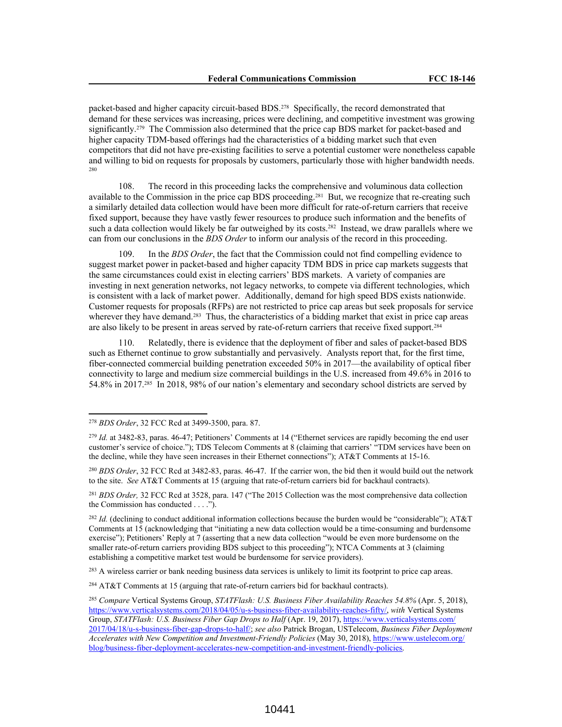packet-based and higher capacity circuit-based BDS.<sup>278</sup> Specifically, the record demonstrated that demand for these services was increasing, prices were declining, and competitive investment was growing significantly.<sup>279</sup> The Commission also determined that the price cap BDS market for packet-based and higher capacity TDM-based offerings had the characteristics of a bidding market such that even competitors that did not have pre-existing facilities to serve a potential customer were nonetheless capable and willing to bid on requests for proposals by customers, particularly those with higher bandwidth needs. 280

108. The record in this proceeding lacks the comprehensive and voluminous data collection available to the Commission in the price cap BDS proceeding.<sup>281</sup> But, we recognize that re-creating such a similarly detailed data collection would have been more difficult for rate-of-return carriers that receive fixed support, because they have vastly fewer resources to produce such information and the benefits of such a data collection would likely be far outweighed by its costs.<sup>282</sup> Instead, we draw parallels where we can from our conclusions in the *BDS Order* to inform our analysis of the record in this proceeding.

109. In the *BDS Order*, the fact that the Commission could not find compelling evidence to suggest market power in packet-based and higher capacity TDM BDS in price cap markets suggests that the same circumstances could exist in electing carriers' BDS markets. A variety of companies are investing in next generation networks, not legacy networks, to compete via different technologies, which is consistent with a lack of market power. Additionally, demand for high speed BDS exists nationwide. Customer requests for proposals (RFPs) are not restricted to price cap areas but seek proposals for service wherever they have demand.<sup>283</sup> Thus, the characteristics of a bidding market that exist in price cap areas are also likely to be present in areas served by rate-of-return carriers that receive fixed support.<sup>284</sup>

110. Relatedly, there is evidence that the deployment of fiber and sales of packet-based BDS such as Ethernet continue to grow substantially and pervasively. Analysts report that, for the first time, fiber-connected commercial building penetration exceeded 50% in 2017—the availability of optical fiber connectivity to large and medium size commercial buildings in the U.S. increased from 49.6% in 2016 to 54.8% in 2017.<sup>285</sup> In 2018, 98% of our nation's elementary and secondary school districts are served by

<sup>281</sup> *BDS Order,* 32 FCC Rcd at 3528, para. 147 ("The 2015 Collection was the most comprehensive data collection the Commission has conducted  $\dots$ .").

<sup>278</sup> *BDS Order*, 32 FCC Rcd at 3499-3500, para. 87.

<sup>279</sup> *Id.* at 3482-83, paras. 46-47; Petitioners' Comments at 14 ("Ethernet services are rapidly becoming the end user customer's service of choice."); TDS Telecom Comments at 8 (claiming that carriers' "TDM services have been on the decline, while they have seen increases in their Ethernet connections"); AT&T Comments at 15-16.

<sup>280</sup> *BDS Order*, 32 FCC Rcd at 3482-83, paras. 46-47. If the carrier won, the bid then it would build out the network to the site. *See* AT&T Comments at 15 (arguing that rate-of-return carriers bid for backhaul contracts).

<sup>&</sup>lt;sup>282</sup> *Id.* (declining to conduct additional information collections because the burden would be "considerable"); AT&T Comments at 15 (acknowledging that "initiating a new data collection would be a time-consuming and burdensome exercise"); Petitioners' Reply at 7 (asserting that a new data collection "would be even more burdensome on the smaller rate-of-return carriers providing BDS subject to this proceeding"); NTCA Comments at 3 (claiming establishing a competitive market test would be burdensome for service providers).

<sup>&</sup>lt;sup>283</sup> A wireless carrier or bank needing business data services is unlikely to limit its footprint to price cap areas.

<sup>284</sup> AT&T Comments at 15 (arguing that rate-of-return carriers bid for backhaul contracts).

<sup>285</sup> *Compare* Vertical Systems Group, *STATFlash: U.S. Business Fiber Availability Reaches 54.8%* (Apr. 5, 2018), https://www.verticalsystems.com/2018/04/05/u-s-business-fiber-availability-reaches-fifty/, *with* Vertical Systems Group, *STATFlash: U.S. Business Fiber Gap Drops to Half* (Apr. 19, 2017), https://www.verticalsystems.com/ 2017/04/18/u-s-business-fiber-gap-drops-to-half/; *see also* Patrick Brogan, USTelecom, *Business Fiber Deployment Accelerates with New Competition and Investment-Friendly Policies* (May 30, 2018), https://www.ustelecom.org/ blog/business-fiber-deployment-accelerates-new-competition-and-investment-friendly-policies.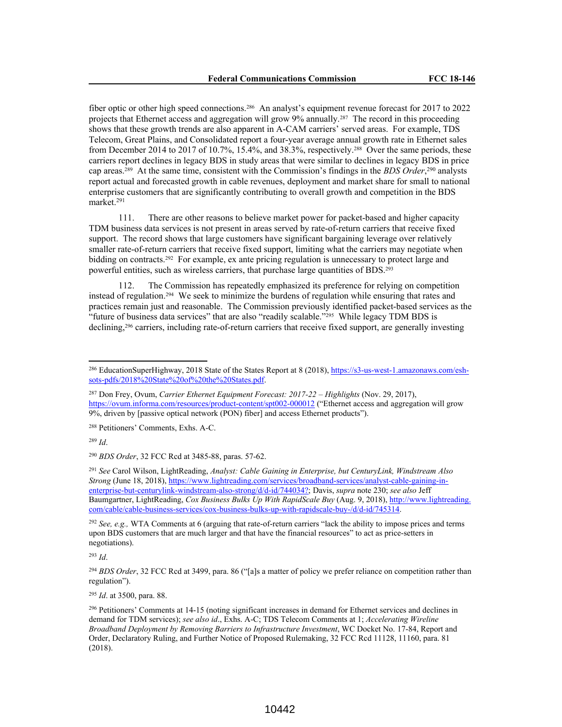fiber optic or other high speed connections.<sup>286</sup> An analyst's equipment revenue forecast for 2017 to 2022 projects that Ethernet access and aggregation will grow 9% annually.<sup>287</sup> The record in this proceeding shows that these growth trends are also apparent in A-CAM carriers' served areas. For example, TDS Telecom, Great Plains, and Consolidated report a four-year average annual growth rate in Ethernet sales from December 2014 to 2017 of 10.7%, 15.4%, and 38.3%, respectively.<sup>288</sup> Over the same periods, these carriers report declines in legacy BDS in study areas that were similar to declines in legacy BDS in price cap areas.<sup>289</sup> At the same time, consistent with the Commission's findings in the *BDS Order*, <sup>290</sup> analysts report actual and forecasted growth in cable revenues, deployment and market share for small to national enterprise customers that are significantly contributing to overall growth and competition in the BDS market.<sup>291</sup>

111. There are other reasons to believe market power for packet-based and higher capacity TDM business data services is not present in areas served by rate-of-return carriers that receive fixed support. The record shows that large customers have significant bargaining leverage over relatively smaller rate-of-return carriers that receive fixed support, limiting what the carriers may negotiate when bidding on contracts.<sup>292</sup> For example, ex ante pricing regulation is unnecessary to protect large and powerful entities, such as wireless carriers, that purchase large quantities of BDS.<sup>293</sup>

112. The Commission has repeatedly emphasized its preference for relying on competition instead of regulation.<sup>294</sup> We seek to minimize the burdens of regulation while ensuring that rates and practices remain just and reasonable. The Commission previously identified packet-based services as the "future of business data services" that are also "readily scalable."<sup>295</sup> While legacy TDM BDS is declining,<sup>296</sup> carriers, including rate-of-return carriers that receive fixed support, are generally investing

<sup>288</sup> Petitioners' Comments, Exhs. A-C.

<sup>289</sup> *Id*.

<sup>290</sup> *BDS Order*, 32 FCC Rcd at 3485-88, paras. 57-62.

<sup>291</sup> *See* Carol Wilson, LightReading, *Analyst: Cable Gaining in Enterprise, but CenturyLink, Windstream Also Strong* (June 18, 2018), https://www.lightreading.com/services/broadband-services/analyst-cable-gaining-inenterprise-but-centurylink-windstream-also-strong/d/d-id/744034?; Davis, *supra* note 230; *see also* Jeff Baumgartner, LightReading, *Cox Business Bulks Up With RapidScale Buy* (Aug. 9, 2018), http://www.lightreading. com/cable/cable-business-services/cox-business-bulks-up-with-rapidscale-buy-/d/d-id/745314.

<sup>292</sup> *See, e.g.,* WTA Comments at 6 (arguing that rate-of-return carriers "lack the ability to impose prices and terms upon BDS customers that are much larger and that have the financial resources" to act as price-setters in negotiations).

<sup>293</sup> *Id*.

<sup>294</sup> *BDS Order*, 32 FCC Rcd at 3499, para. 86 ("[a]s a matter of policy we prefer reliance on competition rather than regulation").

<sup>295</sup> *Id*. at 3500, para. 88.

<sup>&</sup>lt;sup>286</sup> EducationSuperHighway, 2018 State of the States Report at 8 (2018), https://s3-us-west-1.amazonaws.com/eshsots-pdfs/2018%20State%20of%20the%20States.pdf.

<sup>287</sup> Don Frey, Ovum, *Carrier Ethernet Equipment Forecast: 2017-22 – Highlights* (Nov. 29, 2017), https://ovum.informa.com/resources/product-content/spt002-000012 ("Ethernet access and aggregation will grow 9%, driven by [passive optical network (PON) fiber] and access Ethernet products").

<sup>296</sup> Petitioners' Comments at 14-15 (noting significant increases in demand for Ethernet services and declines in demand for TDM services); *see also id*., Exhs. A-C; TDS Telecom Comments at 1; *Accelerating Wireline Broadband Deployment by Removing Barriers to Infrastructure Investment*, WC Docket No. 17-84, Report and Order, Declaratory Ruling, and Further Notice of Proposed Rulemaking, 32 FCC Rcd 11128, 11160, para. 81 (2018).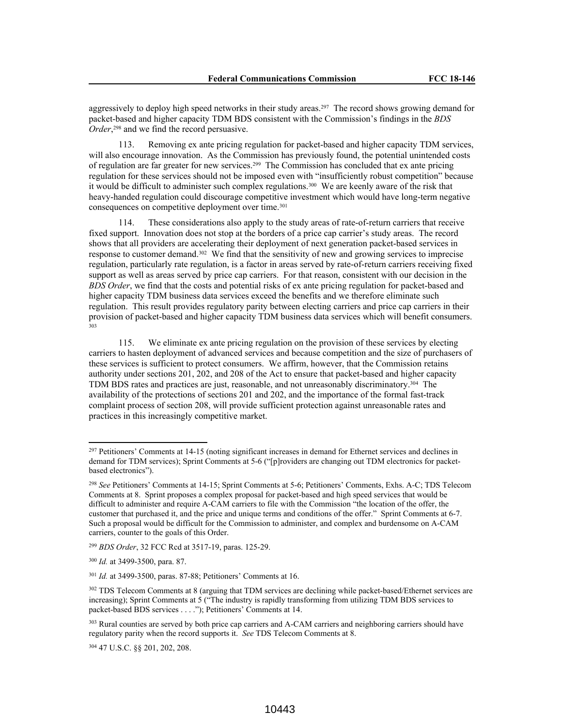aggressively to deploy high speed networks in their study areas.<sup>297</sup> The record shows growing demand for packet-based and higher capacity TDM BDS consistent with the Commission's findings in the *BDS Order*, <sup>298</sup> and we find the record persuasive.

113. Removing ex ante pricing regulation for packet-based and higher capacity TDM services, will also encourage innovation. As the Commission has previously found, the potential unintended costs of regulation are far greater for new services.<sup>299</sup> The Commission has concluded that ex ante pricing regulation for these services should not be imposed even with "insufficiently robust competition" because it would be difficult to administer such complex regulations.<sup>300</sup> We are keenly aware of the risk that heavy-handed regulation could discourage competitive investment which would have long-term negative consequences on competitive deployment over time.<sup>301</sup>

114. These considerations also apply to the study areas of rate-of-return carriers that receive fixed support. Innovation does not stop at the borders of a price cap carrier's study areas. The record shows that all providers are accelerating their deployment of next generation packet-based services in response to customer demand.<sup>302</sup> We find that the sensitivity of new and growing services to imprecise regulation, particularly rate regulation, is a factor in areas served by rate-of-return carriers receiving fixed support as well as areas served by price cap carriers. For that reason, consistent with our decision in the *BDS Order*, we find that the costs and potential risks of ex ante pricing regulation for packet-based and higher capacity TDM business data services exceed the benefits and we therefore eliminate such regulation. This result provides regulatory parity between electing carriers and price cap carriers in their provision of packet-based and higher capacity TDM business data services which will benefit consumers. 303

115. We eliminate ex ante pricing regulation on the provision of these services by electing carriers to hasten deployment of advanced services and because competition and the size of purchasers of these services is sufficient to protect consumers. We affirm, however, that the Commission retains authority under sections 201, 202, and 208 of the Act to ensure that packet-based and higher capacity TDM BDS rates and practices are just, reasonable, and not unreasonably discriminatory.<sup>304</sup> The availability of the protections of sections 201 and 202, and the importance of the formal fast-track complaint process of section 208, will provide sufficient protection against unreasonable rates and practices in this increasingly competitive market.

<sup>304</sup> 47 U.S.C. §§ 201, 202, 208.

<sup>&</sup>lt;sup>297</sup> Petitioners' Comments at 14-15 (noting significant increases in demand for Ethernet services and declines in demand for TDM services); Sprint Comments at 5-6 ("[p]roviders are changing out TDM electronics for packetbased electronics").

<sup>298</sup> *See* Petitioners' Comments at 14-15; Sprint Comments at 5-6; Petitioners' Comments, Exhs. A-C; TDS Telecom Comments at 8. Sprint proposes a complex proposal for packet-based and high speed services that would be difficult to administer and require A-CAM carriers to file with the Commission "the location of the offer, the customer that purchased it, and the price and unique terms and conditions of the offer." Sprint Comments at 6-7. Such a proposal would be difficult for the Commission to administer, and complex and burdensome on A-CAM carriers, counter to the goals of this Order.

<sup>299</sup> *BDS Order*, 32 FCC Rcd at 3517-19, paras. 125-29.

<sup>300</sup> *Id.* at 3499-3500, para. 87.

<sup>301</sup> *Id.* at 3499-3500, paras. 87-88; Petitioners' Comments at 16.

<sup>302</sup> TDS Telecom Comments at 8 (arguing that TDM services are declining while packet-based/Ethernet services are increasing); Sprint Comments at 5 ("The industry is rapidly transforming from utilizing TDM BDS services to packet-based BDS services . . . ."); Petitioners' Comments at 14.

<sup>&</sup>lt;sup>303</sup> Rural counties are served by both price cap carriers and A-CAM carriers and neighboring carriers should have regulatory parity when the record supports it. *See* TDS Telecom Comments at 8.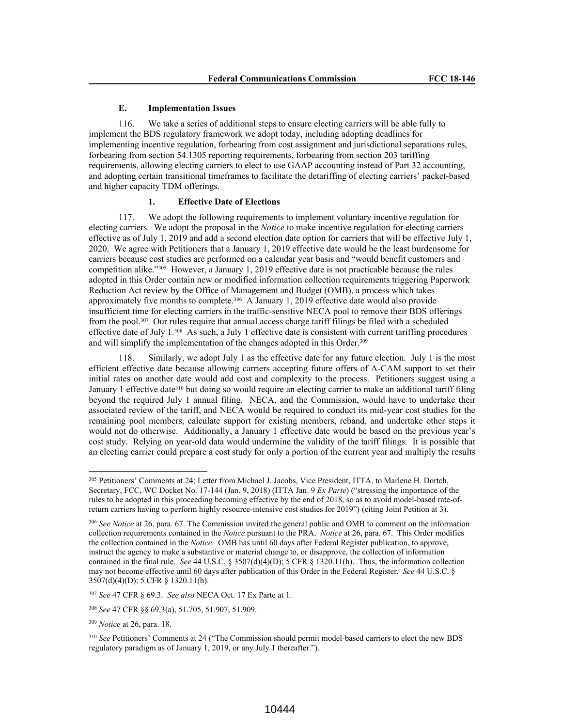### **E. Implementation Issues**

116. We take a series of additional steps to ensure electing carriers will be able fully to implement the BDS regulatory framework we adopt today, including adopting deadlines for implementing incentive regulation, forbearing from cost assignment and jurisdictional separations rules, forbearing from section 54.1305 reporting requirements, forbearing from section 203 tariffing requirements, allowing electing carriers to elect to use GAAP accounting instead of Part 32 accounting, and adopting certain transitional timeframes to facilitate the detariffing of electing carriers' packet-based and higher capacity TDM offerings.

## **1. Effective Date of Elections**

117. We adopt the following requirements to implement voluntary incentive regulation for electing carriers. We adopt the proposal in the *Notice* to make incentive regulation for electing carriers effective as of July 1, 2019 and add a second election date option for carriers that will be effective July 1, 2020. We agree with Petitioners that a January 1, 2019 effective date would be the least burdensome for carriers because cost studies are performed on a calendar year basis and "would benefit customers and competition alike."<sup>305</sup> However, a January 1, 2019 effective date is not practicable because the rules adopted in this Order contain new or modified information collection requirements triggering Paperwork Reduction Act review by the Office of Management and Budget (OMB), a process which takes approximately five months to complete.<sup>306</sup> A January 1, 2019 effective date would also provide insufficient time for electing carriers in the traffic-sensitive NECA pool to remove their BDS offerings from the pool.<sup>307</sup> Our rules require that annual access charge tariff filings be filed with a scheduled effective date of July  $1.^{308}$  As such, a July 1 effective date is consistent with current tariffing procedures and will simplify the implementation of the changes adopted in this Order.<sup>309</sup>

118. Similarly, we adopt July 1 as the effective date for any future election. July 1 is the most efficient effective date because allowing carriers accepting future offers of A-CAM support to set their initial rates on another date would add cost and complexity to the process. Petitioners suggest using a January 1 effective date<sup>310</sup> but doing so would require an electing carrier to make an additional tariff filing beyond the required July 1 annual filing. NECA, and the Commission, would have to undertake their associated review of the tariff, and NECA would be required to conduct its mid-year cost studies for the remaining pool members, calculate support for existing members, reband, and undertake other steps it would not do otherwise. Additionally, a January 1 effective date would be based on the previous year's cost study. Relying on year-old data would undermine the validity of the tariff filings. It is possible that an electing carrier could prepare a cost study for only a portion of the current year and multiply the results

<sup>307</sup> *See* 47 CFR § 69.3. *See also* NECA Oct. 17 Ex Parte at 1.

<sup>305</sup> Petitioners' Comments at 24; Letter from Michael J. Jacobs, Vice President, ITTA, to Marlene H. Dortch, Secretary, FCC, WC Docket No. 17-144 (Jan. 9, 2018) (ITTA Jan. 9 *Ex Parte*) ("stressing the importance of the rules to be adopted in this proceeding becoming effective by the end of 2018, so as to avoid model-based rate-ofreturn carriers having to perform highly resource-intensive cost studies for 2019") (citing Joint Petition at 3).

<sup>306</sup> *See Notice* at 26, para. 67. The Commission invited the general public and OMB to comment on the information collection requirements contained in the *Notice* pursuant to the PRA. *Notice* at 26, para. 67. This Order modifies the collection contained in the *Notice*. OMB has until 60 days after Federal Register publication, to approve, instruct the agency to make a substantive or material change to, or disapprove, the collection of information contained in the final rule. *See* 44 U.S.C. § 3507(d)(4)(D); 5 CFR § 1320.11(h). Thus, the information collection may not become effective until 60 days after publication of this Order in the Federal Register. *See* 44 U.S.C. § 3507(d)(4)(D); 5 CFR § 1320.11(h).

<sup>308</sup> *See* 47 CFR §§ 69.3(a), 51.705, 51.907, 51.909.

<sup>309</sup> *Notice* at 26, para. 18.

<sup>310</sup> *See* Petitioners' Comments at 24 ("The Commission should permit model-based carriers to elect the new BDS regulatory paradigm as of January 1, 2019, or any July 1 thereafter.").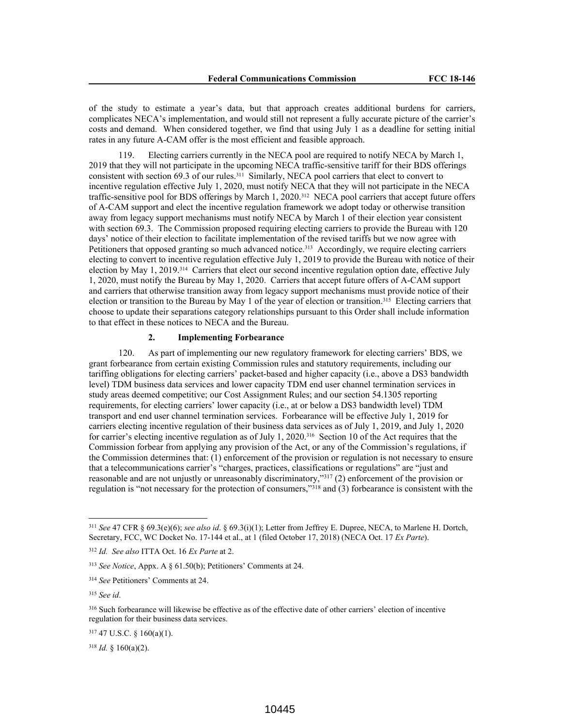of the study to estimate a year's data, but that approach creates additional burdens for carriers, complicates NECA's implementation, and would still not represent a fully accurate picture of the carrier's costs and demand. When considered together, we find that using July 1 as a deadline for setting initial rates in any future A-CAM offer is the most efficient and feasible approach.

119. Electing carriers currently in the NECA pool are required to notify NECA by March 1, 2019 that they will not participate in the upcoming NECA traffic-sensitive tariff for their BDS offerings consistent with section 69.3 of our rules.<sup>311</sup> Similarly, NECA pool carriers that elect to convert to incentive regulation effective July 1, 2020, must notify NECA that they will not participate in the NECA traffic-sensitive pool for BDS offerings by March 1, 2020.<sup>312</sup> NECA pool carriers that accept future offers of A-CAM support and elect the incentive regulation framework we adopt today or otherwise transition away from legacy support mechanisms must notify NECA by March 1 of their election year consistent with section 69.3. The Commission proposed requiring electing carriers to provide the Bureau with 120 days' notice of their election to facilitate implementation of the revised tariffs but we now agree with Petitioners that opposed granting so much advanced notice.<sup>313</sup> Accordingly, we require electing carriers electing to convert to incentive regulation effective July 1, 2019 to provide the Bureau with notice of their election by May 1, 2019.<sup>314</sup> Carriers that elect our second incentive regulation option date, effective July 1, 2020, must notify the Bureau by May 1, 2020. Carriers that accept future offers of A-CAM support and carriers that otherwise transition away from legacy support mechanisms must provide notice of their election or transition to the Bureau by May 1 of the year of election or transition.<sup>315</sup> Electing carriers that choose to update their separations category relationships pursuant to this Order shall include information to that effect in these notices to NECA and the Bureau.

# **2. Implementing Forbearance**

120. As part of implementing our new regulatory framework for electing carriers' BDS, we grant forbearance from certain existing Commission rules and statutory requirements, including our tariffing obligations for electing carriers' packet-based and higher capacity (i.e., above a DS3 bandwidth level) TDM business data services and lower capacity TDM end user channel termination services in study areas deemed competitive; our Cost Assignment Rules; and our section 54.1305 reporting requirements, for electing carriers' lower capacity (i.e., at or below a DS3 bandwidth level) TDM transport and end user channel termination services. Forbearance will be effective July 1, 2019 for carriers electing incentive regulation of their business data services as of July 1, 2019, and July 1, 2020 for carrier's electing incentive regulation as of July 1, 2020.<sup>316</sup> Section 10 of the Act requires that the Commission forbear from applying any provision of the Act, or any of the Commission's regulations, if the Commission determines that: (1) enforcement of the provision or regulation is not necessary to ensure that a telecommunications carrier's "charges, practices, classifications or regulations" are "just and reasonable and are not unjustly or unreasonably discriminatory,"<sup>317</sup> (2) enforcement of the provision or regulation is "not necessary for the protection of consumers,"<sup>318</sup> and (3) forbearance is consistent with the

<sup>311</sup> *See* 47 CFR § 69.3(e)(6); *see also id*. § 69.3(i)(1); Letter from Jeffrey E. Dupree, NECA, to Marlene H. Dortch, Secretary, FCC, WC Docket No. 17-144 et al., at 1 (filed October 17, 2018) (NECA Oct. 17 *Ex Parte*).

<sup>312</sup> *Id. See also* ITTA Oct. 16 *Ex Parte* at 2.

<sup>313</sup> *See Notice*, Appx. A § 61.50(b); Petitioners' Comments at 24.

<sup>314</sup> *See* Petitioners' Comments at 24.

<sup>315</sup> *See id*.

<sup>&</sup>lt;sup>316</sup> Such forbearance will likewise be effective as of the effective date of other carriers' election of incentive regulation for their business data services.

<sup>317</sup> 47 U.S.C. § 160(a)(1).

<sup>318</sup> *Id.* § 160(a)(2).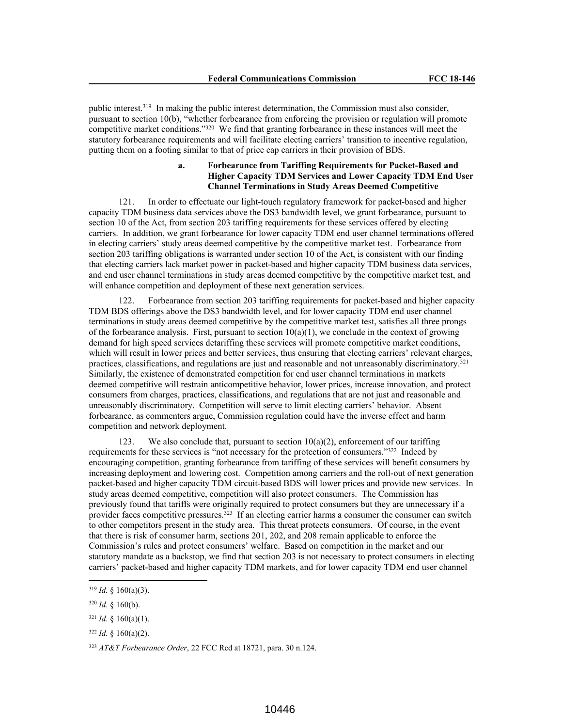public interest.<sup>319</sup> In making the public interest determination, the Commission must also consider, pursuant to section 10(b), "whether forbearance from enforcing the provision or regulation will promote competitive market conditions."<sup>320</sup> We find that granting forbearance in these instances will meet the statutory forbearance requirements and will facilitate electing carriers' transition to incentive regulation, putting them on a footing similar to that of price cap carriers in their provision of BDS.

## **a. Forbearance from Tariffing Requirements for Packet-Based and Higher Capacity TDM Services and Lower Capacity TDM End User Channel Terminations in Study Areas Deemed Competitive**

121. In order to effectuate our light-touch regulatory framework for packet-based and higher capacity TDM business data services above the DS3 bandwidth level, we grant forbearance, pursuant to section 10 of the Act, from section 203 tariffing requirements for these services offered by electing carriers. In addition, we grant forbearance for lower capacity TDM end user channel terminations offered in electing carriers' study areas deemed competitive by the competitive market test. Forbearance from section 203 tariffing obligations is warranted under section 10 of the Act, is consistent with our finding that electing carriers lack market power in packet-based and higher capacity TDM business data services, and end user channel terminations in study areas deemed competitive by the competitive market test, and will enhance competition and deployment of these next generation services.

122. Forbearance from section 203 tariffing requirements for packet-based and higher capacity TDM BDS offerings above the DS3 bandwidth level, and for lower capacity TDM end user channel terminations in study areas deemed competitive by the competitive market test, satisfies all three prongs of the forbearance analysis. First, pursuant to section  $10(a)(1)$ , we conclude in the context of growing demand for high speed services detariffing these services will promote competitive market conditions, which will result in lower prices and better services, thus ensuring that electing carriers' relevant charges, practices, classifications, and regulations are just and reasonable and not unreasonably discriminatory.<sup>321</sup> Similarly, the existence of demonstrated competition for end user channel terminations in markets deemed competitive will restrain anticompetitive behavior, lower prices, increase innovation, and protect consumers from charges, practices, classifications, and regulations that are not just and reasonable and unreasonably discriminatory. Competition will serve to limit electing carriers' behavior. Absent forbearance, as commenters argue, Commission regulation could have the inverse effect and harm competition and network deployment.

123. We also conclude that, pursuant to section  $10(a)(2)$ , enforcement of our tariffing requirements for these services is "not necessary for the protection of consumers."<sup>322</sup> Indeed by encouraging competition, granting forbearance from tariffing of these services will benefit consumers by increasing deployment and lowering cost. Competition among carriers and the roll-out of next generation packet-based and higher capacity TDM circuit-based BDS will lower prices and provide new services. In study areas deemed competitive, competition will also protect consumers. The Commission has previously found that tariffs were originally required to protect consumers but they are unnecessary if a provider faces competitive pressures.<sup>323</sup> If an electing carrier harms a consumer the consumer can switch to other competitors present in the study area. This threat protects consumers. Of course, in the event that there is risk of consumer harm, sections 201, 202, and 208 remain applicable to enforce the Commission's rules and protect consumers' welfare. Based on competition in the market and our statutory mandate as a backstop, we find that section 203 is not necessary to protect consumers in electing carriers' packet-based and higher capacity TDM markets, and for lower capacity TDM end user channel

 $319$  *Id.* § 160(a)(3).

 $320$  *Id.* § 160(b).

 $321$  *Id.* § 160(a)(1).

 $322$  *Id.* § 160(a)(2).

<sup>323</sup> *AT&T Forbearance Order*, 22 FCC Rcd at 18721, para. 30 n.124.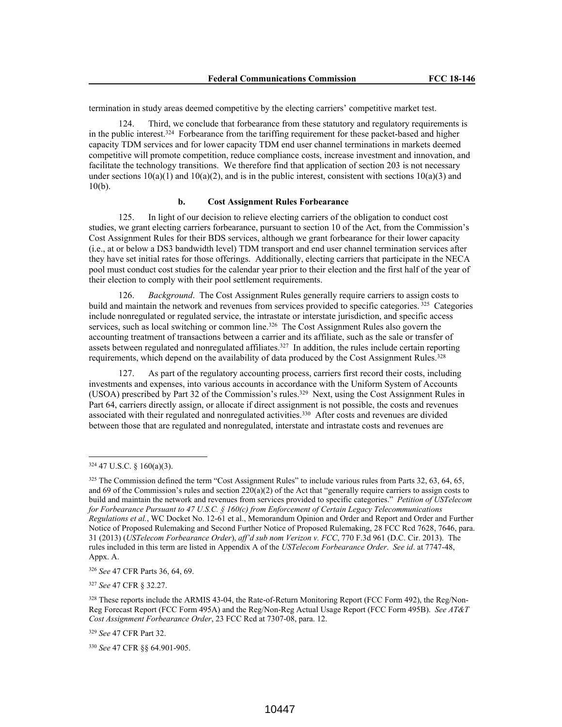termination in study areas deemed competitive by the electing carriers' competitive market test.

124. Third, we conclude that forbearance from these statutory and regulatory requirements is in the public interest.<sup>324</sup> Forbearance from the tariffing requirement for these packet-based and higher capacity TDM services and for lower capacity TDM end user channel terminations in markets deemed competitive will promote competition, reduce compliance costs, increase investment and innovation, and facilitate the technology transitions. We therefore find that application of section 203 is not necessary under sections  $10(a)(1)$  and  $10(a)(2)$ , and is in the public interest, consistent with sections  $10(a)(3)$  and  $10(b)$ .

# **b. Cost Assignment Rules Forbearance**

125. In light of our decision to relieve electing carriers of the obligation to conduct cost studies, we grant electing carriers forbearance, pursuant to section 10 of the Act, from the Commission's Cost Assignment Rules for their BDS services, although we grant forbearance for their lower capacity (i.e., at or below a DS3 bandwidth level) TDM transport and end user channel termination services after they have set initial rates for those offerings. Additionally, electing carriers that participate in the NECA pool must conduct cost studies for the calendar year prior to their election and the first half of the year of their election to comply with their pool settlement requirements.

126. *Background*. The Cost Assignment Rules generally require carriers to assign costs to build and maintain the network and revenues from services provided to specific categories.<sup>325</sup> Categories include nonregulated or regulated service, the intrastate or interstate jurisdiction, and specific access services, such as local switching or common line.<sup>326</sup> The Cost Assignment Rules also govern the accounting treatment of transactions between a carrier and its affiliate, such as the sale or transfer of assets between regulated and nonregulated affiliates.<sup>327</sup> In addition, the rules include certain reporting requirements, which depend on the availability of data produced by the Cost Assignment Rules.<sup>328</sup>

127. As part of the regulatory accounting process, carriers first record their costs, including investments and expenses, into various accounts in accordance with the Uniform System of Accounts (USOA) prescribed by Part 32 of the Commission's rules.<sup>329</sup> Next, using the Cost Assignment Rules in Part 64, carriers directly assign, or allocate if direct assignment is not possible, the costs and revenues associated with their regulated and nonregulated activities.<sup>330</sup> After costs and revenues are divided between those that are regulated and nonregulated, interstate and intrastate costs and revenues are

<sup>327</sup> *See* 47 CFR § 32.27.

<sup>324</sup> 47 U.S.C. § 160(a)(3).

<sup>&</sup>lt;sup>325</sup> The Commission defined the term "Cost Assignment Rules" to include various rules from Parts 32, 63, 64, 65, and 69 of the Commission's rules and section  $220(a)(2)$  of the Act that "generally require carriers to assign costs to build and maintain the network and revenues from services provided to specific categories." *Petition of USTelecom for Forbearance Pursuant to 47 U.S.C. § 160(c) from Enforcement of Certain Legacy Telecommunications Regulations et al.*, WC Docket No. 12-61 et al., Memorandum Opinion and Order and Report and Order and Further Notice of Proposed Rulemaking and Second Further Notice of Proposed Rulemaking, 28 FCC Rcd 7628, 7646, para. 31 (2013) (*USTelecom Forbearance Order*), *aff'd sub nom Verizon v. FCC*, 770 F.3d 961 (D.C. Cir. 2013). The rules included in this term are listed in Appendix A of the *USTelecom Forbearance Order*. *See id*. at 7747-48, Appx. A.

<sup>326</sup> *See* 47 CFR Parts 36, 64, 69.

<sup>&</sup>lt;sup>328</sup> These reports include the ARMIS 43-04, the Rate-of-Return Monitoring Report (FCC Form 492), the Reg/Non-Reg Forecast Report (FCC Form 495A) and the Reg/Non-Reg Actual Usage Report (FCC Form 495B). *See AT&T Cost Assignment Forbearance Order*, 23 FCC Rcd at 7307-08, para. 12.

<sup>329</sup> *See* 47 CFR Part 32.

<sup>330</sup> *See* 47 CFR §§ 64.901-905.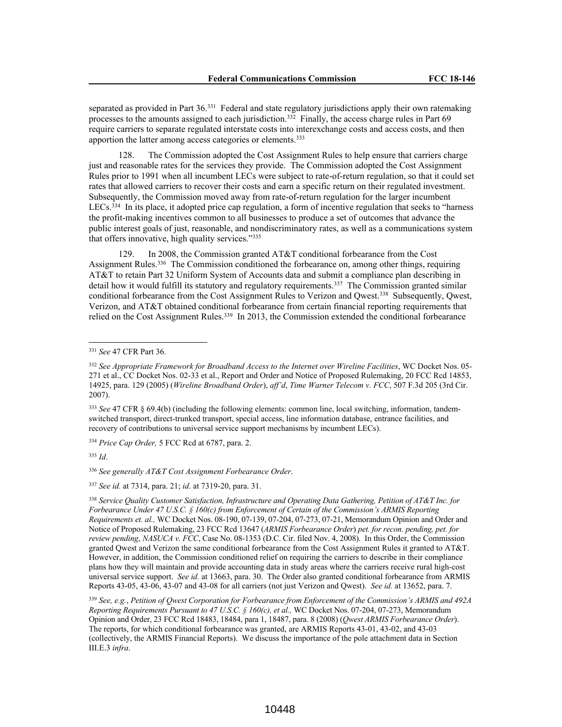separated as provided in Part 36.<sup>331</sup> Federal and state regulatory jurisdictions apply their own ratemaking processes to the amounts assigned to each jurisdiction.<sup>332</sup> Finally, the access charge rules in Part 69 require carriers to separate regulated interstate costs into interexchange costs and access costs, and then apportion the latter among access categories or elements.<sup>333</sup>

128. The Commission adopted the Cost Assignment Rules to help ensure that carriers charge just and reasonable rates for the services they provide. The Commission adopted the Cost Assignment Rules prior to 1991 when all incumbent LECs were subject to rate-of-return regulation, so that it could set rates that allowed carriers to recover their costs and earn a specific return on their regulated investment. Subsequently, the Commission moved away from rate-of-return regulation for the larger incumbent LECs.<sup>334</sup> In its place, it adopted price cap regulation, a form of incentive regulation that seeks to "harness the profit-making incentives common to all businesses to produce a set of outcomes that advance the public interest goals of just, reasonable, and nondiscriminatory rates, as well as a communications system that offers innovative, high quality services."<sup>335</sup>

129. In 2008, the Commission granted AT&T conditional forbearance from the Cost Assignment Rules.<sup>336</sup> The Commission conditioned the forbearance on, among other things, requiring AT&T to retain Part 32 Uniform System of Accounts data and submit a compliance plan describing in detail how it would fulfill its statutory and regulatory requirements.<sup>337</sup> The Commission granted similar conditional forbearance from the Cost Assignment Rules to Verizon and Qwest.<sup>338</sup> Subsequently, Qwest, Verizon, and AT&T obtained conditional forbearance from certain financial reporting requirements that relied on the Cost Assignment Rules.<sup>339</sup> In 2013, the Commission extended the conditional forbearance

<sup>334</sup> *Price Cap Order,* 5 FCC Rcd at 6787, para. 2.

<sup>335</sup> *Id*.

<sup>336</sup> *See generally AT&T Cost Assignment Forbearance Order*.

<sup>337</sup> *See id.* at 7314, para. 21; *id*. at 7319-20, para. 31.

<sup>331</sup> *See* 47 CFR Part 36.

<sup>332</sup> *See Appropriate Framework for Broadband Access to the Internet over Wireline Facilities*, WC Docket Nos. 05- 271 et al., CC Docket Nos. 02-33 et al., Report and Order and Notice of Proposed Rulemaking, 20 FCC Rcd 14853, 14925, para. 129 (2005) (*Wireline Broadband Order*), *aff'd*, *Time Warner Telecom v. FCC*, 507 F.3d 205 (3rd Cir. 2007).

<sup>333</sup> *See* 47 CFR § 69.4(b) (including the following elements: common line, local switching, information, tandemswitched transport, direct-trunked transport, special access, line information database, entrance facilities, and recovery of contributions to universal service support mechanisms by incumbent LECs).

<sup>338</sup> *Service Quality Customer Satisfaction, Infrastructure and Operating Data Gathering, Petition of AT&T Inc. for Forbearance Under 47 U.S.C. § 160(c) from Enforcement of Certain of the Commission's ARMIS Reporting Requirements et. al.,* WC Docket Nos. 08-190, 07-139, 07-204, 07-273, 07-21, Memorandum Opinion and Order and Notice of Proposed Rulemaking, 23 FCC Rcd 13647 (*ARMIS Forbearance Order*) *pet. for recon. pending, pet. for review pending*, *NASUCA v. FCC*, Case No. 08-1353 (D.C. Cir. filed Nov. 4, 2008). In this Order, the Commission granted Qwest and Verizon the same conditional forbearance from the Cost Assignment Rules it granted to AT&T. However, in addition, the Commission conditioned relief on requiring the carriers to describe in their compliance plans how they will maintain and provide accounting data in study areas where the carriers receive rural high-cost universal service support. *See id.* at 13663, para. 30. The Order also granted conditional forbearance from ARMIS Reports 43-05, 43-06, 43-07 and 43-08 for all carriers (not just Verizon and Qwest). *See id.* at 13652, para. 7.

<sup>339</sup> *See, e.g.*, *Petition of Qwest Corporation for Forbearance from Enforcement of the Commission's ARMIS and 492A Reporting Requirements Pursuant to 47 U.S.C. § 160(c), et al.,* WC Docket Nos. 07-204, 07-273, Memorandum Opinion and Order, 23 FCC Rcd 18483, 18484, para 1, 18487, para. 8 (2008) (*Qwest ARMIS Forbearance Order*). The reports, for which conditional forbearance was granted, are ARMIS Reports 43-01, 43-02, and 43-03 (collectively, the ARMIS Financial Reports). We discuss the importance of the pole attachment data in Section III.E.3 *infra*.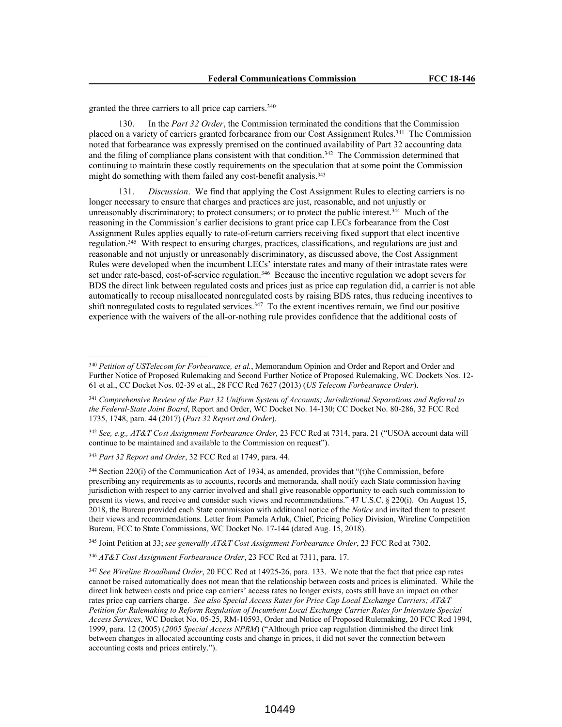granted the three carriers to all price cap carriers.<sup>340</sup>

130. In the *Part 32 Order*, the Commission terminated the conditions that the Commission placed on a variety of carriers granted forbearance from our Cost Assignment Rules.<sup>341</sup> The Commission noted that forbearance was expressly premised on the continued availability of Part 32 accounting data and the filing of compliance plans consistent with that condition.<sup>342</sup> The Commission determined that continuing to maintain these costly requirements on the speculation that at some point the Commission might do something with them failed any cost-benefit analysis.<sup>343</sup>

*Discussion.* We find that applying the Cost Assignment Rules to electing carriers is no longer necessary to ensure that charges and practices are just, reasonable, and not unjustly or unreasonably discriminatory; to protect consumers; or to protect the public interest.<sup>344</sup> Much of the reasoning in the Commission's earlier decisions to grant price cap LECs forbearance from the Cost Assignment Rules applies equally to rate-of-return carriers receiving fixed support that elect incentive regulation.<sup>345</sup> With respect to ensuring charges, practices, classifications, and regulations are just and reasonable and not unjustly or unreasonably discriminatory, as discussed above, the Cost Assignment Rules were developed when the incumbent LECs' interstate rates and many of their intrastate rates were set under rate-based, cost-of-service regulation.<sup>346</sup> Because the incentive regulation we adopt severs for BDS the direct link between regulated costs and prices just as price cap regulation did, a carrier is not able automatically to recoup misallocated nonregulated costs by raising BDS rates, thus reducing incentives to shift nonregulated costs to regulated services.<sup>347</sup> To the extent incentives remain, we find our positive experience with the waivers of the all-or-nothing rule provides confidence that the additional costs of

<sup>345</sup> Joint Petition at 33; *see generally AT&T Cost Assignment Forbearance Order*, 23 FCC Rcd at 7302.

<sup>346</sup> *AT&T Cost Assignment Forbearance Order*, 23 FCC Rcd at 7311, para. 17.

<sup>340</sup> *Petition of USTelecom for Forbearance, et al.*, Memorandum Opinion and Order and Report and Order and Further Notice of Proposed Rulemaking and Second Further Notice of Proposed Rulemaking, WC Dockets Nos. 12- 61 et al., CC Docket Nos. 02-39 et al., 28 FCC Rcd 7627 (2013) (*US Telecom Forbearance Order*).

<sup>341</sup> *Comprehensive Review of the Part 32 Uniform System of Accounts; Jurisdictional Separations and Referral to the Federal-State Joint Board*, Report and Order, WC Docket No. 14-130; CC Docket No. 80-286, 32 FCC Rcd 1735, 1748, para. 44 (2017) (*Part 32 Report and Order*).

<sup>342</sup> *See, e.g., AT&T Cost Assignment Forbearance Order,* 23 FCC Rcd at 7314, para. 21 ("USOA account data will continue to be maintained and available to the Commission on request").

<sup>343</sup> *Part 32 Report and Order*, 32 FCC Rcd at 1749, para. 44.

<sup>344</sup> Section 220(i) of the Communication Act of 1934, as amended, provides that "(t)he Commission, before prescribing any requirements as to accounts, records and memoranda, shall notify each State commission having jurisdiction with respect to any carrier involved and shall give reasonable opportunity to each such commission to present its views, and receive and consider such views and recommendations." 47 U.S.C. § 220(i). On August 15, 2018, the Bureau provided each State commission with additional notice of the *Notice* and invited them to present their views and recommendations. Letter from Pamela Arluk, Chief, Pricing Policy Division, Wireline Competition Bureau, FCC to State Commissions, WC Docket No. 17-144 (dated Aug. 15, 2018).

<sup>347</sup> *See Wireline Broadband Order*, 20 FCC Rcd at 14925-26, para. 133. We note that the fact that price cap rates cannot be raised automatically does not mean that the relationship between costs and prices is eliminated. While the direct link between costs and price cap carriers' access rates no longer exists, costs still have an impact on other rates price cap carriers charge. *See also Special Access Rates for Price Cap Local Exchange Carriers; AT&T Petition for Rulemaking to Reform Regulation of Incumbent Local Exchange Carrier Rates for Interstate Special Access Services*, WC Docket No. 05-25, RM-10593, Order and Notice of Proposed Rulemaking, 20 FCC Rcd 1994, 1999, para. 12 (2005) (*2005 Special Access NPRM*) ("Although price cap regulation diminished the direct link between changes in allocated accounting costs and change in prices, it did not sever the connection between accounting costs and prices entirely.").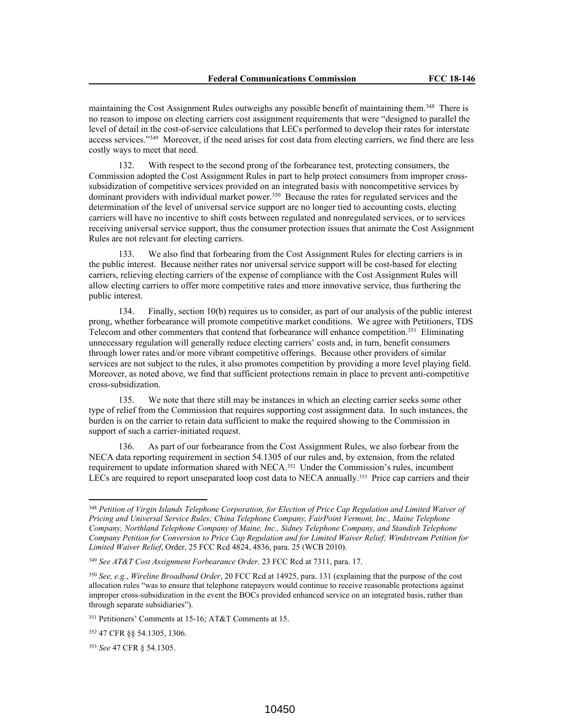maintaining the Cost Assignment Rules outweighs any possible benefit of maintaining them.<sup>348</sup> There is no reason to impose on electing carriers cost assignment requirements that were "designed to parallel the level of detail in the cost-of-service calculations that LECs performed to develop their rates for interstate access services."<sup>349</sup> Moreover, if the need arises for cost data from electing carriers, we find there are less costly ways to meet that need.

132. With respect to the second prong of the forbearance test, protecting consumers, the Commission adopted the Cost Assignment Rules in part to help protect consumers from improper crosssubsidization of competitive services provided on an integrated basis with noncompetitive services by dominant providers with individual market power.<sup>350</sup> Because the rates for regulated services and the determination of the level of universal service support are no longer tied to accounting costs, electing carriers will have no incentive to shift costs between regulated and nonregulated services, or to services receiving universal service support, thus the consumer protection issues that animate the Cost Assignment Rules are not relevant for electing carriers.

133. We also find that forbearing from the Cost Assignment Rules for electing carriers is in the public interest. Because neither rates nor universal service support will be cost-based for electing carriers, relieving electing carriers of the expense of compliance with the Cost Assignment Rules will allow electing carriers to offer more competitive rates and more innovative service, thus furthering the public interest.

134. Finally, section 10(b) requires us to consider, as part of our analysis of the public interest prong, whether forbearance will promote competitive market conditions. We agree with Petitioners, TDS Telecom and other commenters that contend that forbearance will enhance competition.<sup>351</sup> Eliminating unnecessary regulation will generally reduce electing carriers' costs and, in turn, benefit consumers through lower rates and/or more vibrant competitive offerings. Because other providers of similar services are not subject to the rules, it also promotes competition by providing a more level playing field. Moreover, as noted above, we find that sufficient protections remain in place to prevent anti-competitive cross-subsidization.

135. We note that there still may be instances in which an electing carrier seeks some other type of relief from the Commission that requires supporting cost assignment data. In such instances, the burden is on the carrier to retain data sufficient to make the required showing to the Commission in support of such a carrier-initiated request.

136. As part of our forbearance from the Cost Assignment Rules, we also forbear from the NECA data reporting requirement in section 54.1305 of our rules and, by extension, from the related requirement to update information shared with NECA.<sup>352</sup> Under the Commission's rules, incumbent LECs are required to report unseparated loop cost data to NECA annually.<sup>353</sup> Price cap carriers and their

<sup>348</sup> *Petition of Virgin Islands Telephone Corporation, for Election of Price Cap Regulation and Limited Waiver of Pricing and Universal Service Rules; China Telephone Company, FairPoint Vermont, Inc., Maine Telephone Company, Northland Telephone Company of Maine, Inc., Sidney Telephone Company, and Standish Telephone Company Petition for Conversion to Price Cap Regulation and for Limited Waiver Relief; Windstream Petition for Limited Waiver Relief*, Order, 25 FCC Rcd 4824, 4836, para. 25 (WCB 2010).

<sup>349</sup> *See AT&T Cost Assignment Forbearance Order,* 23 FCC Rcd at 7311, para. 17.

<sup>350</sup> *See, e.g.*, *Wireline Broadband Order*, 20 FCC Rcd at 14925, para. 131 (explaining that the purpose of the cost allocation rules "was to ensure that telephone ratepayers would continue to receive reasonable protections against improper cross-subsidization in the event the BOCs provided enhanced service on an integrated basis, rather than through separate subsidiaries").

<sup>351</sup> Petitioners' Comments at 15-16; AT&T Comments at 15.

<sup>352</sup> 47 CFR §§ 54.1305, 1306.

<sup>353</sup> *See* 47 CFR § 54.1305.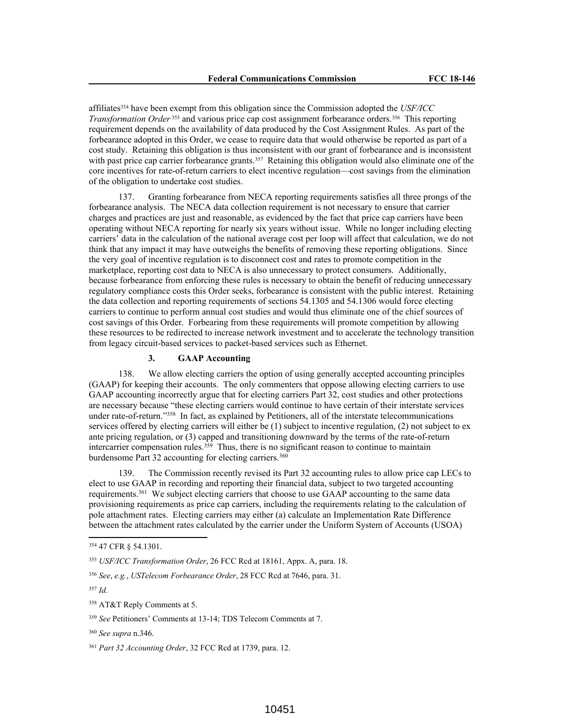affiliates<sup>354</sup> have been exempt from this obligation since the Commission adopted the *USF/ICC Transformation Order* <sup>355</sup> and various price cap cost assignment forbearance orders.<sup>356</sup> This reporting requirement depends on the availability of data produced by the Cost Assignment Rules. As part of the forbearance adopted in this Order, we cease to require data that would otherwise be reported as part of a cost study. Retaining this obligation is thus inconsistent with our grant of forbearance and is inconsistent with past price cap carrier forbearance grants.<sup>357</sup> Retaining this obligation would also eliminate one of the core incentives for rate-of-return carriers to elect incentive regulation—cost savings from the elimination of the obligation to undertake cost studies.

137. Granting forbearance from NECA reporting requirements satisfies all three prongs of the forbearance analysis. The NECA data collection requirement is not necessary to ensure that carrier charges and practices are just and reasonable, as evidenced by the fact that price cap carriers have been operating without NECA reporting for nearly six years without issue. While no longer including electing carriers' data in the calculation of the national average cost per loop will affect that calculation, we do not think that any impact it may have outweighs the benefits of removing these reporting obligations. Since the very goal of incentive regulation is to disconnect cost and rates to promote competition in the marketplace, reporting cost data to NECA is also unnecessary to protect consumers. Additionally, because forbearance from enforcing these rules is necessary to obtain the benefit of reducing unnecessary regulatory compliance costs this Order seeks, forbearance is consistent with the public interest. Retaining the data collection and reporting requirements of sections 54.1305 and 54.1306 would force electing carriers to continue to perform annual cost studies and would thus eliminate one of the chief sources of cost savings of this Order. Forbearing from these requirements will promote competition by allowing these resources to be redirected to increase network investment and to accelerate the technology transition from legacy circuit-based services to packet-based services such as Ethernet.

#### **3. GAAP Accounting**

138. We allow electing carriers the option of using generally accepted accounting principles (GAAP) for keeping their accounts. The only commenters that oppose allowing electing carriers to use GAAP accounting incorrectly argue that for electing carriers Part 32, cost studies and other protections are necessary because "these electing carriers would continue to have certain of their interstate services under rate-of-return."<sup>358</sup> In fact, as explained by Petitioners, all of the interstate telecommunications services offered by electing carriers will either be (1) subject to incentive regulation, (2) not subject to ex ante pricing regulation, or (3) capped and transitioning downward by the terms of the rate-of-return intercarrier compensation rules.<sup>359</sup> Thus, there is no significant reason to continue to maintain burdensome Part 32 accounting for electing carriers.<sup>360</sup>

139. The Commission recently revised its Part 32 accounting rules to allow price cap LECs to elect to use GAAP in recording and reporting their financial data, subject to two targeted accounting requirements.<sup>361</sup> We subject electing carriers that choose to use GAAP accounting to the same data provisioning requirements as price cap carriers, including the requirements relating to the calculation of pole attachment rates. Electing carriers may either (a) calculate an Implementation Rate Difference between the attachment rates calculated by the carrier under the Uniform System of Accounts (USOA)

<sup>354</sup> 47 CFR § 54.1301.

<sup>355</sup> *USF/ICC Transformation Order*, 26 FCC Rcd at 18161, Appx. A, para. 18.

<sup>356</sup> *See*, *e.g.*, *USTelecom Forbearance Order*, 28 FCC Rcd at 7646, para. 31.

<sup>357</sup> *Id*.

<sup>358</sup> AT&T Reply Comments at 5.

<sup>359</sup> *See* Petitioners' Comments at 13-14; TDS Telecom Comments at 7.

<sup>360</sup> *See supra* n.346.

<sup>361</sup> *Part 32 Accounting Order*, 32 FCC Rcd at 1739, para. 12.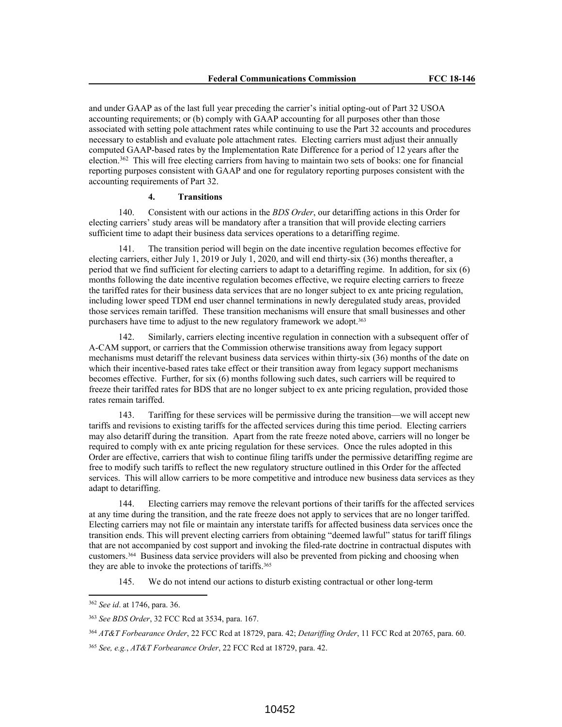and under GAAP as of the last full year preceding the carrier's initial opting-out of Part 32 USOA accounting requirements; or (b) comply with GAAP accounting for all purposes other than those associated with setting pole attachment rates while continuing to use the Part 32 accounts and procedures necessary to establish and evaluate pole attachment rates. Electing carriers must adjust their annually computed GAAP-based rates by the Implementation Rate Difference for a period of 12 years after the election.<sup>362</sup> This will free electing carriers from having to maintain two sets of books: one for financial reporting purposes consistent with GAAP and one for regulatory reporting purposes consistent with the accounting requirements of Part 32.

## **4. Transitions**

140. Consistent with our actions in the *BDS Order*, our detariffing actions in this Order for electing carriers' study areas will be mandatory after a transition that will provide electing carriers sufficient time to adapt their business data services operations to a detariffing regime.

141. The transition period will begin on the date incentive regulation becomes effective for electing carriers, either July 1, 2019 or July 1, 2020, and will end thirty-six (36) months thereafter, a period that we find sufficient for electing carriers to adapt to a detariffing regime. In addition, for six (6) months following the date incentive regulation becomes effective, we require electing carriers to freeze the tariffed rates for their business data services that are no longer subject to ex ante pricing regulation, including lower speed TDM end user channel terminations in newly deregulated study areas, provided those services remain tariffed. These transition mechanisms will ensure that small businesses and other purchasers have time to adjust to the new regulatory framework we adopt.<sup>363</sup>

142. Similarly, carriers electing incentive regulation in connection with a subsequent offer of A-CAM support, or carriers that the Commission otherwise transitions away from legacy support mechanisms must detariff the relevant business data services within thirty-six (36) months of the date on which their incentive-based rates take effect or their transition away from legacy support mechanisms becomes effective. Further, for six (6) months following such dates, such carriers will be required to freeze their tariffed rates for BDS that are no longer subject to ex ante pricing regulation, provided those rates remain tariffed.

143. Tariffing for these services will be permissive during the transition—we will accept new tariffs and revisions to existing tariffs for the affected services during this time period. Electing carriers may also detariff during the transition. Apart from the rate freeze noted above, carriers will no longer be required to comply with ex ante pricing regulation for these services. Once the rules adopted in this Order are effective, carriers that wish to continue filing tariffs under the permissive detariffing regime are free to modify such tariffs to reflect the new regulatory structure outlined in this Order for the affected services. This will allow carriers to be more competitive and introduce new business data services as they adapt to detariffing.

144. Electing carriers may remove the relevant portions of their tariffs for the affected services at any time during the transition, and the rate freeze does not apply to services that are no longer tariffed. Electing carriers may not file or maintain any interstate tariffs for affected business data services once the transition ends. This will prevent electing carriers from obtaining "deemed lawful" status for tariff filings that are not accompanied by cost support and invoking the filed-rate doctrine in contractual disputes with customers.<sup>364</sup> Business data service providers will also be prevented from picking and choosing when they are able to invoke the protections of tariffs.<sup>365</sup>

145. We do not intend our actions to disturb existing contractual or other long-term

<sup>362</sup> *See id*. at 1746, para. 36.

<sup>363</sup> *See BDS Order*, 32 FCC Rcd at 3534, para. 167.

<sup>364</sup> *AT&T Forbearance Order*, 22 FCC Rcd at 18729, para. 42; *Detariffing Order*, 11 FCC Rcd at 20765, para. 60.

<sup>365</sup> *See, e.g.*, *AT&T Forbearance Order*, 22 FCC Rcd at 18729, para. 42.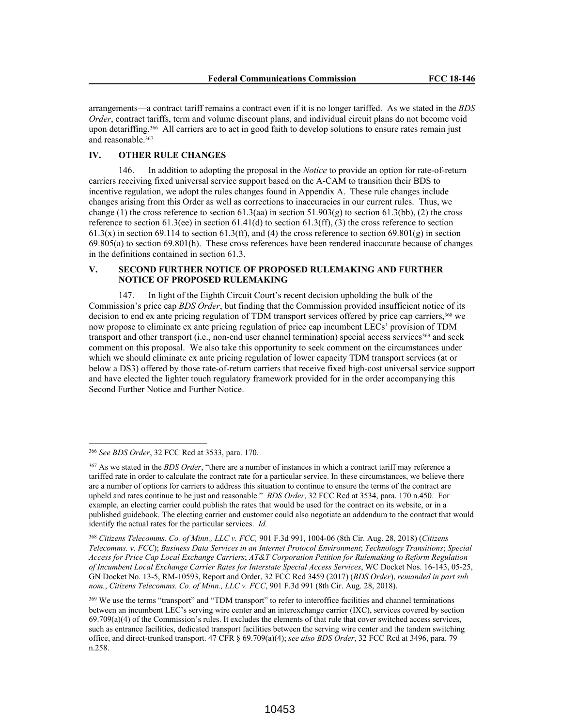arrangements—a contract tariff remains a contract even if it is no longer tariffed. As we stated in the *BDS Order*, contract tariffs, term and volume discount plans, and individual circuit plans do not become void upon detariffing.<sup>366</sup> All carriers are to act in good faith to develop solutions to ensure rates remain just and reasonable.<sup>367</sup>

### **IV. OTHER RULE CHANGES**

146. In addition to adopting the proposal in the *Notice* to provide an option for rate-of-return carriers receiving fixed universal service support based on the A-CAM to transition their BDS to incentive regulation, we adopt the rules changes found in Appendix A. These rule changes include changes arising from this Order as well as corrections to inaccuracies in our current rules. Thus, we change (1) the cross reference to section 61.3(aa) in section 51.903(g) to section 61.3(bb), (2) the cross reference to section 61.3(ee) in section 61.41(d) to section 61.3(ff), (3) the cross reference to section 61.3(x) in section 69.114 to section 61.3(ff), and (4) the cross reference to section 69.801(g) in section 69.805(a) to section 69.801(h). These cross references have been rendered inaccurate because of changes in the definitions contained in section 61.3.

## **V. SECOND FURTHER NOTICE OF PROPOSED RULEMAKING AND FURTHER NOTICE OF PROPOSED RULEMAKING**

147. In light of the Eighth Circuit Court's recent decision upholding the bulk of the Commission's price cap *BDS Order*, but finding that the Commission provided insufficient notice of its decision to end ex ante pricing regulation of TDM transport services offered by price cap carriers,<sup>368</sup> we now propose to eliminate ex ante pricing regulation of price cap incumbent LECs' provision of TDM transport and other transport (i.e., non-end user channel termination) special access services $369$  and seek comment on this proposal. We also take this opportunity to seek comment on the circumstances under which we should eliminate ex ante pricing regulation of lower capacity TDM transport services (at or below a DS3) offered by those rate-of-return carriers that receive fixed high-cost universal service support and have elected the lighter touch regulatory framework provided for in the order accompanying this Second Further Notice and Further Notice.

<sup>368</sup> *Citizens Telecomms. Co. of Minn., LLC v. FCC,* 901 F.3d 991, 1004-06 (8th Cir. Aug. 28, 2018) (*Citizens Telecomms. v. FCC*); *Business Data Services in an Internet Protocol Environment*; *Technology Transitions*; *Special Access for Price Cap Local Exchange Carriers*; *AT&T Corporation Petition for Rulemaking to Reform Regulation of Incumbent Local Exchange Carrier Rates for Interstate Special Access Services*, WC Docket Nos. 16-143, 05-25, GN Docket No. 13-5, RM-10593, Report and Order, 32 FCC Rcd 3459 (2017) (*BDS Order*), *remanded in part sub nom.*, *Citizens Telecomms. Co. of Minn., LLC v. FCC*, 901 F.3d 991 (8th Cir. Aug. 28, 2018).

<sup>366</sup> *See BDS Order*, 32 FCC Rcd at 3533, para. 170.

<sup>367</sup> As we stated in the *BDS Order*, "there are a number of instances in which a contract tariff may reference a tariffed rate in order to calculate the contract rate for a particular service. In these circumstances, we believe there are a number of options for carriers to address this situation to continue to ensure the terms of the contract are upheld and rates continue to be just and reasonable." *BDS Order*, 32 FCC Rcd at 3534, para. 170 n.450. For example, an electing carrier could publish the rates that would be used for the contract on its website, or in a published guidebook. The electing carrier and customer could also negotiate an addendum to the contract that would identify the actual rates for the particular services. *Id.*

<sup>369</sup> We use the terms "transport" and "TDM transport" to refer to interoffice facilities and channel terminations between an incumbent LEC's serving wire center and an interexchange carrier (IXC), services covered by section  $69.709(a)(4)$  of the Commission's rules. It excludes the elements of that rule that cover switched access services, such as entrance facilities, dedicated transport facilities between the serving wire center and the tandem switching office, and direct-trunked transport. 47 CFR § 69.709(a)(4); *see also BDS Order*, 32 FCC Rcd at 3496, para. 79 n.258.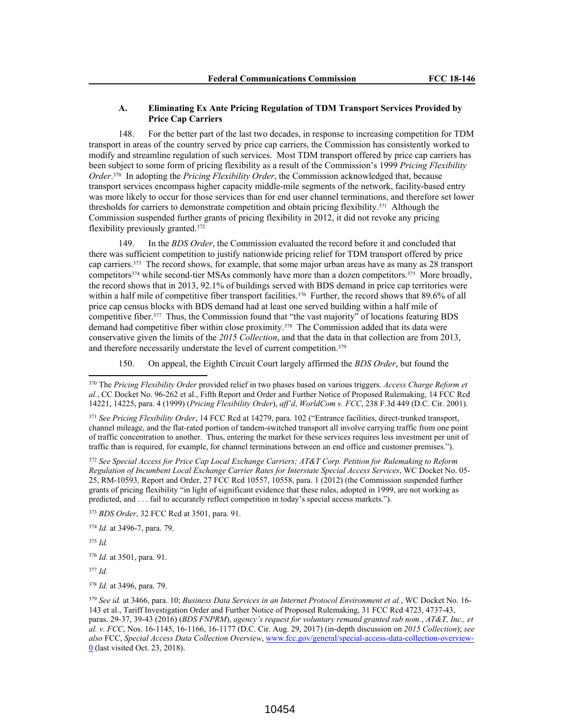## **A. Eliminating Ex Ante Pricing Regulation of TDM Transport Services Provided by Price Cap Carriers**

148. For the better part of the last two decades, in response to increasing competition for TDM transport in areas of the country served by price cap carriers, the Commission has consistently worked to modify and streamline regulation of such services. Most TDM transport offered by price cap carriers has been subject to some form of pricing flexibility as a result of the Commission's 1999 *Pricing Flexibility Order*. 370 In adopting the *Pricing Flexibility Order*, the Commission acknowledged that, because transport services encompass higher capacity middle-mile segments of the network, facility-based entry was more likely to occur for those services than for end user channel terminations, and therefore set lower thresholds for carriers to demonstrate competition and obtain pricing flexibility.<sup>371</sup> Although the Commission suspended further grants of pricing flexibility in 2012, it did not revoke any pricing flexibility previously granted.<sup>372</sup>

149. In the *BDS Order*, the Commission evaluated the record before it and concluded that there was sufficient competition to justify nationwide pricing relief for TDM transport offered by price cap carriers.<sup>373</sup> The record shows, for example, that some major urban areas have as many as 28 transport competitors<sup>374</sup> while second-tier MSAs commonly have more than a dozen competitors.<sup>375</sup> More broadly, the record shows that in 2013, 92.1% of buildings served with BDS demand in price cap territories were within a half mile of competitive fiber transport facilities.<sup>376</sup> Further, the record shows that 89.6% of all price cap census blocks with BDS demand had at least one served building within a half mile of competitive fiber.<sup>377</sup> Thus, the Commission found that "the vast majority" of locations featuring BDS demand had competitive fiber within close proximity.<sup>378</sup> The Commission added that its data were conservative given the limits of the *2015 Collection*, and that the data in that collection are from 2013, and therefore necessarily understate the level of current competition.<sup>379</sup>

150. On appeal, the Eighth Circuit Court largely affirmed the *BDS Order*, but found the

<sup>371</sup> *See Pricing Flexibility Order*, 14 FCC Rcd at 14279, para. 102 ("Entrance facilities, direct-trunked transport, channel mileage, and the flat-rated portion of tandem-switched transport all involve carrying traffic from one point of traffic concentration to another. Thus, entering the market for these services requires less investment per unit of traffic than is required, for example, for channel terminations between an end office and customer premises.").

<sup>372</sup> *See Special Access for Price Cap Local Exchange Carriers; AT&T Corp. Petition for Rulemaking to Reform Regulation of Incumbent Local Exchange Carrier Rates for Interstate Special Access Services*, WC Docket No. 05- 25, RM-10593*,* Report and Order, 27 FCC Rcd 10557, 10558, para. 1 (2012) (the Commission suspended further grants of pricing flexibility "in light of significant evidence that these rules, adopted in 1999, are not working as predicted, and . . . fail to accurately reflect competition in today's special access markets.").

<sup>373</sup> *BDS Order*, 32 FCC Rcd at 3501, para. 91.

<sup>374</sup> *Id.* at 3496-7, para. 79.

<sup>375</sup> *Id.*

<sup>376</sup> *Id.* at 3501, para. 91.

<sup>377</sup> *Id.*

<sup>378</sup> *Id.* at 3496, para. 79.

<sup>379</sup> *See id.* at 3466, para. 10; *Business Data Services in an Internet Protocol Environment et al.*, WC Docket No. 16- 143 et al., Tariff Investigation Order and Further Notice of Proposed Rulemaking, 31 FCC Rcd 4723, 4737-43, paras. 29-37, 39-43 (2016) (*BDS FNPRM*), *agency's request for voluntary remand granted sub nom.*, *AT&T, Inc., et al. v. FCC*, Nos. 16-1145, 16-1166, 16-1177 (D.C. Cir. Aug. 29, 2017) (in-depth discussion on *2015 Collection*); *see also* FCC, *Special Access Data Collection Overview*, www.fcc.gov/general/special-access-data-collection-overview-0 (last visited Oct. 23, 2018).

<sup>370</sup> The *Pricing Flexibility Order* provided relief in two phases based on various triggers. *Access Charge Reform et al.*, CC Docket No. 96-262 et al., Fifth Report and Order and Further Notice of Proposed Rulemaking, 14 FCC Rcd 14221, 14225, para. 4 (1999) (*Pricing Flexibility Order*), *aff'd*, *WorldCom v. FCC*, 238 F.3d 449 (D.C. Cir. 2001).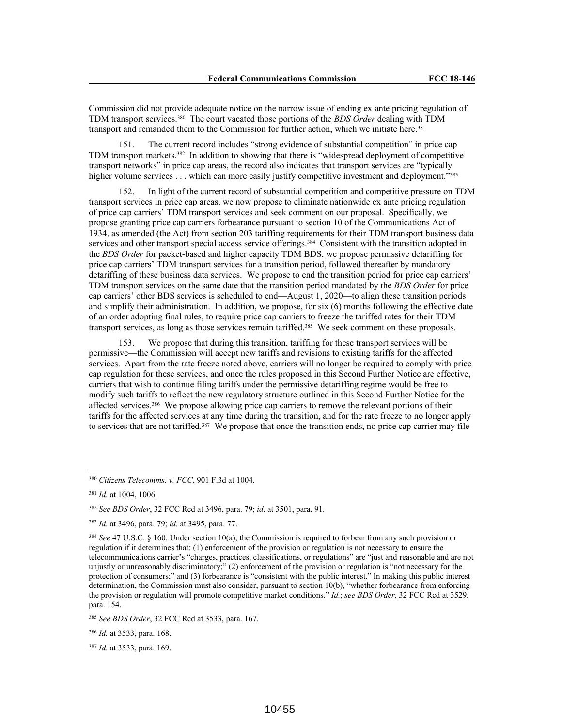Commission did not provide adequate notice on the narrow issue of ending ex ante pricing regulation of TDM transport services.<sup>380</sup> The court vacated those portions of the *BDS Order* dealing with TDM transport and remanded them to the Commission for further action, which we initiate here.<sup>381</sup>

151. The current record includes "strong evidence of substantial competition" in price cap TDM transport markets.<sup>382</sup> In addition to showing that there is "widespread deployment of competitive transport networks" in price cap areas, the record also indicates that transport services are "typically higher volume services . . . which can more easily justify competitive investment and deployment."383

In light of the current record of substantial competition and competitive pressure on TDM transport services in price cap areas, we now propose to eliminate nationwide ex ante pricing regulation of price cap carriers' TDM transport services and seek comment on our proposal. Specifically, we propose granting price cap carriers forbearance pursuant to section 10 of the Communications Act of 1934, as amended (the Act) from section 203 tariffing requirements for their TDM transport business data services and other transport special access service offerings.<sup>384</sup> Consistent with the transition adopted in the *BDS Order* for packet-based and higher capacity TDM BDS, we propose permissive detariffing for price cap carriers' TDM transport services for a transition period, followed thereafter by mandatory detariffing of these business data services. We propose to end the transition period for price cap carriers' TDM transport services on the same date that the transition period mandated by the *BDS Order* for price cap carriers' other BDS services is scheduled to end—August 1, 2020—to align these transition periods and simplify their administration. In addition, we propose, for six (6) months following the effective date of an order adopting final rules, to require price cap carriers to freeze the tariffed rates for their TDM transport services, as long as those services remain tariffed.<sup>385</sup> We seek comment on these proposals.

153. We propose that during this transition, tariffing for these transport services will be permissive—the Commission will accept new tariffs and revisions to existing tariffs for the affected services. Apart from the rate freeze noted above, carriers will no longer be required to comply with price cap regulation for these services, and once the rules proposed in this Second Further Notice are effective, carriers that wish to continue filing tariffs under the permissive detariffing regime would be free to modify such tariffs to reflect the new regulatory structure outlined in this Second Further Notice for the affected services.<sup>386</sup> We propose allowing price cap carriers to remove the relevant portions of their tariffs for the affected services at any time during the transition, and for the rate freeze to no longer apply to services that are not tariffed.<sup>387</sup> We propose that once the transition ends, no price cap carrier may file

<sup>386</sup> *Id.* at 3533, para. 168.

<sup>387</sup> *Id.* at 3533, para. 169.

<sup>380</sup> *Citizens Telecomms. v. FCC*, 901 F.3d at 1004.

<sup>381</sup> *Id.* at 1004, 1006.

<sup>382</sup> *See BDS Order*, 32 FCC Rcd at 3496, para. 79; *id*. at 3501, para. 91.

<sup>383</sup> *Id.* at 3496, para. 79; *id.* at 3495, para. 77.

<sup>384</sup> *See* 47 U.S.C. § 160. Under section 10(a), the Commission is required to forbear from any such provision or regulation if it determines that: (1) enforcement of the provision or regulation is not necessary to ensure the telecommunications carrier's "charges, practices, classifications, or regulations" are "just and reasonable and are not unjustly or unreasonably discriminatory;" (2) enforcement of the provision or regulation is "not necessary for the protection of consumers;" and (3) forbearance is "consistent with the public interest." In making this public interest determination, the Commission must also consider, pursuant to section 10(b), "whether forbearance from enforcing the provision or regulation will promote competitive market conditions." *Id.*; *see BDS Order*, 32 FCC Rcd at 3529, para. 154.

<sup>385</sup> *See BDS Order*, 32 FCC Rcd at 3533, para. 167.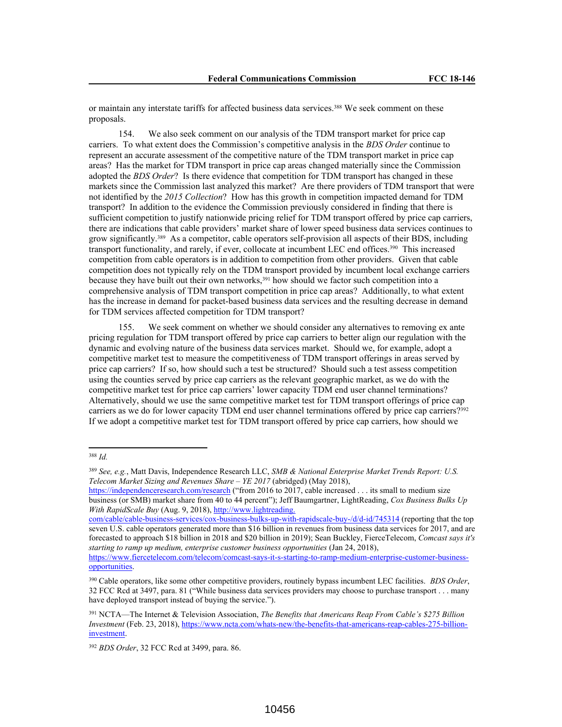or maintain any interstate tariffs for affected business data services.<sup>388</sup> We seek comment on these proposals.

154. We also seek comment on our analysis of the TDM transport market for price cap carriers. To what extent does the Commission's competitive analysis in the *BDS Order* continue to represent an accurate assessment of the competitive nature of the TDM transport market in price cap areas? Has the market for TDM transport in price cap areas changed materially since the Commission adopted the *BDS Order*? Is there evidence that competition for TDM transport has changed in these markets since the Commission last analyzed this market? Are there providers of TDM transport that were not identified by the *2015 Collection*? How has this growth in competition impacted demand for TDM transport? In addition to the evidence the Commission previously considered in finding that there is sufficient competition to justify nationwide pricing relief for TDM transport offered by price cap carriers, there are indications that cable providers' market share of lower speed business data services continues to grow significantly.<sup>389</sup> As a competitor, cable operators self-provision all aspects of their BDS, including transport functionality, and rarely, if ever, collocate at incumbent LEC end offices.<sup>390</sup> This increased competition from cable operators is in addition to competition from other providers. Given that cable competition does not typically rely on the TDM transport provided by incumbent local exchange carriers because they have built out their own networks,<sup>391</sup> how should we factor such competition into a comprehensive analysis of TDM transport competition in price cap areas? Additionally, to what extent has the increase in demand for packet-based business data services and the resulting decrease in demand for TDM services affected competition for TDM transport?

We seek comment on whether we should consider any alternatives to removing ex ante pricing regulation for TDM transport offered by price cap carriers to better align our regulation with the dynamic and evolving nature of the business data services market. Should we, for example, adopt a competitive market test to measure the competitiveness of TDM transport offerings in areas served by price cap carriers? If so, how should such a test be structured? Should such a test assess competition using the counties served by price cap carriers as the relevant geographic market, as we do with the competitive market test for price cap carriers' lower capacity TDM end user channel terminations? Alternatively, should we use the same competitive market test for TDM transport offerings of price cap carriers as we do for lower capacity TDM end user channel terminations offered by price cap carriers?<sup>392</sup> If we adopt a competitive market test for TDM transport offered by price cap carriers, how should we

<sup>388</sup> *Id.*

<sup>389</sup> *See, e.g.*, Matt Davis, Independence Research LLC, *SMB & National Enterprise Market Trends Report: U.S. Telecom Market Sizing and Revenues Share – YE 2017* (abridged) (May 2018),

https://independenceresearch.com/research ("from 2016 to 2017, cable increased . . . its small to medium size business (or SMB) market share from 40 to 44 percent"); Jeff Baumgartner, LightReading, *Cox Business Bulks Up With RapidScale Buy* (Aug. 9, 2018), http://www.lightreading.

com/cable/cable-business-services/cox-business-bulks-up-with-rapidscale-buy-/d/d-id/745314 (reporting that the top seven U.S. cable operators generated more than \$16 billion in revenues from business data services for 2017, and are forecasted to approach \$18 billion in 2018 and \$20 billion in 2019); Sean Buckley, FierceTelecom, *Comcast says it's starting to ramp up medium, enterprise customer business opportunities* (Jan 24, 2018),

https://www.fiercetelecom.com/telecom/comcast-says-it-s-starting-to-ramp-medium-enterprise-customer-businessopportunities.

<sup>390</sup> Cable operators, like some other competitive providers, routinely bypass incumbent LEC facilities. *BDS Order*, 32 FCC Rcd at 3497, para. 81 ("While business data services providers may choose to purchase transport . . . many have deployed transport instead of buying the service.").

<sup>391</sup> NCTA—The Internet & Television Association, *The Benefits that Americans Reap From Cable's \$275 Billion Investment* (Feb. 23, 2018), https://www.ncta.com/whats-new/the-benefits-that-americans-reap-cables-275-billioninvestment.

<sup>392</sup> *BDS Order*, 32 FCC Rcd at 3499, para. 86.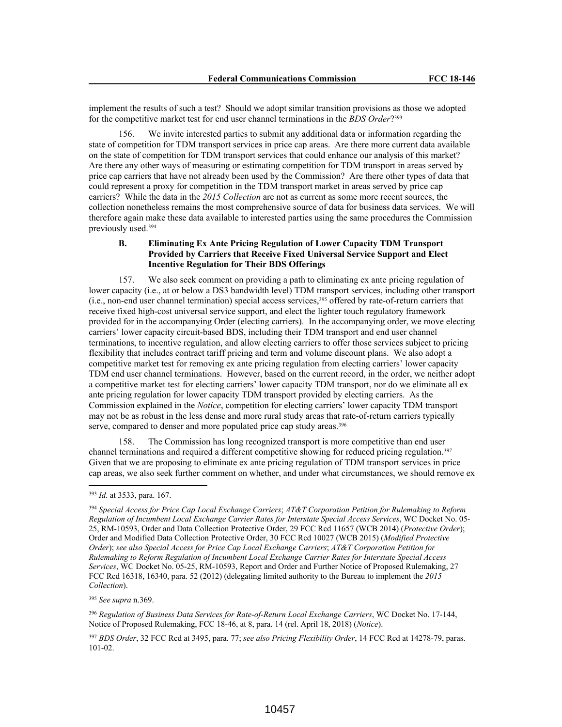implement the results of such a test? Should we adopt similar transition provisions as those we adopted for the competitive market test for end user channel terminations in the *BDS Order*? 393

156. We invite interested parties to submit any additional data or information regarding the state of competition for TDM transport services in price cap areas. Are there more current data available on the state of competition for TDM transport services that could enhance our analysis of this market? Are there any other ways of measuring or estimating competition for TDM transport in areas served by price cap carriers that have not already been used by the Commission? Are there other types of data that could represent a proxy for competition in the TDM transport market in areas served by price cap carriers? While the data in the *2015 Collection* are not as current as some more recent sources, the collection nonetheless remains the most comprehensive source of data for business data services. We will therefore again make these data available to interested parties using the same procedures the Commission previously used.<sup>394</sup>

# **B. Eliminating Ex Ante Pricing Regulation of Lower Capacity TDM Transport Provided by Carriers that Receive Fixed Universal Service Support and Elect Incentive Regulation for Their BDS Offerings**

157. We also seek comment on providing a path to eliminating ex ante pricing regulation of lower capacity (i.e., at or below a DS3 bandwidth level) TDM transport services, including other transport (i.e., non-end user channel termination) special access services,<sup>395</sup> offered by rate-of-return carriers that receive fixed high-cost universal service support, and elect the lighter touch regulatory framework provided for in the accompanying Order (electing carriers). In the accompanying order, we move electing carriers' lower capacity circuit-based BDS, including their TDM transport and end user channel terminations, to incentive regulation, and allow electing carriers to offer those services subject to pricing flexibility that includes contract tariff pricing and term and volume discount plans. We also adopt a competitive market test for removing ex ante pricing regulation from electing carriers' lower capacity TDM end user channel terminations. However, based on the current record, in the order, we neither adopt a competitive market test for electing carriers' lower capacity TDM transport, nor do we eliminate all ex ante pricing regulation for lower capacity TDM transport provided by electing carriers. As the Commission explained in the *Notice*, competition for electing carriers' lower capacity TDM transport may not be as robust in the less dense and more rural study areas that rate-of-return carriers typically serve, compared to denser and more populated price cap study areas.<sup>396</sup>

158. The Commission has long recognized transport is more competitive than end user channel terminations and required a different competitive showing for reduced pricing regulation.<sup>397</sup> Given that we are proposing to eliminate ex ante pricing regulation of TDM transport services in price cap areas, we also seek further comment on whether, and under what circumstances, we should remove ex

<sup>393</sup> *Id.* at 3533, para. 167.

<sup>394</sup> *Special Access for Price Cap Local Exchange Carriers*; *AT&T Corporation Petition for Rulemaking to Reform Regulation of Incumbent Local Exchange Carrier Rates for Interstate Special Access Services*, WC Docket No. 05- 25, RM-10593, Order and Data Collection Protective Order, 29 FCC Rcd 11657 (WCB 2014) (*Protective Order*); Order and Modified Data Collection Protective Order, 30 FCC Rcd 10027 (WCB 2015) (*Modified Protective Order*); *see also Special Access for Price Cap Local Exchange Carriers*; *AT&T Corporation Petition for Rulemaking to Reform Regulation of Incumbent Local Exchange Carrier Rates for Interstate Special Access Services*, WC Docket No. 05-25, RM-10593, Report and Order and Further Notice of Proposed Rulemaking, 27 FCC Rcd 16318, 16340, para. 52 (2012) (delegating limited authority to the Bureau to implement the *2015 Collection*).

<sup>395</sup> *See supra* n.369.

<sup>396</sup> *Regulation of Business Data Services for Rate-of-Return Local Exchange Carriers*, WC Docket No. 17-144, Notice of Proposed Rulemaking, FCC 18-46, at 8, para. 14 (rel. April 18, 2018) (*Notice*).

<sup>397</sup> *BDS Order*, 32 FCC Rcd at 3495, para. 77; *see also Pricing Flexibility Order*, 14 FCC Rcd at 14278-79, paras. 101-02.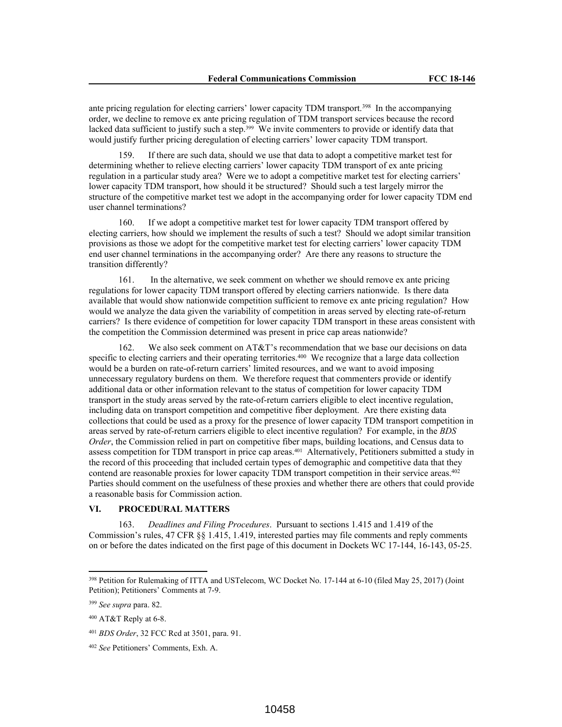ante pricing regulation for electing carriers' lower capacity TDM transport.<sup>398</sup> In the accompanying order, we decline to remove ex ante pricing regulation of TDM transport services because the record lacked data sufficient to justify such a step.<sup>399</sup> We invite commenters to provide or identify data that would justify further pricing deregulation of electing carriers' lower capacity TDM transport.

159. If there are such data, should we use that data to adopt a competitive market test for determining whether to relieve electing carriers' lower capacity TDM transport of ex ante pricing regulation in a particular study area? Were we to adopt a competitive market test for electing carriers' lower capacity TDM transport, how should it be structured? Should such a test largely mirror the structure of the competitive market test we adopt in the accompanying order for lower capacity TDM end user channel terminations?

160. If we adopt a competitive market test for lower capacity TDM transport offered by electing carriers, how should we implement the results of such a test? Should we adopt similar transition provisions as those we adopt for the competitive market test for electing carriers' lower capacity TDM end user channel terminations in the accompanying order? Are there any reasons to structure the transition differently?

161. In the alternative, we seek comment on whether we should remove ex ante pricing regulations for lower capacity TDM transport offered by electing carriers nationwide. Is there data available that would show nationwide competition sufficient to remove ex ante pricing regulation? How would we analyze the data given the variability of competition in areas served by electing rate-of-return carriers? Is there evidence of competition for lower capacity TDM transport in these areas consistent with the competition the Commission determined was present in price cap areas nationwide?

162. We also seek comment on AT&T's recommendation that we base our decisions on data specific to electing carriers and their operating territories.<sup>400</sup> We recognize that a large data collection would be a burden on rate-of-return carriers' limited resources, and we want to avoid imposing unnecessary regulatory burdens on them. We therefore request that commenters provide or identify additional data or other information relevant to the status of competition for lower capacity TDM transport in the study areas served by the rate-of-return carriers eligible to elect incentive regulation, including data on transport competition and competitive fiber deployment. Are there existing data collections that could be used as a proxy for the presence of lower capacity TDM transport competition in areas served by rate-of-return carriers eligible to elect incentive regulation? For example, in the *BDS Order*, the Commission relied in part on competitive fiber maps, building locations, and Census data to assess competition for TDM transport in price cap areas.<sup>401</sup> Alternatively, Petitioners submitted a study in the record of this proceeding that included certain types of demographic and competitive data that they contend are reasonable proxies for lower capacity TDM transport competition in their service areas.<sup>402</sup> Parties should comment on the usefulness of these proxies and whether there are others that could provide a reasonable basis for Commission action.

# **VI. PROCEDURAL MATTERS**

163. *Deadlines and Filing Procedures*. Pursuant to sections 1.415 and 1.419 of the Commission's rules, 47 CFR §§ 1.415, 1.419, interested parties may file comments and reply comments on or before the dates indicated on the first page of this document in Dockets WC 17-144, 16-143, 05-25.

<sup>398</sup> Petition for Rulemaking of ITTA and USTelecom, WC Docket No. 17-144 at 6-10 (filed May 25, 2017) (Joint Petition); Petitioners' Comments at 7-9.

<sup>399</sup> *See supra* para. 82.

<sup>400</sup> AT&T Reply at 6-8.

<sup>401</sup> *BDS Order*, 32 FCC Rcd at 3501, para. 91.

<sup>402</sup> *See* Petitioners' Comments, Exh. A.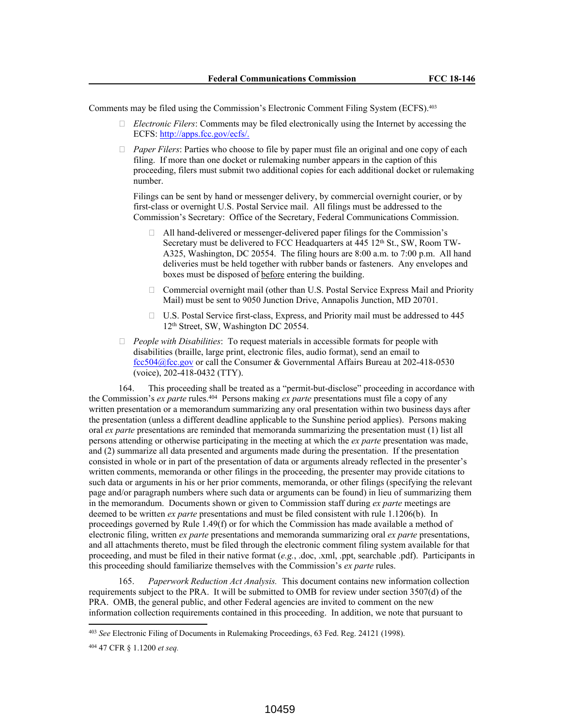Comments may be filed using the Commission's Electronic Comment Filing System (ECFS).<sup>403</sup>

- *Electronic Filers*: Comments may be filed electronically using the Internet by accessing the ECFS: http://apps.fcc.gov/ecfs/.
- *Paper Filers*: Parties who choose to file by paper must file an original and one copy of each filing. If more than one docket or rulemaking number appears in the caption of this proceeding, filers must submit two additional copies for each additional docket or rulemaking number.

Filings can be sent by hand or messenger delivery, by commercial overnight courier, or by first-class or overnight U.S. Postal Service mail. All filings must be addressed to the Commission's Secretary: Office of the Secretary, Federal Communications Commission.

- $\Box$  All hand-delivered or messenger-delivered paper filings for the Commission's Secretary must be delivered to FCC Headquarters at 445 12<sup>th</sup> St., SW, Room TW-A325, Washington, DC 20554. The filing hours are 8:00 a.m. to 7:00 p.m. All hand deliveries must be held together with rubber bands or fasteners. Any envelopes and boxes must be disposed of before entering the building.
- $\Box$  Commercial overnight mail (other than U.S. Postal Service Express Mail and Priority Mail) must be sent to 9050 Junction Drive, Annapolis Junction, MD 20701.
- $\Box$  U.S. Postal Service first-class, Express, and Priority mail must be addressed to 445 12th Street, SW, Washington DC 20554.
- *People with Disabilities*: To request materials in accessible formats for people with disabilities (braille, large print, electronic files, audio format), send an email to fcc504@fcc.gov or call the Consumer & Governmental Affairs Bureau at 202-418-0530 (voice), 202-418-0432 (TTY).

164. This proceeding shall be treated as a "permit-but-disclose" proceeding in accordance with the Commission's *ex parte* rules.<sup>404</sup> Persons making *ex parte* presentations must file a copy of any written presentation or a memorandum summarizing any oral presentation within two business days after the presentation (unless a different deadline applicable to the Sunshine period applies). Persons making oral *ex parte* presentations are reminded that memoranda summarizing the presentation must (1) list all persons attending or otherwise participating in the meeting at which the *ex parte* presentation was made, and (2) summarize all data presented and arguments made during the presentation. If the presentation consisted in whole or in part of the presentation of data or arguments already reflected in the presenter's written comments, memoranda or other filings in the proceeding, the presenter may provide citations to such data or arguments in his or her prior comments, memoranda, or other filings (specifying the relevant page and/or paragraph numbers where such data or arguments can be found) in lieu of summarizing them in the memorandum. Documents shown or given to Commission staff during *ex parte* meetings are deemed to be written *ex parte* presentations and must be filed consistent with rule 1.1206(b). In proceedings governed by Rule 1.49(f) or for which the Commission has made available a method of electronic filing, written *ex parte* presentations and memoranda summarizing oral *ex parte* presentations, and all attachments thereto, must be filed through the electronic comment filing system available for that proceeding, and must be filed in their native format (*e.g.*, .doc, .xml, .ppt, searchable .pdf). Participants in this proceeding should familiarize themselves with the Commission's *ex parte* rules.

165. *Paperwork Reduction Act Analysis.* This document contains new information collection requirements subject to the PRA. It will be submitted to OMB for review under section 3507(d) of the PRA. OMB, the general public, and other Federal agencies are invited to comment on the new information collection requirements contained in this proceeding. In addition, we note that pursuant to

<sup>403</sup> *See* Electronic Filing of Documents in Rulemaking Proceedings, 63 Fed. Reg. 24121 (1998).

<sup>404</sup> 47 CFR § 1.1200 *et seq.*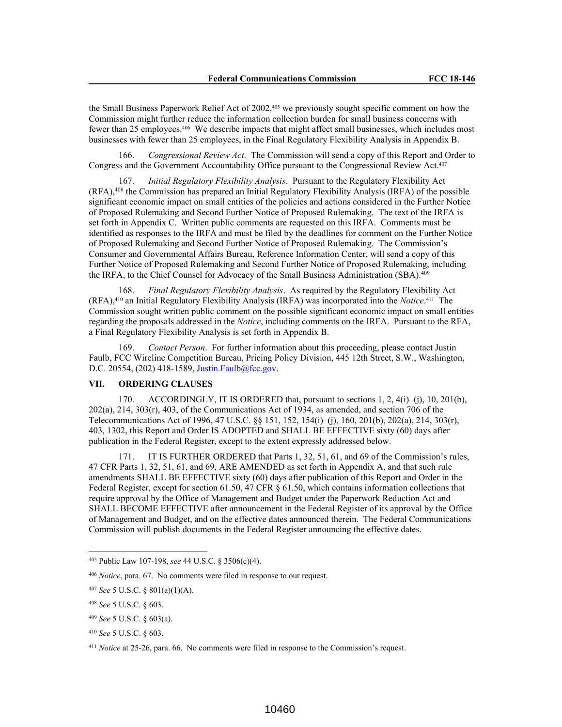the Small Business Paperwork Relief Act of 2002,<sup>405</sup> we previously sought specific comment on how the Commission might further reduce the information collection burden for small business concerns with fewer than 25 employees.<sup>406</sup> We describe impacts that might affect small businesses, which includes most businesses with fewer than 25 employees, in the Final Regulatory Flexibility Analysis in Appendix B.

166. *Congressional Review Act*. The Commission will send a copy of this Report and Order to Congress and the Government Accountability Office pursuant to the Congressional Review Act.<sup>407</sup>

167. *Initial Regulatory Flexibility Analysis*. Pursuant to the Regulatory Flexibility Act (RFA),<sup>408</sup> the Commission has prepared an Initial Regulatory Flexibility Analysis (IRFA) of the possible significant economic impact on small entities of the policies and actions considered in the Further Notice of Proposed Rulemaking and Second Further Notice of Proposed Rulemaking. The text of the IRFA is set forth in Appendix C. Written public comments are requested on this IRFA. Comments must be identified as responses to the IRFA and must be filed by the deadlines for comment on the Further Notice of Proposed Rulemaking and Second Further Notice of Proposed Rulemaking. The Commission's Consumer and Governmental Affairs Bureau, Reference Information Center, will send a copy of this Further Notice of Proposed Rulemaking and Second Further Notice of Proposed Rulemaking, including the IRFA, to the Chief Counsel for Advocacy of the Small Business Administration (SBA).<sup>409</sup>

168. *Final Regulatory Flexibility Analysis*. As required by the Regulatory Flexibility Act (RFA),<sup>410</sup> an Initial Regulatory Flexibility Analysis (IRFA) was incorporated into the *Notice*. 411 The Commission sought written public comment on the possible significant economic impact on small entities regarding the proposals addressed in the *Notice*, including comments on the IRFA. Pursuant to the RFA, a Final Regulatory Flexibility Analysis is set forth in Appendix B.

169. *Contact Person*. For further information about this proceeding, please contact Justin Faulb, FCC Wireline Competition Bureau, Pricing Policy Division, 445 12th Street, S.W., Washington, D.C. 20554, (202) 418-1589, Justin.Faulb@fcc.gov.

# **VII. ORDERING CLAUSES**

170. ACCORDINGLY, IT IS ORDERED that, pursuant to sections  $1, 2, 4(i)$ –(j),  $10, 201(b)$ , 202(a), 214, 303(r), 403, of the Communications Act of 1934, as amended, and section 706 of the Telecommunications Act of 1996, 47 U.S.C. §§ 151, 152, 154(i)–(j), 160, 201(b), 202(a), 214, 303(r), 403, 1302, this Report and Order IS ADOPTED and SHALL BE EFFECTIVE sixty (60) days after publication in the Federal Register, except to the extent expressly addressed below.

171. IT IS FURTHER ORDERED that Parts 1, 32, 51, 61, and 69 of the Commission's rules, 47 CFR Parts 1, 32, 51, 61, and 69, ARE AMENDED as set forth in Appendix A, and that such rule amendments SHALL BE EFFECTIVE sixty (60) days after publication of this Report and Order in the Federal Register, except for section 61.50, 47 CFR § 61.50, which contains information collections that require approval by the Office of Management and Budget under the Paperwork Reduction Act and SHALL BECOME EFFECTIVE after announcement in the Federal Register of its approval by the Office of Management and Budget, and on the effective dates announced therein. The Federal Communications Commission will publish documents in the Federal Register announcing the effective dates.

<sup>405</sup> Public Law 107-198, *see* 44 U.S.C. § 3506(c)(4).

<sup>406</sup> *Notice*, para. 67. No comments were filed in response to our request.

<sup>407</sup> *See* 5 U.S.C. § 801(a)(1)(A).

<sup>408</sup> *See* 5 U.S.C. § 603.

<sup>409</sup> *See* 5 U.S.C*.* § 603(a).

<sup>410</sup> *See* 5 U.S.C. § 603.

<sup>411</sup> *Notice* at 25-26, para. 66. No comments were filed in response to the Commission's request.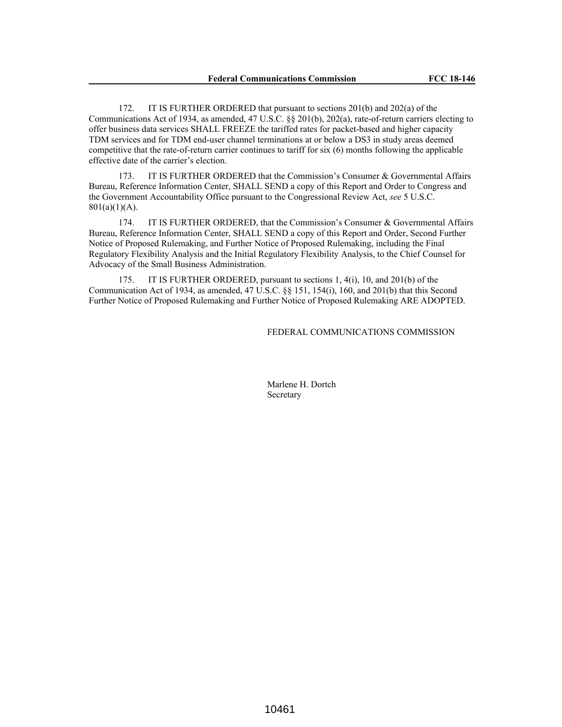172. IT IS FURTHER ORDERED that pursuant to sections 201(b) and 202(a) of the Communications Act of 1934, as amended, 47 U.S.C. §§ 201(b), 202(a), rate-of-return carriers electing to offer business data services SHALL FREEZE the tariffed rates for packet-based and higher capacity TDM services and for TDM end-user channel terminations at or below a DS3 in study areas deemed competitive that the rate-of-return carrier continues to tariff for six (6) months following the applicable effective date of the carrier's election.

173. IT IS FURTHER ORDERED that the Commission's Consumer & Governmental Affairs Bureau, Reference Information Center, SHALL SEND a copy of this Report and Order to Congress and the Government Accountability Office pursuant to the Congressional Review Act, *see* 5 U.S.C.  $801(a)(1)(A)$ .

174. IT IS FURTHER ORDERED, that the Commission's Consumer & Governmental Affairs Bureau, Reference Information Center, SHALL SEND a copy of this Report and Order, Second Further Notice of Proposed Rulemaking, and Further Notice of Proposed Rulemaking, including the Final Regulatory Flexibility Analysis and the Initial Regulatory Flexibility Analysis, to the Chief Counsel for Advocacy of the Small Business Administration.

175. IT IS FURTHER ORDERED, pursuant to sections 1, 4(i), 10, and 201(b) of the Communication Act of 1934, as amended, 47 U.S.C. §§ 151, 154(i), 160, and 201(b) that this Second Further Notice of Proposed Rulemaking and Further Notice of Proposed Rulemaking ARE ADOPTED.

## FEDERAL COMMUNICATIONS COMMISSION

Marlene H. Dortch Secretary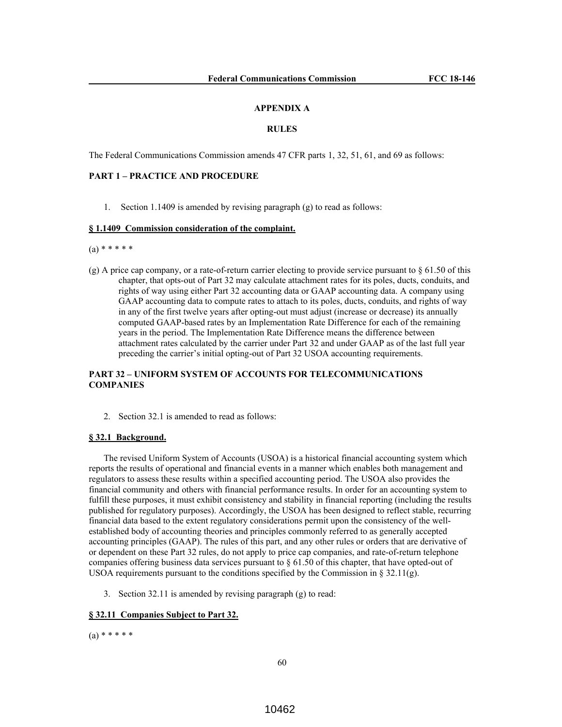#### **APPENDIX A**

#### **RULES**

The Federal Communications Commission amends 47 CFR parts 1, 32, 51, 61, and 69 as follows:

## **PART 1 – PRACTICE AND PROCEDURE**

1. Section 1.1409 is amended by revising paragraph (g) to read as follows:

### **§ 1.1409 Commission consideration of the complaint.**

 $(a) * * * * * *$ 

(g) A price cap company, or a rate-of-return carrier electing to provide service pursuant to  $\S$  61.50 of this chapter, that opts-out of Part 32 may calculate attachment rates for its poles, ducts, conduits, and rights of way using either Part 32 accounting data or GAAP accounting data. A company using GAAP accounting data to compute rates to attach to its poles, ducts, conduits, and rights of way in any of the first twelve years after opting-out must adjust (increase or decrease) its annually computed GAAP-based rates by an Implementation Rate Difference for each of the remaining years in the period. The Implementation Rate Difference means the difference between attachment rates calculated by the carrier under Part 32 and under GAAP as of the last full year preceding the carrier's initial opting-out of Part 32 USOA accounting requirements.

# **PART 32 – UNIFORM SYSTEM OF ACCOUNTS FOR TELECOMMUNICATIONS COMPANIES**

2. Section 32.1 is amended to read as follows:

### **§ 32.1 Background.**

The revised Uniform System of Accounts (USOA) is a historical financial accounting system which reports the results of operational and financial events in a manner which enables both management and regulators to assess these results within a specified accounting period. The USOA also provides the financial community and others with financial performance results. In order for an accounting system to fulfill these purposes, it must exhibit consistency and stability in financial reporting (including the results published for regulatory purposes). Accordingly, the USOA has been designed to reflect stable, recurring financial data based to the extent regulatory considerations permit upon the consistency of the wellestablished body of accounting theories and principles commonly referred to as generally accepted accounting principles (GAAP). The rules of this part, and any other rules or orders that are derivative of or dependent on these Part 32 rules, do not apply to price cap companies, and rate-of-return telephone companies offering business data services pursuant to  $\S 61.50$  of this chapter, that have opted-out of USOA requirements pursuant to the conditions specified by the Commission in § 32.11(g).

3. Section 32.11 is amended by revising paragraph (g) to read:

### **§ 32.11 Companies Subject to Part 32.**

 $(a) * * * * * *$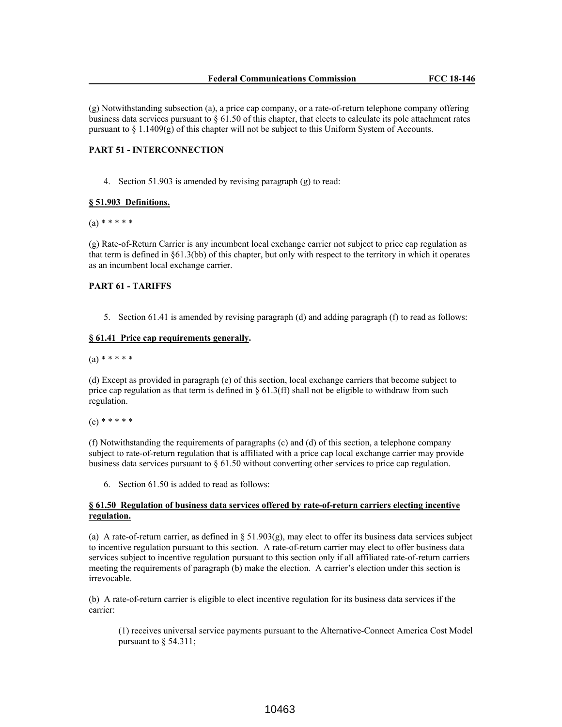(g) Notwithstanding subsection (a), a price cap company, or a rate-of-return telephone company offering business data services pursuant to § 61.50 of this chapter, that elects to calculate its pole attachment rates pursuant to § 1.1409(g) of this chapter will not be subject to this Uniform System of Accounts.

### **PART 51 - INTERCONNECTION**

4. Section 51.903 is amended by revising paragraph (g) to read:

### **§ 51.903 Definitions.**

 $(a) * * * * * *$ 

(g) Rate-of-Return Carrier is any incumbent local exchange carrier not subject to price cap regulation as that term is defined in §61.3(bb) of this chapter, but only with respect to the territory in which it operates as an incumbent local exchange carrier.

### **PART 61 - TARIFFS**

5. Section 61.41 is amended by revising paragraph (d) and adding paragraph (f) to read as follows:

### **§ 61.41 Price cap requirements generally.**

### $(a) * * * * * *$

(d) Except as provided in paragraph (e) of this section, local exchange carriers that become subject to price cap regulation as that term is defined in  $\S 61.3$  (ff) shall not be eligible to withdraw from such regulation.

# (e) \* \* \* \* \*

(f) Notwithstanding the requirements of paragraphs (c) and (d) of this section, a telephone company subject to rate-of-return regulation that is affiliated with a price cap local exchange carrier may provide business data services pursuant to § 61.50 without converting other services to price cap regulation.

6. Section 61.50 is added to read as follows:

## **§ 61.50 Regulation of business data services offered by rate-of-return carriers electing incentive regulation.**

(a) A rate-of-return carrier, as defined in § 51.903(g), may elect to offer its business data services subject to incentive regulation pursuant to this section. A rate-of-return carrier may elect to offer business data services subject to incentive regulation pursuant to this section only if all affiliated rate-of-return carriers meeting the requirements of paragraph (b) make the election. A carrier's election under this section is irrevocable.

(b) A rate-of-return carrier is eligible to elect incentive regulation for its business data services if the carrier:

(1) receives universal service payments pursuant to the Alternative-Connect America Cost Model pursuant to § 54.311;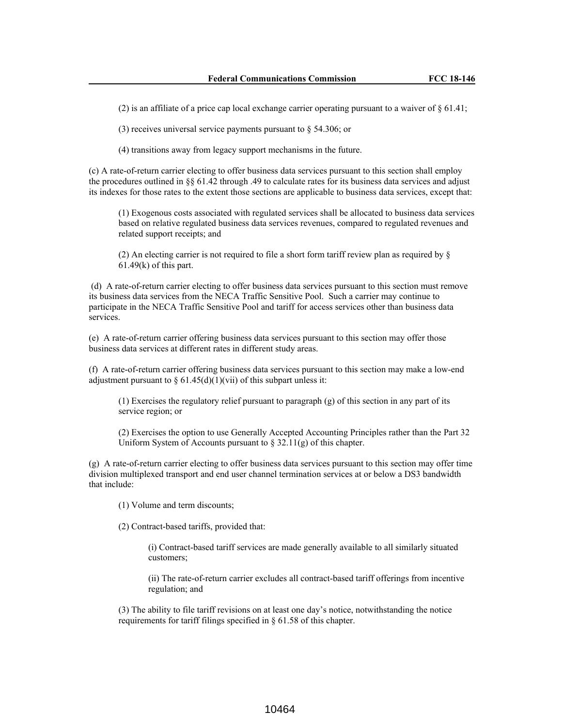(2) is an affiliate of a price cap local exchange carrier operating pursuant to a waiver of  $\S 61.41$ ;

(3) receives universal service payments pursuant to § 54.306; or

(4) transitions away from legacy support mechanisms in the future.

(c) A rate-of-return carrier electing to offer business data services pursuant to this section shall employ the procedures outlined in §§ 61.42 through .49 to calculate rates for its business data services and adjust its indexes for those rates to the extent those sections are applicable to business data services, except that:

(1) Exogenous costs associated with regulated services shall be allocated to business data services based on relative regulated business data services revenues, compared to regulated revenues and related support receipts; and

(2) An electing carrier is not required to file a short form tariff review plan as required by §  $61.49(k)$  of this part.

(d) A rate-of-return carrier electing to offer business data services pursuant to this section must remove its business data services from the NECA Traffic Sensitive Pool. Such a carrier may continue to participate in the NECA Traffic Sensitive Pool and tariff for access services other than business data services.

(e) A rate-of-return carrier offering business data services pursuant to this section may offer those business data services at different rates in different study areas.

(f) A rate-of-return carrier offering business data services pursuant to this section may make a low-end adjustment pursuant to  $\S 61.45(d)(1)(vii)$  of this subpart unless it:

(1) Exercises the regulatory relief pursuant to paragraph (g) of this section in any part of its service region; or

(2) Exercises the option to use Generally Accepted Accounting Principles rather than the Part 32 Uniform System of Accounts pursuant to  $\S 32.11(g)$  of this chapter.

(g) A rate-of-return carrier electing to offer business data services pursuant to this section may offer time division multiplexed transport and end user channel termination services at or below a DS3 bandwidth that include:

(1) Volume and term discounts;

(2) Contract-based tariffs, provided that:

(i) Contract-based tariff services are made generally available to all similarly situated customers;

(ii) The rate-of-return carrier excludes all contract-based tariff offerings from incentive regulation; and

(3) The ability to file tariff revisions on at least one day's notice, notwithstanding the notice requirements for tariff filings specified in § 61.58 of this chapter.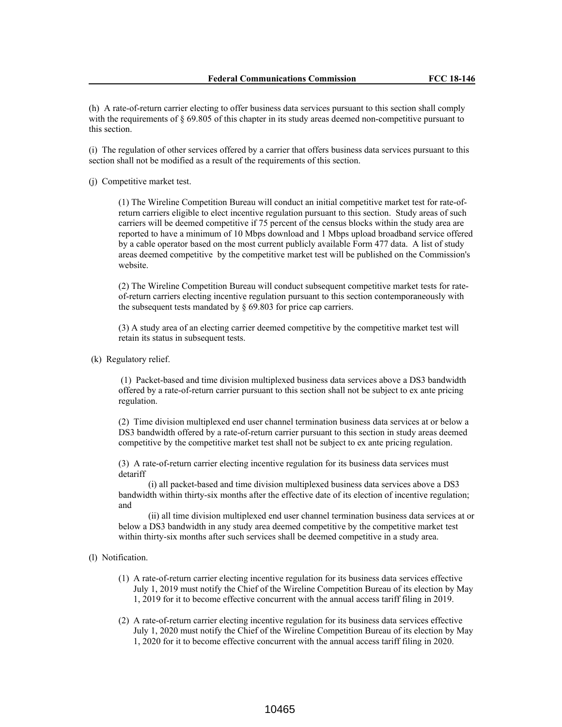(h) A rate-of-return carrier electing to offer business data services pursuant to this section shall comply with the requirements of  $\S 69.805$  of this chapter in its study areas deemed non-competitive pursuant to this section.

(i) The regulation of other services offered by a carrier that offers business data services pursuant to this section shall not be modified as a result of the requirements of this section.

(j) Competitive market test.

(1) The Wireline Competition Bureau will conduct an initial competitive market test for rate-ofreturn carriers eligible to elect incentive regulation pursuant to this section. Study areas of such carriers will be deemed competitive if 75 percent of the census blocks within the study area are reported to have a minimum of 10 Mbps download and 1 Mbps upload broadband service offered by a cable operator based on the most current publicly available Form 477 data. A list of study areas deemed competitive by the competitive market test will be published on the Commission's website.

(2) The Wireline Competition Bureau will conduct subsequent competitive market tests for rateof-return carriers electing incentive regulation pursuant to this section contemporaneously with the subsequent tests mandated by § 69.803 for price cap carriers.

(3) A study area of an electing carrier deemed competitive by the competitive market test will retain its status in subsequent tests.

(k) Regulatory relief.

(1) Packet-based and time division multiplexed business data services above a DS3 bandwidth offered by a rate-of-return carrier pursuant to this section shall not be subject to ex ante pricing regulation.

(2) Time division multiplexed end user channel termination business data services at or below a DS3 bandwidth offered by a rate-of-return carrier pursuant to this section in study areas deemed competitive by the competitive market test shall not be subject to ex ante pricing regulation.

(3) A rate-of-return carrier electing incentive regulation for its business data services must detariff

(i) all packet-based and time division multiplexed business data services above a DS3 bandwidth within thirty-six months after the effective date of its election of incentive regulation; and

(ii) all time division multiplexed end user channel termination business data services at or below a DS3 bandwidth in any study area deemed competitive by the competitive market test within thirty-six months after such services shall be deemed competitive in a study area.

(l) Notification.

- (1) A rate-of-return carrier electing incentive regulation for its business data services effective July 1, 2019 must notify the Chief of the Wireline Competition Bureau of its election by May 1, 2019 for it to become effective concurrent with the annual access tariff filing in 2019.
- (2) A rate-of-return carrier electing incentive regulation for its business data services effective July 1, 2020 must notify the Chief of the Wireline Competition Bureau of its election by May 1, 2020 for it to become effective concurrent with the annual access tariff filing in 2020.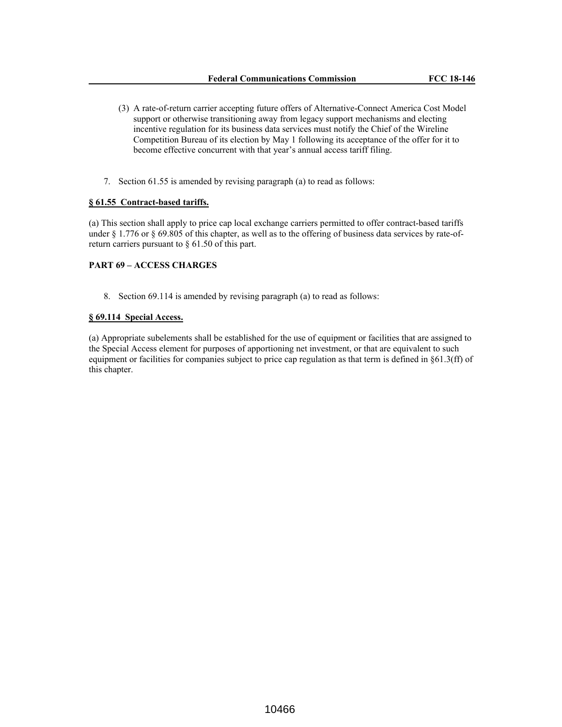- (3) A rate-of-return carrier accepting future offers of Alternative-Connect America Cost Model support or otherwise transitioning away from legacy support mechanisms and electing incentive regulation for its business data services must notify the Chief of the Wireline Competition Bureau of its election by May 1 following its acceptance of the offer for it to become effective concurrent with that year's annual access tariff filing.
- 7. Section 61.55 is amended by revising paragraph (a) to read as follows:

### **§ 61.55 Contract-based tariffs.**

(a) This section shall apply to price cap local exchange carriers permitted to offer contract-based tariffs under § 1.776 or § 69.805 of this chapter, as well as to the offering of business data services by rate-ofreturn carriers pursuant to § 61.50 of this part.

# **PART 69 – ACCESS CHARGES**

8. Section 69.114 is amended by revising paragraph (a) to read as follows:

### **§ 69.114 Special Access.**

(a) Appropriate subelements shall be established for the use of equipment or facilities that are assigned to the Special Access element for purposes of apportioning net investment, or that are equivalent to such equipment or facilities for companies subject to price cap regulation as that term is defined in §61.3(ff) of this chapter.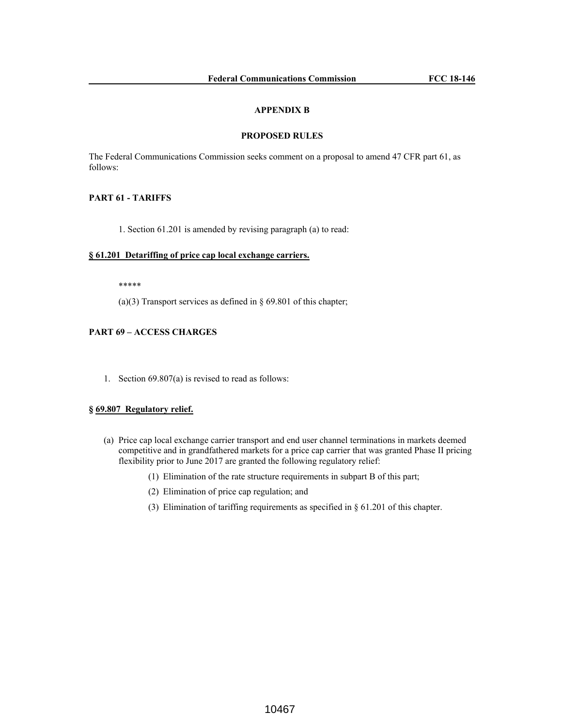## **APPENDIX B**

### **PROPOSED RULES**

The Federal Communications Commission seeks comment on a proposal to amend 47 CFR part 61, as follows:

# **PART 61 - TARIFFS**

1. Section 61.201 is amended by revising paragraph (a) to read:

### **§ 61.201 Detariffing of price cap local exchange carriers.**

\*\*\*\*\*

(a)(3) Transport services as defined in  $\S$  69.801 of this chapter;

# **PART 69 – ACCESS CHARGES**

1. Section 69.807(a) is revised to read as follows:

# **§ 69.807 Regulatory relief.**

- (a) Price cap local exchange carrier transport and end user channel terminations in markets deemed competitive and in grandfathered markets for a price cap carrier that was granted Phase II pricing flexibility prior to June 2017 are granted the following regulatory relief:
	- (1) Elimination of the rate structure requirements in subpart B of this part;
	- (2) Elimination of price cap regulation; and
	- (3) Elimination of tariffing requirements as specified in § 61.201 of this chapter.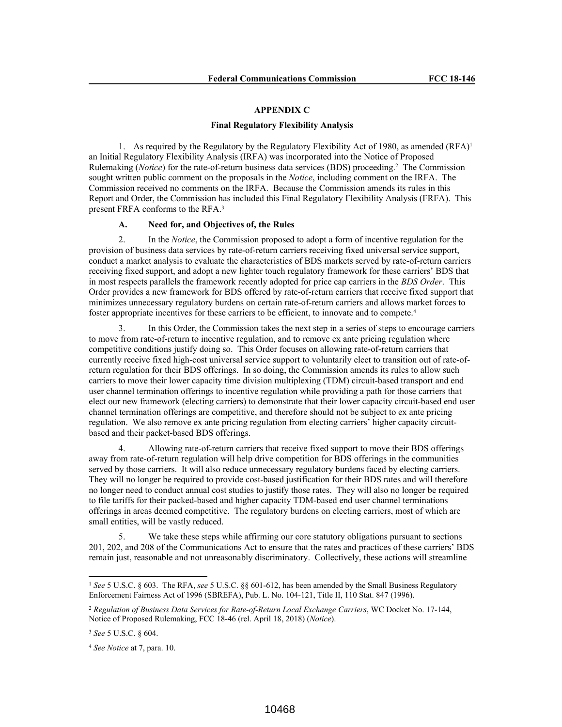#### **APPENDIX C**

#### **Final Regulatory Flexibility Analysis**

1. As required by the Regulatory by the Regulatory Flexibility Act of 1980, as amended  $(RFA)^{1}$ an Initial Regulatory Flexibility Analysis (IRFA) was incorporated into the Notice of Proposed Rulemaking (*Notice*) for the rate-of-return business data services (BDS) proceeding.<sup>2</sup> The Commission sought written public comment on the proposals in the *Notice*, including comment on the IRFA. The Commission received no comments on the IRFA. Because the Commission amends its rules in this Report and Order, the Commission has included this Final Regulatory Flexibility Analysis (FRFA). This present FRFA conforms to the RFA.<sup>3</sup>

#### **A. Need for, and Objectives of, the Rules**

2. In the *Notice*, the Commission proposed to adopt a form of incentive regulation for the provision of business data services by rate-of-return carriers receiving fixed universal service support, conduct a market analysis to evaluate the characteristics of BDS markets served by rate-of-return carriers receiving fixed support, and adopt a new lighter touch regulatory framework for these carriers' BDS that in most respects parallels the framework recently adopted for price cap carriers in the *BDS Order*. This Order provides a new framework for BDS offered by rate-of-return carriers that receive fixed support that minimizes unnecessary regulatory burdens on certain rate-of-return carriers and allows market forces to foster appropriate incentives for these carriers to be efficient, to innovate and to compete.<sup>4</sup>

3. In this Order, the Commission takes the next step in a series of steps to encourage carriers to move from rate-of-return to incentive regulation, and to remove ex ante pricing regulation where competitive conditions justify doing so. This Order focuses on allowing rate-of-return carriers that currently receive fixed high-cost universal service support to voluntarily elect to transition out of rate-ofreturn regulation for their BDS offerings. In so doing, the Commission amends its rules to allow such carriers to move their lower capacity time division multiplexing (TDM) circuit-based transport and end user channel termination offerings to incentive regulation while providing a path for those carriers that elect our new framework (electing carriers) to demonstrate that their lower capacity circuit-based end user channel termination offerings are competitive, and therefore should not be subject to ex ante pricing regulation. We also remove ex ante pricing regulation from electing carriers' higher capacity circuitbased and their packet-based BDS offerings.

4. Allowing rate-of-return carriers that receive fixed support to move their BDS offerings away from rate-of-return regulation will help drive competition for BDS offerings in the communities served by those carriers. It will also reduce unnecessary regulatory burdens faced by electing carriers. They will no longer be required to provide cost-based justification for their BDS rates and will therefore no longer need to conduct annual cost studies to justify those rates. They will also no longer be required to file tariffs for their packed-based and higher capacity TDM-based end user channel terminations offerings in areas deemed competitive. The regulatory burdens on electing carriers, most of which are small entities, will be vastly reduced.

We take these steps while affirming our core statutory obligations pursuant to sections 201, 202, and 208 of the Communications Act to ensure that the rates and practices of these carriers' BDS remain just, reasonable and not unreasonably discriminatory. Collectively, these actions will streamline

<sup>1</sup> *See* 5 U.S.C. § 603. The RFA, *see* 5 U.S.C. §§ 601-612, has been amended by the Small Business Regulatory Enforcement Fairness Act of 1996 (SBREFA), Pub. L. No. 104-121, Title II, 110 Stat. 847 (1996).

<sup>2</sup> *Regulation of Business Data Services for Rate-of-Return Local Exchange Carriers*, WC Docket No. 17-144, Notice of Proposed Rulemaking, FCC 18-46 (rel. April 18, 2018) (*Notice*).

<sup>3</sup> *See* 5 U.S.C. § 604.

<sup>4</sup> *See Notice* at 7, para. 10.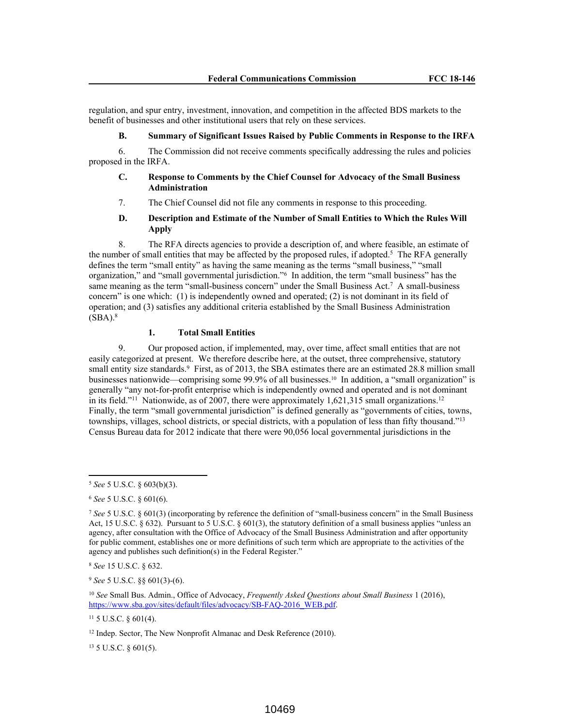regulation, and spur entry, investment, innovation, and competition in the affected BDS markets to the benefit of businesses and other institutional users that rely on these services.

## **B. Summary of Significant Issues Raised by Public Comments in Response to the IRFA**

6. The Commission did not receive comments specifically addressing the rules and policies proposed in the IRFA.

## **C. Response to Comments by the Chief Counsel for Advocacy of the Small Business Administration**

7. The Chief Counsel did not file any comments in response to this proceeding.

# **D. Description and Estimate of the Number of Small Entities to Which the Rules Will Apply**

8. The RFA directs agencies to provide a description of, and where feasible, an estimate of the number of small entities that may be affected by the proposed rules, if adopted.<sup>5</sup> The RFA generally defines the term "small entity" as having the same meaning as the terms "small business," "small organization," and "small governmental jurisdiction."<sup>6</sup> In addition, the term "small business" has the same meaning as the term "small-business concern" under the Small Business Act.<sup>7</sup> A small-business concern" is one which: (1) is independently owned and operated; (2) is not dominant in its field of operation; and (3) satisfies any additional criteria established by the Small Business Administration  $(SBA).$ <sup>8</sup>

## **1. Total Small Entities**

9. Our proposed action, if implemented, may, over time, affect small entities that are not easily categorized at present. We therefore describe here, at the outset, three comprehensive, statutory small entity size standards.<sup>9</sup> First, as of 2013, the SBA estimates there are an estimated 28.8 million small businesses nationwide—comprising some 99.9% of all businesses.<sup>10</sup> In addition, a "small organization" is generally "any not-for-profit enterprise which is independently owned and operated and is not dominant in its field."<sup>11</sup> Nationwide, as of 2007, there were approximately 1,621,315 small organizations.<sup>12</sup> Finally, the term "small governmental jurisdiction" is defined generally as "governments of cities, towns, townships, villages, school districts, or special districts, with a population of less than fifty thousand."<sup>13</sup> Census Bureau data for 2012 indicate that there were 90,056 local governmental jurisdictions in the

<sup>9</sup> *See* 5 U.S.C. §§ 601(3)-(6).

<sup>13</sup> 5 U.S.C. § 601(5).

<sup>5</sup> *See* 5 U.S.C. § 603(b)(3).

<sup>6</sup> *See* 5 U.S.C. § 601(6).

<sup>7</sup> *See* 5 U.S.C. § 601(3) (incorporating by reference the definition of "small-business concern" in the Small Business Act, 15 U.S.C. § 632). Pursuant to 5 U.S.C. § 601(3), the statutory definition of a small business applies "unless an agency, after consultation with the Office of Advocacy of the Small Business Administration and after opportunity for public comment, establishes one or more definitions of such term which are appropriate to the activities of the agency and publishes such definition(s) in the Federal Register."

<sup>8</sup> *See* 15 U.S.C. § 632.

<sup>10</sup> *See* Small Bus. Admin., Office of Advocacy, *Frequently Asked Questions about Small Business* 1 (2016), https://www.sba.gov/sites/default/files/advocacy/SB-FAQ-2016\_WEB.pdf.

<sup>11</sup> 5 U.S.C. § 601(4).

<sup>12</sup> Indep. Sector, The New Nonprofit Almanac and Desk Reference (2010).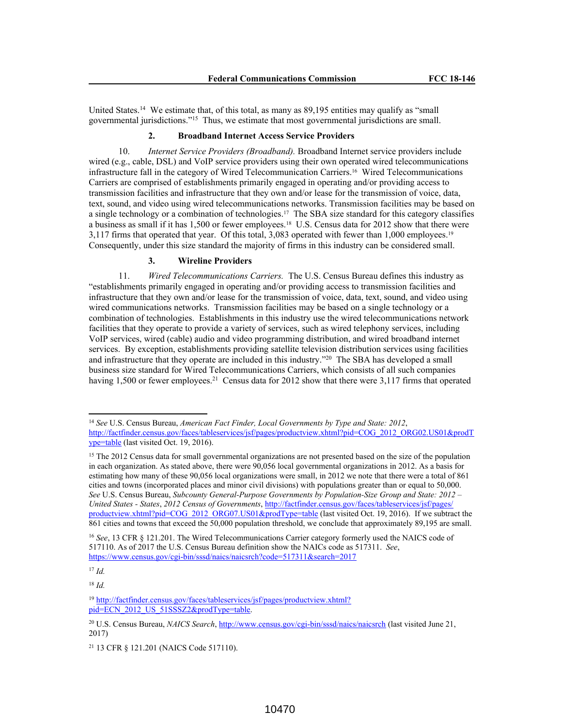United States.<sup>14</sup> We estimate that, of this total, as many as 89,195 entities may qualify as "small governmental jurisdictions."<sup>15</sup> Thus, we estimate that most governmental jurisdictions are small.

## **2. Broadband Internet Access Service Providers**

10. *Internet Service Providers (Broadband).* Broadband Internet service providers include wired (e.g., cable, DSL) and VoIP service providers using their own operated wired telecommunications infrastructure fall in the category of Wired Telecommunication Carriers.<sup>16</sup> Wired Telecommunications Carriers are comprised of establishments primarily engaged in operating and/or providing access to transmission facilities and infrastructure that they own and/or lease for the transmission of voice, data, text, sound, and video using wired telecommunications networks. Transmission facilities may be based on a single technology or a combination of technologies.<sup>17</sup> The SBA size standard for this category classifies a business as small if it has 1,500 or fewer employees.<sup>18</sup> U.S. Census data for 2012 show that there were 3,117 firms that operated that year. Of this total, 3,083 operated with fewer than 1,000 employees.<sup>19</sup> Consequently, under this size standard the majority of firms in this industry can be considered small.

### **3. Wireline Providers**

11. *Wired Telecommunications Carriers.* The U.S. Census Bureau defines this industry as "establishments primarily engaged in operating and/or providing access to transmission facilities and infrastructure that they own and/or lease for the transmission of voice, data, text, sound, and video using wired communications networks. Transmission facilities may be based on a single technology or a combination of technologies. Establishments in this industry use the wired telecommunications network facilities that they operate to provide a variety of services, such as wired telephony services, including VoIP services, wired (cable) audio and video programming distribution, and wired broadband internet services. By exception, establishments providing satellite television distribution services using facilities and infrastructure that they operate are included in this industry."<sup>20</sup> The SBA has developed a small business size standard for Wired Telecommunications Carriers, which consists of all such companies having 1,500 or fewer employees.<sup>21</sup> Census data for 2012 show that there were 3,117 firms that operated

<sup>18</sup> *Id.*

<sup>14</sup> *See* U.S. Census Bureau, *American Fact Finder, Local Governments by Type and State: 2012*, http://factfinder.census.gov/faces/tableservices/jsf/pages/productview.xhtml?pid=COG\_2012\_ORG02.US01&prodT ype=table (last visited Oct. 19, 2016).

<sup>&</sup>lt;sup>15</sup> The 2012 Census data for small governmental organizations are not presented based on the size of the population in each organization. As stated above, there were 90,056 local governmental organizations in 2012. As a basis for estimating how many of these 90,056 local organizations were small, in 2012 we note that there were a total of 861 cities and towns (incorporated places and minor civil divisions) with populations greater than or equal to 50,000. *See* U.S. Census Bureau, *Subcounty General-Purpose Governments by Population-Size Group and State: 2012 – United States - States*, *2012 Census of Governments*, http://factfinder.census.gov/faces/tableservices/jsf/pages/ productview.xhtml?pid=COG\_2012\_ORG07.US01&prodType=table (last visited Oct. 19, 2016). If we subtract the 861 cities and towns that exceed the 50,000 population threshold, we conclude that approximately 89,195 are small.

<sup>16</sup> *See*, 13 CFR § 121.201. The Wired Telecommunications Carrier category formerly used the NAICS code of 517110. As of 2017 the U.S. Census Bureau definition show the NAICs code as 517311. *See*, https://www.census.gov/cgi-bin/sssd/naics/naicsrch?code=517311&search=2017

<sup>17</sup> *Id.*

<sup>&</sup>lt;sup>19</sup> http://factfinder.census.gov/faces/tableservices/jsf/pages/productview.xhtml? pid=ECN\_2012\_US\_51SSSZ2&prodType=table.

<sup>20</sup> U.S. Census Bureau, *NAICS Search*, http://www.census.gov/cgi-bin/sssd/naics/naicsrch (last visited June 21, 2017)

<sup>21</sup> 13 CFR § 121.201 (NAICS Code 517110).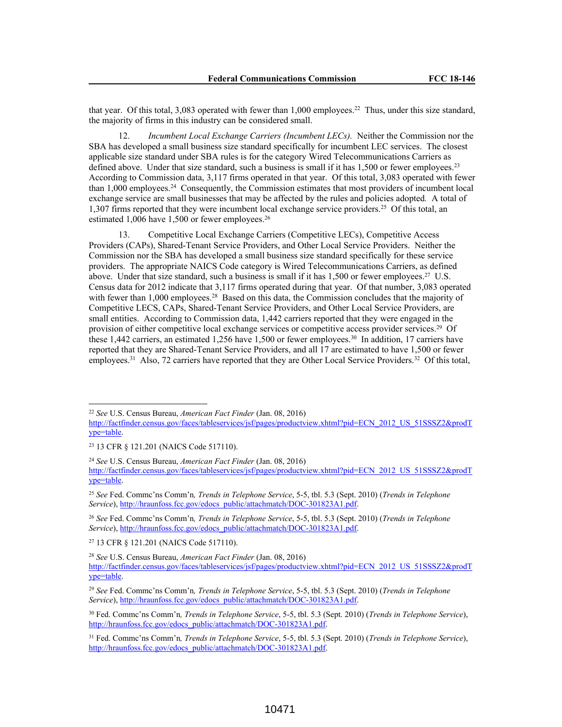that year. Of this total, 3,083 operated with fewer than 1,000 employees.<sup>22</sup> Thus, under this size standard, the majority of firms in this industry can be considered small.

12. *Incumbent Local Exchange Carriers (Incumbent LECs).* Neither the Commission nor the SBA has developed a small business size standard specifically for incumbent LEC services. The closest applicable size standard under SBA rules is for the category Wired Telecommunications Carriers as defined above. Under that size standard, such a business is small if it has  $1,500$  or fewer employees.<sup>23</sup> According to Commission data, 3,117 firms operated in that year. Of this total, 3,083 operated with fewer than 1,000 employees.<sup>24</sup> Consequently, the Commission estimates that most providers of incumbent local exchange service are small businesses that may be affected by the rules and policies adopted*.* A total of 1,307 firms reported that they were incumbent local exchange service providers.<sup>25</sup> Of this total, an estimated 1,006 have 1,500 or fewer employees.<sup>26</sup>

13. Competitive Local Exchange Carriers (Competitive LECs), Competitive Access Providers (CAPs), Shared-Tenant Service Providers, and Other Local Service Providers. Neither the Commission nor the SBA has developed a small business size standard specifically for these service providers. The appropriate NAICS Code category is Wired Telecommunications Carriers, as defined above. Under that size standard, such a business is small if it has  $1,500$  or fewer employees.<sup>27</sup> U.S. Census data for 2012 indicate that 3,117 firms operated during that year. Of that number, 3,083 operated with fewer than 1,000 employees.<sup>28</sup> Based on this data, the Commission concludes that the majority of Competitive LECS, CAPs, Shared-Tenant Service Providers, and Other Local Service Providers, are small entities. According to Commission data, 1,442 carriers reported that they were engaged in the provision of either competitive local exchange services or competitive access provider services.<sup>29</sup> Of these 1,442 carriers, an estimated 1,256 have 1,500 or fewer employees.<sup>30</sup> In addition, 17 carriers have reported that they are Shared-Tenant Service Providers, and all 17 are estimated to have 1,500 or fewer employees.<sup>31</sup> Also, 72 carriers have reported that they are Other Local Service Providers.<sup>32</sup> Of this total,

<sup>22</sup> *See* U.S. Census Bureau, *American Fact Finder* (Jan. 08, 2016)

http://factfinder.census.gov/faces/tableservices/jsf/pages/productview.xhtml?pid=ECN\_2012\_US\_51SSSZ2&prodT ype=table.

<sup>23</sup> 13 CFR § 121.201 (NAICS Code 517110).

<sup>24</sup> *See* U.S. Census Bureau, *American Fact Finder* (Jan. 08, 2016)

http://factfinder.census.gov/faces/tableservices/jsf/pages/productview.xhtml?pid=ECN\_2012\_US\_51SSSZ2&prodT ype=table.

<sup>25</sup> *See* Fed. Commc'ns Comm'n*, Trends in Telephone Service*, 5-5, tbl. 5.3 (Sept. 2010) (*Trends in Telephone Service*), http://hraunfoss.fcc.gov/edocs\_public/attachmatch/DOC-301823A1.pdf.

<sup>26</sup> *See* Fed. Commc'ns Comm'n*, Trends in Telephone Service*, 5-5, tbl. 5.3 (Sept. 2010) (*Trends in Telephone Service*), http://hraunfoss.fcc.gov/edocs\_public/attachmatch/DOC-301823A1.pdf.

<sup>27</sup> 13 CFR § 121.201 (NAICS Code 517110).

<sup>28</sup> *See* U.S. Census Bureau, *American Fact Finder* (Jan. 08, 2016) http://factfinder.census.gov/faces/tableservices/jsf/pages/productview.xhtml?pid=ECN\_2012\_US\_51SSSZ2&prodT ype=table.

<sup>29</sup> *See* Fed. Commc'ns Comm'n*, Trends in Telephone Service*, 5-5, tbl. 5.3 (Sept. 2010) (*Trends in Telephone Service*), http://hraunfoss.fcc.gov/edocs\_public/attachmatch/DOC-301823A1.pdf.

<sup>30</sup> Fed. Commc'ns Comm'n*, Trends in Telephone Service*, 5-5, tbl. 5.3 (Sept. 2010) (*Trends in Telephone Service*), http://hraunfoss.fcc.gov/edocs\_public/attachmatch/DOC-301823A1.pdf.

<sup>31</sup> Fed. Commc'ns Comm'n*, Trends in Telephone Service*, 5-5, tbl. 5.3 (Sept. 2010) (*Trends in Telephone Service*), http://hraunfoss.fcc.gov/edocs\_public/attachmatch/DOC-301823A1.pdf.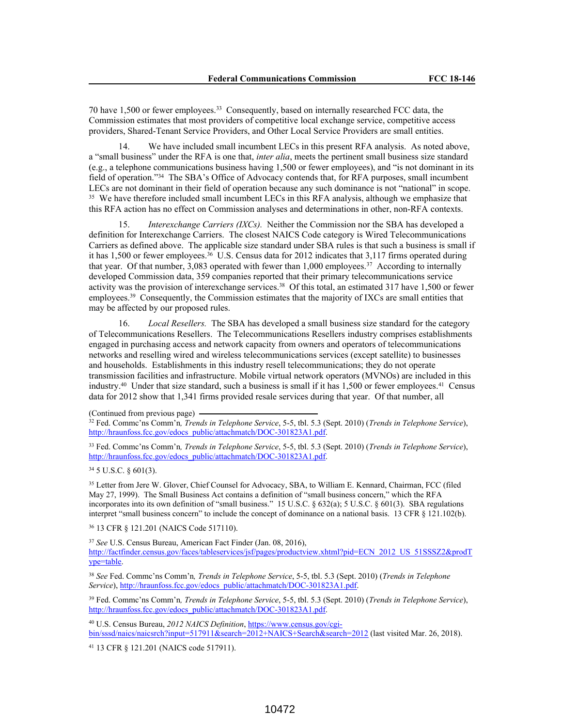70 have 1,500 or fewer employees.<sup>33</sup> Consequently, based on internally researched FCC data, the Commission estimates that most providers of competitive local exchange service, competitive access providers, Shared-Tenant Service Providers, and Other Local Service Providers are small entities.

14. We have included small incumbent LECs in this present RFA analysis. As noted above, a "small business" under the RFA is one that, *inter alia*, meets the pertinent small business size standard (e.g., a telephone communications business having 1,500 or fewer employees), and "is not dominant in its field of operation."<sup>34</sup> The SBA's Office of Advocacy contends that, for RFA purposes, small incumbent LECs are not dominant in their field of operation because any such dominance is not "national" in scope. <sup>35</sup> We have therefore included small incumbent LECs in this RFA analysis, although we emphasize that this RFA action has no effect on Commission analyses and determinations in other, non-RFA contexts.

15. *Interexchange Carriers (IXCs).* Neither the Commission nor the SBA has developed a definition for Interexchange Carriers. The closest NAICS Code category is Wired Telecommunications Carriers as defined above. The applicable size standard under SBA rules is that such a business is small if it has 1,500 or fewer employees.<sup>36</sup> U.S. Census data for 2012 indicates that 3,117 firms operated during that year. Of that number, 3,083 operated with fewer than 1,000 employees.<sup>37</sup> According to internally developed Commission data, 359 companies reported that their primary telecommunications service activity was the provision of interexchange services.<sup>38</sup> Of this total, an estimated 317 have 1,500 or fewer employees.<sup>39</sup> Consequently, the Commission estimates that the majority of IXCs are small entities that may be affected by our proposed rules.

16. *Local Resellers.* The SBA has developed a small business size standard for the category of Telecommunications Resellers. The Telecommunications Resellers industry comprises establishments engaged in purchasing access and network capacity from owners and operators of telecommunications networks and reselling wired and wireless telecommunications services (except satellite) to businesses and households. Establishments in this industry resell telecommunications; they do not operate transmission facilities and infrastructure. Mobile virtual network operators (MVNOs) are included in this industry.<sup>40</sup> Under that size standard, such a business is small if it has 1,500 or fewer employees.<sup>41</sup> Census data for 2012 show that 1,341 firms provided resale services during that year. Of that number, all

<sup>33</sup> Fed. Commc'ns Comm'n*, Trends in Telephone Service*, 5-5, tbl. 5.3 (Sept. 2010) (*Trends in Telephone Service*), http://hraunfoss.fcc.gov/edocs\_public/attachmatch/DOC-301823A1.pdf.

<sup>34</sup> 5 U.S.C. § 601(3).

<sup>35</sup> Letter from Jere W. Glover, Chief Counsel for Advocacy, SBA, to William E. Kennard, Chairman, FCC (filed May 27, 1999). The Small Business Act contains a definition of "small business concern," which the RFA incorporates into its own definition of "small business." 15 U.S.C. § 632(a); 5 U.S.C. § 601(3). SBA regulations interpret "small business concern" to include the concept of dominance on a national basis. 13 CFR § 121.102(b).

<sup>36</sup> 13 CFR § 121.201 (NAICS Code 517110).

<sup>37</sup> *See* U.S. Census Bureau, American Fact Finder (Jan. 08, 2016), http://factfinder.census.gov/faces/tableservices/isf/pages/productview.xhtml?pid=ECN\_2012\_US\_51SSSZ2&prodT ype=table.

<sup>38</sup> *See* Fed. Commc'ns Comm'n*, Trends in Telephone Service*, 5-5, tbl. 5.3 (Sept. 2010) (*Trends in Telephone* Service), http://hraunfoss.fcc.gov/edocs\_public/attachmatch/DOC-301823A1.pdf.

<sup>39</sup> Fed. Commc'ns Comm'n*, Trends in Telephone Service*, 5-5, tbl. 5.3 (Sept. 2010) (*Trends in Telephone Service*), http://hraunfoss.fcc.gov/edocs\_public/attachmatch/DOC-301823A1.pdf.

<sup>40</sup> U.S. Census Bureau, *2012 NAICS Definition*, https://www.census.gov/cgibin/sssd/naics/naicsrch?input=517911&search=2012+NAICS+Search&search=2012 (last visited Mar. 26, 2018).

<sup>41</sup> 13 CFR § 121.201 (NAICS code 517911).

<sup>(</sup>Continued from previous page)

<sup>32</sup> Fed. Commc'ns Comm'n*, Trends in Telephone Service*, 5-5, tbl. 5.3 (Sept. 2010) (*Trends in Telephone Service*), http://hraunfoss.fcc.gov/edocs\_public/attachmatch/DOC-301823A1.pdf.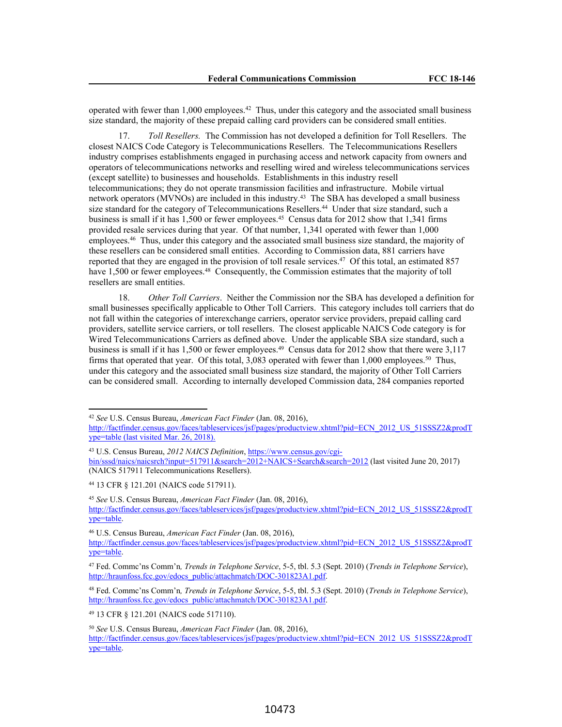operated with fewer than 1,000 employees.<sup>42</sup> Thus, under this category and the associated small business size standard, the majority of these prepaid calling card providers can be considered small entities.

17. *Toll Resellers.* The Commission has not developed a definition for Toll Resellers. The closest NAICS Code Category is Telecommunications Resellers. The Telecommunications Resellers industry comprises establishments engaged in purchasing access and network capacity from owners and operators of telecommunications networks and reselling wired and wireless telecommunications services (except satellite) to businesses and households. Establishments in this industry resell telecommunications; they do not operate transmission facilities and infrastructure. Mobile virtual network operators (MVNOs) are included in this industry.<sup>43</sup> The SBA has developed a small business size standard for the category of Telecommunications Resellers.<sup>44</sup> Under that size standard, such a business is small if it has 1,500 or fewer employees.<sup>45</sup> Census data for 2012 show that 1,341 firms provided resale services during that year. Of that number, 1,341 operated with fewer than 1,000 employees.<sup>46</sup> Thus, under this category and the associated small business size standard, the majority of these resellers can be considered small entities. According to Commission data, 881 carriers have reported that they are engaged in the provision of toll resale services.<sup>47</sup> Of this total, an estimated 857 have 1,500 or fewer employees.<sup>48</sup> Consequently, the Commission estimates that the majority of toll resellers are small entities.

18. *Other Toll Carriers*. Neither the Commission nor the SBA has developed a definition for small businesses specifically applicable to Other Toll Carriers. This category includes toll carriers that do not fall within the categories of interexchange carriers, operator service providers, prepaid calling card providers, satellite service carriers, or toll resellers. The closest applicable NAICS Code category is for Wired Telecommunications Carriers as defined above. Under the applicable SBA size standard, such a business is small if it has 1,500 or fewer employees.<sup>49</sup> Census data for 2012 show that there were 3,117 firms that operated that year. Of this total, 3,083 operated with fewer than 1,000 employees.<sup>50</sup> Thus, under this category and the associated small business size standard, the majority of Other Toll Carriers can be considered small. According to internally developed Commission data, 284 companies reported

<sup>44</sup> 13 CFR § 121.201 (NAICS code 517911).

<sup>48</sup> Fed. Commc'ns Comm'n*, Trends in Telephone Service*, 5-5, tbl. 5.3 (Sept. 2010) (*Trends in Telephone Service*), http://hraunfoss.fcc.gov/edocs\_public/attachmatch/DOC-301823A1.pdf.

<sup>49</sup> 13 CFR § 121.201 (NAICS code 517110).

<sup>42</sup> *See* U.S. Census Bureau, *American Fact Finder* (Jan. 08, 2016),

http://factfinder.census.gov/faces/tableservices/jsf/pages/productview.xhtml?pid=ECN\_2012\_US\_51SSSZ2&prodT ype=table (last visited Mar. 26, 2018).

<sup>43</sup> U.S. Census Bureau, *2012 NAICS Definition*, https://www.census.gov/cgibin/sssd/naics/naicsrch?input=517911&search=2012+NAICS+Search&search=2012 (last visited June 20, 2017) (NAICS 517911 Telecommunications Resellers).

<sup>45</sup> *See* U.S. Census Bureau, *American Fact Finder* (Jan. 08, 2016), http://factfinder.census.gov/faces/tableservices/jsf/pages/productview.xhtml?pid=ECN\_2012\_US\_51SSSZ2&prodT ype=table.

<sup>46</sup> U.S. Census Bureau, *American Fact Finder* (Jan. 08, 2016),

http://factfinder.census.gov/faces/tableservices/jsf/pages/productview.xhtml?pid=ECN\_2012\_US\_51SSSZ2&prodT ype=table.

<sup>47</sup> Fed. Commc'ns Comm'n*, Trends in Telephone Service*, 5-5, tbl. 5.3 (Sept. 2010) (*Trends in Telephone Service*), http://hraunfoss.fcc.gov/edocs\_public/attachmatch/DOC-301823A1.pdf.

<sup>50</sup> *See* U.S. Census Bureau, *American Fact Finder* (Jan. 08, 2016),

http://factfinder.census.gov/faces/tableservices/jsf/pages/productview.xhtml?pid=ECN\_2012\_US\_51SSSZ2&prodT ype=table.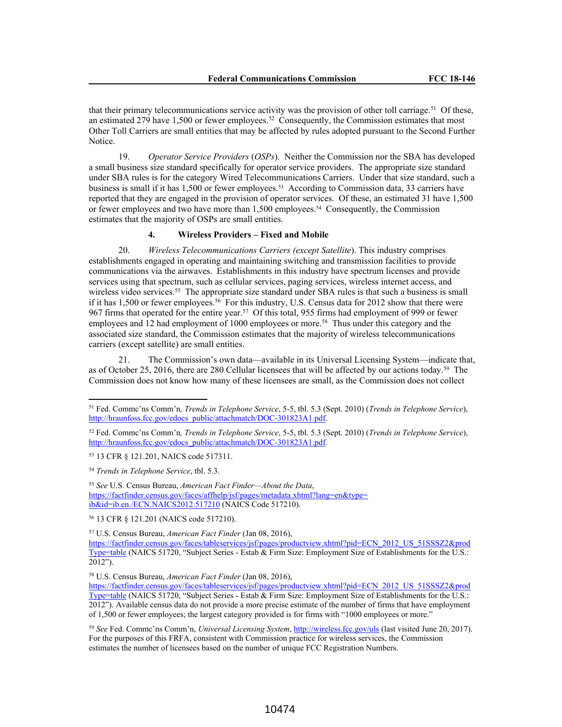that their primary telecommunications service activity was the provision of other toll carriage.<sup>51</sup> Of these, an estimated 279 have 1,500 or fewer employees.<sup>52</sup> Consequently, the Commission estimates that most Other Toll Carriers are small entities that may be affected by rules adopted pursuant to the Second Further Notice.

19. *Operator Service Providers* (*OSPs*). Neither the Commission nor the SBA has developed a small business size standard specifically for operator service providers. The appropriate size standard under SBA rules is for the category Wired Telecommunications Carriers. Under that size standard, such a business is small if it has 1,500 or fewer employees.<sup>53</sup> According to Commission data, 33 carriers have reported that they are engaged in the provision of operator services. Of these, an estimated 31 have 1,500 or fewer employees and two have more than 1,500 employees.<sup>54</sup> Consequently, the Commission estimates that the majority of OSPs are small entities.

#### **4. Wireless Providers – Fixed and Mobile**

20. *Wireless Telecommunications Carriers (except Satellite*). This industry comprises establishments engaged in operating and maintaining switching and transmission facilities to provide communications via the airwaves. Establishments in this industry have spectrum licenses and provide services using that spectrum, such as cellular services, paging services, wireless internet access, and wireless video services.<sup>55</sup> The appropriate size standard under SBA rules is that such a business is small if it has 1,500 or fewer employees.<sup>56</sup> For this industry, U.S. Census data for 2012 show that there were 967 firms that operated for the entire year.<sup>57</sup> Of this total, 955 firms had employment of 999 or fewer employees and 12 had employment of 1000 employees or more.<sup>58</sup> Thus under this category and the associated size standard, the Commission estimates that the majority of wireless telecommunications carriers (except satellite) are small entities.

21. The Commission's own data—available in its Universal Licensing System—indicate that, as of October 25, 2016, there are 280 Cellular licensees that will be affected by our actions today.<sup>59</sup> The Commission does not know how many of these licensees are small, as the Commission does not collect

<sup>51</sup> Fed. Commc'ns Comm'n*, Trends in Telephone Service*, 5-5, tbl. 5.3 (Sept. 2010) (*Trends in Telephone Service*), http://hraunfoss.fcc.gov/edocs\_public/attachmatch/DOC-301823A1.pdf.

<sup>52</sup> Fed. Commc'ns Comm'n*, Trends in Telephone Service*, 5-5, tbl. 5.3 (Sept. 2010) (*Trends in Telephone Service*), http://hraunfoss.fcc.gov/edocs\_public/attachmatch/DOC-301823A1.pdf.

<sup>53</sup> 13 CFR § 121.201, NAICS code 517311.

<sup>54</sup> *Trends in Telephone Service*, tbl. 5.3.

<sup>55</sup> *See* U.S. Census Bureau, *American Fact Finder—About the Data*, https://factfinder.census.gov/faces/affhelp/jsf/pages/metadata.xhtml?lang=en&type= ib&id=ib.en./ECN.NAICS2012.517210 (NAICS Code 517210).

<sup>56</sup> 13 CFR § 121.201 (NAICS code 517210).

<sup>57</sup> U.S. Census Bureau, *American Fact Finder* (Jan 08, 2016),

https://factfinder.census.gov/faces/tableservices/jsf/pages/productview.xhtml?pid=ECN\_2012\_US\_51SSSZ2&prod Type=table (NAICS 51720, "Subject Series - Estab & Firm Size: Employment Size of Establishments for the U.S.: 2012").

<sup>58</sup> U.S. Census Bureau, *American Fact Finder* (Jan 08, 2016),

https://factfinder.census.gov/faces/tableservices/jsf/pages/productview.xhtml?pid=ECN\_2012\_US\_51SSSZ2&prod Type=table (NAICS 51720, "Subject Series - Estab & Firm Size: Employment Size of Establishments for the U.S.: 2012"). Available census data do not provide a more precise estimate of the number of firms that have employment of 1,500 or fewer employees; the largest category provided is for firms with "1000 employees or more."

<sup>59</sup> *See* Fed. Commc'ns Comm'n, *Universal Licensing System*, http://wireless.fcc.gov/uls (last visited June 20, 2017). For the purposes of this FRFA, consistent with Commission practice for wireless services, the Commission estimates the number of licensees based on the number of unique FCC Registration Numbers.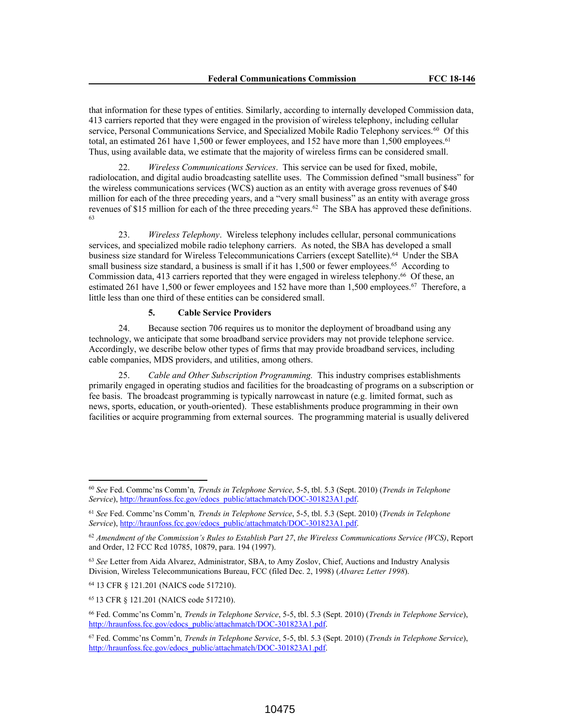that information for these types of entities. Similarly, according to internally developed Commission data, 413 carriers reported that they were engaged in the provision of wireless telephony, including cellular service, Personal Communications Service, and Specialized Mobile Radio Telephony services.<sup>60</sup> Of this total, an estimated 261 have 1,500 or fewer employees, and 152 have more than 1,500 employees.<sup>61</sup> Thus, using available data, we estimate that the majority of wireless firms can be considered small.

22. *Wireless Communications Services*. This service can be used for fixed, mobile, radiolocation, and digital audio broadcasting satellite uses. The Commission defined "small business" for the wireless communications services (WCS) auction as an entity with average gross revenues of \$40 million for each of the three preceding years, and a "very small business" as an entity with average gross revenues of \$15 million for each of the three preceding years.<sup>62</sup> The SBA has approved these definitions. 63

23. *Wireless Telephony*. Wireless telephony includes cellular, personal communications services, and specialized mobile radio telephony carriers. As noted, the SBA has developed a small business size standard for Wireless Telecommunications Carriers (except Satellite).<sup>64</sup> Under the SBA small business size standard, a business is small if it has 1,500 or fewer employees.<sup>65</sup> According to Commission data, 413 carriers reported that they were engaged in wireless telephony.<sup>66</sup> Of these, an estimated 261 have 1,500 or fewer employees and 152 have more than 1,500 employees.<sup>67</sup> Therefore, a little less than one third of these entities can be considered small.

## **5. Cable Service Providers**

24. Because section 706 requires us to monitor the deployment of broadband using any technology, we anticipate that some broadband service providers may not provide telephone service. Accordingly, we describe below other types of firms that may provide broadband services, including cable companies, MDS providers, and utilities, among others.

25. *Cable and Other Subscription Programming.* This industry comprises establishments primarily engaged in operating studios and facilities for the broadcasting of programs on a subscription or fee basis. The broadcast programming is typically narrowcast in nature (e.g. limited format, such as news, sports, education, or youth-oriented). These establishments produce programming in their own facilities or acquire programming from external sources. The programming material is usually delivered

<sup>60</sup> *See* Fed. Commc'ns Comm'n*, Trends in Telephone Service*, 5-5, tbl. 5.3 (Sept. 2010) (*Trends in Telephone Service*), http://hraunfoss.fcc.gov/edocs\_public/attachmatch/DOC-301823A1.pdf.

<sup>61</sup> *See* Fed. Commc'ns Comm'n*, Trends in Telephone Service*, 5-5, tbl. 5.3 (Sept. 2010) (*Trends in Telephone Service*), http://hraunfoss.fcc.gov/edocs\_public/attachmatch/DOC-301823A1.pdf.

<sup>62</sup> *Amendment of the Commission's Rules to Establish Part 27*, *the Wireless Communications Service (WCS)*, Report and Order, 12 FCC Rcd 10785, 10879, para. 194 (1997).

<sup>63</sup> *See* Letter from Aida Alvarez, Administrator, SBA, to Amy Zoslov, Chief, Auctions and Industry Analysis Division, Wireless Telecommunications Bureau, FCC (filed Dec. 2, 1998) (*Alvarez Letter 1998*).

<sup>64</sup> 13 CFR § 121.201 (NAICS code 517210).

<sup>65</sup> 13 CFR § 121.201 (NAICS code 517210).

<sup>66</sup> Fed. Commc'ns Comm'n*, Trends in Telephone Service*, 5-5, tbl. 5.3 (Sept. 2010) (*Trends in Telephone Service*), http://hraunfoss.fcc.gov/edocs\_public/attachmatch/DOC-301823A1.pdf.

<sup>67</sup> Fed. Commc'ns Comm'n*, Trends in Telephone Service*, 5-5, tbl. 5.3 (Sept. 2010) (*Trends in Telephone Service*), http://hraunfoss.fcc.gov/edocs\_public/attachmatch/DOC-301823A1.pdf.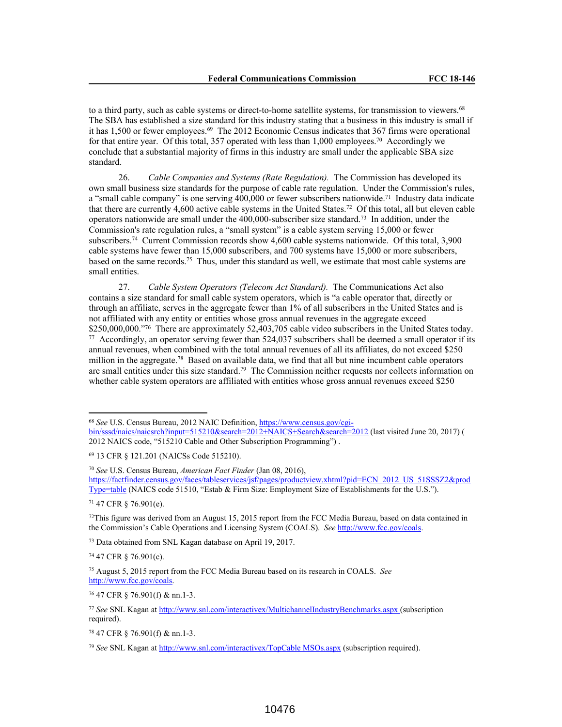to a third party, such as cable systems or direct-to-home satellite systems, for transmission to viewers.<sup>68</sup> The SBA has established a size standard for this industry stating that a business in this industry is small if it has 1,500 or fewer employees.<sup>69</sup> The 2012 Economic Census indicates that 367 firms were operational for that entire year. Of this total, 357 operated with less than  $1,000$  employees.<sup>70</sup> Accordingly we conclude that a substantial majority of firms in this industry are small under the applicable SBA size standard.

26. *Cable Companies and Systems (Rate Regulation).* The Commission has developed its own small business size standards for the purpose of cable rate regulation. Under the Commission's rules, a "small cable company" is one serving 400,000 or fewer subscribers nationwide.<sup>71</sup> Industry data indicate that there are currently 4,600 active cable systems in the United States.<sup>72</sup> Of this total, all but eleven cable operators nationwide are small under the 400,000-subscriber size standard.<sup>73</sup> In addition, under the Commission's rate regulation rules, a "small system" is a cable system serving 15,000 or fewer subscribers.<sup>74</sup> Current Commission records show 4,600 cable systems nationwide. Of this total, 3,900 cable systems have fewer than 15,000 subscribers, and 700 systems have 15,000 or more subscribers, based on the same records.<sup>75</sup> Thus, under this standard as well, we estimate that most cable systems are small entities.

27. *Cable System Operators (Telecom Act Standard).* The Communications Act also contains a size standard for small cable system operators, which is "a cable operator that, directly or through an affiliate, serves in the aggregate fewer than 1% of all subscribers in the United States and is not affiliated with any entity or entities whose gross annual revenues in the aggregate exceed \$250,000,000."<sup>76</sup> There are approximately 52,403,705 cable video subscribers in the United States today. 77 Accordingly, an operator serving fewer than 524,037 subscribers shall be deemed a small operator if its annual revenues, when combined with the total annual revenues of all its affiliates, do not exceed \$250 million in the aggregate.<sup>78</sup> Based on available data, we find that all but nine incumbent cable operators are small entities under this size standard.<sup>79</sup> The Commission neither requests nor collects information on whether cable system operators are affiliated with entities whose gross annual revenues exceed \$250

<sup>69</sup> 13 CFR § 121.201 (NAICSs Code 515210).

<sup>70</sup> *See* U.S. Census Bureau, *American Fact Finder* (Jan 08, 2016), https://factfinder.census.gov/faces/tableservices/jsf/pages/productview.xhtml?pid=ECN\_2012\_US\_51SSSZ2&prod Type=table (NAICS code 51510, "Estab & Firm Size: Employment Size of Establishments for the U.S.").

<sup>71</sup> 47 CFR § 76.901(e).

 $72$ This figure was derived from an August 15, 2015 report from the FCC Media Bureau, based on data contained in the Commission's Cable Operations and Licensing System (COALS). *See* http://www.fcc.gov/coals.

<sup>73</sup> Data obtained from SNL Kagan database on April 19, 2017.

<sup>74</sup> 47 CFR § 76.901(c).

<sup>75</sup> August 5, 2015 report from the FCC Media Bureau based on its research in COALS. *See* http://www.fcc.gov/coals.

<sup>76</sup> 47 CFR § 76.901(f) & nn.1-3.

<sup>68</sup> *See* U.S. Census Bureau, 2012 NAIC Definition, https://www.census.gov/cgibin/sssd/naics/naicsrch?input=515210&search=2012+NAICS+Search&search=2012 (last visited June 20, 2017) ( 2012 NAICS code, "515210 Cable and Other Subscription Programming") .

<sup>77</sup> *See* SNL Kagan at http://www.snl.com/interactivex/MultichannelIndustryBenchmarks.aspx (subscription required).

<sup>78</sup> 47 CFR § 76.901(f) & nn.1-3.

<sup>79</sup> *See* SNL Kagan at http://www.snl.com/interactivex/TopCable MSOs.aspx (subscription required).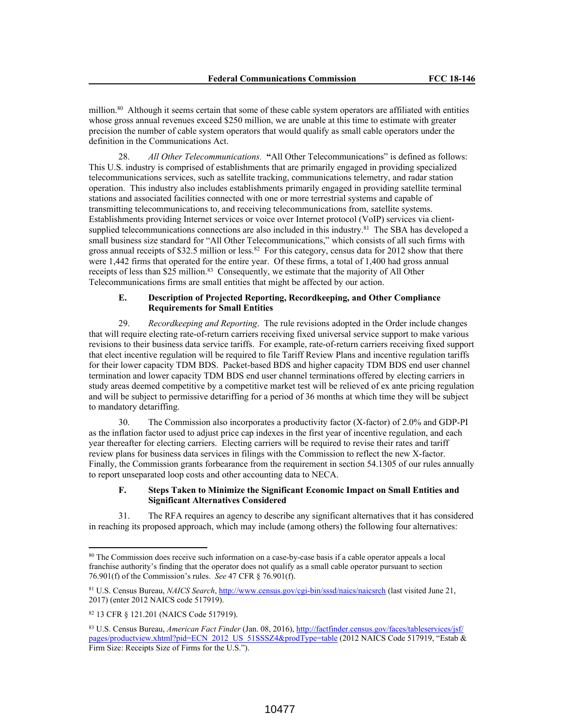million.<sup>80</sup> Although it seems certain that some of these cable system operators are affiliated with entities whose gross annual revenues exceed \$250 million, we are unable at this time to estimate with greater precision the number of cable system operators that would qualify as small cable operators under the definition in the Communications Act.

28. *All Other Telecommunications.* **"**All Other Telecommunications" is defined as follows: This U.S. industry is comprised of establishments that are primarily engaged in providing specialized telecommunications services, such as satellite tracking, communications telemetry, and radar station operation. This industry also includes establishments primarily engaged in providing satellite terminal stations and associated facilities connected with one or more terrestrial systems and capable of transmitting telecommunications to, and receiving telecommunications from, satellite systems. Establishments providing Internet services or voice over Internet protocol (VoIP) services via clientsupplied telecommunications connections are also included in this industry.<sup>81</sup> The SBA has developed a small business size standard for "All Other Telecommunications," which consists of all such firms with gross annual receipts of \$32.5 million or less.<sup>82</sup> For this category, census data for 2012 show that there were 1,442 firms that operated for the entire year. Of these firms, a total of 1,400 had gross annual receipts of less than \$25 million.<sup>83</sup> Consequently, we estimate that the majority of All Other Telecommunications firms are small entities that might be affected by our action.

### **E. Description of Projected Reporting, Recordkeeping, and Other Compliance Requirements for Small Entities**

29. *Recordkeeping and Reporting*. The rule revisions adopted in the Order include changes that will require electing rate-of-return carriers receiving fixed universal service support to make various revisions to their business data service tariffs. For example, rate-of-return carriers receiving fixed support that elect incentive regulation will be required to file Tariff Review Plans and incentive regulation tariffs for their lower capacity TDM BDS. Packet-based BDS and higher capacity TDM BDS end user channel termination and lower capacity TDM BDS end user channel terminations offered by electing carriers in study areas deemed competitive by a competitive market test will be relieved of ex ante pricing regulation and will be subject to permissive detariffing for a period of 36 months at which time they will be subject to mandatory detariffing.

30. The Commission also incorporates a productivity factor (X-factor) of 2.0% and GDP-PI as the inflation factor used to adjust price cap indexes in the first year of incentive regulation, and each year thereafter for electing carriers. Electing carriers will be required to revise their rates and tariff review plans for business data services in filings with the Commission to reflect the new X-factor. Finally, the Commission grants forbearance from the requirement in section 54.1305 of our rules annually to report unseparated loop costs and other accounting data to NECA.

# **F. Steps Taken to Minimize the Significant Economic Impact on Small Entities and Significant Alternatives Considered**

31. The RFA requires an agency to describe any significant alternatives that it has considered in reaching its proposed approach, which may include (among others) the following four alternatives:

<sup>80</sup> The Commission does receive such information on a case-by-case basis if a cable operator appeals a local franchise authority's finding that the operator does not qualify as a small cable operator pursuant to section 76.901(f) of the Commission's rules. *See* 47 CFR § 76.901(f).

<sup>81</sup> U.S. Census Bureau, *NAICS Search*, http://www.census.gov/cgi-bin/sssd/naics/naicsrch (last visited June 21, 2017) (enter 2012 NAICS code 517919).

<sup>82</sup> 13 CFR § 121.201 (NAICS Code 517919).

<sup>83</sup> U.S. Census Bureau, *American Fact Finder* (Jan. 08, 2016), http://factfinder.census.gov/faces/tableservices/jsf/ pages/productview.xhtml?pid=ECN\_2012\_US\_51SSSZ4&prodType=table (2012 NAICS Code 517919, "Estab & Firm Size: Receipts Size of Firms for the U.S.").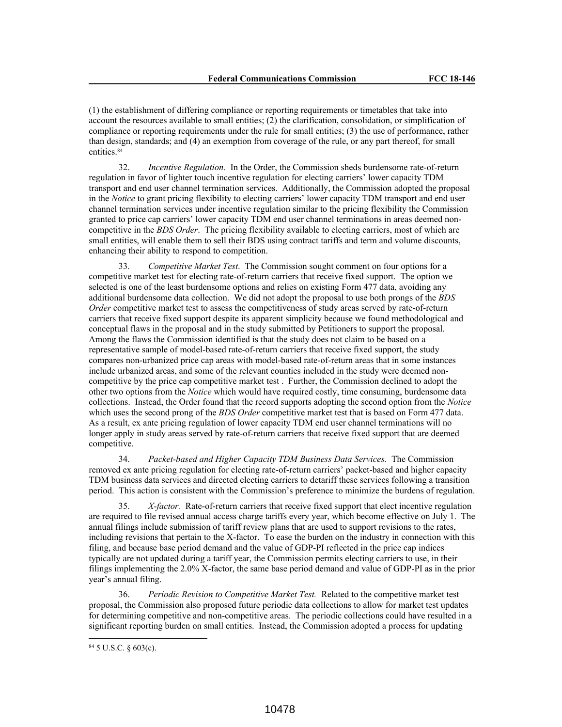(1) the establishment of differing compliance or reporting requirements or timetables that take into account the resources available to small entities; (2) the clarification, consolidation, or simplification of compliance or reporting requirements under the rule for small entities; (3) the use of performance, rather than design, standards; and (4) an exemption from coverage of the rule, or any part thereof, for small entities.<sup>84</sup>

32. *Incentive Regulation*. In the Order, the Commission sheds burdensome rate-of-return regulation in favor of lighter touch incentive regulation for electing carriers' lower capacity TDM transport and end user channel termination services. Additionally, the Commission adopted the proposal in the *Notice* to grant pricing flexibility to electing carriers' lower capacity TDM transport and end user channel termination services under incentive regulation similar to the pricing flexibility the Commission granted to price cap carriers' lower capacity TDM end user channel terminations in areas deemed noncompetitive in the *BDS Order*. The pricing flexibility available to electing carriers, most of which are small entities, will enable them to sell their BDS using contract tariffs and term and volume discounts, enhancing their ability to respond to competition.

33. *Competitive Market Test*. The Commission sought comment on four options for a competitive market test for electing rate-of-return carriers that receive fixed support. The option we selected is one of the least burdensome options and relies on existing Form 477 data, avoiding any additional burdensome data collection. We did not adopt the proposal to use both prongs of the *BDS Order* competitive market test to assess the competitiveness of study areas served by rate-of-return carriers that receive fixed support despite its apparent simplicity because we found methodological and conceptual flaws in the proposal and in the study submitted by Petitioners to support the proposal. Among the flaws the Commission identified is that the study does not claim to be based on a representative sample of model-based rate-of-return carriers that receive fixed support, the study compares non-urbanized price cap areas with model-based rate-of-return areas that in some instances include urbanized areas, and some of the relevant counties included in the study were deemed noncompetitive by the price cap competitive market test . Further, the Commission declined to adopt the other two options from the *Notice* which would have required costly, time consuming, burdensome data collections. Instead, the Order found that the record supports adopting the second option from the *Notice* which uses the second prong of the *BDS Order* competitive market test that is based on Form 477 data. As a result, ex ante pricing regulation of lower capacity TDM end user channel terminations will no longer apply in study areas served by rate-of-return carriers that receive fixed support that are deemed competitive.

34. *Packet-based and Higher Capacity TDM Business Data Services.* The Commission removed ex ante pricing regulation for electing rate-of-return carriers' packet-based and higher capacity TDM business data services and directed electing carriers to detariff these services following a transition period. This action is consistent with the Commission's preference to minimize the burdens of regulation.

35. *X-factor.* Rate-of-return carriers that receive fixed support that elect incentive regulation are required to file revised annual access charge tariffs every year, which become effective on July 1. The annual filings include submission of tariff review plans that are used to support revisions to the rates, including revisions that pertain to the X-factor. To ease the burden on the industry in connection with this filing, and because base period demand and the value of GDP-PI reflected in the price cap indices typically are not updated during a tariff year, the Commission permits electing carriers to use, in their filings implementing the 2.0% X-factor, the same base period demand and value of GDP-PI as in the prior year's annual filing.

36. *Periodic Revision to Competitive Market Test.* Related to the competitive market test proposal, the Commission also proposed future periodic data collections to allow for market test updates for determining competitive and non-competitive areas. The periodic collections could have resulted in a significant reporting burden on small entities. Instead, the Commission adopted a process for updating

<sup>84</sup> 5 U.S.C. § 603(c).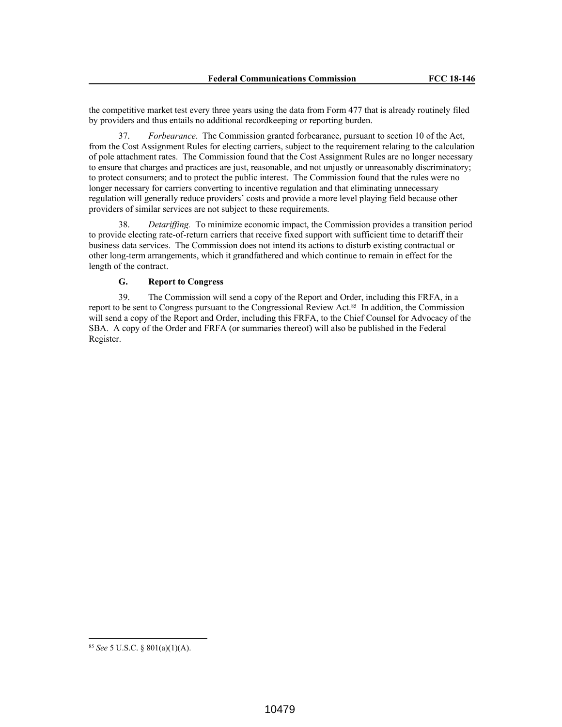the competitive market test every three years using the data from Form 477 that is already routinely filed by providers and thus entails no additional recordkeeping or reporting burden.

37. *Forbearance*. The Commission granted forbearance, pursuant to section 10 of the Act, from the Cost Assignment Rules for electing carriers, subject to the requirement relating to the calculation of pole attachment rates. The Commission found that the Cost Assignment Rules are no longer necessary to ensure that charges and practices are just, reasonable, and not unjustly or unreasonably discriminatory; to protect consumers; and to protect the public interest. The Commission found that the rules were no longer necessary for carriers converting to incentive regulation and that eliminating unnecessary regulation will generally reduce providers' costs and provide a more level playing field because other providers of similar services are not subject to these requirements.

38. *Detariffing.* To minimize economic impact, the Commission provides a transition period to provide electing rate-of-return carriers that receive fixed support with sufficient time to detariff their business data services. The Commission does not intend its actions to disturb existing contractual or other long-term arrangements, which it grandfathered and which continue to remain in effect for the length of the contract.

# **G. Report to Congress**

39. The Commission will send a copy of the Report and Order, including this FRFA, in a report to be sent to Congress pursuant to the Congressional Review Act.<sup>85</sup> In addition, the Commission will send a copy of the Report and Order, including this FRFA, to the Chief Counsel for Advocacy of the SBA. A copy of the Order and FRFA (or summaries thereof) will also be published in the Federal Register.

<sup>85</sup> *See* 5 U.S.C. § 801(a)(1)(A).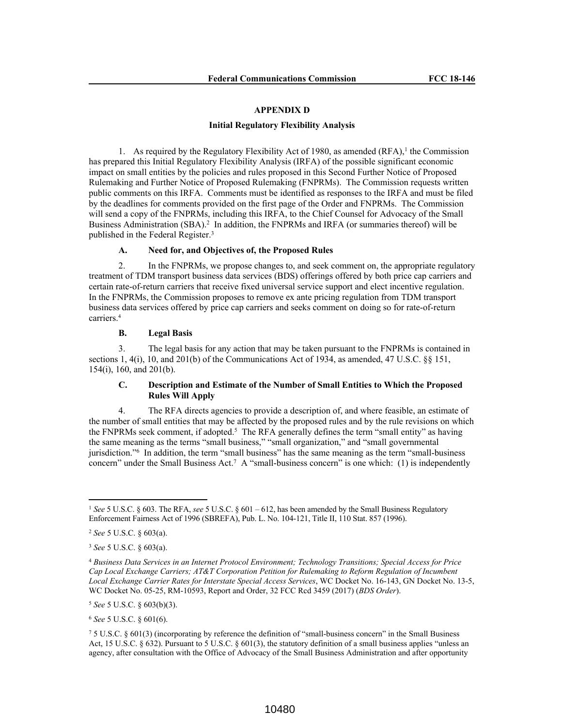## **APPENDIX D**

### **Initial Regulatory Flexibility Analysis**

1. As required by the Regulatory Flexibility Act of 1980, as amended  $(RFA)$ ,<sup>1</sup> the Commission has prepared this Initial Regulatory Flexibility Analysis (IRFA) of the possible significant economic impact on small entities by the policies and rules proposed in this Second Further Notice of Proposed Rulemaking and Further Notice of Proposed Rulemaking (FNPRMs). The Commission requests written public comments on this IRFA. Comments must be identified as responses to the IRFA and must be filed by the deadlines for comments provided on the first page of the Order and FNPRMs. The Commission will send a copy of the FNPRMs, including this IRFA, to the Chief Counsel for Advocacy of the Small Business Administration (SBA).<sup>2</sup> In addition, the FNPRMs and IRFA (or summaries thereof) will be published in the Federal Register.<sup>3</sup>

### **A. Need for, and Objectives of, the Proposed Rules**

2. In the FNPRMs, we propose changes to, and seek comment on, the appropriate regulatory treatment of TDM transport business data services (BDS) offerings offered by both price cap carriers and certain rate-of-return carriers that receive fixed universal service support and elect incentive regulation. In the FNPRMs, the Commission proposes to remove ex ante pricing regulation from TDM transport business data services offered by price cap carriers and seeks comment on doing so for rate-of-return carriers.<sup>4</sup>

## **B. Legal Basis**

3. The legal basis for any action that may be taken pursuant to the FNPRMs is contained in sections 1, 4(i), 10, and 201(b) of the Communications Act of 1934, as amended, 47 U.S.C. §§ 151, 154(i), 160, and 201(b).

## **C. Description and Estimate of the Number of Small Entities to Which the Proposed Rules Will Apply**

4. The RFA directs agencies to provide a description of, and where feasible, an estimate of the number of small entities that may be affected by the proposed rules and by the rule revisions on which the FNPRMs seek comment, if adopted.<sup>5</sup> The RFA generally defines the term "small entity" as having the same meaning as the terms "small business," "small organization," and "small governmental jurisdiction."<sup>6</sup> In addition, the term "small business" has the same meaning as the term "small-business concern" under the Small Business Act.<sup>7</sup> A "small-business concern" is one which: (1) is independently

<sup>5</sup> *See* 5 U.S.C. § 603(b)(3).

<sup>6</sup> *See* 5 U.S.C. § 601(6).

<sup>1</sup> *See* 5 U.S.C. § 603. The RFA, *see* 5 U.S.C. § 601 – 612, has been amended by the Small Business Regulatory Enforcement Fairness Act of 1996 (SBREFA), Pub. L. No. 104-121, Title II, 110 Stat. 857 (1996).

<sup>2</sup> *See* 5 U.S.C. § 603(a).

<sup>3</sup> *See* 5 U.S.C. § 603(a).

<sup>4</sup> *Business Data Services in an Internet Protocol Environment; Technology Transitions; Special Access for Price Cap Local Exchange Carriers; AT&T Corporation Petition for Rulemaking to Reform Regulation of Incumbent Local Exchange Carrier Rates for Interstate Special Access Services*, WC Docket No. 16-143, GN Docket No. 13-5, WC Docket No. 05-25, RM-10593, Report and Order, 32 FCC Rcd 3459 (2017) (*BDS Order*).

<sup>7</sup> 5 U.S.C. § 601(3) (incorporating by reference the definition of "small-business concern" in the Small Business Act, 15 U.S.C. § 632). Pursuant to 5 U.S.C. § 601(3), the statutory definition of a small business applies "unless an agency, after consultation with the Office of Advocacy of the Small Business Administration and after opportunity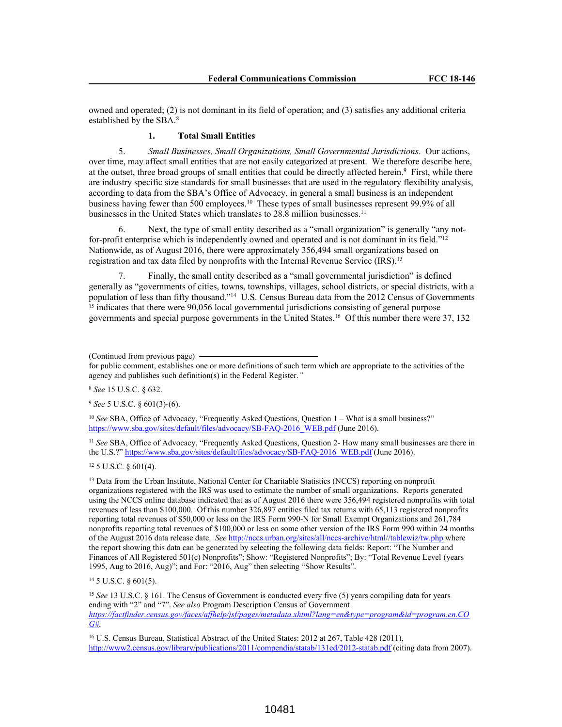owned and operated; (2) is not dominant in its field of operation; and (3) satisfies any additional criteria established by the SBA.<sup>8</sup>

# **1. Total Small Entities**

5. *Small Businesses, Small Organizations, Small Governmental Jurisdictions*. Our actions, over time, may affect small entities that are not easily categorized at present. We therefore describe here, at the outset, three broad groups of small entities that could be directly affected herein.<sup>9</sup> First, while there are industry specific size standards for small businesses that are used in the regulatory flexibility analysis, according to data from the SBA's Office of Advocacy, in general a small business is an independent business having fewer than 500 employees.<sup>10</sup> These types of small businesses represent 99.9% of all businesses in the United States which translates to 28.8 million businesses.<sup>11</sup>

Next, the type of small entity described as a "small organization" is generally "any notfor-profit enterprise which is independently owned and operated and is not dominant in its field."<sup>12</sup> Nationwide, as of August 2016, there were approximately 356,494 small organizations based on registration and tax data filed by nonprofits with the Internal Revenue Service (IRS).<sup>13</sup>

7. Finally, the small entity described as a "small governmental jurisdiction" is defined generally as "governments of cities, towns, townships, villages, school districts, or special districts, with a population of less than fifty thousand."<sup>14</sup> U.S. Census Bureau data from the 2012 Census of Governments <sup>15</sup> indicates that there were 90,056 local governmental jurisdictions consisting of general purpose governments and special purpose governments in the United States.<sup>16</sup> Of this number there were 37, 132

for public comment, establishes one or more definitions of such term which are appropriate to the activities of the agency and publishes such definition(s) in the Federal Register.*"*

<sup>8</sup> *See* 15 U.S.C. § 632.

<sup>9</sup> *See* 5 U.S.C. § 601(3)-(6).

<sup>10</sup> See SBA, Office of Advocacy, "Frequently Asked Questions, Question 1 – What is a small business?" https://www.sba.gov/sites/default/files/advocacy/SB-FAQ-2016\_WEB.pdf (June 2016).

<sup>11</sup> See SBA, Office of Advocacy, "Frequently Asked Questions, Question 2- How many small businesses are there in the U.S.?" https://www.sba.gov/sites/default/files/advocacy/SB-FAQ-2016\_WEB.pdf (June 2016).

<sup>12</sup> 5 U.S.C. § 601(4).

<sup>13</sup> Data from the Urban Institute, National Center for Charitable Statistics (NCCS) reporting on nonprofit organizations registered with the IRS was used to estimate the number of small organizations. Reports generated using the NCCS online database indicated that as of August 2016 there were 356,494 registered nonprofits with total revenues of less than \$100,000. Of this number 326,897 entities filed tax returns with 65,113 registered nonprofits reporting total revenues of \$50,000 or less on the IRS Form 990-N for Small Exempt Organizations and 261,784 nonprofits reporting total revenues of \$100,000 or less on some other version of the IRS Form 990 within 24 months of the August 2016 data release date. *See* http://nccs.urban.org/sites/all/nccs-archive/html//tablewiz/tw.php where the report showing this data can be generated by selecting the following data fields: Report: "The Number and Finances of All Registered 501(c) Nonprofits"; Show: "Registered Nonprofits"; By: "Total Revenue Level (years 1995, Aug to 2016, Aug)"; and For: "2016, Aug" then selecting "Show Results".

<sup>14</sup> 5 U.S.C. § 601(5).

<sup>15</sup> See 13 U.S.C. § 161. The Census of Government is conducted every five (5) years compiling data for years ending with "2" and "7". *See also* Program Description Census of Government *https://factfinder.census.gov/faces/affhelp/jsf/pages/metadata.xhtml?lang=en&type=program&id=program.en.CO G#*.

<sup>16</sup> U.S. Census Bureau, Statistical Abstract of the United States: 2012 at 267, Table 428 (2011), http://www2.census.gov/library/publications/2011/compendia/statab/131ed/2012-statab.pdf (citing data from 2007).

<sup>(</sup>Continued from previous page)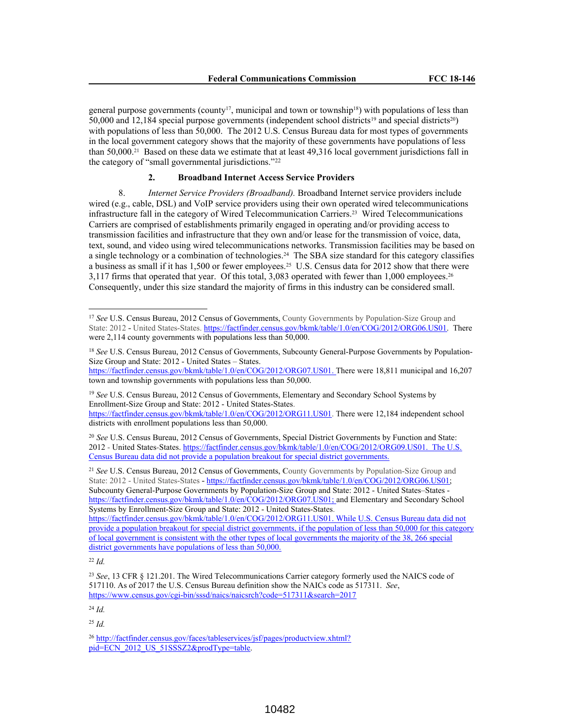general purpose governments (county<sup>17</sup>, municipal and town or township<sup>18</sup>) with populations of less than 50,000 and 12,184 special purpose governments (independent school districts<sup>19</sup> and special districts<sup>20</sup>) with populations of less than 50,000. The 2012 U.S. Census Bureau data for most types of governments in the local government category shows that the majority of these governments have populations of less than 50,000.<sup>21</sup> Based on these data we estimate that at least 49,316 local government jurisdictions fall in the category of "small governmental jurisdictions."<sup>22</sup>

# **2. Broadband Internet Access Service Providers**

8. *Internet Service Providers (Broadband).* Broadband Internet service providers include wired (e.g., cable, DSL) and VoIP service providers using their own operated wired telecommunications infrastructure fall in the category of Wired Telecommunication Carriers.<sup>23</sup> Wired Telecommunications Carriers are comprised of establishments primarily engaged in operating and/or providing access to transmission facilities and infrastructure that they own and/or lease for the transmission of voice, data, text, sound, and video using wired telecommunications networks. Transmission facilities may be based on a single technology or a combination of technologies.<sup>24</sup> The SBA size standard for this category classifies a business as small if it has 1,500 or fewer employees.<sup>25</sup> U.S. Census data for 2012 show that there were 3,117 firms that operated that year. Of this total, 3,083 operated with fewer than 1,000 employees.<sup>26</sup> Consequently, under this size standard the majority of firms in this industry can be considered small.

<sup>19</sup> *See* U.S. Census Bureau, 2012 Census of Governments, Elementary and Secondary School Systems by Enrollment-Size Group and State: 2012 - United States-States.

https://factfinder.census.gov/bkmk/table/1.0/en/COG/2012/ORG11.US01. There were 12,184 independent school districts with enrollment populations less than 50,000.

<sup>20</sup> See U.S. Census Bureau, 2012 Census of Governments, Special District Governments by Function and State: 2012 - United States-States. https://factfinder.census.gov/bkmk/table/1.0/en/COG/2012/ORG09.US01. The U.S. Census Bureau data did not provide a population breakout for special district governments.

<sup>21</sup> *See* U.S. Census Bureau, 2012 Census of Governments, **C**ounty Governments by Population-Size Group and State: 2012 - United States-States **-** https://factfinder.census.gov/bkmk/table/1.0/en/COG/2012/ORG06.US01; Subcounty General-Purpose Governments by Population-Size Group and State: 2012 - United States–States https://factfinder.census.gov/bkmk/table/1.0/en/COG/2012/ORG07.US01; and Elementary and Secondary School Systems by Enrollment-Size Group and State: 2012 - United States-States.

https://factfinder.census.gov/bkmk/table/1.0/en/COG/2012/ORG11.US01. While U.S. Census Bureau data did not provide a population breakout for special district governments, if the population of less than 50,000 for this category of local government is consistent with the other types of local governments the majority of the 38, 266 special district governments have populations of less than 50,000.

<sup>22</sup> *Id.*

<sup>24</sup> *Id.*

<sup>25</sup> *Id.*

<sup>17</sup> *See* U.S. Census Bureau, 2012 Census of Governments, County Governments by Population-Size Group and State: 2012 **-** United States-States. https://factfinder.census.gov/bkmk/table/1.0/en/COG/2012/ORG06.US01. There were 2,114 county governments with populations less than 50,000.

<sup>18</sup> *See* U.S. Census Bureau, 2012 Census of Governments, Subcounty General-Purpose Governments by Population-Size Group and State: 2012 - United States – States.

https://factfinder.census.gov/bkmk/table/1.0/en/COG/2012/ORG07.US01. There were 18,811 municipal and 16,207 town and township governments with populations less than 50,000.

<sup>23</sup> *See*, 13 CFR § 121.201. The Wired Telecommunications Carrier category formerly used the NAICS code of 517110. As of 2017 the U.S. Census Bureau definition show the NAICs code as 517311. *See*, https://www.census.gov/cgi-bin/sssd/naics/naicsrch?code=517311&search=2017

<sup>26</sup> http://factfinder.census.gov/faces/tableservices/jsf/pages/productview.xhtml? pid=ECN\_2012\_US\_51SSSZ2&prodType=table.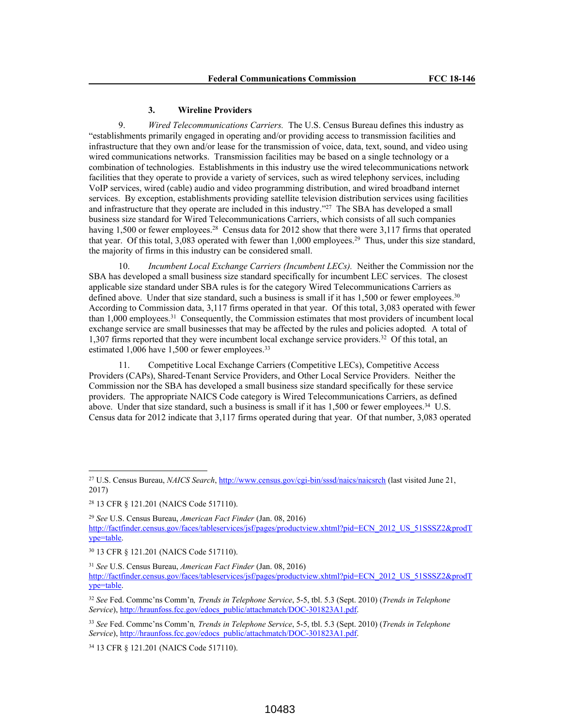#### **3. Wireline Providers**

9. *Wired Telecommunications Carriers.* The U.S. Census Bureau defines this industry as "establishments primarily engaged in operating and/or providing access to transmission facilities and infrastructure that they own and/or lease for the transmission of voice, data, text, sound, and video using wired communications networks. Transmission facilities may be based on a single technology or a combination of technologies. Establishments in this industry use the wired telecommunications network facilities that they operate to provide a variety of services, such as wired telephony services, including VoIP services, wired (cable) audio and video programming distribution, and wired broadband internet services. By exception, establishments providing satellite television distribution services using facilities and infrastructure that they operate are included in this industry."<sup>27</sup> The SBA has developed a small business size standard for Wired Telecommunications Carriers, which consists of all such companies having 1,500 or fewer employees.<sup>28</sup> Census data for 2012 show that there were 3,117 firms that operated that year. Of this total, 3,083 operated with fewer than 1,000 employees.<sup>29</sup> Thus, under this size standard, the majority of firms in this industry can be considered small.

10. *Incumbent Local Exchange Carriers (Incumbent LECs).* Neither the Commission nor the SBA has developed a small business size standard specifically for incumbent LEC services. The closest applicable size standard under SBA rules is for the category Wired Telecommunications Carriers as defined above. Under that size standard, such a business is small if it has  $1,500$  or fewer employees.<sup>30</sup> According to Commission data, 3,117 firms operated in that year. Of this total, 3,083 operated with fewer than 1,000 employees.<sup>31</sup> Consequently, the Commission estimates that most providers of incumbent local exchange service are small businesses that may be affected by the rules and policies adopted*.* A total of 1,307 firms reported that they were incumbent local exchange service providers.<sup>32</sup> Of this total, an estimated 1,006 have 1,500 or fewer employees.<sup>33</sup>

11. Competitive Local Exchange Carriers (Competitive LECs), Competitive Access Providers (CAPs), Shared-Tenant Service Providers, and Other Local Service Providers. Neither the Commission nor the SBA has developed a small business size standard specifically for these service providers. The appropriate NAICS Code category is Wired Telecommunications Carriers, as defined above. Under that size standard, such a business is small if it has 1,500 or fewer employees.<sup>34</sup> U.S. Census data for 2012 indicate that 3,117 firms operated during that year. Of that number, 3,083 operated

<sup>34</sup> 13 CFR § 121.201 (NAICS Code 517110).

<sup>27</sup> U.S. Census Bureau, *NAICS Search*, http://www.census.gov/cgi-bin/sssd/naics/naicsrch (last visited June 21, 2017)

<sup>28</sup> 13 CFR § 121.201 (NAICS Code 517110).

<sup>29</sup> *See* U.S. Census Bureau, *American Fact Finder* (Jan. 08, 2016) http://factfinder.census.gov/faces/tableservices/jsf/pages/productview.xhtml?pid=ECN\_2012\_US\_51SSSZ2&prodT ype=table.

<sup>30</sup> 13 CFR § 121.201 (NAICS Code 517110).

<sup>31</sup> *See* U.S. Census Bureau, *American Fact Finder* (Jan. 08, 2016) http://factfinder.census.gov/faces/tableservices/jsf/pages/productview.xhtml?pid=ECN\_2012\_US\_51SSSZ2&prodT ype=table.

<sup>32</sup> *See* Fed. Commc'ns Comm'n*, Trends in Telephone Service*, 5-5, tbl. 5.3 (Sept. 2010) (*Trends in Telephone* Service), http://hraunfoss.fcc.gov/edocs\_public/attachmatch/DOC-301823A1.pdf.

<sup>33</sup> *See* Fed. Commc'ns Comm'n*, Trends in Telephone Service*, 5-5, tbl. 5.3 (Sept. 2010) (*Trends in Telephone Service*), http://hraunfoss.fcc.gov/edocs\_public/attachmatch/DOC-301823A1.pdf.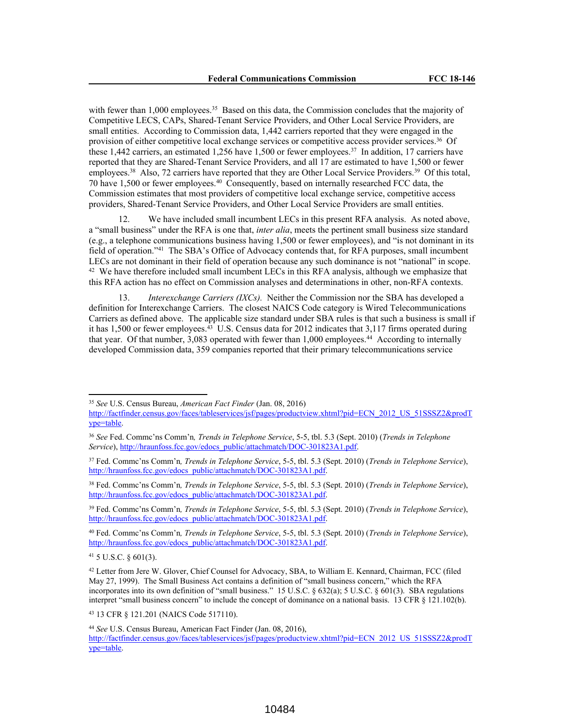with fewer than 1,000 employees.<sup>35</sup> Based on this data, the Commission concludes that the majority of Competitive LECS, CAPs, Shared-Tenant Service Providers, and Other Local Service Providers, are small entities. According to Commission data, 1,442 carriers reported that they were engaged in the provision of either competitive local exchange services or competitive access provider services.<sup>36</sup> Of these 1,442 carriers, an estimated 1,256 have 1,500 or fewer employees.<sup>37</sup> In addition, 17 carriers have reported that they are Shared-Tenant Service Providers, and all 17 are estimated to have 1,500 or fewer employees.<sup>38</sup> Also, 72 carriers have reported that they are Other Local Service Providers.<sup>39</sup> Of this total, 70 have 1,500 or fewer employees.<sup>40</sup> Consequently, based on internally researched FCC data, the Commission estimates that most providers of competitive local exchange service, competitive access providers, Shared-Tenant Service Providers, and Other Local Service Providers are small entities.

12. We have included small incumbent LECs in this present RFA analysis. As noted above, a "small business" under the RFA is one that, *inter alia*, meets the pertinent small business size standard (e.g., a telephone communications business having 1,500 or fewer employees), and "is not dominant in its field of operation."<sup>41</sup> The SBA's Office of Advocacy contends that, for RFA purposes, small incumbent LECs are not dominant in their field of operation because any such dominance is not "national" in scope.  $42$  We have therefore included small incumbent LECs in this RFA analysis, although we emphasize that this RFA action has no effect on Commission analyses and determinations in other, non-RFA contexts.

13. *Interexchange Carriers (IXCs).* Neither the Commission nor the SBA has developed a definition for Interexchange Carriers. The closest NAICS Code category is Wired Telecommunications Carriers as defined above. The applicable size standard under SBA rules is that such a business is small if it has 1,500 or fewer employees.<sup>43</sup> U.S. Census data for 2012 indicates that 3,117 firms operated during that year. Of that number, 3,083 operated with fewer than 1,000 employees.<sup>44</sup> According to internally developed Commission data, 359 companies reported that their primary telecommunications service

ype=table.

<sup>43</sup> 13 CFR § 121.201 (NAICS Code 517110).

<sup>35</sup> *See* U.S. Census Bureau, *American Fact Finder* (Jan. 08, 2016) http://factfinder.census.gov/faces/tableservices/jsf/pages/productview.xhtml?pid=ECN\_2012\_US\_51SSSZ2&prodT

<sup>36</sup> *See* Fed. Commc'ns Comm'n*, Trends in Telephone Service*, 5-5, tbl. 5.3 (Sept. 2010) (*Trends in Telephone Service*), http://hraunfoss.fcc.gov/edocs\_public/attachmatch/DOC-301823A1.pdf.

<sup>37</sup> Fed. Commc'ns Comm'n*, Trends in Telephone Service*, 5-5, tbl. 5.3 (Sept. 2010) (*Trends in Telephone Service*), http://hraunfoss.fcc.gov/edocs\_public/attachmatch/DOC-301823A1.pdf.

<sup>38</sup> Fed. Commc'ns Comm'n*, Trends in Telephone Service*, 5-5, tbl. 5.3 (Sept. 2010) (*Trends in Telephone Service*), http://hraunfoss.fcc.gov/edocs\_public/attachmatch/DOC-301823A1.pdf.

<sup>39</sup> Fed. Commc'ns Comm'n*, Trends in Telephone Service*, 5-5, tbl. 5.3 (Sept. 2010) (*Trends in Telephone Service*), http://hraunfoss.fcc.gov/edocs\_public/attachmatch/DOC-301823A1.pdf.

<sup>40</sup> Fed. Commc'ns Comm'n*, Trends in Telephone Service*, 5-5, tbl. 5.3 (Sept. 2010) (*Trends in Telephone Service*), http://hraunfoss.fcc.gov/edocs\_public/attachmatch/DOC-301823A1.pdf.

<sup>41</sup> 5 U.S.C. § 601(3).

<sup>42</sup> Letter from Jere W. Glover, Chief Counsel for Advocacy, SBA, to William E. Kennard, Chairman, FCC (filed May 27, 1999). The Small Business Act contains a definition of "small business concern," which the RFA incorporates into its own definition of "small business." 15 U.S.C. § 632(a); 5 U.S.C. § 601(3). SBA regulations interpret "small business concern" to include the concept of dominance on a national basis. 13 CFR § 121.102(b).

<sup>44</sup> *See* U.S. Census Bureau, American Fact Finder (Jan. 08, 2016), http://factfinder.census.gov/faces/tableservices/jsf/pages/productview.xhtml?pid=ECN\_2012\_US\_51SSSZ2&prodT ype=table.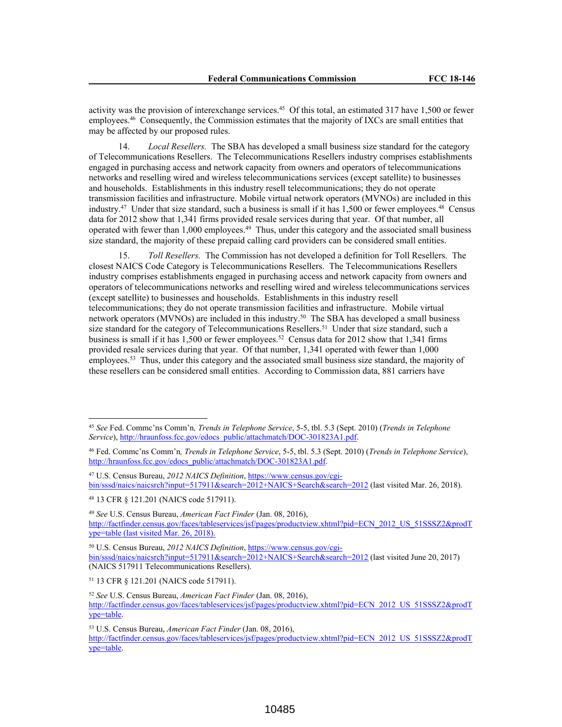activity was the provision of interexchange services.<sup>45</sup> Of this total, an estimated 317 have 1,500 or fewer employees.<sup>46</sup> Consequently, the Commission estimates that the majority of IXCs are small entities that may be affected by our proposed rules.

14. *Local Resellers.* The SBA has developed a small business size standard for the category of Telecommunications Resellers. The Telecommunications Resellers industry comprises establishments engaged in purchasing access and network capacity from owners and operators of telecommunications networks and reselling wired and wireless telecommunications services (except satellite) to businesses and households. Establishments in this industry resell telecommunications; they do not operate transmission facilities and infrastructure. Mobile virtual network operators (MVNOs) are included in this industry.<sup>47</sup> Under that size standard, such a business is small if it has 1,500 or fewer employees.<sup>48</sup> Census data for 2012 show that 1,341 firms provided resale services during that year. Of that number, all operated with fewer than 1,000 employees.<sup>49</sup> Thus, under this category and the associated small business size standard, the majority of these prepaid calling card providers can be considered small entities.

15. *Toll Resellers.* The Commission has not developed a definition for Toll Resellers. The closest NAICS Code Category is Telecommunications Resellers. The Telecommunications Resellers industry comprises establishments engaged in purchasing access and network capacity from owners and operators of telecommunications networks and reselling wired and wireless telecommunications services (except satellite) to businesses and households. Establishments in this industry resell telecommunications; they do not operate transmission facilities and infrastructure. Mobile virtual network operators (MVNOs) are included in this industry.<sup>50</sup> The SBA has developed a small business size standard for the category of Telecommunications Resellers.<sup>51</sup> Under that size standard, such a business is small if it has 1,500 or fewer employees.<sup>52</sup> Census data for 2012 show that 1,341 firms provided resale services during that year. Of that number, 1,341 operated with fewer than 1,000 employees.<sup>53</sup> Thus, under this category and the associated small business size standard, the majority of these resellers can be considered small entities. According to Commission data, 881 carriers have

<sup>47</sup> U.S. Census Bureau, *2012 NAICS Definition*, https://www.census.gov/cgibin/sssd/naics/naicsrch?input=517911&search=2012+NAICS+Search&search=2012 (last visited Mar. 26, 2018).

<sup>48</sup> 13 CFR § 121.201 (NAICS code 517911).

<sup>50</sup> U.S. Census Bureau, *2012 NAICS Definition*, https://www.census.gov/cgibin/sssd/naics/naicsrch?input=517911&search=2012+NAICS+Search&search=2012 (last visited June 20, 2017) (NAICS 517911 Telecommunications Resellers).

<sup>51</sup> 13 CFR § 121.201 (NAICS code 517911).

<sup>52</sup> *See* U.S. Census Bureau, *American Fact Finder* (Jan. 08, 2016), http://factfinder.census.gov/faces/tableservices/jsf/pages/productview.xhtml?pid=ECN\_2012\_US\_51SSSZ2&prodT ype=table.

<sup>53</sup> U.S. Census Bureau, *American Fact Finder* (Jan. 08, 2016),

http://factfinder.census.gov/faces/tableservices/jsf/pages/productview.xhtml?pid=ECN\_2012\_US\_51SSSZ2&prodT ype=table.

<sup>45</sup> *See* Fed. Commc'ns Comm'n*, Trends in Telephone Service*, 5-5, tbl. 5.3 (Sept. 2010) (*Trends in Telephone Service*), http://hraunfoss.fcc.gov/edocs\_public/attachmatch/DOC-301823A1.pdf.

<sup>46</sup> Fed. Commc'ns Comm'n*, Trends in Telephone Service*, 5-5, tbl. 5.3 (Sept. 2010) (*Trends in Telephone Service*), http://hraunfoss.fcc.gov/edocs\_public/attachmatch/DOC-301823A1.pdf.

<sup>49</sup> *See* U.S. Census Bureau, *American Fact Finder* (Jan. 08, 2016), http://factfinder.census.gov/faces/tableservices/jsf/pages/productview.xhtml?pid=ECN\_2012\_US\_51SSSZ2&prodT ype=table (last visited Mar. 26, 2018).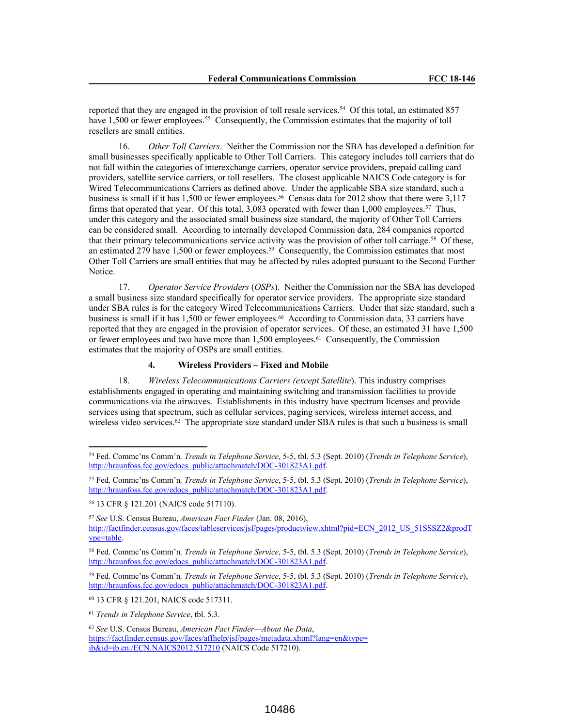reported that they are engaged in the provision of toll resale services.<sup>54</sup> Of this total, an estimated 857 have 1,500 or fewer employees.<sup>55</sup> Consequently, the Commission estimates that the majority of toll resellers are small entities.

16. *Other Toll Carriers*. Neither the Commission nor the SBA has developed a definition for small businesses specifically applicable to Other Toll Carriers. This category includes toll carriers that do not fall within the categories of interexchange carriers, operator service providers, prepaid calling card providers, satellite service carriers, or toll resellers. The closest applicable NAICS Code category is for Wired Telecommunications Carriers as defined above. Under the applicable SBA size standard, such a business is small if it has 1,500 or fewer employees.<sup>56</sup> Census data for 2012 show that there were 3,117 firms that operated that year. Of this total, 3,083 operated with fewer than 1,000 employees.<sup>57</sup> Thus, under this category and the associated small business size standard, the majority of Other Toll Carriers can be considered small. According to internally developed Commission data, 284 companies reported that their primary telecommunications service activity was the provision of other toll carriage.<sup>58</sup> Of these, an estimated 279 have 1,500 or fewer employees.<sup>59</sup> Consequently, the Commission estimates that most Other Toll Carriers are small entities that may be affected by rules adopted pursuant to the Second Further Notice.

17. *Operator Service Providers* (*OSPs*). Neither the Commission nor the SBA has developed a small business size standard specifically for operator service providers. The appropriate size standard under SBA rules is for the category Wired Telecommunications Carriers. Under that size standard, such a business is small if it has 1,500 or fewer employees.<sup>60</sup> According to Commission data, 33 carriers have reported that they are engaged in the provision of operator services. Of these, an estimated 31 have 1,500 or fewer employees and two have more than 1,500 employees.<sup>61</sup> Consequently, the Commission estimates that the majority of OSPs are small entities.

## **4. Wireless Providers – Fixed and Mobile**

18. *Wireless Telecommunications Carriers (except Satellite*). This industry comprises establishments engaged in operating and maintaining switching and transmission facilities to provide communications via the airwaves. Establishments in this industry have spectrum licenses and provide services using that spectrum, such as cellular services, paging services, wireless internet access, and wireless video services.<sup>62</sup> The appropriate size standard under SBA rules is that such a business is small

<sup>54</sup> Fed. Commc'ns Comm'n*, Trends in Telephone Service*, 5-5, tbl. 5.3 (Sept. 2010) (*Trends in Telephone Service*), http://hraunfoss.fcc.gov/edocs\_public/attachmatch/DOC-301823A1.pdf.

<sup>55</sup> Fed. Commc'ns Comm'n*, Trends in Telephone Service*, 5-5, tbl. 5.3 (Sept. 2010) (*Trends in Telephone Service*), http://hraunfoss.fcc.gov/edocs\_public/attachmatch/DOC-301823A1.pdf.

<sup>56</sup> 13 CFR § 121.201 (NAICS code 517110).

<sup>57</sup> *See* U.S. Census Bureau, *American Fact Finder* (Jan. 08, 2016), http://factfinder.census.gov/faces/tableservices/jsf/pages/productview.xhtml?pid=ECN\_2012\_US\_51SSSZ2&prodT ype=table.

<sup>58</sup> Fed. Commc'ns Comm'n*, Trends in Telephone Service*, 5-5, tbl. 5.3 (Sept. 2010) (*Trends in Telephone Service*), http://hraunfoss.fcc.gov/edocs\_public/attachmatch/DOC-301823A1.pdf.

<sup>59</sup> Fed. Commc'ns Comm'n*, Trends in Telephone Service*, 5-5, tbl. 5.3 (Sept. 2010) (*Trends in Telephone Service*), http://hraunfoss.fcc.gov/edocs\_public/attachmatch/DOC-301823A1.pdf.

<sup>60</sup> 13 CFR § 121.201, NAICS code 517311.

<sup>61</sup> *Trends in Telephone Service*, tbl. 5.3.

<sup>62</sup> *See* U.S. Census Bureau, *American Fact Finder—About the Data*, https://factfinder.census.gov/faces/affhelp/jsf/pages/metadata.xhtml?lang=en&type= ib&id=ib.en./ECN.NAICS2012.517210 (NAICS Code 517210).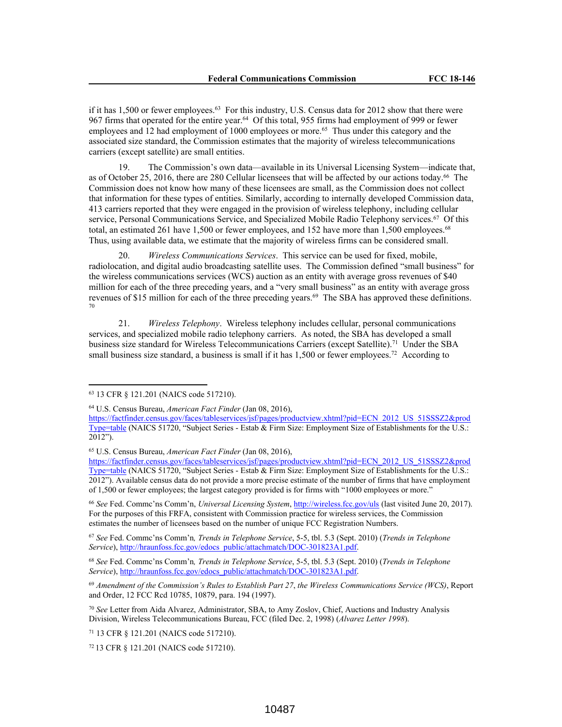if it has 1,500 or fewer employees.<sup>63</sup> For this industry, U.S. Census data for 2012 show that there were 967 firms that operated for the entire year.<sup>64</sup> Of this total, 955 firms had employment of 999 or fewer employees and 12 had employment of 1000 employees or more.<sup>65</sup> Thus under this category and the associated size standard, the Commission estimates that the majority of wireless telecommunications carriers (except satellite) are small entities.

19. The Commission's own data—available in its Universal Licensing System—indicate that, as of October 25, 2016, there are 280 Cellular licensees that will be affected by our actions today.<sup>66</sup> The Commission does not know how many of these licensees are small, as the Commission does not collect that information for these types of entities. Similarly, according to internally developed Commission data, 413 carriers reported that they were engaged in the provision of wireless telephony, including cellular service, Personal Communications Service, and Specialized Mobile Radio Telephony services.<sup>67</sup> Of this total, an estimated 261 have 1,500 or fewer employees, and 152 have more than 1,500 employees.<sup>68</sup> Thus, using available data, we estimate that the majority of wireless firms can be considered small.

20. *Wireless Communications Services*. This service can be used for fixed, mobile, radiolocation, and digital audio broadcasting satellite uses. The Commission defined "small business" for the wireless communications services (WCS) auction as an entity with average gross revenues of \$40 million for each of the three preceding years, and a "very small business" as an entity with average gross revenues of \$15 million for each of the three preceding years.<sup>69</sup> The SBA has approved these definitions. 70

21. *Wireless Telephony*. Wireless telephony includes cellular, personal communications services, and specialized mobile radio telephony carriers. As noted, the SBA has developed a small business size standard for Wireless Telecommunications Carriers (except Satellite).<sup>71</sup> Under the SBA small business size standard, a business is small if it has 1,500 or fewer employees.<sup>72</sup> According to

<sup>66</sup> *See* Fed. Commc'ns Comm'n, *Universal Licensing System*, http://wireless.fcc.gov/uls (last visited June 20, 2017). For the purposes of this FRFA, consistent with Commission practice for wireless services, the Commission estimates the number of licensees based on the number of unique FCC Registration Numbers.

<sup>67</sup> *See* Fed. Commc'ns Comm'n*, Trends in Telephone Service*, 5-5, tbl. 5.3 (Sept. 2010) (*Trends in Telephone Service*), http://hraunfoss.fcc.gov/edocs\_public/attachmatch/DOC-301823A1.pdf.

<sup>69</sup> *Amendment of the Commission's Rules to Establish Part 27*, *the Wireless Communications Service (WCS)*, Report and Order, 12 FCC Rcd 10785, 10879, para. 194 (1997).

<sup>70</sup> *See* Letter from Aida Alvarez, Administrator, SBA, to Amy Zoslov, Chief, Auctions and Industry Analysis Division, Wireless Telecommunications Bureau, FCC (filed Dec. 2, 1998) (*Alvarez Letter 1998*).

<sup>71</sup> 13 CFR § 121.201 (NAICS code 517210).

<sup>63</sup> 13 CFR § 121.201 (NAICS code 517210).

<sup>64</sup> U.S. Census Bureau, *American Fact Finder* (Jan 08, 2016),

https://factfinder.census.gov/faces/tableservices/jsf/pages/productview.xhtml?pid=ECN\_2012\_US\_51SSSZ2&prod Type=table (NAICS 51720, "Subject Series - Estab & Firm Size: Employment Size of Establishments for the U.S.:  $2012"$ ).

<sup>65</sup> U.S. Census Bureau, *American Fact Finder* (Jan 08, 2016),

https://factfinder.census.gov/faces/tableservices/jsf/pages/productview.xhtml?pid=ECN\_2012\_US\_51SSSZ2&prod Type=table (NAICS 51720, "Subject Series - Estab & Firm Size: Employment Size of Establishments for the U.S.: 2012"). Available census data do not provide a more precise estimate of the number of firms that have employment of 1,500 or fewer employees; the largest category provided is for firms with "1000 employees or more."

<sup>68</sup> *See* Fed. Commc'ns Comm'n*, Trends in Telephone Service*, 5-5, tbl. 5.3 (Sept. 2010) (*Trends in Telephone Service*), http://hraunfoss.fcc.gov/edocs\_public/attachmatch/DOC-301823A1.pdf.

<sup>72</sup> 13 CFR § 121.201 (NAICS code 517210).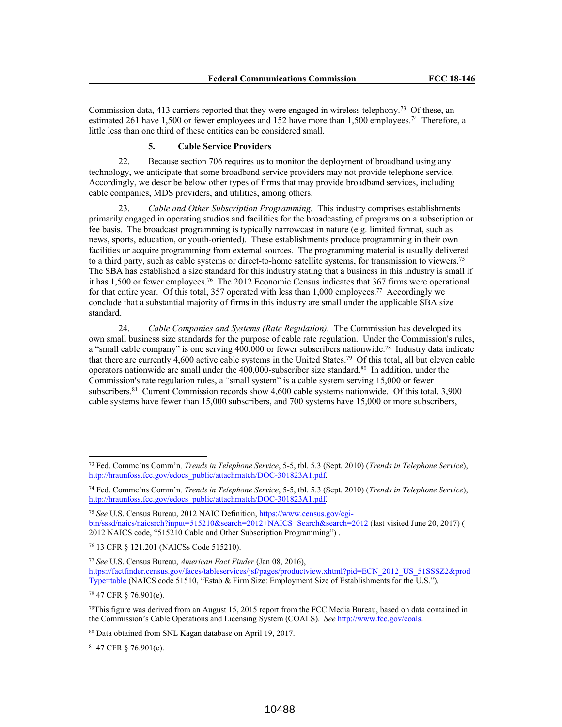Commission data, 413 carriers reported that they were engaged in wireless telephony.<sup>73</sup> Of these, an estimated 261 have 1,500 or fewer employees and 152 have more than 1,500 employees.<sup>74</sup> Therefore, a little less than one third of these entities can be considered small.

#### **5. Cable Service Providers**

22. Because section 706 requires us to monitor the deployment of broadband using any technology, we anticipate that some broadband service providers may not provide telephone service. Accordingly, we describe below other types of firms that may provide broadband services, including cable companies, MDS providers, and utilities, among others.

23. *Cable and Other Subscription Programming.* This industry comprises establishments primarily engaged in operating studios and facilities for the broadcasting of programs on a subscription or fee basis. The broadcast programming is typically narrowcast in nature (e.g. limited format, such as news, sports, education, or youth-oriented). These establishments produce programming in their own facilities or acquire programming from external sources. The programming material is usually delivered to a third party, such as cable systems or direct-to-home satellite systems, for transmission to viewers.<sup>75</sup> The SBA has established a size standard for this industry stating that a business in this industry is small if it has 1,500 or fewer employees.<sup>76</sup> The 2012 Economic Census indicates that 367 firms were operational for that entire year. Of this total, 357 operated with less than 1,000 employees.<sup>77</sup> Accordingly we conclude that a substantial majority of firms in this industry are small under the applicable SBA size standard.

24. *Cable Companies and Systems (Rate Regulation).* The Commission has developed its own small business size standards for the purpose of cable rate regulation. Under the Commission's rules, a "small cable company" is one serving 400,000 or fewer subscribers nationwide.<sup>78</sup> Industry data indicate that there are currently 4,600 active cable systems in the United States.<sup>79</sup> Of this total, all but eleven cable operators nationwide are small under the 400,000-subscriber size standard.<sup>80</sup> In addition, under the Commission's rate regulation rules, a "small system" is a cable system serving 15,000 or fewer subscribers.<sup>81</sup> Current Commission records show 4,600 cable systems nationwide. Of this total, 3,900 cable systems have fewer than 15,000 subscribers, and 700 systems have 15,000 or more subscribers,

<sup>76</sup> 13 CFR § 121.201 (NAICSs Code 515210).

<sup>77</sup> *See* U.S. Census Bureau, *American Fact Finder* (Jan 08, 2016), https://factfinder.census.gov/faces/tableservices/jsf/pages/productview.xhtml?pid=ECN\_2012\_US\_51SSSZ2&prod Type=table (NAICS code 51510, "Estab & Firm Size: Employment Size of Establishments for the U.S.").

<sup>78</sup> 47 CFR § 76.901(e).

<sup>81</sup> 47 CFR § 76.901(c).

<sup>73</sup> Fed. Commc'ns Comm'n*, Trends in Telephone Service*, 5-5, tbl. 5.3 (Sept. 2010) (*Trends in Telephone Service*), http://hraunfoss.fcc.gov/edocs\_public/attachmatch/DOC-301823A1.pdf.

<sup>74</sup> Fed. Commc'ns Comm'n*, Trends in Telephone Service*, 5-5, tbl. 5.3 (Sept. 2010) (*Trends in Telephone Service*), http://hraunfoss.fcc.gov/edocs\_public/attachmatch/DOC-301823A1.pdf.

<sup>75</sup> *See* U.S. Census Bureau, 2012 NAIC Definition, https://www.census.gov/cgibin/sssd/naics/naicsrch?input=515210&search=2012+NAICS+Search&search=2012 (last visited June 20, 2017) ( 2012 NAICS code, "515210 Cable and Other Subscription Programming") .

 $79$ This figure was derived from an August 15, 2015 report from the FCC Media Bureau, based on data contained in the Commission's Cable Operations and Licensing System (COALS). *See* http://www.fcc.gov/coals.

<sup>80</sup> Data obtained from SNL Kagan database on April 19, 2017.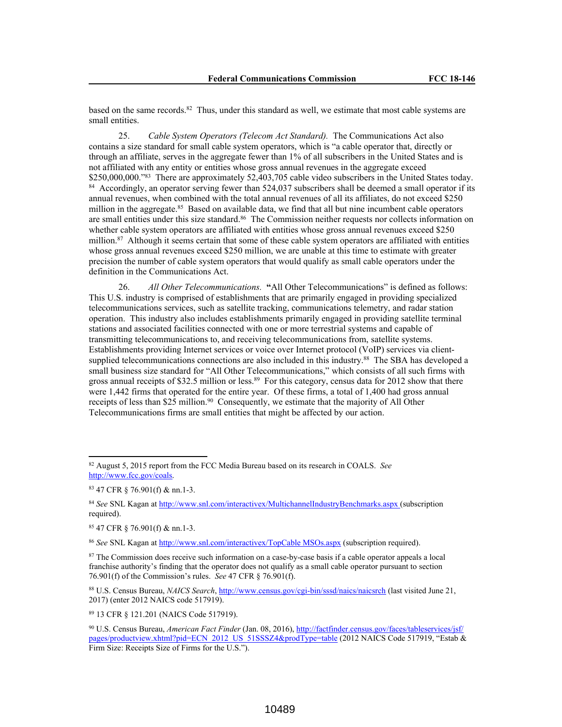based on the same records.<sup>82</sup> Thus, under this standard as well, we estimate that most cable systems are small entities.

25. *Cable System Operators (Telecom Act Standard).* The Communications Act also contains a size standard for small cable system operators, which is "a cable operator that, directly or through an affiliate, serves in the aggregate fewer than 1% of all subscribers in the United States and is not affiliated with any entity or entities whose gross annual revenues in the aggregate exceed \$250,000,000."<sup>83</sup> There are approximately 52,403,705 cable video subscribers in the United States today. <sup>84</sup> Accordingly, an operator serving fewer than 524,037 subscribers shall be deemed a small operator if its annual revenues, when combined with the total annual revenues of all its affiliates, do not exceed \$250 million in the aggregate.<sup>85</sup> Based on available data, we find that all but nine incumbent cable operators are small entities under this size standard.<sup>86</sup> The Commission neither requests nor collects information on whether cable system operators are affiliated with entities whose gross annual revenues exceed \$250 million.<sup>87</sup> Although it seems certain that some of these cable system operators are affiliated with entities whose gross annual revenues exceed \$250 million, we are unable at this time to estimate with greater precision the number of cable system operators that would qualify as small cable operators under the definition in the Communications Act.

26. *All Other Telecommunications.* **"**All Other Telecommunications" is defined as follows: This U.S. industry is comprised of establishments that are primarily engaged in providing specialized telecommunications services, such as satellite tracking, communications telemetry, and radar station operation. This industry also includes establishments primarily engaged in providing satellite terminal stations and associated facilities connected with one or more terrestrial systems and capable of transmitting telecommunications to, and receiving telecommunications from, satellite systems. Establishments providing Internet services or voice over Internet protocol (VoIP) services via clientsupplied telecommunications connections are also included in this industry.<sup>88</sup> The SBA has developed a small business size standard for "All Other Telecommunications," which consists of all such firms with gross annual receipts of \$32.5 million or less.<sup>89</sup> For this category, census data for 2012 show that there were 1,442 firms that operated for the entire year. Of these firms, a total of 1,400 had gross annual receipts of less than \$25 million.<sup>90</sup> Consequently, we estimate that the majority of All Other Telecommunications firms are small entities that might be affected by our action.

<sup>89</sup> 13 CFR § 121.201 (NAICS Code 517919).

<sup>82</sup> August 5, 2015 report from the FCC Media Bureau based on its research in COALS. *See* http://www.fcc.gov/coals.

<sup>83</sup> 47 CFR § 76.901(f) & nn.1-3.

<sup>84</sup> *See* SNL Kagan at http://www.snl.com/interactivex/MultichannelIndustryBenchmarks.aspx (subscription required).

<sup>85</sup> 47 CFR § 76.901(f) & nn.1-3.

<sup>86</sup> *See* SNL Kagan at http://www.snl.com/interactivex/TopCable MSOs.aspx (subscription required).

<sup>87</sup> The Commission does receive such information on a case-by-case basis if a cable operator appeals a local franchise authority's finding that the operator does not qualify as a small cable operator pursuant to section 76.901(f) of the Commission's rules. *See* 47 CFR § 76.901(f).

<sup>88</sup> U.S. Census Bureau, *NAICS Search*, http://www.census.gov/cgi-bin/sssd/naics/naicsrch (last visited June 21, 2017) (enter 2012 NAICS code 517919).

<sup>90</sup> U.S. Census Bureau, *American Fact Finder* (Jan. 08, 2016), http://factfinder.census.gov/faces/tableservices/jsf/ pages/productview.xhtml?pid=ECN\_2012\_US\_51SSSZ4&prodType=table (2012 NAICS Code 517919, "Estab & Firm Size: Receipts Size of Firms for the U.S.").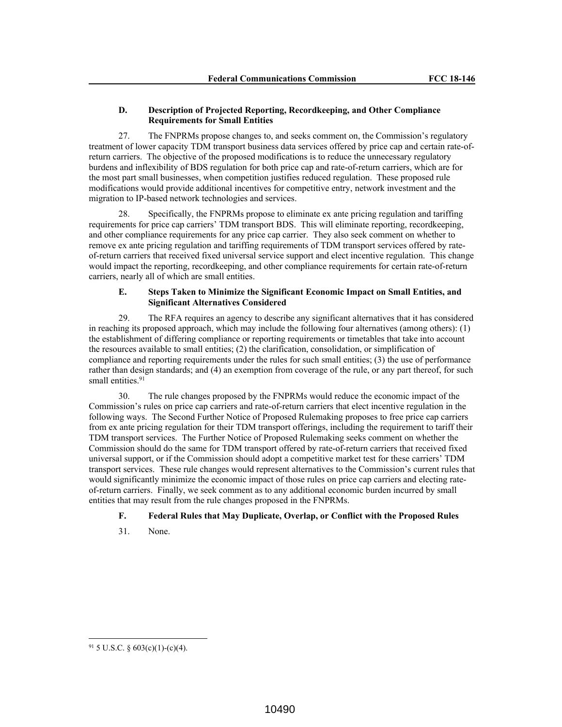## **D. Description of Projected Reporting, Recordkeeping, and Other Compliance Requirements for Small Entities**

27. The FNPRMs propose changes to, and seeks comment on, the Commission's regulatory treatment of lower capacity TDM transport business data services offered by price cap and certain rate-ofreturn carriers. The objective of the proposed modifications is to reduce the unnecessary regulatory burdens and inflexibility of BDS regulation for both price cap and rate-of-return carriers, which are for the most part small businesses, when competition justifies reduced regulation. These proposed rule modifications would provide additional incentives for competitive entry, network investment and the migration to IP-based network technologies and services.

28. Specifically, the FNPRMs propose to eliminate ex ante pricing regulation and tariffing requirements for price cap carriers' TDM transport BDS. This will eliminate reporting, recordkeeping, and other compliance requirements for any price cap carrier. They also seek comment on whether to remove ex ante pricing regulation and tariffing requirements of TDM transport services offered by rateof-return carriers that received fixed universal service support and elect incentive regulation. This change would impact the reporting, recordkeeping, and other compliance requirements for certain rate-of-return carriers, nearly all of which are small entities.

# **E. Steps Taken to Minimize the Significant Economic Impact on Small Entities, and Significant Alternatives Considered**

29. The RFA requires an agency to describe any significant alternatives that it has considered in reaching its proposed approach, which may include the following four alternatives (among others): (1) the establishment of differing compliance or reporting requirements or timetables that take into account the resources available to small entities; (2) the clarification, consolidation, or simplification of compliance and reporting requirements under the rules for such small entities; (3) the use of performance rather than design standards; and (4) an exemption from coverage of the rule, or any part thereof, for such small entities.<sup>91</sup>

30. The rule changes proposed by the FNPRMs would reduce the economic impact of the Commission's rules on price cap carriers and rate-of-return carriers that elect incentive regulation in the following ways. The Second Further Notice of Proposed Rulemaking proposes to free price cap carriers from ex ante pricing regulation for their TDM transport offerings, including the requirement to tariff their TDM transport services. The Further Notice of Proposed Rulemaking seeks comment on whether the Commission should do the same for TDM transport offered by rate-of-return carriers that received fixed universal support, or if the Commission should adopt a competitive market test for these carriers' TDM transport services. These rule changes would represent alternatives to the Commission's current rules that would significantly minimize the economic impact of those rules on price cap carriers and electing rateof-return carriers. Finally, we seek comment as to any additional economic burden incurred by small entities that may result from the rule changes proposed in the FNPRMs.

## **F. Federal Rules that May Duplicate, Overlap, or Conflict with the Proposed Rules**

31. None.

 $91$  5 U.S.C. § 603(c)(1)-(c)(4).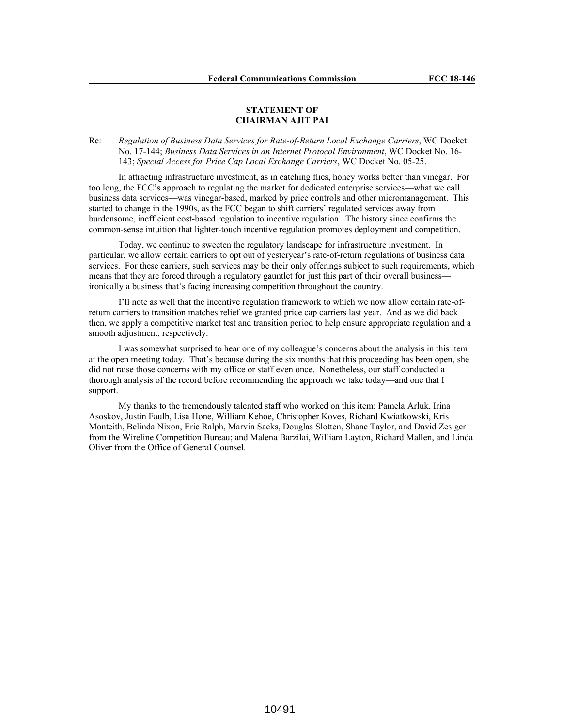## **STATEMENT OF CHAIRMAN AJIT PAI**

Re: *Regulation of Business Data Services for Rate-of-Return Local Exchange Carriers*, WC Docket No. 17-144; *Business Data Services in an Internet Protocol Environment*, WC Docket No. 16- 143; *Special Access for Price Cap Local Exchange Carriers*, WC Docket No. 05-25.

In attracting infrastructure investment, as in catching flies, honey works better than vinegar. For too long, the FCC's approach to regulating the market for dedicated enterprise services—what we call business data services—was vinegar-based, marked by price controls and other micromanagement. This started to change in the 1990s, as the FCC began to shift carriers' regulated services away from burdensome, inefficient cost-based regulation to incentive regulation. The history since confirms the common-sense intuition that lighter-touch incentive regulation promotes deployment and competition.

Today, we continue to sweeten the regulatory landscape for infrastructure investment. In particular, we allow certain carriers to opt out of yesteryear's rate-of-return regulations of business data services. For these carriers, such services may be their only offerings subject to such requirements, which means that they are forced through a regulatory gauntlet for just this part of their overall business ironically a business that's facing increasing competition throughout the country.

I'll note as well that the incentive regulation framework to which we now allow certain rate-ofreturn carriers to transition matches relief we granted price cap carriers last year. And as we did back then, we apply a competitive market test and transition period to help ensure appropriate regulation and a smooth adjustment, respectively.

I was somewhat surprised to hear one of my colleague's concerns about the analysis in this item at the open meeting today. That's because during the six months that this proceeding has been open, she did not raise those concerns with my office or staff even once. Nonetheless, our staff conducted a thorough analysis of the record before recommending the approach we take today—and one that I support.

My thanks to the tremendously talented staff who worked on this item: Pamela Arluk, Irina Asoskov, Justin Faulb, Lisa Hone, William Kehoe, Christopher Koves, Richard Kwiatkowski, Kris Monteith, Belinda Nixon, Eric Ralph, Marvin Sacks, Douglas Slotten, Shane Taylor, and David Zesiger from the Wireline Competition Bureau; and Malena Barzilai, William Layton, Richard Mallen, and Linda Oliver from the Office of General Counsel.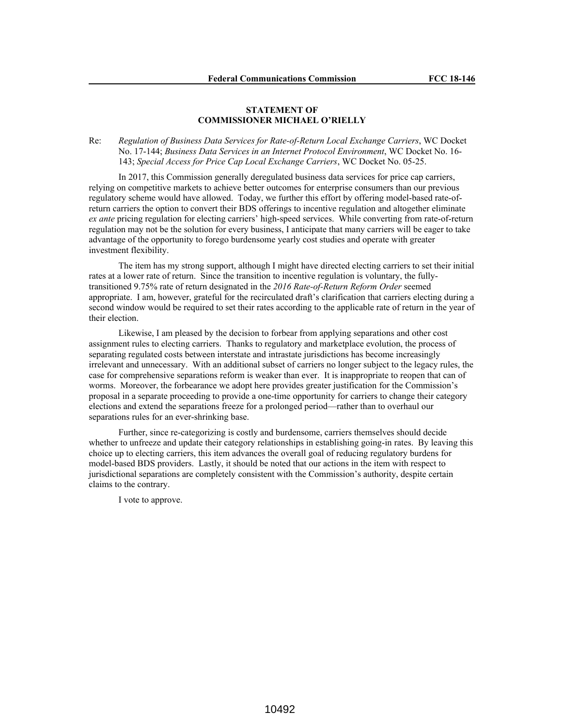## **STATEMENT OF COMMISSIONER MICHAEL O'RIELLY**

Re: *Regulation of Business Data Services for Rate-of-Return Local Exchange Carriers*, WC Docket No. 17-144; *Business Data Services in an Internet Protocol Environment*, WC Docket No. 16- 143; *Special Access for Price Cap Local Exchange Carriers*, WC Docket No. 05-25.

In 2017, this Commission generally deregulated business data services for price cap carriers, relying on competitive markets to achieve better outcomes for enterprise consumers than our previous regulatory scheme would have allowed. Today, we further this effort by offering model-based rate-ofreturn carriers the option to convert their BDS offerings to incentive regulation and altogether eliminate *ex ante* pricing regulation for electing carriers' high-speed services. While converting from rate-of-return regulation may not be the solution for every business, I anticipate that many carriers will be eager to take advantage of the opportunity to forego burdensome yearly cost studies and operate with greater investment flexibility.

The item has my strong support, although I might have directed electing carriers to set their initial rates at a lower rate of return. Since the transition to incentive regulation is voluntary, the fullytransitioned 9.75% rate of return designated in the *2016 Rate-of-Return Reform Order* seemed appropriate. I am, however, grateful for the recirculated draft's clarification that carriers electing during a second window would be required to set their rates according to the applicable rate of return in the year of their election.

Likewise, I am pleased by the decision to forbear from applying separations and other cost assignment rules to electing carriers. Thanks to regulatory and marketplace evolution, the process of separating regulated costs between interstate and intrastate jurisdictions has become increasingly irrelevant and unnecessary. With an additional subset of carriers no longer subject to the legacy rules, the case for comprehensive separations reform is weaker than ever. It is inappropriate to reopen that can of worms. Moreover, the forbearance we adopt here provides greater justification for the Commission's proposal in a separate proceeding to provide a one-time opportunity for carriers to change their category elections and extend the separations freeze for a prolonged period—rather than to overhaul our separations rules for an ever-shrinking base.

Further, since re-categorizing is costly and burdensome, carriers themselves should decide whether to unfreeze and update their category relationships in establishing going-in rates. By leaving this choice up to electing carriers, this item advances the overall goal of reducing regulatory burdens for model-based BDS providers. Lastly, it should be noted that our actions in the item with respect to jurisdictional separations are completely consistent with the Commission's authority, despite certain claims to the contrary.

I vote to approve.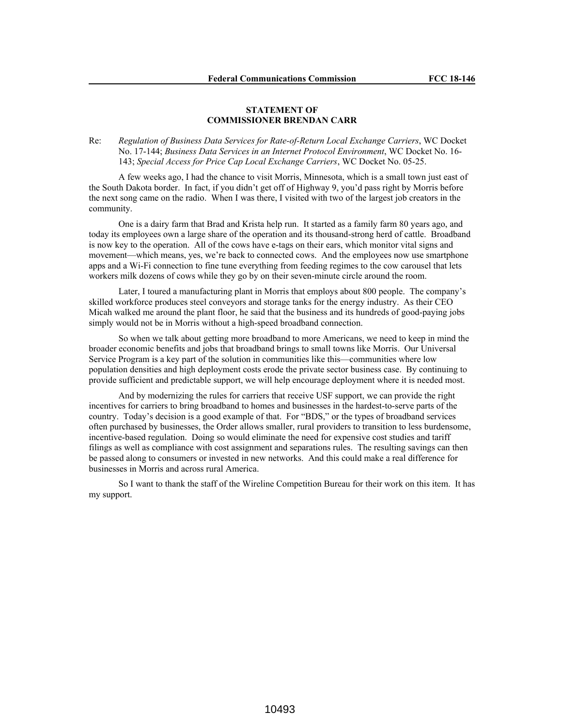## **STATEMENT OF COMMISSIONER BRENDAN CARR**

Re: *Regulation of Business Data Services for Rate-of-Return Local Exchange Carriers*, WC Docket No. 17-144; *Business Data Services in an Internet Protocol Environment*, WC Docket No. 16- 143; *Special Access for Price Cap Local Exchange Carriers*, WC Docket No. 05-25.

A few weeks ago, I had the chance to visit Morris, Minnesota, which is a small town just east of the South Dakota border. In fact, if you didn't get off of Highway 9, you'd pass right by Morris before the next song came on the radio. When I was there, I visited with two of the largest job creators in the community.

One is a dairy farm that Brad and Krista help run. It started as a family farm 80 years ago, and today its employees own a large share of the operation and its thousand-strong herd of cattle. Broadband is now key to the operation. All of the cows have e-tags on their ears, which monitor vital signs and movement—which means, yes, we're back to connected cows. And the employees now use smartphone apps and a Wi-Fi connection to fine tune everything from feeding regimes to the cow carousel that lets workers milk dozens of cows while they go by on their seven-minute circle around the room.

Later, I toured a manufacturing plant in Morris that employs about 800 people. The company's skilled workforce produces steel conveyors and storage tanks for the energy industry. As their CEO Micah walked me around the plant floor, he said that the business and its hundreds of good-paying jobs simply would not be in Morris without a high-speed broadband connection.

So when we talk about getting more broadband to more Americans, we need to keep in mind the broader economic benefits and jobs that broadband brings to small towns like Morris. Our Universal Service Program is a key part of the solution in communities like this—communities where low population densities and high deployment costs erode the private sector business case. By continuing to provide sufficient and predictable support, we will help encourage deployment where it is needed most.

And by modernizing the rules for carriers that receive USF support, we can provide the right incentives for carriers to bring broadband to homes and businesses in the hardest-to-serve parts of the country. Today's decision is a good example of that. For "BDS," or the types of broadband services often purchased by businesses, the Order allows smaller, rural providers to transition to less burdensome, incentive-based regulation. Doing so would eliminate the need for expensive cost studies and tariff filings as well as compliance with cost assignment and separations rules. The resulting savings can then be passed along to consumers or invested in new networks. And this could make a real difference for businesses in Morris and across rural America.

So I want to thank the staff of the Wireline Competition Bureau for their work on this item. It has my support.